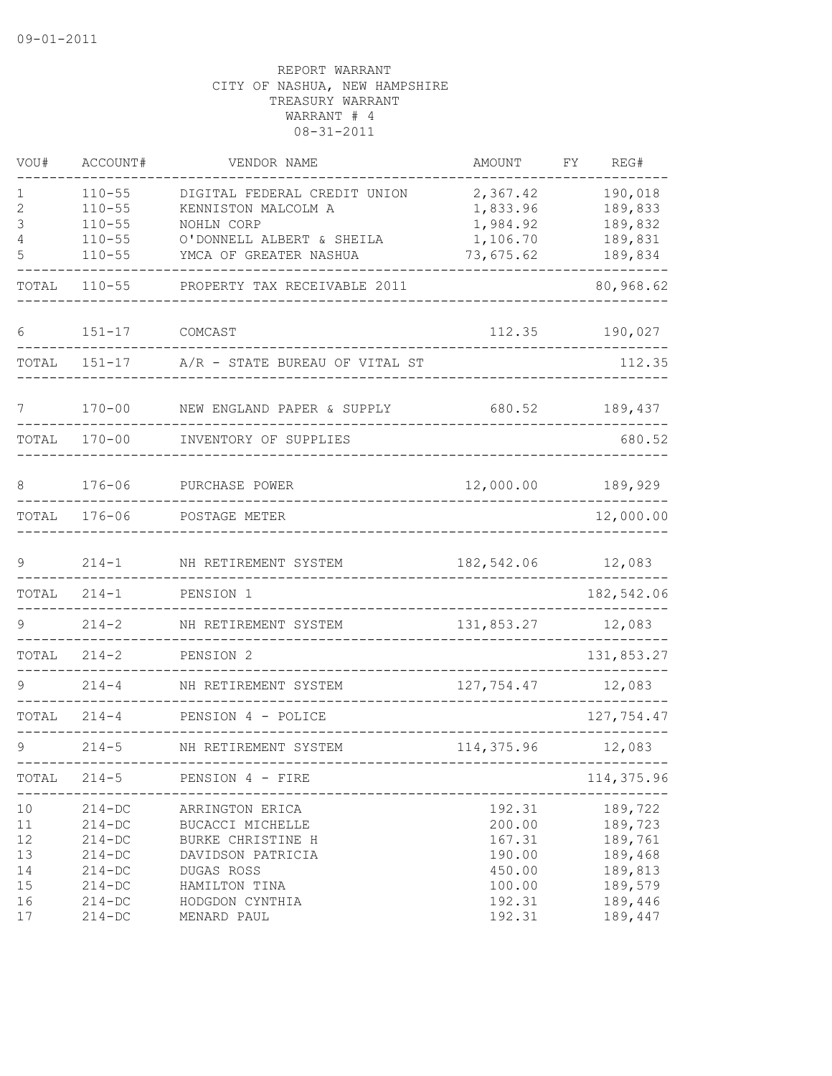| VOU#                               | ACCOUNT#                                                                         | VENDOR NAME                                                                                                  | AMOUNT                                                   | REG#<br>FΥ                                                     |
|------------------------------------|----------------------------------------------------------------------------------|--------------------------------------------------------------------------------------------------------------|----------------------------------------------------------|----------------------------------------------------------------|
| 1<br>2<br>3                        | $110 - 55$<br>$110 - 55$<br>$110 - 55$                                           | DIGITAL FEDERAL CREDIT UNION<br>KENNISTON MALCOLM A<br>NOHLN CORP                                            | 2,367.42<br>1,833.96<br>1,984.92                         | 190,018<br>189,833<br>189,832                                  |
| 4<br>5                             | $110 - 55$<br>$110 - 55$                                                         | O'DONNELL ALBERT & SHEILA<br>YMCA OF GREATER NASHUA                                                          | 1,106.70<br>73,675.62                                    | 189,831<br>189,834                                             |
| TOTAL                              | $110 - 55$                                                                       | PROPERTY TAX RECEIVABLE 2011                                                                                 |                                                          | 80,968.62                                                      |
| 6                                  | $151 - 17$                                                                       | COMCAST                                                                                                      | 112.35                                                   | 190,027                                                        |
| TOTAL                              | $151 - 17$                                                                       | A/R - STATE BUREAU OF VITAL ST                                                                               |                                                          | 112.35                                                         |
| 7                                  | $170 - 00$                                                                       | NEW ENGLAND PAPER & SUPPLY                                                                                   | 680.52                                                   | 189,437                                                        |
| TOTAL                              | $170 - 00$                                                                       | INVENTORY OF SUPPLIES                                                                                        |                                                          | 680.52                                                         |
| 8                                  | $176 - 06$                                                                       | PURCHASE POWER                                                                                               | 12,000.00                                                | 189,929                                                        |
| TOTAL                              | $176 - 06$                                                                       | POSTAGE METER                                                                                                |                                                          | 12,000.00                                                      |
| 9                                  | $214 - 1$                                                                        | NH RETIREMENT SYSTEM                                                                                         | 182,542.06                                               | 12,083                                                         |
| TOTAL                              | $214 - 1$                                                                        | PENSION 1                                                                                                    |                                                          | 182,542.06                                                     |
| 9                                  | $214 - 2$                                                                        | NH RETIREMENT SYSTEM                                                                                         | 131,853.27                                               | 12,083                                                         |
| TOTAL                              | $214 - 2$                                                                        | PENSION 2                                                                                                    |                                                          | 131,853.27                                                     |
|                                    | $214 - 4$                                                                        | NH RETIREMENT SYSTEM                                                                                         | 127,754.47                                               | 12,083                                                         |
| TOTAL                              | $214 - 4$                                                                        | PENSION 4 - POLICE                                                                                           |                                                          | 127,754.47                                                     |
| 9                                  | $214 - 5$                                                                        | NH RETIREMENT SYSTEM                                                                                         | 114,375.96                                               | 12,083                                                         |
| TOTAL                              | $214 - 5$                                                                        | PENSION 4 - FIRE                                                                                             |                                                          | 114,375.96                                                     |
| 10<br>11<br>12<br>13<br>14<br>$15$ | $214 - DC$<br>$214 - DC$<br>$214 - DC$<br>$214 - DC$<br>$214 - DC$<br>$214 - DC$ | ARRINGTON ERICA<br>BUCACCI MICHELLE<br>BURKE CHRISTINE H<br>DAVIDSON PATRICIA<br>DUGAS ROSS<br>HAMILTON TINA | 192.31<br>200.00<br>167.31<br>190.00<br>450.00<br>100.00 | 189,722<br>189,723<br>189,761<br>189,468<br>189,813<br>189,579 |
| 16<br>17                           | $214-DC$<br>$214 - DC$                                                           | HODGDON CYNTHIA<br>MENARD PAUL                                                                               | 192.31<br>192.31                                         | 189,446<br>189,447                                             |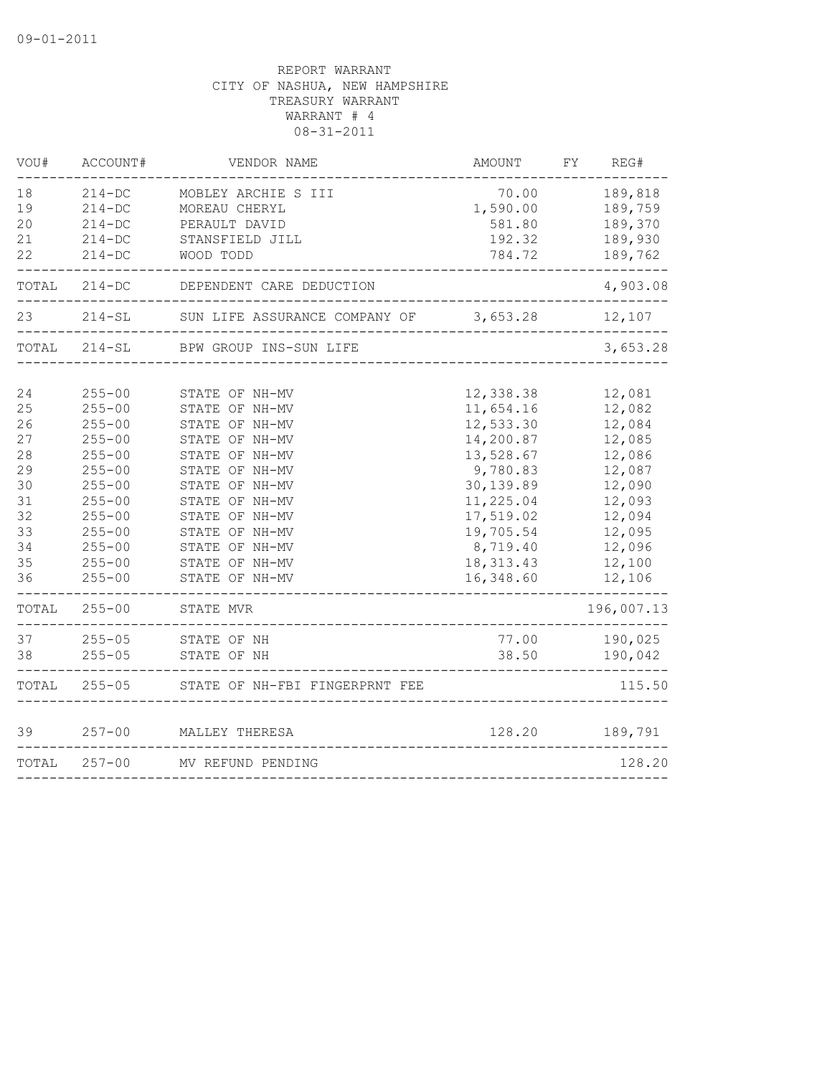| VOU#                                                                       | ACCOUNT#                                                                                                                                                                           | VENDOR NAME                                                                                                                                                                                                                            | <b>AMOUNT</b>                                                                                                                                                         | REG#<br>FY                                                                                                                     |
|----------------------------------------------------------------------------|------------------------------------------------------------------------------------------------------------------------------------------------------------------------------------|----------------------------------------------------------------------------------------------------------------------------------------------------------------------------------------------------------------------------------------|-----------------------------------------------------------------------------------------------------------------------------------------------------------------------|--------------------------------------------------------------------------------------------------------------------------------|
| 18<br>19<br>20<br>21<br>22                                                 | $214 - DC$<br>$214 - DC$<br>$214 - DC$<br>$214 - DC$<br>$214 - DC$                                                                                                                 | MOBLEY ARCHIE S III<br>MOREAU CHERYL<br>PERAULT DAVID<br>STANSFIELD JILL<br>WOOD TODD                                                                                                                                                  | 70.00<br>1,590.00<br>581.80<br>192.32<br>784.72                                                                                                                       | 189,818<br>189,759<br>189,370<br>189,930<br>189,762                                                                            |
| TOTAL                                                                      | $214 - DC$                                                                                                                                                                         | DEPENDENT CARE DEDUCTION                                                                                                                                                                                                               |                                                                                                                                                                       | 4,903.08                                                                                                                       |
| 23                                                                         | $214 - SL$                                                                                                                                                                         | SUN LIFE ASSURANCE COMPANY OF                                                                                                                                                                                                          | 3,653.28                                                                                                                                                              | 12,107                                                                                                                         |
| TOTAL                                                                      | $214 - SL$                                                                                                                                                                         | ____________________<br>BPW GROUP INS-SUN LIFE                                                                                                                                                                                         |                                                                                                                                                                       | 3,653.28                                                                                                                       |
| 24<br>25<br>26<br>27<br>28<br>29<br>30<br>31<br>32<br>33<br>34<br>35<br>36 | $255 - 00$<br>$255 - 00$<br>$255 - 00$<br>$255 - 00$<br>$255 - 00$<br>$255 - 00$<br>$255 - 00$<br>$255 - 00$<br>$255 - 00$<br>$255 - 00$<br>$255 - 00$<br>$255 - 00$<br>$255 - 00$ | STATE OF NH-MV<br>STATE OF NH-MV<br>STATE OF NH-MV<br>STATE OF NH-MV<br>STATE OF NH-MV<br>STATE OF NH-MV<br>STATE OF NH-MV<br>STATE OF NH-MV<br>STATE OF NH-MV<br>STATE OF NH-MV<br>STATE OF NH-MV<br>STATE OF NH-MV<br>STATE OF NH-MV | 12,338.38<br>11,654.16<br>12,533.30<br>14,200.87<br>13,528.67<br>9,780.83<br>30,139.89<br>11,225.04<br>17,519.02<br>19,705.54<br>8,719.40<br>18, 313. 43<br>16,348.60 | 12,081<br>12,082<br>12,084<br>12,085<br>12,086<br>12,087<br>12,090<br>12,093<br>12,094<br>12,095<br>12,096<br>12,100<br>12,106 |
| TOTAL                                                                      | $255 - 00$                                                                                                                                                                         | STATE MVR                                                                                                                                                                                                                              |                                                                                                                                                                       | 196,007.13                                                                                                                     |
| 37<br>38                                                                   | $255 - 05$<br>$255 - 05$                                                                                                                                                           | STATE OF NH<br>STATE OF NH                                                                                                                                                                                                             | 77.00<br>38.50                                                                                                                                                        | 190,025<br>190,042                                                                                                             |
| TOTAL                                                                      | $255 - 05$                                                                                                                                                                         | STATE OF NH-FBI FINGERPRNT FEE                                                                                                                                                                                                         |                                                                                                                                                                       | 115.50                                                                                                                         |
| 39                                                                         | $257 - 00$                                                                                                                                                                         | MALLEY THERESA                                                                                                                                                                                                                         | 128.20                                                                                                                                                                | 189,791                                                                                                                        |
| TOTAL                                                                      | $257 - 00$                                                                                                                                                                         | MV REFUND PENDING                                                                                                                                                                                                                      |                                                                                                                                                                       | 128.20                                                                                                                         |
|                                                                            |                                                                                                                                                                                    |                                                                                                                                                                                                                                        |                                                                                                                                                                       |                                                                                                                                |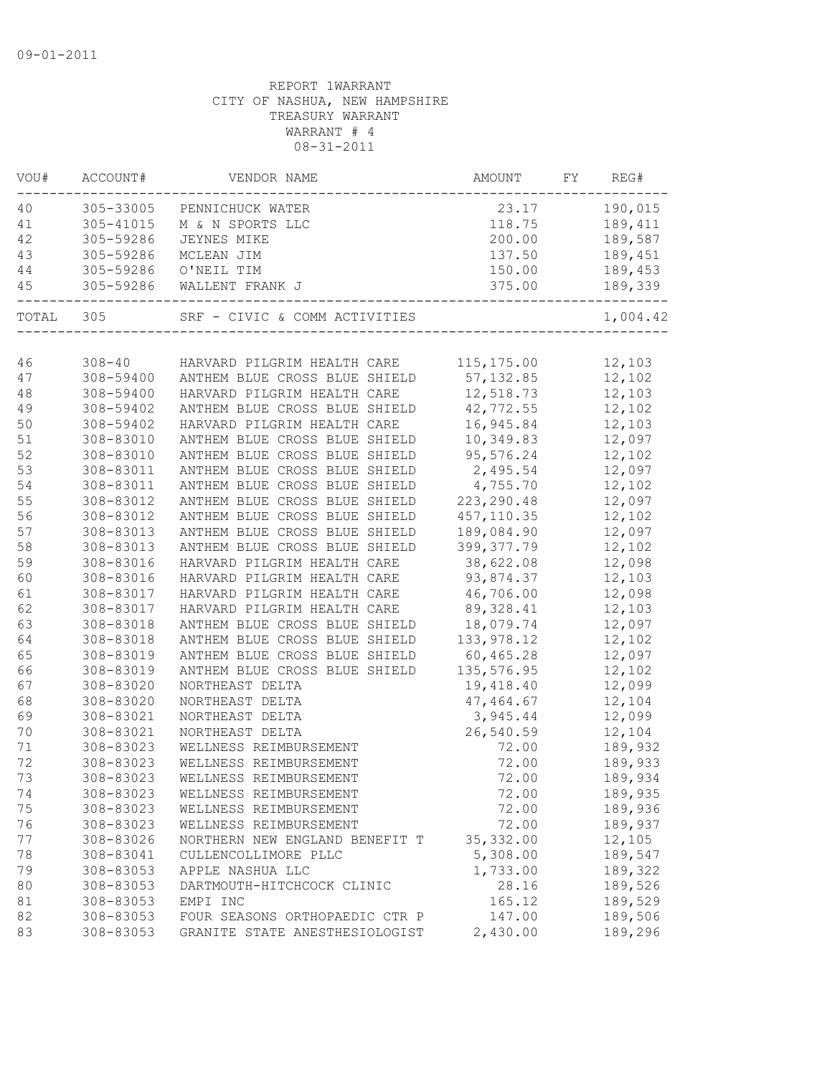| VOU# | ACCOUNT#   | VENDOR NAME                            | <b>AMOUNT</b> | FY | REG#     |
|------|------------|----------------------------------------|---------------|----|----------|
| 40   | 305-33005  | PENNICHUCK WATER                       | 23.17         |    | 190,015  |
| 41   | 305-41015  | M & N SPORTS LLC                       | 118.75        |    | 189,411  |
| 42   | 305-59286  | <b>JEYNES MIKE</b>                     | 200.00        |    | 189,587  |
| 43   | 305-59286  | MCLEAN JIM                             | 137.50        |    | 189,451  |
| 44   | 305-59286  | O'NEIL TIM                             | 150.00        |    | 189,453  |
| 45   | 305-59286  | WALLENT FRANK J                        | 375.00        |    | 189,339  |
|      | TOTAL 305  | SRF - CIVIC & COMM ACTIVITIES          |               |    | 1,004.42 |
|      |            |                                        |               |    |          |
| 46   | $308 - 40$ | HARVARD PILGRIM HEALTH CARE 115,175.00 |               |    | 12,103   |
| 47   | 308-59400  | ANTHEM BLUE CROSS BLUE SHIELD          | 57, 132.85    |    | 12,102   |
| 48   | 308-59400  | HARVARD PILGRIM HEALTH CARE            | 12,518.73     |    | 12,103   |
| 49   | 308-59402  | ANTHEM BLUE CROSS BLUE SHIELD          | 42,772.55     |    | 12,102   |
| 50   | 308-59402  | HARVARD PILGRIM HEALTH CARE            | 16,945.84     |    | 12,103   |
| 51   | 308-83010  | ANTHEM BLUE CROSS BLUE SHIELD          | 10,349.83     |    | 12,097   |
| 52   | 308-83010  | ANTHEM BLUE CROSS BLUE SHIELD          | 95,576.24     |    | 12,102   |
| 53   | 308-83011  | ANTHEM BLUE CROSS BLUE SHIELD          | 2,495.54      |    | 12,097   |
| 54   | 308-83011  | ANTHEM BLUE CROSS BLUE SHIELD          | 4,755.70      |    | 12,102   |
| 55   | 308-83012  | ANTHEM BLUE CROSS BLUE SHIELD          | 223, 290.48   |    | 12,097   |
| 56   | 308-83012  | ANTHEM BLUE CROSS BLUE SHIELD          | 457, 110.35   |    | 12,102   |
| 57   | 308-83013  | ANTHEM BLUE CROSS BLUE SHIELD          | 189,084.90    |    | 12,097   |
| 58   | 308-83013  | ANTHEM BLUE CROSS BLUE SHIELD          | 399, 377.79   |    | 12,102   |
| 59   | 308-83016  | HARVARD PILGRIM HEALTH CARE            | 38,622.08     |    | 12,098   |
| 60   | 308-83016  | HARVARD PILGRIM HEALTH CARE            | 93,874.37     |    | 12,103   |
| 61   | 308-83017  | HARVARD PILGRIM HEALTH CARE            | 46,706.00     |    | 12,098   |
| 62   | 308-83017  | HARVARD PILGRIM HEALTH CARE            | 89, 328.41    |    | 12,103   |
| 63   | 308-83018  | ANTHEM BLUE CROSS BLUE SHIELD          | 18,079.74     |    | 12,097   |
| 64   | 308-83018  | ANTHEM BLUE CROSS BLUE SHIELD          | 133,978.12    |    | 12,102   |
| 65   | 308-83019  | ANTHEM BLUE CROSS BLUE SHIELD          | 60,465.28     |    | 12,097   |
| 66   | 308-83019  | ANTHEM BLUE CROSS BLUE SHIELD          | 135,576.95    |    | 12,102   |
| 67   | 308-83020  | NORTHEAST DELTA                        | 19,418.40     |    | 12,099   |
| 68   | 308-83020  | NORTHEAST DELTA                        | 47,464.67     |    | 12,104   |
| 69   | 308-83021  | NORTHEAST DELTA                        | 3,945.44      |    | 12,099   |
| 70   | 308-83021  | NORTHEAST DELTA                        | 26,540.59     |    | 12,104   |
| 71   | 308-83023  | WELLNESS REIMBURSEMENT                 | 72.00         |    | 189,932  |
| 72   | 308-83023  | WELLNESS REIMBURSEMENT                 | 72.00         |    | 189,933  |
| 73   | 308-83023  | WELLNESS REIMBURSEMENT                 | 72.00         |    | 189,934  |
| 74   | 308-83023  | WELLNESS REIMBURSEMENT                 | 72.00         |    | 189,935  |
| 75   | 308-83023  | WELLNESS REIMBURSEMENT                 | 72.00         |    | 189,936  |
| 76   | 308-83023  | WELLNESS REIMBURSEMENT                 | 72.00         |    | 189,937  |
| 77   | 308-83026  | NORTHERN NEW ENGLAND BENEFIT T         | 35, 332.00    |    | 12,105   |
| 78   | 308-83041  | CULLENCOLLIMORE PLLC                   | 5,308.00      |    | 189,547  |
| 79   | 308-83053  | APPLE NASHUA LLC                       | 1,733.00      |    | 189,322  |
| 80   | 308-83053  | DARTMOUTH-HITCHCOCK CLINIC             | 28.16         |    | 189,526  |
| 81   | 308-83053  | EMPI INC                               | 165.12        |    | 189,529  |
| 82   | 308-83053  | FOUR SEASONS ORTHOPAEDIC CTR P         | 147.00        |    | 189,506  |
| 83   | 308-83053  | GRANITE STATE ANESTHESIOLOGIST         | 2,430.00      |    | 189,296  |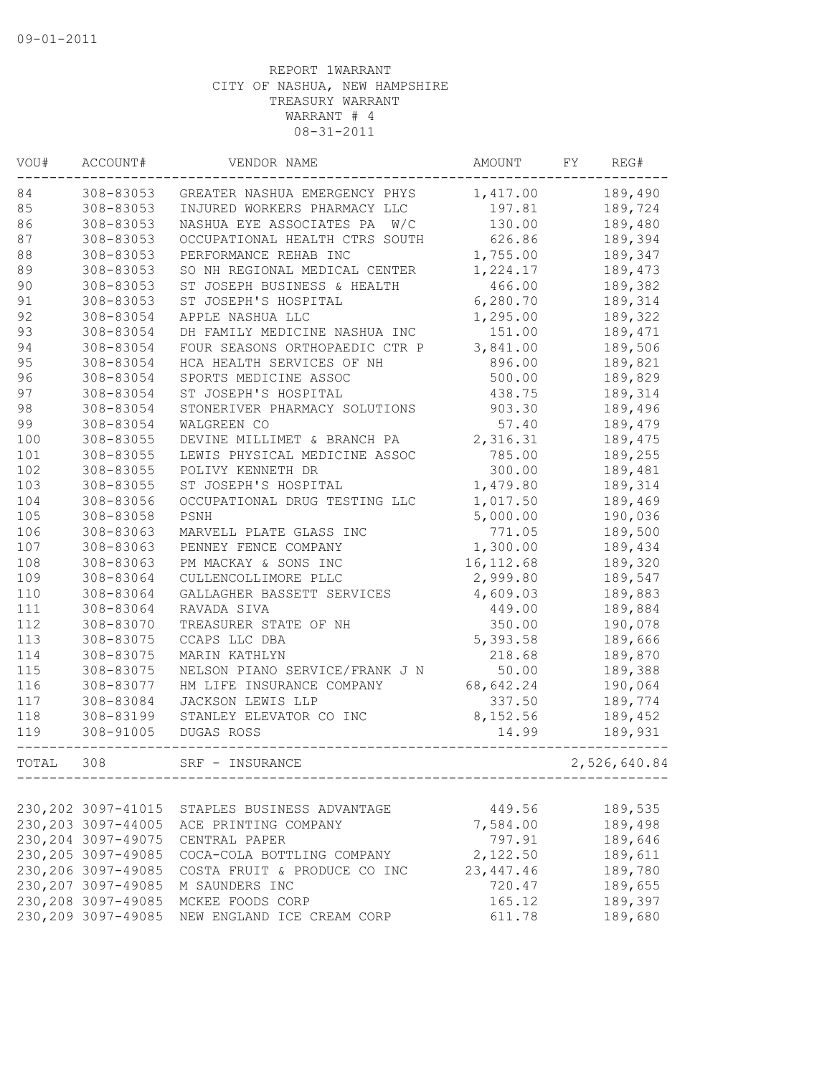| VOU#  | ACCOUNT#            | VENDOR NAME                     | AMOUNT     | FY | REG#         |
|-------|---------------------|---------------------------------|------------|----|--------------|
| 84    | 308-83053           | GREATER NASHUA EMERGENCY PHYS   | 1,417.00   |    | 189,490      |
| 85    | 308-83053           | INJURED WORKERS PHARMACY LLC    | 197.81     |    | 189,724      |
| 86    | 308-83053           | NASHUA EYE ASSOCIATES PA<br>W/C | 130.00     |    | 189,480      |
| 87    | 308-83053           | OCCUPATIONAL HEALTH CTRS SOUTH  | 626.86     |    | 189,394      |
| 88    | 308-83053           | PERFORMANCE REHAB INC           | 1,755.00   |    | 189,347      |
| 89    | 308-83053           | SO NH REGIONAL MEDICAL CENTER   | 1,224.17   |    | 189,473      |
| 90    | 308-83053           | ST JOSEPH BUSINESS & HEALTH     | 466.00     |    | 189,382      |
| 91    | 308-83053           | ST JOSEPH'S HOSPITAL            | 6,280.70   |    | 189,314      |
| 92    | 308-83054           | APPLE NASHUA LLC                | 1,295.00   |    | 189,322      |
| 93    | 308-83054           | DH FAMILY MEDICINE NASHUA INC   | 151.00     |    | 189,471      |
| 94    | 308-83054           | FOUR SEASONS ORTHOPAEDIC CTR P  | 3,841.00   |    | 189,506      |
| 95    | 308-83054           | HCA HEALTH SERVICES OF NH       | 896.00     |    | 189,821      |
| 96    | 308-83054           | SPORTS MEDICINE ASSOC           | 500.00     |    | 189,829      |
| 97    | 308-83054           | ST JOSEPH'S HOSPITAL            | 438.75     |    | 189,314      |
| 98    | 308-83054           | STONERIVER PHARMACY SOLUTIONS   | 903.30     |    | 189,496      |
| 99    | 308-83054           | WALGREEN CO                     | 57.40      |    | 189,479      |
| 100   | 308-83055           | DEVINE MILLIMET & BRANCH PA     | 2,316.31   |    | 189,475      |
| 101   | 308-83055           | LEWIS PHYSICAL MEDICINE ASSOC   | 785.00     |    | 189,255      |
| 102   | 308-83055           | POLIVY KENNETH DR               | 300.00     |    | 189,481      |
| 103   | 308-83055           | ST JOSEPH'S HOSPITAL            | 1,479.80   |    | 189,314      |
| 104   | 308-83056           | OCCUPATIONAL DRUG TESTING LLC   | 1,017.50   |    | 189,469      |
| 105   | 308-83058           | PSNH                            | 5,000.00   |    | 190,036      |
| 106   | 308-83063           | MARVELL PLATE GLASS INC         | 771.05     |    | 189,500      |
| 107   | 308-83063           | PENNEY FENCE COMPANY            | 1,300.00   |    | 189,434      |
| 108   | 308-83063           | PM MACKAY & SONS INC            | 16, 112.68 |    | 189,320      |
| 109   | 308-83064           | CULLENCOLLIMORE PLLC            | 2,999.80   |    | 189,547      |
| 110   | 308-83064           | GALLAGHER BASSETT SERVICES      | 4,609.03   |    | 189,883      |
| 111   | 308-83064           | RAVADA SIVA                     | 449.00     |    | 189,884      |
| 112   | 308-83070           | TREASURER STATE OF NH           | 350.00     |    | 190,078      |
| 113   | 308-83075           | CCAPS LLC DBA                   | 5,393.58   |    | 189,666      |
| 114   | 308-83075           | MARIN KATHLYN                   | 218.68     |    | 189,870      |
| 115   | 308-83075           | NELSON PIANO SERVICE/FRANK J N  | 50.00      |    | 189,388      |
| 116   | 308-83077           | HM LIFE INSURANCE COMPANY       | 68,642.24  |    | 190,064      |
| 117   | 308-83084           | JACKSON LEWIS LLP               | 337.50     |    | 189,774      |
| 118   | 308-83199           | STANLEY ELEVATOR CO INC         | 8,152.56   |    | 189,452      |
| 119   | 308-91005           | DUGAS ROSS                      | 14.99      |    | 189,931      |
|       |                     |                                 |            |    |              |
| TOTAL | 308                 | SRF - INSURANCE                 |            |    | 2,526,640.84 |
|       |                     |                                 |            |    |              |
|       | 230, 202 3097-41015 | STAPLES BUSINESS ADVANTAGE      | 449.56     |    | 189,535      |
|       | 230, 203 3097-44005 | ACE PRINTING COMPANY            | 7,584.00   |    | 189,498      |
|       | 230, 204 3097-49075 | CENTRAL PAPER                   | 797.91     |    | 189,646      |
|       | 230, 205 3097-49085 | COCA-COLA BOTTLING COMPANY      | 2,122.50   |    | 189,611      |
|       | 230, 206 3097-49085 | COSTA FRUIT & PRODUCE CO INC    | 23, 447.46 |    | 189,780      |
|       | 230, 207 3097-49085 | M SAUNDERS INC                  | 720.47     |    | 189,655      |
|       | 230, 208 3097-49085 | MCKEE FOODS CORP                | 165.12     |    | 189,397      |
|       | 230, 209 3097-49085 | NEW ENGLAND ICE CREAM CORP      | 611.78     |    | 189,680      |
|       |                     |                                 |            |    |              |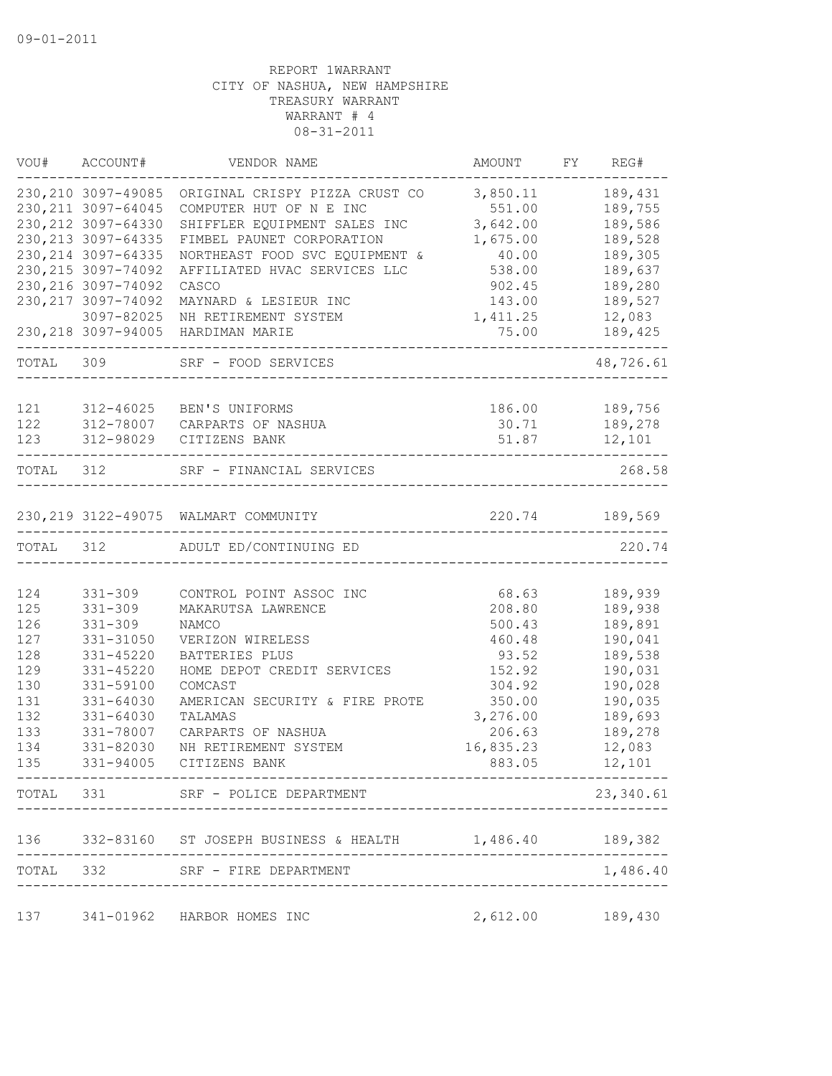|           | VOU# ACCOUNT#       | VENDOR NAME                                                | AMOUNT                             | FY REG#        |
|-----------|---------------------|------------------------------------------------------------|------------------------------------|----------------|
|           | 230, 210 3097-49085 | ORIGINAL CRISPY PIZZA CRUST CO                             | 3,850.11                           | 189,431        |
|           | 230, 211 3097-64045 | COMPUTER HUT OF N E INC                                    | 551.00                             | 189,755        |
|           | 230, 212 3097-64330 | SHIFFLER EQUIPMENT SALES INC                               | 3,642.00                           | 189,586        |
|           | 230, 213 3097-64335 | FIMBEL PAUNET CORPORATION                                  | 1,675.00                           | 189,528        |
|           | 230, 214 3097-64335 | NORTHEAST FOOD SVC EQUIPMENT &                             | 40.00                              | 189,305        |
|           | 230, 215 3097-74092 | AFFILIATED HVAC SERVICES LLC                               | 538.00                             | 189,637        |
|           | 230, 216 3097-74092 | CASCO                                                      | 902.45                             | 189,280        |
|           | 230, 217 3097-74092 | MAYNARD & LESIEUR INC                                      | 143.00                             | 189,527        |
|           | 3097-82025          | NH RETIREMENT SYSTEM                                       | 1,411.25                           | 12,083         |
|           | 230, 218 3097-94005 | HARDIMAN MARIE                                             | 75.00                              | 189,425        |
| TOTAL 309 |                     | SRF - FOOD SERVICES                                        |                                    | 48,726.61      |
| 121       |                     | 312-46025 BEN'S UNIFORMS                                   | 186.00                             | 189,756        |
| 122       |                     | 312-78007 CARPARTS OF NASHUA                               | 30.71                              | 189,278        |
| 123       | 312-98029           | CITIZENS BANK                                              | 51.87                              | 12,101         |
|           |                     |                                                            |                                    |                |
|           |                     | TOTAL 312 SRF - FINANCIAL SERVICES                         |                                    | 268.58         |
|           |                     | 230, 219 3122-49075 WALMART COMMUNITY                      |                                    | 220.74 189,569 |
| TOTAL 312 |                     | ADULT ED/CONTINUING ED                                     |                                    | 220.74         |
|           |                     |                                                            |                                    |                |
| 124       | $331 - 309$         | CONTROL POINT ASSOC INC                                    | 68.63                              | 189,939        |
| 125       | $331 - 309$         | MAKARUTSA LAWRENCE                                         | 208.80                             | 189,938        |
| 126       | $331 - 309$         | NAMCO                                                      | 500.43                             | 189,891        |
| 127       | 331-31050           | VERIZON WIRELESS                                           | 460.48                             | 190,041        |
| 128       | 331-45220           | BATTERIES PLUS                                             | 93.52                              | 189,538        |
| 129       | 331-45220           | HOME DEPOT CREDIT SERVICES                                 | 152.92                             | 190,031        |
| 130       | 331-59100           | COMCAST                                                    | 304.92                             | 190,028        |
| 131       | 331-64030           | AMERICAN SECURITY & FIRE PROTE                             | 350.00                             | 190,035        |
| 132       | 331-64030           | TALAMAS                                                    | 3,276.00                           | 189,693        |
| 133       | 331-78007           | CARPARTS OF NASHUA                                         | 206.63                             | 189,278        |
| 134       | 331-82030           | NH RETIREMENT SYSTEM                                       | 16,835.23                          | 12,083         |
| 135       | 331-94005           | CITIZENS BANK<br>-----------------------------             | 883.05                             | 12,101         |
|           |                     | TOTAL 331 SRF - POLICE DEPARTMENT                          |                                    | 23,340.61      |
|           |                     | 136 332-83160 ST JOSEPH BUSINESS & HEALTH 1,486.40 189,382 |                                    |                |
|           | ----------          | TOTAL 332 SRF - FIRE DEPARTMENT                            |                                    | 1,486.40       |
|           |                     |                                                            | ---------------------------------- |                |
|           |                     | 137 341-01962 HARBOR HOMES INC                             | 2,612.00 189,430                   |                |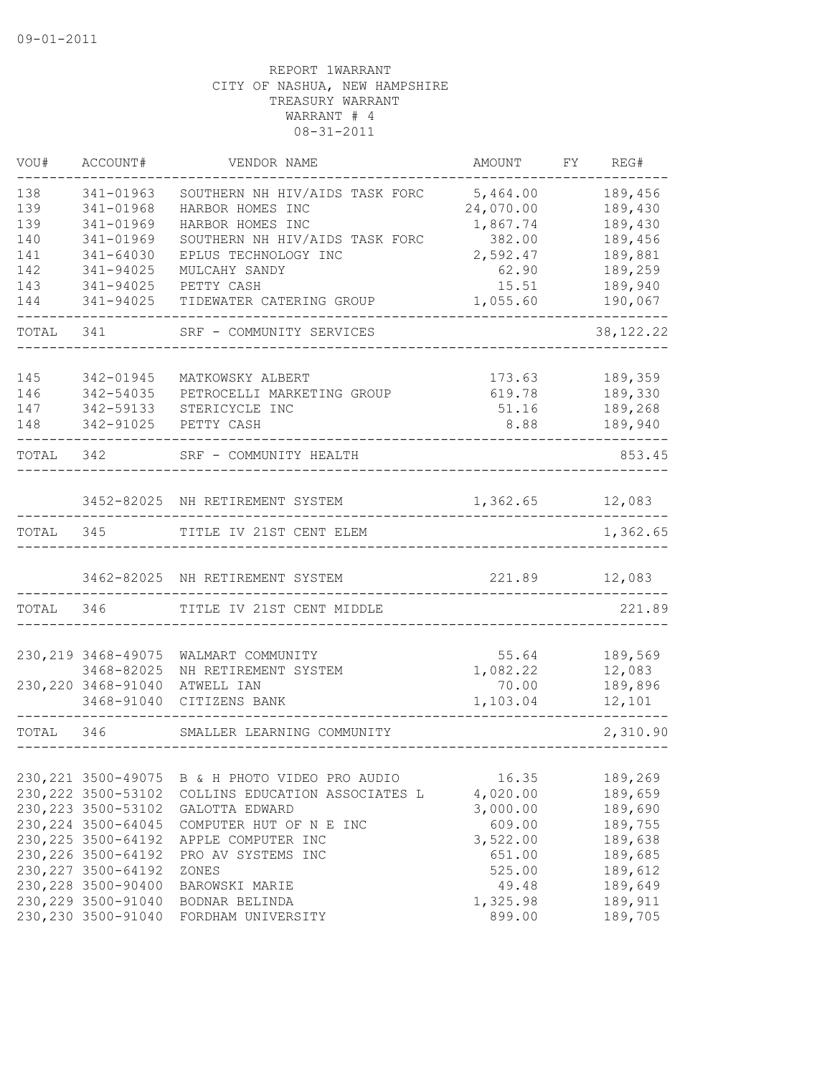| VOU#       | ACCOUNT#               | VENDOR NAME                     | AMOUNT         | FY | REG#               |
|------------|------------------------|---------------------------------|----------------|----|--------------------|
| 138        | 341-01963              | SOUTHERN NH HIV/AIDS TASK FORC  | 5,464.00       |    | 189,456            |
| 139        | 341-01968              | HARBOR HOMES INC                | 24,070.00      |    | 189,430            |
| 139        | 341-01969              | HARBOR HOMES INC                | 1,867.74       |    | 189,430            |
| 140        | 341-01969              | SOUTHERN NH HIV/AIDS TASK FORC  | 382.00         |    | 189,456            |
| 141        | 341-64030              | EPLUS TECHNOLOGY INC            | 2,592.47       |    | 189,881            |
| 142<br>143 | 341-94025<br>341-94025 | MULCAHY SANDY<br>PETTY CASH     | 62.90<br>15.51 |    | 189,259<br>189,940 |
| 144        | 341-94025              | TIDEWATER CATERING GROUP        | 1,055.60       |    | 190,067            |
| TOTAL      | 341                    | SRF - COMMUNITY SERVICES        |                |    | 38, 122. 22        |
|            |                        |                                 |                |    |                    |
| 145        | 342-01945              | MATKOWSKY ALBERT                | 173.63         |    | 189,359            |
| 146        | 342-54035              | PETROCELLI MARKETING GROUP      | 619.78         |    | 189,330            |
| 147        | 342-59133              | STERICYCLE INC                  | 51.16          |    | 189,268            |
| 148        | 342-91025              | PETTY CASH                      | 8.88           |    | 189,940            |
| TOTAL 342  |                        | SRF - COMMUNITY HEALTH          |                |    | 853.45             |
|            |                        |                                 |                |    |                    |
|            |                        | 3452-82025 NH RETIREMENT SYSTEM | 1,362.65       |    | 12,083             |
| TOTAL      | 345                    | TITLE IV 21ST CENT ELEM         |                |    | 1,362.65           |
|            |                        | 3462-82025 NH RETIREMENT SYSTEM | 221.89         |    | 12,083             |
| TOTAL      | 346                    | TITLE IV 21ST CENT MIDDLE       |                |    | 221.89             |
|            |                        |                                 |                |    |                    |
|            | 230, 219 3468-49075    | WALMART COMMUNITY               | 55.64          |    | 189,569            |
|            | 3468-82025             | NH RETIREMENT SYSTEM            | 1,082.22       |    | 12,083             |
|            | 230, 220 3468-91040    | ATWELL IAN                      | 70.00          |    | 189,896            |
|            | 3468-91040             | CITIZENS BANK                   | 1,103.04       |    | 12,101             |
| TOTAL 346  |                        | SMALLER LEARNING COMMUNITY      |                |    | 2,310.90           |
|            |                        |                                 |                |    |                    |
|            | 230, 221 3500-49075    | B & H PHOTO VIDEO PRO AUDIO     | 16.35          |    | 189,269            |
|            | 230, 222 3500-53102    | COLLINS EDUCATION ASSOCIATES L  | 4,020.00       |    | 189,659            |
|            | 230, 223 3500-53102    | GALOTTA EDWARD                  | 3,000.00       |    | 189,690            |
|            | 230, 224 3500-64045    | COMPUTER HUT OF N E INC         | 609.00         |    | 189,755            |
|            | 230, 225 3500-64192    | APPLE COMPUTER INC              | 3,522.00       |    | 189,638            |
|            | 230, 226 3500-64192    | PRO AV SYSTEMS INC              | 651.00         |    | 189,685            |
|            | 230, 227 3500-64192    | ZONES                           | 525.00         |    | 189,612            |
|            | 230, 228 3500-90400    | BAROWSKI MARIE                  | 49.48          |    | 189,649            |
|            | 230, 229 3500-91040    | BODNAR BELINDA                  | 1,325.98       |    | 189,911            |
|            | 230, 230 3500-91040    | FORDHAM UNIVERSITY              | 899.00         |    | 189,705            |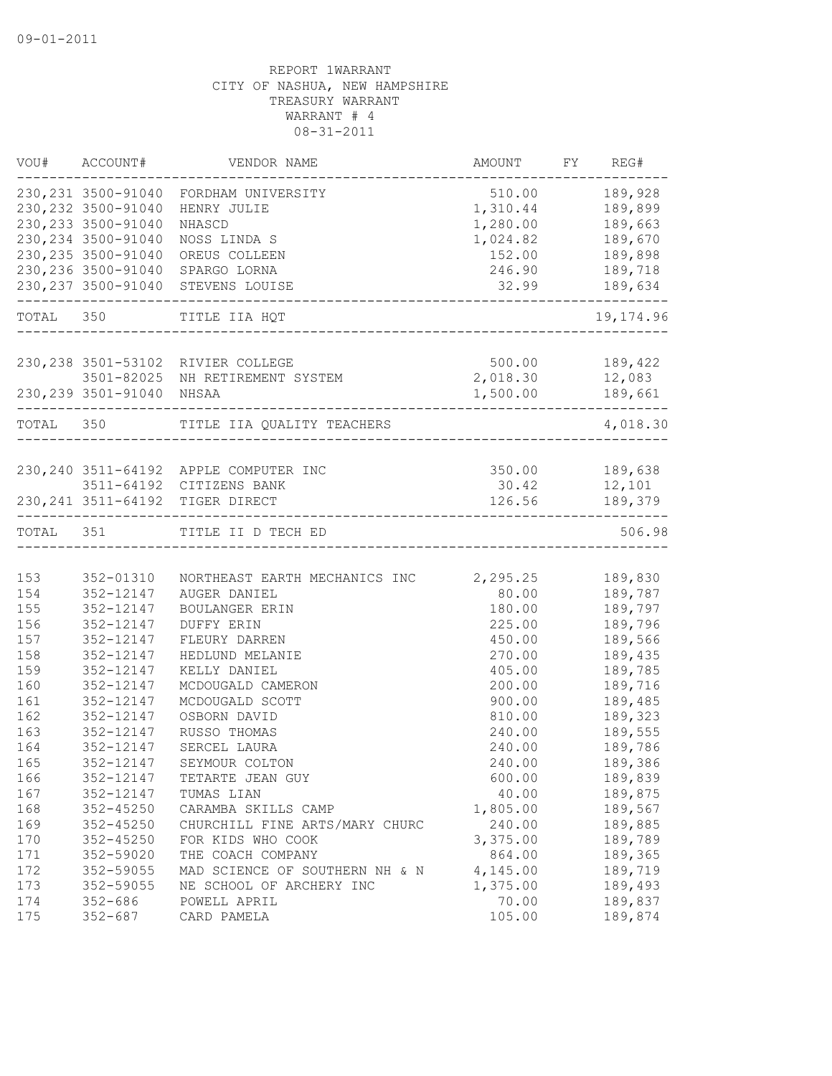|           | VOU# ACCOUNT#             | VENDOR NAME                                                          | AMOUNT FY REG#       |                |
|-----------|---------------------------|----------------------------------------------------------------------|----------------------|----------------|
|           |                           | 230, 231 3500-91040 FORDHAM UNIVERSITY                               |                      | 510.00 189,928 |
|           | 230, 232 3500-91040       | HENRY JULIE                                                          | 1,310.44             | 189,899        |
|           | 230, 233 3500-91040       | NHASCD                                                               | 1,280.00             | 189,663        |
|           | 230, 234 3500-91040       | NOSS LINDA S                                                         | 1,024.82 189,670     |                |
|           | 230, 235 3500-91040       | OREUS COLLEEN                                                        | 152.00               | 189,898        |
|           |                           | 230, 236 3500-91040 SPARGO LORNA                                     | 246.90               | 189,718        |
|           |                           | 230, 237 3500-91040 STEVENS LOUISE                                   | 32.99<br>32.99       | 189,634        |
|           | TOTAL 350                 | TITLE IIA HQT                                                        |                      | 19, 174.96     |
|           |                           |                                                                      | ____________________ |                |
|           |                           | 230, 238 3501-53102 RIVIER COLLEGE                                   | 500.00 189,422       |                |
|           |                           | 3501-82025 NH RETIREMENT SYSTEM 2,018.30 12,083                      |                      |                |
|           | 230, 239 3501-91040 NHSAA |                                                                      | 1,500.00 189,661     |                |
| TOTAL 350 |                           | TITLE IIA QUALITY TEACHERS                                           |                      | 4,018.30       |
|           |                           |                                                                      |                      |                |
|           |                           | 230, 240 3511-64192 APPLE COMPUTER INC                               | 350.00 189,638       |                |
|           |                           | 3511-64192 CITIZENS BANK                                             | 30.42 12,101         |                |
|           |                           | 230, 241 3511-64192 TIGER DIRECT<br>-------------------------------- |                      | 126.56 189,379 |
| TOTAL 351 |                           | TITLE II D TECH ED                                                   |                      | 506.98         |
|           |                           |                                                                      |                      |                |
| 153       | 352-01310                 | NORTHEAST EARTH MECHANICS INC 2,295.25                               |                      | 189,830        |
| 154       | 352-12147                 | AUGER DANIEL                                                         | 80.00                | 189,787        |
| 155       | 352-12147                 | BOULANGER ERIN                                                       | 180.00               | 189,797        |
| 156       | 352-12147                 | DUFFY ERIN                                                           | 225.00               | 189,796        |
| 157       | 352-12147                 | FLEURY DARREN                                                        | 450.00               | 189,566        |
| 158       | 352-12147                 | HEDLUND MELANIE                                                      | 270.00               | 189,435        |
| 159       | 352-12147                 | KELLY DANIEL                                                         | 405.00               | 189,785        |
| 160       | 352-12147                 | MCDOUGALD CAMERON                                                    | 200.00               | 189,716        |
| 161       | 352-12147                 | MCDOUGALD SCOTT                                                      | 900.00               | 189,485        |
| 162       | 352-12147                 | OSBORN DAVID                                                         | 810.00               | 189,323        |
| 163       | 352-12147                 | RUSSO THOMAS                                                         | 240.00               | 189,555        |
| 164       | 352-12147                 | SERCEL LAURA                                                         | 240.00               | 189,786        |
| 165       | 352-12147                 | SEYMOUR COLTON                                                       | 240.00               | 189,386        |
| 166       | 352-12147                 | TETARTE JEAN GUY                                                     | 600.00               | 189,839        |
| 167       | 352-12147                 | TUMAS LIAN                                                           | 40.00                | 189,875        |
| 168       | $352 - 45250$             | CARAMBA SKILLS CAMP                                                  | 1,805.00             | 189,567        |
| 169       | $352 - 45250$             | CHURCHILL FINE ARTS/MARY CHURC                                       | 240.00               | 189,885        |
| 170       | $352 - 45250$             | FOR KIDS WHO COOK                                                    | 3,375.00             | 189,789        |
| 171       | 352-59020                 | THE COACH COMPANY                                                    | 864.00               | 189,365        |
| 172       | 352-59055                 | MAD SCIENCE OF SOUTHERN NH & N                                       | 4,145.00             | 189,719        |
| 173       | 352-59055                 | NE SCHOOL OF ARCHERY INC                                             | 1,375.00             | 189,493        |
| 174       | $352 - 686$               | POWELL APRIL                                                         | 70.00                | 189,837        |
| 175       | $352 - 687$               | CARD PAMELA                                                          | 105.00               | 189,874        |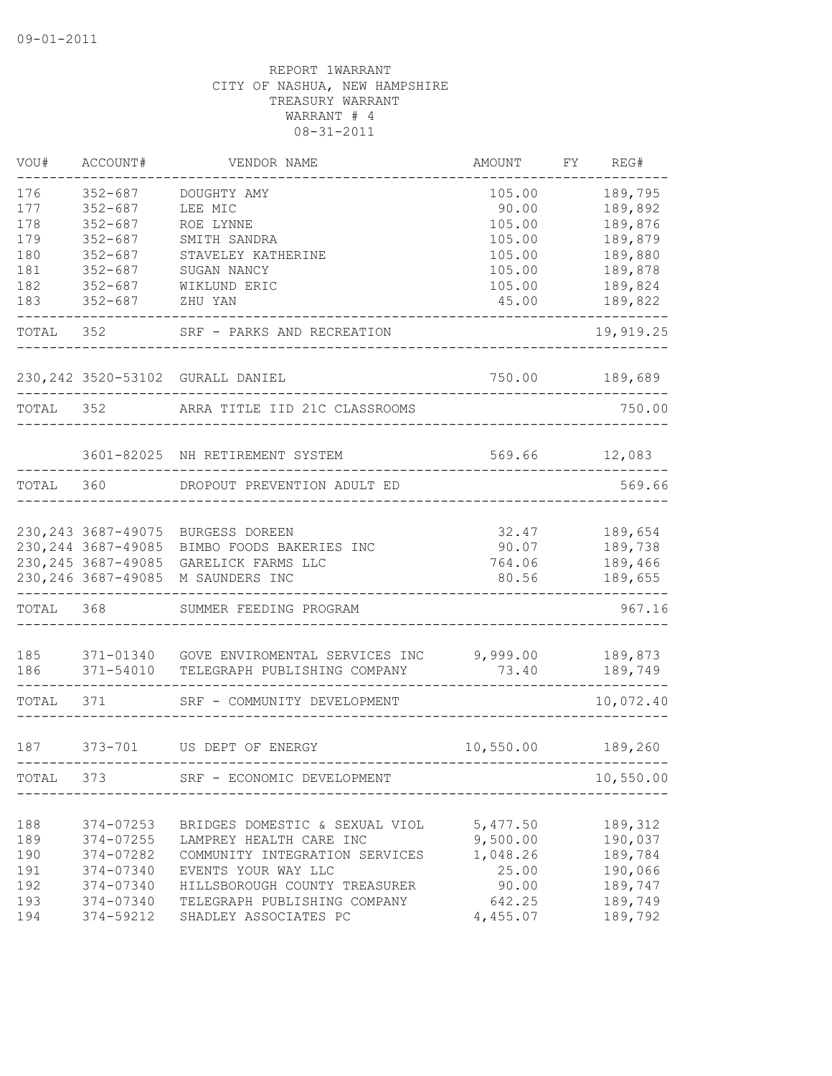| VOU#       | ACCOUNT#                   | VENDOR NAME                                       | AMOUNT          | FY | REG#               |
|------------|----------------------------|---------------------------------------------------|-----------------|----|--------------------|
| 176        | $352 - 687$                | DOUGHTY AMY                                       | 105.00          |    | 189,795            |
| 177        | $352 - 687$                | LEE MIC                                           | 90.00           |    | 189,892            |
| 178        | $352 - 687$                | ROE LYNNE                                         | 105.00          |    | 189,876            |
| 179        | $352 - 687$                | SMITH SANDRA                                      | 105.00          |    | 189,879            |
| 180        | $352 - 687$                | STAVELEY KATHERINE                                | 105.00          |    | 189,880            |
| 181        | $352 - 687$                | SUGAN NANCY                                       | 105.00          |    | 189,878            |
| 182<br>183 | $352 - 687$<br>$352 - 687$ | WIKLUND ERIC<br>ZHU YAN                           | 105.00<br>45.00 |    | 189,824<br>189,822 |
| TOTAL      | 352                        | SRF - PARKS AND RECREATION                        |                 |    | 19,919.25          |
|            |                            | 230, 242 3520-53102 GURALL DANIEL                 | 750.00          |    | 189,689            |
|            |                            |                                                   |                 |    |                    |
| TOTAL 352  |                            | ARRA TITLE IID 21C CLASSROOMS                     |                 |    | 750.00             |
|            |                            | 3601-82025 NH RETIREMENT SYSTEM                   | 569.66          |    | 12,083             |
| TOTAL      | 360                        | DROPOUT PREVENTION ADULT ED                       |                 |    | 569.66             |
|            |                            | 230, 243 3687-49075 BURGESS DOREEN                | 32.47           |    | 189,654            |
|            | 230, 244 3687-49085        | BIMBO FOODS BAKERIES INC                          | 90.07           |    | 189,738            |
|            | 230, 245 3687-49085        | GARELICK FARMS LLC                                | 764.06          |    | 189,466            |
|            | 230, 246 3687-49085        | M SAUNDERS INC                                    | 80.56           |    | 189,655            |
| TOTAL      | 368                        | SUMMER FEEDING PROGRAM                            |                 |    | 967.16             |
| 185        |                            | 371-01340 GOVE ENVIROMENTAL SERVICES INC 9,999.00 |                 |    | 189,873            |
| 186        |                            | 371-54010 TELEGRAPH PUBLISHING COMPANY            | 73.40           |    | 189,749            |
| TOTAL      | 371                        | SRF - COMMUNITY DEVELOPMENT                       |                 |    | 10,072.40          |
| 187        |                            | 373-701 US DEPT OF ENERGY                         | 10,550.00       |    | 189,260            |
| TOTAL      | 373                        | SRF - ECONOMIC DEVELOPMENT                        |                 |    | 10,550.00          |
|            |                            |                                                   |                 |    |                    |
| 188        | 374-07253                  | BRIDGES DOMESTIC & SEXUAL VIOL                    | 5,477.50        |    | 189,312            |
| 189        | 374-07255                  | LAMPREY HEALTH CARE INC                           | 9,500.00        |    | 190,037            |
| 190        | 374-07282                  | COMMUNITY INTEGRATION SERVICES                    | 1,048.26        |    | 189,784            |
| 191        | 374-07340                  | EVENTS YOUR WAY LLC                               | 25.00           |    | 190,066            |
| 192        | 374-07340                  | HILLSBOROUGH COUNTY TREASURER                     | 90.00           |    | 189,747            |
| 193        | 374-07340                  | TELEGRAPH PUBLISHING COMPANY                      | 642.25          |    | 189,749            |
| 194        | 374-59212                  | SHADLEY ASSOCIATES PC                             | 4,455.07        |    | 189,792            |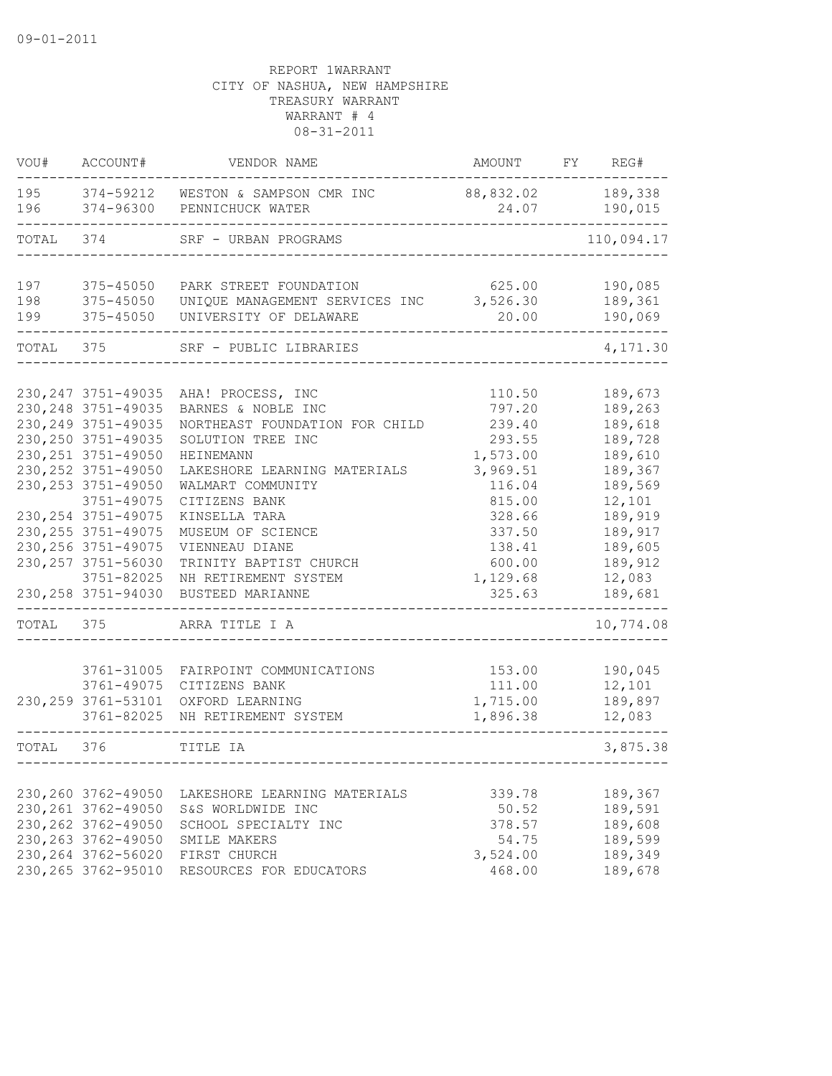| VOU#       | ACCOUNT#                                   | VENDOR NAME                                              | AMOUNT               | FY | REG#               |
|------------|--------------------------------------------|----------------------------------------------------------|----------------------|----|--------------------|
| 195<br>196 | 374-59212<br>374-96300                     | WESTON & SAMPSON CMR INC<br>PENNICHUCK WATER             | 88,832.02<br>24.07   |    | 189,338<br>190,015 |
| TOTAL      | 374                                        | SRF - URBAN PROGRAMS                                     |                      |    | 110,094.17         |
| 197        | 375-45050                                  | PARK STREET FOUNDATION                                   | 625.00               |    | 190,085            |
| 198<br>199 | 375-45050<br>375-45050                     | UNIQUE MANAGEMENT SERVICES INC<br>UNIVERSITY OF DELAWARE | 3,526.30<br>20.00    |    | 189,361<br>190,069 |
| TOTAL      | 375                                        | SRF - PUBLIC LIBRARIES                                   |                      |    | 4,171.30           |
|            | 230, 247 3751-49035                        | AHA! PROCESS, INC                                        | 110.50               |    | 189,673            |
|            | 230, 248 3751-49035                        | BARNES & NOBLE INC                                       | 797.20               |    | 189,263            |
|            | 230, 249 3751-49035                        | NORTHEAST FOUNDATION FOR CHILD                           | 239.40               |    | 189,618            |
|            | 230, 250 3751-49035                        | SOLUTION TREE INC                                        | 293.55               |    | 189,728            |
|            | 230, 251 3751-49050                        | HEINEMANN                                                | 1,573.00             |    | 189,610            |
|            | 230, 252 3751-49050                        | LAKESHORE LEARNING MATERIALS                             | 3,969.51             |    | 189,367            |
|            | 230, 253 3751-49050                        | WALMART COMMUNITY                                        | 116.04               |    | 189,569            |
|            | 3751-49075                                 | CITIZENS BANK                                            | 815.00               |    | 12,101             |
|            | 230, 254 3751-49075<br>230, 255 3751-49075 | KINSELLA TARA<br>MUSEUM OF SCIENCE                       | 328.66<br>337.50     |    | 189,919<br>189,917 |
|            | 230, 256 3751-49075                        | VIENNEAU DIANE                                           | 138.41               |    | 189,605            |
|            | 230, 257 3751-56030                        | TRINITY BAPTIST CHURCH                                   | 600.00               |    | 189,912            |
|            | 3751-82025                                 | NH RETIREMENT SYSTEM                                     | 1,129.68             |    | 12,083             |
|            | 230, 258 3751-94030                        | BUSTEED MARIANNE                                         | 325.63               |    | 189,681            |
| TOTAL      | 375                                        | ARRA TITLE I A                                           |                      |    | 10,774.08          |
|            |                                            |                                                          |                      |    |                    |
|            | 3761-31005                                 | FAIRPOINT COMMUNICATIONS                                 | 153.00               |    | 190,045            |
|            | 3761-49075                                 | CITIZENS BANK                                            | 111.00               |    | 12,101             |
|            | 230, 259 3761-53101<br>3761-82025          | OXFORD LEARNING<br>NH RETIREMENT SYSTEM                  | 1,715.00<br>1,896.38 |    | 189,897<br>12,083  |
| TOTAL      | 376                                        | TITLE IA                                                 |                      |    | 3,875.38           |
|            |                                            |                                                          |                      |    |                    |
|            | 230,260 3762-49050                         | LAKESHORE LEARNING MATERIALS                             | 339.78               |    | 189,367            |
|            | 230, 261 3762-49050                        | S&S WORLDWIDE INC                                        | 50.52                |    | 189,591            |
|            | 230, 262 3762-49050                        | SCHOOL SPECIALTY INC                                     | 378.57               |    | 189,608            |
|            | 230, 263 3762-49050                        | SMILE MAKERS                                             | 54.75                |    | 189,599            |
|            | 230, 264 3762-56020                        | FIRST CHURCH                                             | 3,524.00             |    | 189,349            |
|            | 230, 265 3762-95010                        | RESOURCES FOR EDUCATORS                                  | 468.00               |    | 189,678            |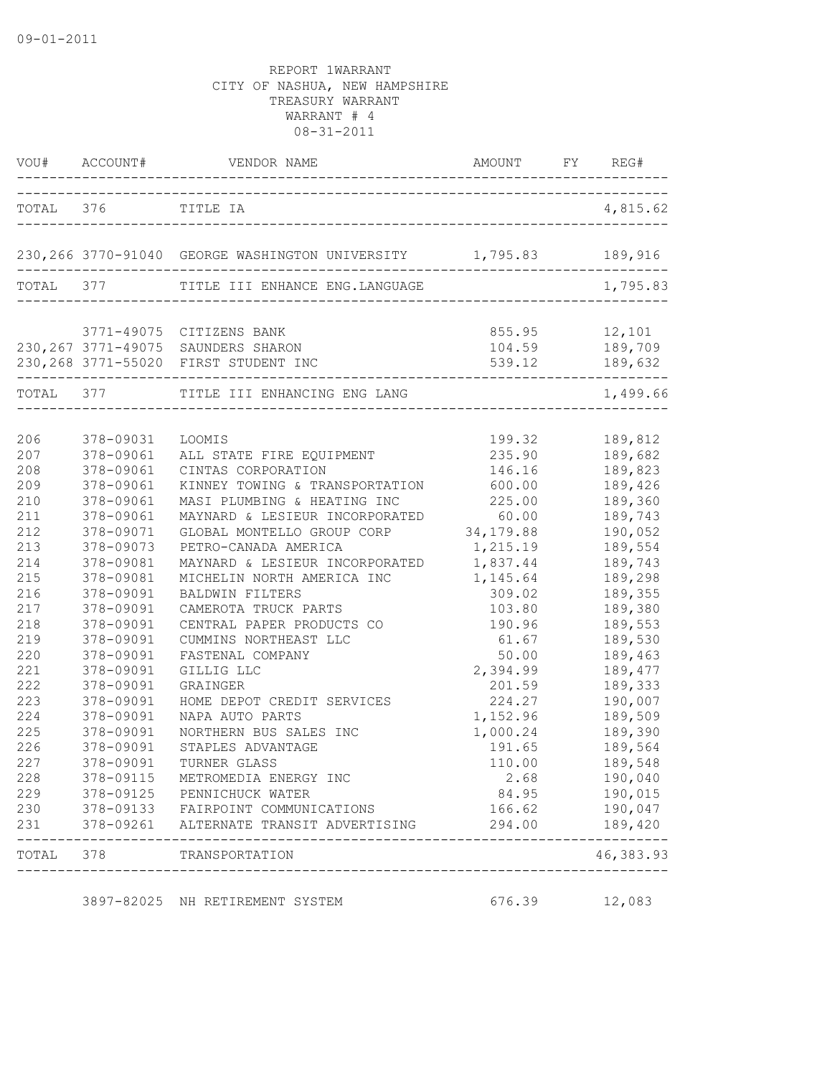|           |                    | VOU# ACCOUNT# VENDOR NAME AMOUNT FY REG#                                   |                          |                        |
|-----------|--------------------|----------------------------------------------------------------------------|--------------------------|------------------------|
|           | TOTAL 376 TITLE IA |                                                                            |                          | 4,815.62               |
|           |                    | 230,266 3770-91040 GEORGE WASHINGTON UNIVERSITY 1,795.83 189,916           |                          |                        |
|           | TOTAL 377          | TITLE III ENHANCE ENG.LANGUAGE                                             |                          | 1,795.83               |
|           |                    |                                                                            |                          |                        |
|           |                    | 3771-49075 CITIZENS BANK                                                   |                          | 855.95 12,101          |
|           |                    | 230, 267 3771-49075 SAUNDERS SHARON                                        |                          | 104.59 189,709         |
|           |                    | 230, 268 3771-55020 FIRST STUDENT INC<br>--------------------------------- | ------------------------ | 539.12 189,632         |
|           |                    | TOTAL 377 TITLE III ENHANCING ENG LANG                                     |                          | 1,499.66               |
|           |                    |                                                                            |                          |                        |
| 206       | 378-09031          | LOOMIS                                                                     | 199.32                   | 189,812                |
| 207       | 378-09061          | ALL STATE FIRE EQUIPMENT                                                   | 235.90                   | 189,682                |
| 208       | 378-09061          | CINTAS CORPORATION                                                         | 146.16                   | 189,823                |
| 209       | 378-09061          | KINNEY TOWING & TRANSPORTATION 600.00                                      |                          | 189,426                |
| 210       | 378-09061          | MASI PLUMBING & HEATING INC                                                | 225.00                   | 189,360                |
| 211       | 378-09061          | MAYNARD & LESIEUR INCORPORATED 60.00                                       |                          | 189,743                |
| 212       | 378-09071          | GLOBAL MONTELLO GROUP CORP                                                 | 34,179.88                | 190,052                |
| 213       | 378-09073          | PETRO-CANADA AMERICA                                                       | 1,215.19                 | 189,554                |
| 214       | 378-09081          | MAYNARD & LESIEUR INCORPORATED                                             | 1,837.44                 | 189,743                |
| 215       | 378-09081          | MICHELIN NORTH AMERICA INC                                                 | 1,145.64                 | 189,298                |
| 216       | 378-09091          | <b>BALDWIN FILTERS</b>                                                     | 309.02                   | 189,355                |
| 217       | 378-09091          | CAMEROTA TRUCK PARTS                                                       | 103.80                   | 189,380                |
| 218       | 378-09091          | CENTRAL PAPER PRODUCTS CO                                                  | 190.96                   | 189,553                |
| 219       | 378-09091          | CUMMINS NORTHEAST LLC                                                      | 61.67                    | 189,530                |
| 220       | 378-09091          | FASTENAL COMPANY                                                           | 50.00                    | 189,463                |
| 221       | 378-09091          | GILLIG LLC                                                                 | 2,394.99                 | 189,477                |
| 222       | 378-09091          | GRAINGER                                                                   | 201.59                   | 189,333                |
| 223       | 378-09091          | HOME DEPOT CREDIT SERVICES                                                 | 224.27                   | 190,007                |
| 224       | 378-09091          | NAPA AUTO PARTS                                                            | 1,152.96                 | 189,509                |
| 225       | 378-09091          | NORTHERN BUS SALES INC                                                     | 1,000.24                 | 189,390                |
| 226       | 378-09091          | STAPLES ADVANTAGE                                                          | 191.65                   | 189,564                |
| 227       | 378-09091          | TURNER GLASS                                                               | 110.00                   | 189,548                |
| 228       |                    | 378-09115 METROMEDIA ENERGY INC                                            | 2.68                     | 190,040                |
| 229       |                    | 378-09125 PENNICHUCK WATER                                                 | 84.95                    | 190,015                |
| 230       |                    | 378-09133 FAIRPOINT COMMUNICATIONS                                         | 166.62                   | 190,047                |
| 231       |                    | 378-09261 ALTERNATE TRANSIT ADVERTISING                                    | 294.00                   | 189,420                |
| TOTAL 378 |                    | TRANSPORTATION<br>---------------------------                              |                          | $------$<br>46, 383.93 |
|           |                    | 3897-82025 NH RETIREMENT SYSTEM                                            | 676.39                   | 12,083                 |
|           |                    |                                                                            |                          |                        |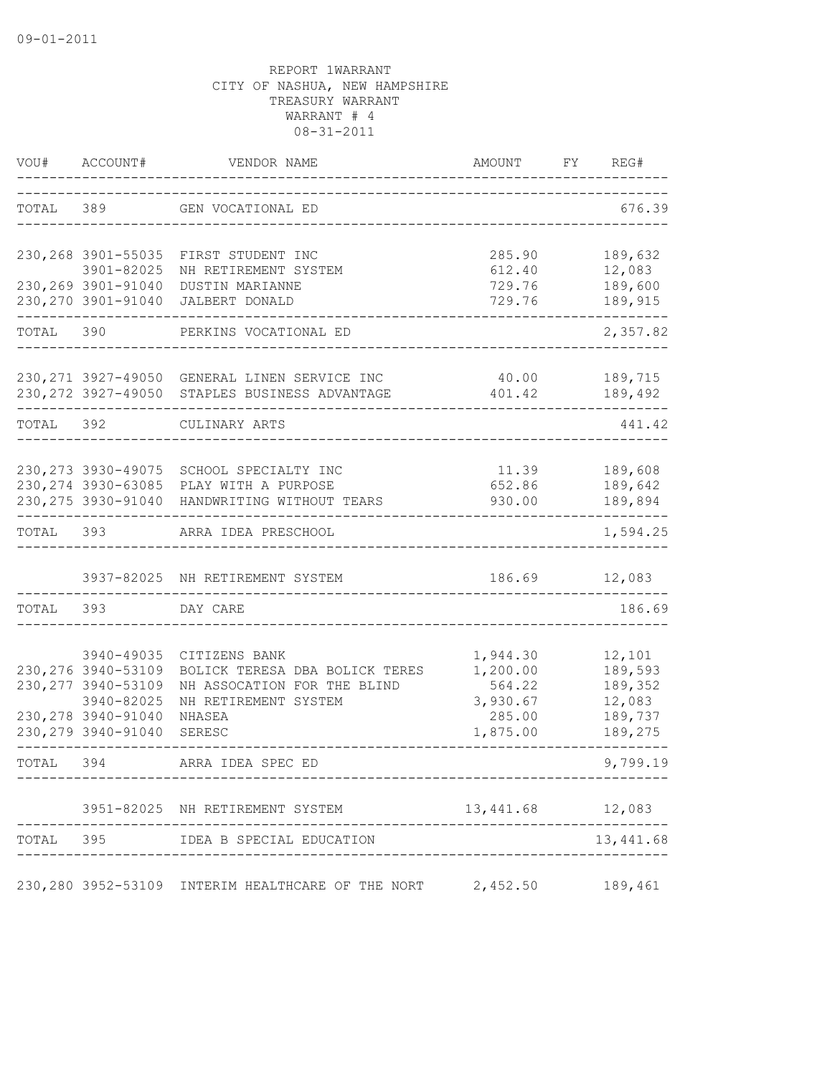| VOU#      | ACCOUNT#                          | VENDOR NAME                                                          | AMOUNT                  | FY | REG#               |
|-----------|-----------------------------------|----------------------------------------------------------------------|-------------------------|----|--------------------|
| TOTAL     | 389                               | GEN VOCATIONAL ED                                                    |                         |    | 676.39             |
|           |                                   | 230, 268 3901-55035 FIRST STUDENT INC                                | 285.90                  |    | 189,632            |
|           | 3901-82025                        | NH RETIREMENT SYSTEM                                                 | 612.40                  |    | 12,083             |
|           |                                   | 230, 269 3901-91040 DUSTIN MARIANNE                                  | 729.76                  |    | 189,600            |
|           |                                   | 230, 270 3901-91040 JALBERT DONALD                                   | 729.76<br>------------- |    | 189,915            |
| TOTAL 390 |                                   | PERKINS VOCATIONAL ED                                                |                         |    | 2,357.82           |
|           |                                   | 230, 271 3927-49050 GENERAL LINEN SERVICE INC                        | 40.00                   |    | 189,715            |
|           |                                   | 230, 272 3927-49050 STAPLES BUSINESS ADVANTAGE                       | 401.42                  |    | 189,492            |
| TOTAL 392 |                                   | CULINARY ARTS                                                        |                         |    | 441.42             |
|           |                                   |                                                                      |                         |    |                    |
|           |                                   | 230, 273 3930-49075 SCHOOL SPECIALTY INC                             | 11.39 189,608           |    |                    |
|           | 230, 275 3930-91040               | 230, 274 3930-63085 PLAY WITH A PURPOSE<br>HANDWRITING WITHOUT TEARS | 652.86<br>930.00        |    | 189,642<br>189,894 |
|           |                                   |                                                                      |                         |    |                    |
| TOTAL 393 |                                   | ARRA IDEA PRESCHOOL                                                  |                         |    | 1,594.25           |
|           |                                   | 3937-82025 NH RETIREMENT SYSTEM                                      | 186.69                  |    | 12,083             |
| TOTAL 393 |                                   | DAY CARE                                                             |                         |    | 186.69             |
|           |                                   |                                                                      |                         |    |                    |
|           | 3940-49035<br>230, 276 3940-53109 | CITIZENS BANK<br>BOLICK TERESA DBA BOLICK TERES                      | 1,944.30<br>1,200.00    |    | 12,101<br>189,593  |
|           | 230, 277 3940-53109               | NH ASSOCATION FOR THE BLIND                                          | 564.22                  |    | 189,352            |
|           | 3940-82025                        | NH RETIREMENT SYSTEM                                                 | 3,930.67                |    | 12,083             |
|           | 230, 278 3940-91040               | NHASEA                                                               | 285.00                  |    | 189,737            |
|           | 230, 279 3940-91040               | SERESC                                                               | 1,875.00                |    | 189,275            |
| TOTAL     | 394                               | ARRA IDEA SPEC ED                                                    |                         |    | 9,799.19           |
|           |                                   | 3951-82025 NH RETIREMENT SYSTEM                                      | 13,441.68 12,083        |    |                    |
|           |                                   | TOTAL 395 IDEA B SPECIAL EDUCATION                                   |                         |    | 13, 441.68         |
|           |                                   | 230,280 3952-53109 INTERIM HEALTHCARE OF THE NORT                    | 2,452.50                |    | 189,461            |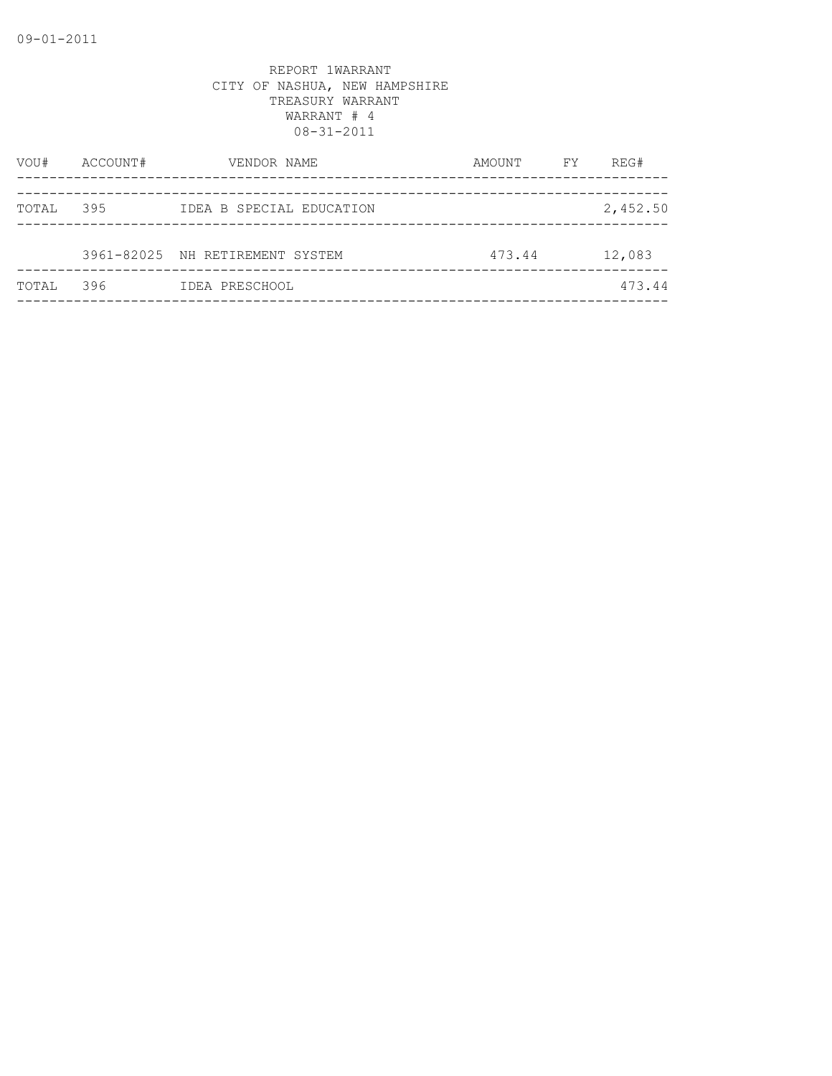| VOU#  | ACCOUNT# | VENDOR NAME                     | AMOUNT | FY | REG#     |
|-------|----------|---------------------------------|--------|----|----------|
| TOTAL | 395      | IDEA B SPECIAL EDUCATION        |        |    | 2,452.50 |
|       |          | 3961-82025 NH RETIREMENT SYSTEM | 473.44 |    | 12,083   |
| TOTAL | 396      | IDEA PRESCHOOL                  |        |    | 473.44   |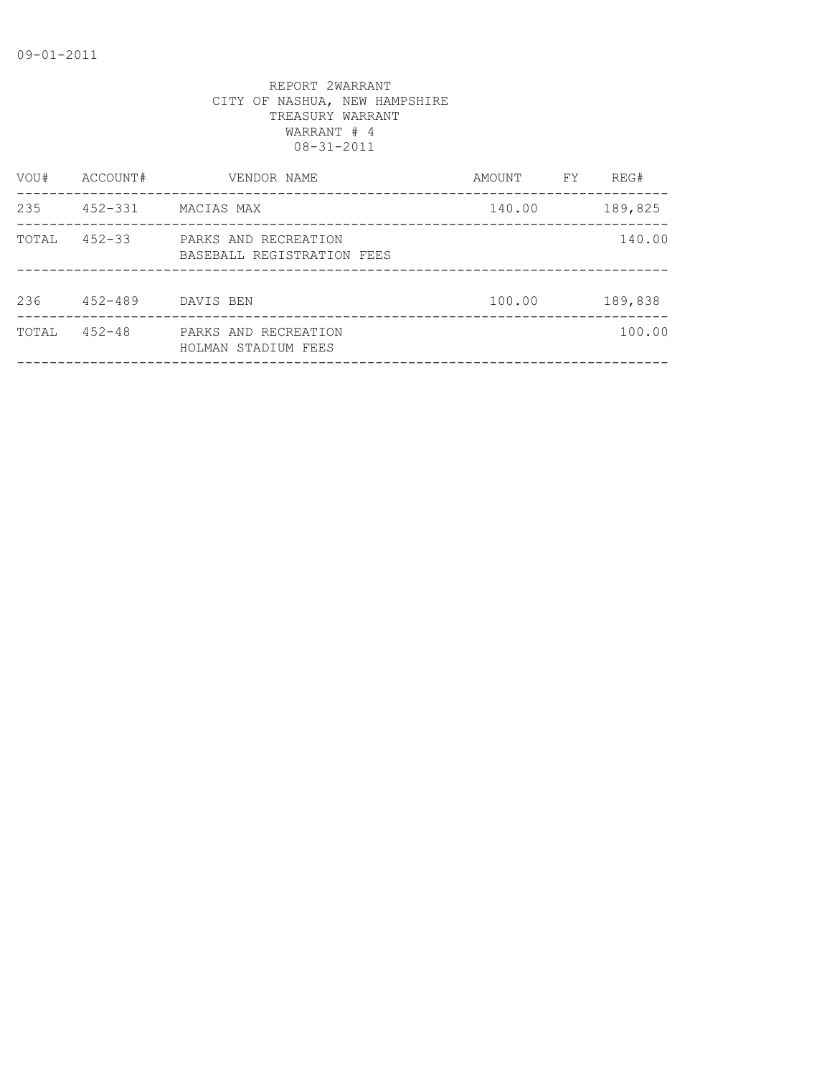| VOU#  | ACCOUNT#    | VENDOR NAME                                        | AMOUNT | FΥ | REG#    |
|-------|-------------|----------------------------------------------------|--------|----|---------|
| 235   | $452 - 331$ | MACIAS MAX                                         | 140.00 |    | 189,825 |
| TOTAL | $452 - 33$  | PARKS AND RECREATION<br>BASEBALL REGISTRATION FEES |        |    | 140.00  |
| 236   | $452 - 489$ | DAVIS BEN                                          | 100.00 |    | 189,838 |
| TOTAL | $452 - 48$  | PARKS AND RECREATION<br>HOLMAN STADIUM FEES        |        |    | 100.00  |
|       |             |                                                    |        |    |         |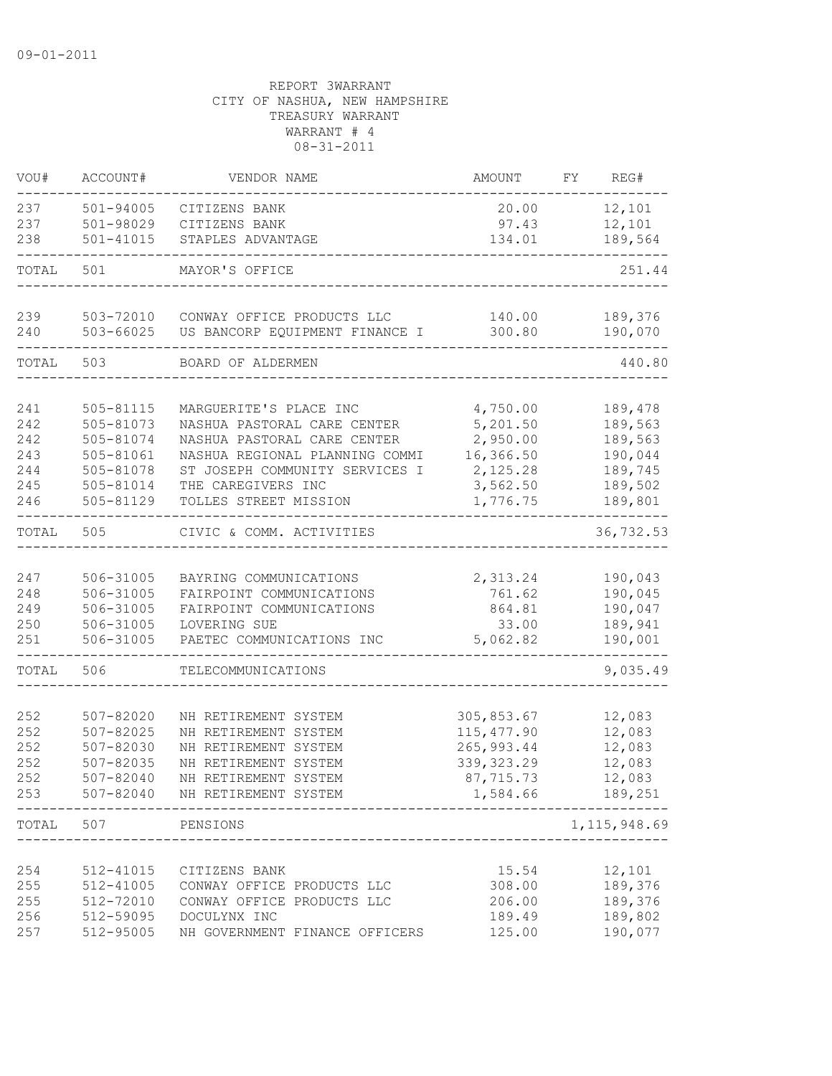| VOU#       | ACCOUNT#               | VENDOR NAME                                           | AMOUNT                | FY. | REG#               |
|------------|------------------------|-------------------------------------------------------|-----------------------|-----|--------------------|
| 237        | 501-94005              | CITIZENS BANK                                         | 20.00                 |     | 12,101             |
| 237        | 501-98029              | CITIZENS BANK                                         | 97.43                 |     | 12,101             |
| 238        | $501 - 41015$          | STAPLES ADVANTAGE                                     | 134.01                |     | 189,564            |
| TOTAL      | 501                    | MAYOR'S OFFICE                                        |                       |     | 251.44             |
|            |                        |                                                       |                       |     |                    |
| 239        | 503-72010              | CONWAY OFFICE PRODUCTS LLC                            | 140.00                |     | 189,376            |
| 240        | 503-66025              | US BANCORP EQUIPMENT FINANCE I                        | 300.80                |     | 190,070            |
| TOTAL      | 503                    | BOARD OF ALDERMEN                                     |                       |     | 440.80             |
|            |                        |                                                       |                       |     |                    |
| 241<br>242 | 505-81115<br>505-81073 | MARGUERITE'S PLACE INC<br>NASHUA PASTORAL CARE CENTER | 4,750.00<br>5,201.50  |     | 189,478<br>189,563 |
| 242        | 505-81074              | NASHUA PASTORAL CARE CENTER                           | 2,950.00              |     | 189,563            |
| 243        | 505-81061              | NASHUA REGIONAL PLANNING COMMI                        | 16,366.50             |     | 190,044            |
| 244        | 505-81078              | ST JOSEPH COMMUNITY SERVICES I                        | 2,125.28              |     | 189,745            |
| 245        | 505-81014              | THE CAREGIVERS INC                                    | 3,562.50              |     | 189,502            |
| 246        | 505-81129              | TOLLES STREET MISSION                                 | 1,776.75              |     | 189,801            |
| TOTAL      | 505                    | CIVIC & COMM. ACTIVITIES                              |                       |     | 36,732.53          |
|            |                        |                                                       |                       |     |                    |
| 247        | 506-31005              | BAYRING COMMUNICATIONS                                | 2,313.24              |     | 190,043            |
| 248        | 506-31005              | FAIRPOINT COMMUNICATIONS                              | 761.62                |     | 190,045            |
| 249        | 506-31005              | FAIRPOINT COMMUNICATIONS                              | 864.81                |     | 190,047            |
| 250        | 506-31005              | LOVERING SUE                                          | 33.00                 |     | 189,941            |
| 251        | 506-31005              | PAETEC COMMUNICATIONS INC                             | 5,062.82              |     | 190,001            |
| TOTAL      | 506                    | TELECOMMUNICATIONS                                    |                       |     | 9,035.49           |
|            |                        |                                                       |                       |     |                    |
| 252        | 507-82020              | NH RETIREMENT SYSTEM                                  | 305,853.67            |     | 12,083             |
| 252        | $507 - 82025$          | NH RETIREMENT SYSTEM                                  | 115, 477.90           |     | 12,083             |
| 252        | 507-82030              | NH RETIREMENT SYSTEM                                  | 265, 993.44           |     | 12,083             |
| 252        | 507-82035              | NH RETIREMENT SYSTEM                                  | 339, 323.29           |     | 12,083             |
| 252<br>253 | 507-82040<br>507-82040 | NH RETIREMENT SYSTEM<br>NH RETIREMENT SYSTEM          | 87,715.73<br>1,584.66 |     | 12,083<br>189,251  |
| TOTAL      | 507                    | PENSIONS                                              |                       |     | 1, 115, 948.69     |
|            |                        |                                                       |                       |     |                    |
| 254        | 512-41015              | CITIZENS BANK                                         | 15.54                 |     | 12,101             |
| 255        | 512-41005              | CONWAY OFFICE PRODUCTS LLC                            | 308.00                |     | 189,376            |
| 255        | 512-72010              | CONWAY OFFICE PRODUCTS LLC                            | 206.00                |     | 189,376            |
| 256        | 512-59095              | DOCULYNX INC                                          | 189.49                |     | 189,802            |
| 257        | 512-95005              | NH GOVERNMENT FINANCE OFFICERS                        | 125.00                |     | 190,077            |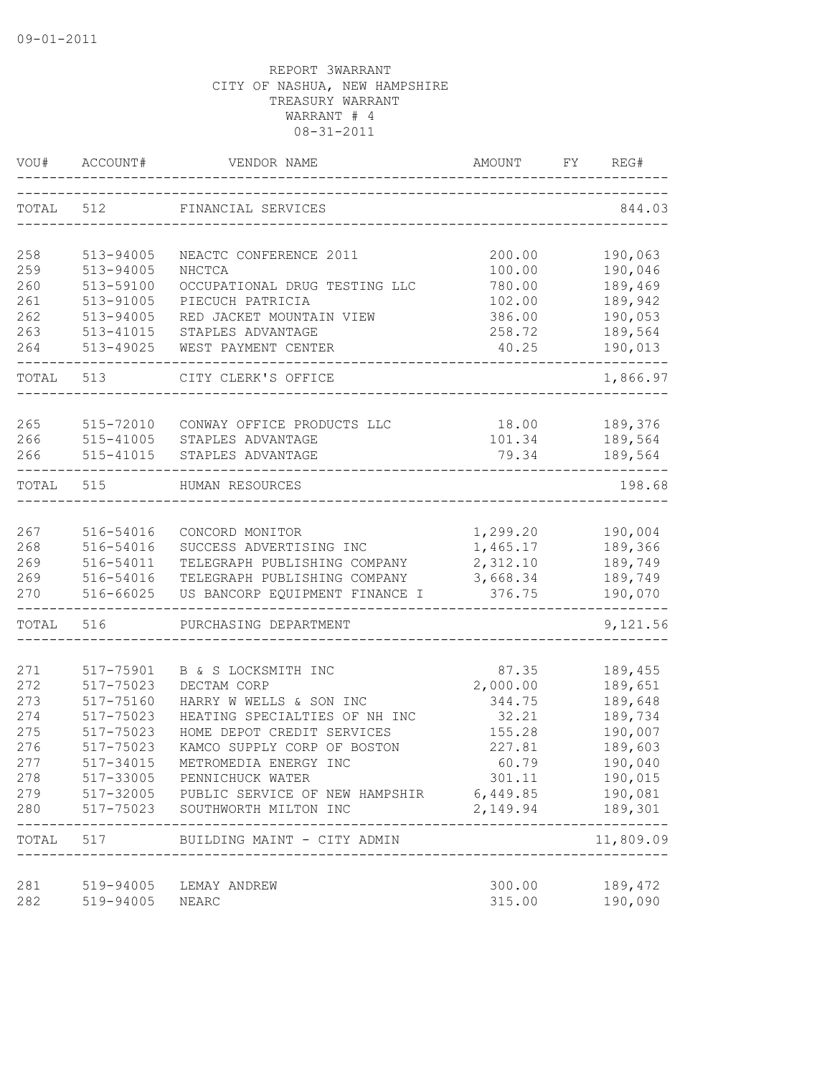| VOU#       | ACCOUNT#               | VENDOR NAME                                              | AMOUNT           | FY. | REG#                 |
|------------|------------------------|----------------------------------------------------------|------------------|-----|----------------------|
| TOTAL      | 512                    | FINANCIAL SERVICES                                       |                  |     | 844.03               |
| 258        | 513-94005              | NEACTC CONFERENCE 2011                                   | 200.00           |     | 190,063              |
| 259        | 513-94005              | NHCTCA                                                   | 100.00           |     | 190,046              |
| 260        | 513-59100              | OCCUPATIONAL DRUG TESTING LLC                            | 780.00           |     | 189,469              |
| 261        | 513-91005              | PIECUCH PATRICIA                                         | 102.00           |     | 189,942              |
| 262        | 513-94005              | RED JACKET MOUNTAIN VIEW                                 | 386.00           |     | 190,053              |
| 263        | 513-41015              | STAPLES ADVANTAGE                                        | 258.72           |     | 189,564              |
| 264        | 513-49025              | WEST PAYMENT CENTER                                      | 40.25            |     | 190,013              |
| TOTAL      | 513                    | CITY CLERK'S OFFICE                                      |                  |     | 1,866.97             |
|            |                        |                                                          |                  |     |                      |
| 265<br>266 | 515-72010<br>515-41005 | CONWAY OFFICE PRODUCTS LLC<br>STAPLES ADVANTAGE          | 18.00<br>101.34  |     | 189,376<br>189,564   |
| 266        | 515-41015              | STAPLES ADVANTAGE                                        | 79.34            |     | 189,564              |
|            |                        |                                                          |                  |     |                      |
| TOTAL      | 515                    | HUMAN RESOURCES                                          |                  |     | 198.68               |
|            |                        |                                                          |                  |     |                      |
| 267        | 516-54016              | CONCORD MONITOR                                          | 1,299.20         |     | 190,004              |
| 268        | 516-54016              | SUCCESS ADVERTISING INC                                  | 1,465.17         |     | 189,366              |
| 269        | 516-54011              | TELEGRAPH PUBLISHING COMPANY                             | 2,312.10         |     | 189,749              |
| 269        | 516-54016              | TELEGRAPH PUBLISHING COMPANY                             | 3,668.34         |     | 189,749              |
| 270        | 516-66025              | US BANCORP EQUIPMENT FINANCE I                           | 376.75           |     | 190,070              |
| TOTAL      | 516                    | PURCHASING DEPARTMENT                                    |                  |     | 9,121.56             |
|            |                        |                                                          |                  |     |                      |
| 271        | 517-75901              | B & S LOCKSMITH INC                                      | 87.35            |     | 189,455              |
| 272        | 517-75023              | DECTAM CORP                                              | 2,000.00         |     | 189,651              |
| 273        | 517-75160              | HARRY W WELLS & SON INC<br>HEATING SPECIALTIES OF NH INC | 344.75<br>32.21  |     | 189,648              |
| 274<br>275 | 517-75023<br>517-75023 | HOME DEPOT CREDIT SERVICES                               |                  |     | 189,734<br>190,007   |
| 276        | 517-75023              | KAMCO SUPPLY CORP OF BOSTON                              | 155.28<br>227.81 |     | 189,603              |
| 277        | 517-34015              | METROMEDIA ENERGY INC                                    | 60.79            |     | 190,040              |
| 278        |                        | 517-33005 PENNICHUCK WATER                               | 301.11           |     | 190,015              |
| 279        |                        | 517-32005 PUBLIC SERVICE OF NEW HAMPSHIR                 | 6,449.85         |     | 190,081              |
| 280        | 517-75023              | SOUTHWORTH MILTON INC                                    | 2,149.94         |     | 189,301              |
|            |                        | TOTAL 517 BUILDING MAINT - CITY ADMIN                    |                  |     | -------<br>11,809.09 |
| 281        | 519-94005              | LEMAY ANDREW                                             | 300.00           |     | 189,472              |
| 282        | 519-94005              | NEARC                                                    | 315.00           |     | 190,090              |
|            |                        |                                                          |                  |     |                      |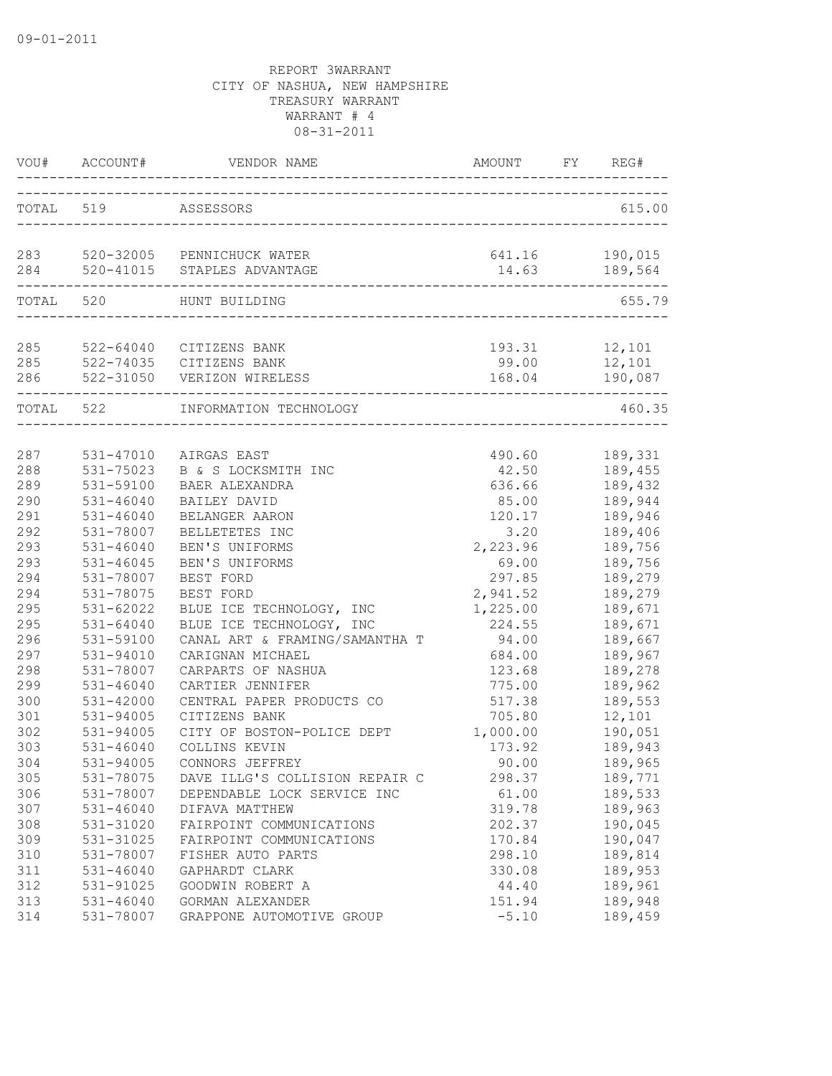| VOU#       | ACCOUNT#      | VENDOR NAME                                                       | AMOUNT                  | FY | REG#               |
|------------|---------------|-------------------------------------------------------------------|-------------------------|----|--------------------|
| TOTAL 519  |               | ASSESSORS                                                         |                         |    | 615.00             |
|            |               | 283 520-32005 PENNICHUCK WATER<br>284 520-41015 STAPLES ADVANTAGE | 641.16<br>14.63         |    | 190,015<br>189,564 |
|            | TOTAL 520     | HUNT BUILDING                                                     | _______________________ |    | 655.79             |
| 285        |               | 522-64040 CITIZENS BANK                                           | 193.31 12,101           |    |                    |
| 285<br>286 |               | 522-74035 CITIZENS BANK<br>522-31050 VERIZON WIRELESS             | 99.00                   |    | 12,101             |
| TOTAL 522  |               | INFORMATION TECHNOLOGY                                            |                         |    | 460.35             |
| 287        | 531-47010     | AIRGAS EAST                                                       | 490.60                  |    | 189,331            |
| 288        | 531-75023     | B & S LOCKSMITH INC                                               | 42.50                   |    | 189,455            |
| 289        | 531-59100     | BAER ALEXANDRA                                                    | 636.66                  |    | 189,432            |
| 290        | $531 - 46040$ | BAILEY DAVID                                                      | 85.00                   |    | 189,944            |
| 291        | $531 - 46040$ | BELANGER AARON                                                    | 120.17                  |    | 189,946            |
| 292        | 531-78007     | BELLETETES INC                                                    | 3.20                    |    | 189,406            |
| 293        | $531 - 46040$ | BEN'S UNIFORMS                                                    | 2,223.96                |    | 189,756            |
| 293        | $531 - 46045$ | BEN'S UNIFORMS                                                    | 69.00                   |    | 189,756            |
| 294        | 531-78007     | BEST FORD                                                         | 297.85                  |    | 189,279            |
| 294        | 531-78075     | BEST FORD                                                         | 2,941.52                |    | 189,279            |
| 295        | $531 - 62022$ | BLUE ICE TECHNOLOGY, INC                                          | 1,225.00                |    | 189,671            |
| 295        | $531 - 64040$ | BLUE ICE TECHNOLOGY, INC                                          | 224.55                  |    | 189,671            |
| 296        | 531-59100     | CANAL ART & FRAMING/SAMANTHA T                                    | 94.00                   |    | 189,667            |
| 297        | 531-94010     | CARIGNAN MICHAEL                                                  | 684.00                  |    | 189,967            |
| 298        | 531-78007     | CARPARTS OF NASHUA                                                | 123.68                  |    | 189,278            |
| 299        | $531 - 46040$ | CARTIER JENNIFER                                                  | 775.00                  |    | 189,962            |
| 300        | 531-42000     | CENTRAL PAPER PRODUCTS CO                                         | 517.38                  |    | 189,553            |
| 301        | 531-94005     | CITIZENS BANK                                                     | 705.80                  |    | 12,101             |
| 302        | 531-94005     | CITY OF BOSTON-POLICE DEPT                                        | 1,000.00                |    | 190,051            |
| 303        | $531 - 46040$ | COLLINS KEVIN                                                     | 173.92                  |    | 189,943            |
| 304        | 531-94005     | CONNORS JEFFREY                                                   | 90.00                   |    | 189,965            |
| 305        | 531-78075     | DAVE ILLG'S COLLISION REPAIR C                                    | 298.37                  |    | 189,771            |
| 306        | 531-78007     | DEPENDABLE LOCK SERVICE INC                                       | 61.00                   |    | 189,533            |
| 307        | $531 - 46040$ | DIFAVA MATTHEW                                                    | 319.78                  |    | 189,963            |
| 308        | 531-31020     | FAIRPOINT COMMUNICATIONS                                          | 202.37                  |    | 190,045            |
| 309        | 531-31025     | FAIRPOINT COMMUNICATIONS                                          | 170.84                  |    | 190,047            |
| 310        | 531-78007     | FISHER AUTO PARTS                                                 | 298.10                  |    | 189,814            |
| 311        | $531 - 46040$ | GAPHARDT CLARK                                                    | 330.08                  |    | 189,953            |
| 312        | 531-91025     | GOODWIN ROBERT A                                                  | 44.40                   |    | 189,961            |
| 313        | $531 - 46040$ | GORMAN ALEXANDER                                                  | 151.94                  |    | 189,948            |
| 314        | 531-78007     | GRAPPONE AUTOMOTIVE GROUP                                         | $-5.10$                 |    | 189,459            |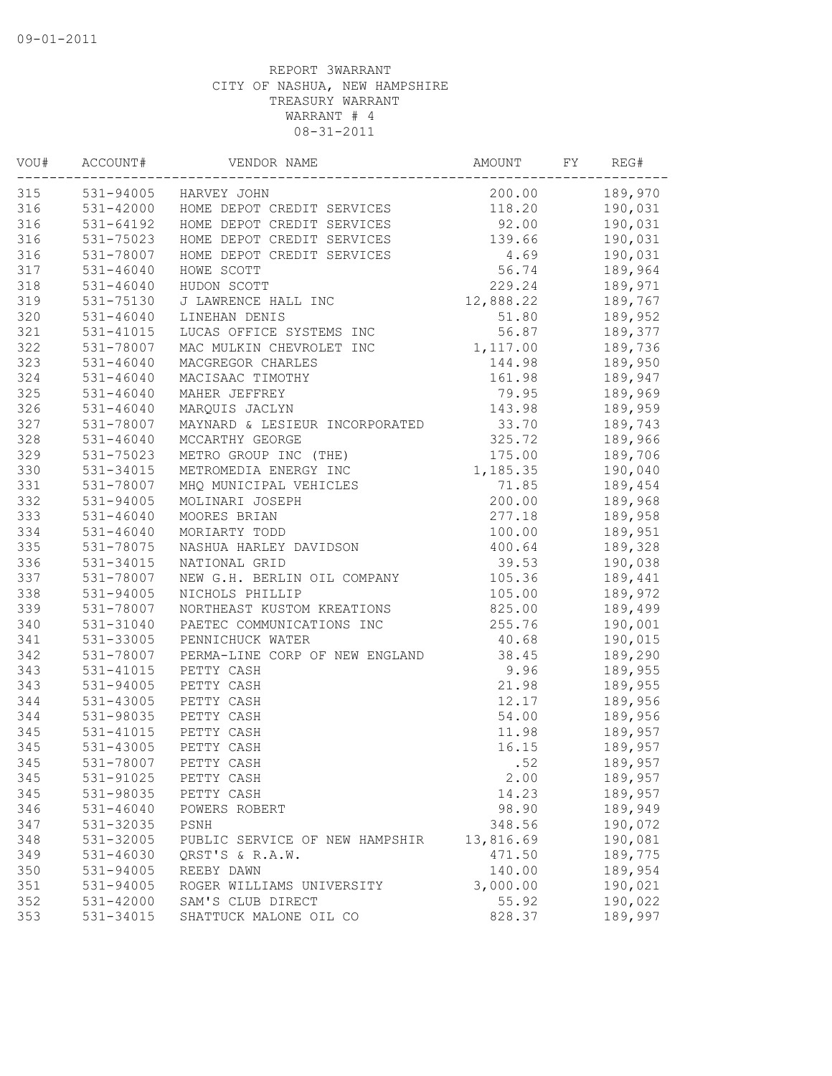| VOU# | ACCOUNT#<br>----------- | VENDOR NAME                                                                                                                  | AMOUNT    | FY | REG#           |
|------|-------------------------|------------------------------------------------------------------------------------------------------------------------------|-----------|----|----------------|
| 315  |                         | 531-94005 HARVEY JOHN                                                                                                        |           |    | 200.00 189,970 |
| 316  |                         | 531-42000 HOME DEPOT CREDIT SERVICES                                                                                         | 118.20    |    | 190,031        |
| 316  | 531-64192               | HOME DEPOT CREDIT SERVICES                                                                                                   | 92.00     |    | 190,031        |
| 316  | 531-75023               | HOME DEPOT CREDIT SERVICES                                                                                                   | 139.66    |    | 190,031        |
| 316  | 531-78007               | HOME DEPOT CREDIT SERVICES                                                                                                   | 4.69      |    | 190,031        |
| 317  | $531 - 46040$           | HOWE SCOTT                                                                                                                   | 56.74     |    | 189,964        |
| 318  | $531 - 46040$           | HUDON SCOTT                                                                                                                  | 229.24    |    | 189,971        |
| 319  | 531-75130               | J LAWRENCE HALL INC                                                                                                          | 12,888.22 |    | 189,767        |
| 320  | $531 - 46040$           | LINEHAN DENIS                                                                                                                | 51.80     |    | 189,952        |
| 321  | $531 - 41015$           | LUCAS OFFICE SYSTEMS INC                                                                                                     | 56.87     |    | 189,377        |
| 322  | 531-78007               | MAC MULKIN CHEVROLET INC                                                                                                     | 1,117.00  |    | 189,736        |
| 323  | $531 - 46040$           | MACGREGOR CHARLES                                                                                                            | 144.98    |    | 189,950        |
| 324  | $531 - 46040$           | MACISAAC TIMOTHY                                                                                                             | 161.98    |    | 189,947        |
| 325  | $531 - 46040$           | MAHER JEFFREY                                                                                                                | 79.95     |    | 189,969        |
| 326  | $531 - 46040$           | MARQUIS JACLYN                                                                                                               | 143.98    |    | 189,959        |
| 327  | 531-78007               | MAYNARD & LESIEUR INCORPORATED                                                                                               | 33.70     |    | 189,743        |
| 328  | $531 - 46040$           | MCCARTHY GEORGE                                                                                                              | 325.72    |    | 189,966        |
| 329  | 531-75023               | METRO GROUP INC (THE)                                                                                                        | 175.00    |    | 189,706        |
| 330  | 531-34015               | METRO GROUP INC (INE)<br>METROMEDIA ENERGY INC<br>MHQ MUNICIPAL VEHICLES<br>MOLINARI JOSEPH<br>MOORES BRIAN<br>MORIARTY TODD | 1,185.35  |    | 190,040        |
| 331  | 531-78007               |                                                                                                                              | 71.85     |    | 189,454        |
| 332  | 531-94005               |                                                                                                                              | 200.00    |    | 189,968        |
| 333  | $531 - 46040$           |                                                                                                                              | 277.18    |    | 189,958        |
| 334  | $531 - 46040$           |                                                                                                                              | 100.00    |    | 189,951        |
| 335  | 531-78075               | NASHUA HARLEY DAVIDSON                                                                                                       | 400.64    |    | 189,328        |
| 336  | 531-34015               | NATIONAL GRID                                                                                                                | 39.53     |    | 190,038        |
| 337  | 531-78007               | NEW G.H. BERLIN OIL COMPANY                                                                                                  | 105.36    |    | 189,441        |
| 338  | $531 - 94005$           | NICHOLS PHILLIP                                                                                                              | 105.00    |    | 189,972        |
| 339  | 531-78007               | NORTHEAST KUSTOM KREATIONS                                                                                                   | 825.00    |    | 189,499        |
| 340  | 531-31040               | PAETEC COMMUNICATIONS INC                                                                                                    | 255.76    |    | 190,001        |
| 341  | 531-33005               | PENNICHUCK WATER                                                                                                             | 40.68     |    |                |
| 342  |                         |                                                                                                                              |           |    | 190,015        |
|      | 531-78007               | PERMA-LINE CORP OF NEW ENGLAND                                                                                               | 38.45     |    | 189,290        |
| 343  | 531-41015               | PETTY CASH                                                                                                                   | 9.96      |    | 189,955        |
| 343  | 531-94005               | PETTY CASH                                                                                                                   | 21.98     |    | 189,955        |
| 344  | 531-43005               | PETTY CASH                                                                                                                   | 12.17     |    | 189,956        |
| 344  | 531-98035               | PETTY CASH                                                                                                                   | 54.00     |    | 189,956        |
| 345  | 531-41015               | PETTY CASH                                                                                                                   | 11.98     |    | 189,957        |
| 345  | 531-43005               | PETTY CASH                                                                                                                   | 16.15     |    | 189,957        |
| 345  | 531-78007               | PETTY CASH                                                                                                                   | .52       |    | 189,957        |
| 345  | 531-91025               | PETTY CASH                                                                                                                   | 2.00      |    | 189,957        |
| 345  | 531-98035               | PETTY CASH                                                                                                                   | 14.23     |    | 189,957        |
| 346  | $531 - 46040$           | POWERS ROBERT                                                                                                                | 98.90     |    | 189,949        |
| 347  | 531-32035               | PSNH                                                                                                                         | 348.56    |    | 190,072        |
| 348  | 531-32005               | PUBLIC SERVICE OF NEW HAMPSHIR                                                                                               | 13,816.69 |    | 190,081        |
| 349  | 531-46030               | QRST'S & R.A.W.                                                                                                              | 471.50    |    | 189,775        |
| 350  | 531-94005               | REEBY DAWN                                                                                                                   | 140.00    |    | 189,954        |
| 351  | 531-94005               | ROGER WILLIAMS UNIVERSITY                                                                                                    | 3,000.00  |    | 190,021        |
| 352  | 531-42000               | SAM'S CLUB DIRECT                                                                                                            | 55.92     |    | 190,022        |
| 353  | 531-34015               | SHATTUCK MALONE OIL CO                                                                                                       | 828.37    |    | 189,997        |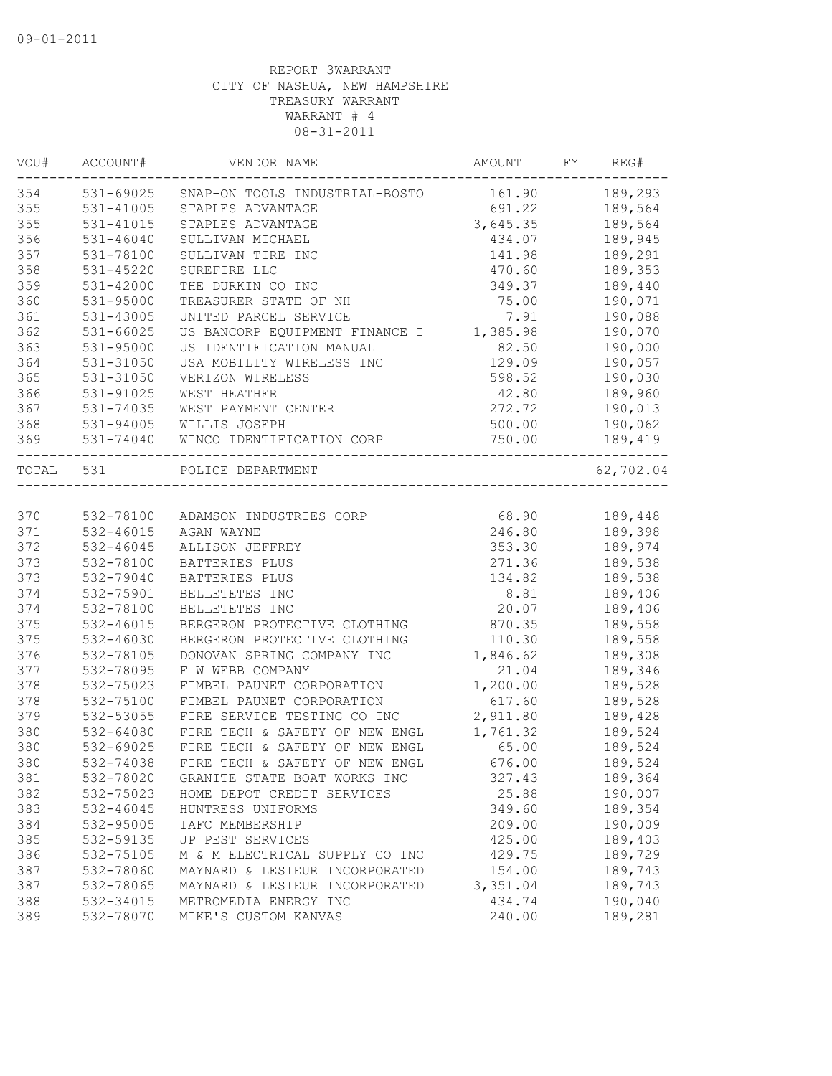| VOU#      | ACCOUNT#      | VENDOR NAME                    | AMOUNT   | FY | REG#      |
|-----------|---------------|--------------------------------|----------|----|-----------|
| 354       | 531-69025     | SNAP-ON TOOLS INDUSTRIAL-BOSTO | 161.90   |    | 189,293   |
| 355       | 531-41005     | STAPLES ADVANTAGE              | 691.22   |    | 189,564   |
| 355       | 531-41015     | STAPLES ADVANTAGE              | 3,645.35 |    | 189,564   |
| 356       | $531 - 46040$ | SULLIVAN MICHAEL               | 434.07   |    | 189,945   |
| 357       | 531-78100     | SULLIVAN TIRE INC              | 141.98   |    | 189,291   |
| 358       | 531-45220     | SUREFIRE LLC                   | 470.60   |    | 189,353   |
| 359       | 531-42000     | THE DURKIN CO INC              | 349.37   |    | 189,440   |
| 360       | $531 - 95000$ | TREASURER STATE OF NH          | 75.00    |    | 190,071   |
| 361       | 531-43005     | UNITED PARCEL SERVICE          | 7.91     |    | 190,088   |
| 362       | 531-66025     | US BANCORP EQUIPMENT FINANCE I | 1,385.98 |    | 190,070   |
| 363       | 531-95000     | US IDENTIFICATION MANUAL       | 82.50    |    | 190,000   |
| 364       | 531-31050     | USA MOBILITY WIRELESS INC      | 129.09   |    | 190,057   |
| 365       | 531-31050     | VERIZON WIRELESS               | 598.52   |    | 190,030   |
| 366       | 531-91025     | WEST HEATHER                   | 42.80    |    | 189,960   |
| 367       | 531-74035     | WEST PAYMENT CENTER            | 272.72   |    | 190,013   |
| 368       | 531-94005     | WILLIS JOSEPH                  | 500.00   |    | 190,062   |
| 369       | 531-74040     | WINCO IDENTIFICATION CORP      | 750.00   |    | 189,419   |
| TOTAL 531 |               | POLICE DEPARTMENT              |          |    | 62,702.04 |
|           |               |                                |          |    |           |
| 370       | 532-78100     | ADAMSON INDUSTRIES CORP        | 68.90    |    | 189,448   |
| 371       | 532-46015     | AGAN WAYNE                     | 246.80   |    | 189,398   |
| 372       | 532-46045     | ALLISON JEFFREY                | 353.30   |    | 189,974   |
| 373       | 532-78100     | BATTERIES PLUS                 | 271.36   |    | 189,538   |
| 373       | 532-79040     | BATTERIES PLUS                 | 134.82   |    | 189,538   |
| 374       | 532-75901     | BELLETETES INC                 | 8.81     |    | 189,406   |
| 374       | 532-78100     | BELLETETES INC                 | 20.07    |    | 189,406   |
| 375       | 532-46015     | BERGERON PROTECTIVE CLOTHING   | 870.35   |    | 189,558   |
| 375       | 532-46030     | BERGERON PROTECTIVE CLOTHING   | 110.30   |    | 189,558   |
| 376       | 532-78105     | DONOVAN SPRING COMPANY INC     | 1,846.62 |    | 189,308   |
| 377       | 532-78095     | F W WEBB COMPANY               | 21.04    |    | 189,346   |
| 378       | 532-75023     | FIMBEL PAUNET CORPORATION      | 1,200.00 |    | 189,528   |
| 378       | 532-75100     | FIMBEL PAUNET CORPORATION      | 617.60   |    | 189,528   |
| 379       | 532-53055     | FIRE SERVICE TESTING CO INC    | 2,911.80 |    | 189,428   |
| 380       | 532-64080     | FIRE TECH & SAFETY OF NEW ENGL | 1,761.32 |    | 189,524   |
| 380       | 532-69025     | FIRE TECH & SAFETY OF NEW ENGL | 65.00    |    | 189,524   |
| 380       | 532-74038     | FIRE TECH & SAFETY OF NEW ENGL | 676.00   |    | 189,524   |
| 381       | 532-78020     | GRANITE STATE BOAT WORKS INC   | 327.43   |    | 189,364   |
| 382       | 532-75023     | HOME DEPOT CREDIT SERVICES     | 25.88    |    | 190,007   |
| 383       | 532-46045     | HUNTRESS UNIFORMS              | 349.60   |    | 189,354   |
| 384       | 532-95005     | IAFC MEMBERSHIP                | 209.00   |    | 190,009   |
| 385       | 532-59135     | JP PEST SERVICES               | 425.00   |    | 189,403   |
| 386       | 532-75105     | M & M ELECTRICAL SUPPLY CO INC | 429.75   |    | 189,729   |
| 387       | 532-78060     | MAYNARD & LESIEUR INCORPORATED | 154.00   |    | 189,743   |
| 387       | 532-78065     | MAYNARD & LESIEUR INCORPORATED | 3,351.04 |    | 189,743   |
| 388       | 532-34015     | METROMEDIA ENERGY INC          | 434.74   |    | 190,040   |
| 389       | 532-78070     | MIKE'S CUSTOM KANVAS           | 240.00   |    | 189,281   |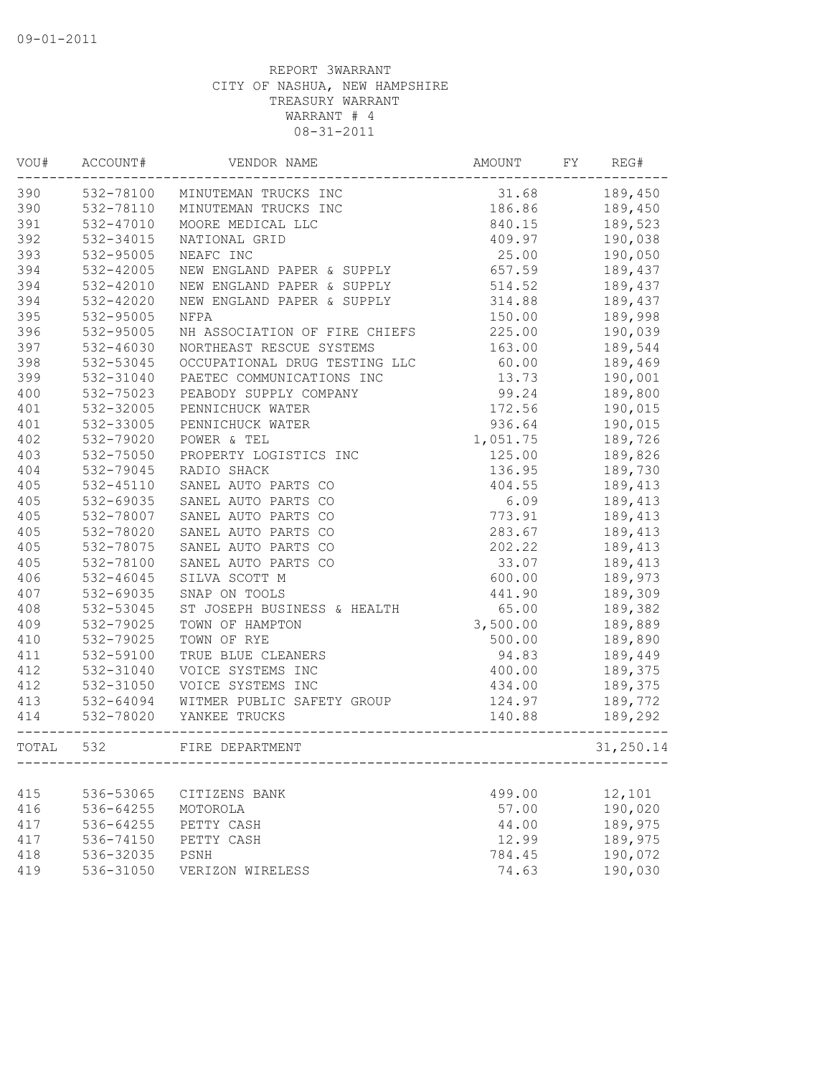| VOU#  | ACCOUNT#      | VENDOR NAME                    | AMOUNT   | FY | REG#      |
|-------|---------------|--------------------------------|----------|----|-----------|
| 390   |               | 532-78100 MINUTEMAN TRUCKS INC | 31.68    |    | 189,450   |
| 390   | 532-78110     | MINUTEMAN TRUCKS INC           | 186.86   |    | 189,450   |
| 391   | 532-47010     | MOORE MEDICAL LLC              | 840.15   |    | 189,523   |
| 392   | 532-34015     | NATIONAL GRID                  | 409.97   |    | 190,038   |
| 393   | 532-95005     | NEAFC INC                      | 25.00    |    | 190,050   |
| 394   | 532-42005     | NEW ENGLAND PAPER & SUPPLY     | 657.59   |    | 189,437   |
| 394   | 532-42010     | NEW ENGLAND PAPER & SUPPLY     | 514.52   |    | 189,437   |
| 394   | 532-42020     | NEW ENGLAND PAPER & SUPPLY     | 314.88   |    | 189,437   |
| 395   | 532-95005     | NFPA                           | 150.00   |    | 189,998   |
| 396   | 532-95005     | NH ASSOCIATION OF FIRE CHIEFS  | 225.00   |    | 190,039   |
| 397   | 532-46030     | NORTHEAST RESCUE SYSTEMS       | 163.00   |    | 189,544   |
| 398   | 532-53045     | OCCUPATIONAL DRUG TESTING LLC  | 60.00    |    | 189,469   |
| 399   | 532-31040     | PAETEC COMMUNICATIONS INC      | 13.73    |    | 190,001   |
| 400   | 532-75023     | PEABODY SUPPLY COMPANY         | 99.24    |    | 189,800   |
| 401   | 532-32005     | PENNICHUCK WATER               | 172.56   |    | 190,015   |
| 401   | 532-33005     | PENNICHUCK WATER               | 936.64   |    | 190,015   |
| 402   | 532-79020     | POWER & TEL                    | 1,051.75 |    | 189,726   |
| 403   | 532-75050     | PROPERTY LOGISTICS INC         | 125.00   |    | 189,826   |
| 404   | 532-79045     | RADIO SHACK                    | 136.95   |    | 189,730   |
| 405   | $532 - 45110$ | SANEL AUTO PARTS CO            | 404.55   |    | 189,413   |
| 405   | 532-69035     | SANEL AUTO PARTS CO            | 6.09     |    | 189,413   |
| 405   | 532-78007     | SANEL AUTO PARTS CO            | 773.91   |    | 189,413   |
| 405   | 532-78020     | SANEL AUTO PARTS CO            | 283.67   |    | 189,413   |
| 405   | 532-78075     | SANEL AUTO PARTS CO            | 202.22   |    | 189,413   |
| 405   | 532-78100     | SANEL AUTO PARTS CO            | 33.07    |    | 189,413   |
| 406   | 532-46045     | SILVA SCOTT M                  | 600.00   |    | 189,973   |
| 407   | 532-69035     | SNAP ON TOOLS                  | 441.90   |    | 189,309   |
| 408   | 532-53045     | ST JOSEPH BUSINESS & HEALTH    | 65.00    |    | 189,382   |
| 409   | 532-79025     | TOWN OF HAMPTON                | 3,500.00 |    | 189,889   |
| 410   | 532-79025     | TOWN OF RYE                    | 500.00   |    | 189,890   |
| 411   | 532-59100     | TRUE BLUE CLEANERS             | 94.83    |    | 189,449   |
| 412   | 532-31040     | VOICE SYSTEMS INC              | 400.00   |    | 189,375   |
| 412   | 532-31050     | VOICE SYSTEMS INC              | 434.00   |    | 189,375   |
| 413   | 532-64094     | WITMER PUBLIC SAFETY GROUP     | 124.97   |    | 189,772   |
| 414   | 532-78020     | YANKEE TRUCKS                  | 140.88   |    | 189,292   |
| TOTAL | 532           | FIRE DEPARTMENT                |          |    | 31,250.14 |
|       |               |                                |          |    |           |
| 415   | 536-53065     | CITIZENS BANK                  | 499.00   |    | 12,101    |
| 416   | 536-64255     | MOTOROLA                       | 57.00    |    | 190,020   |
| 417   | 536-64255     | PETTY CASH                     | 44.00    |    | 189,975   |
| 417   | 536-74150     | PETTY CASH                     | 12.99    |    | 189,975   |
| 418   | 536-32035     | PSNH                           | 784.45   |    | 190,072   |
| 419   | 536-31050     | VERIZON WIRELESS               | 74.63    |    | 190,030   |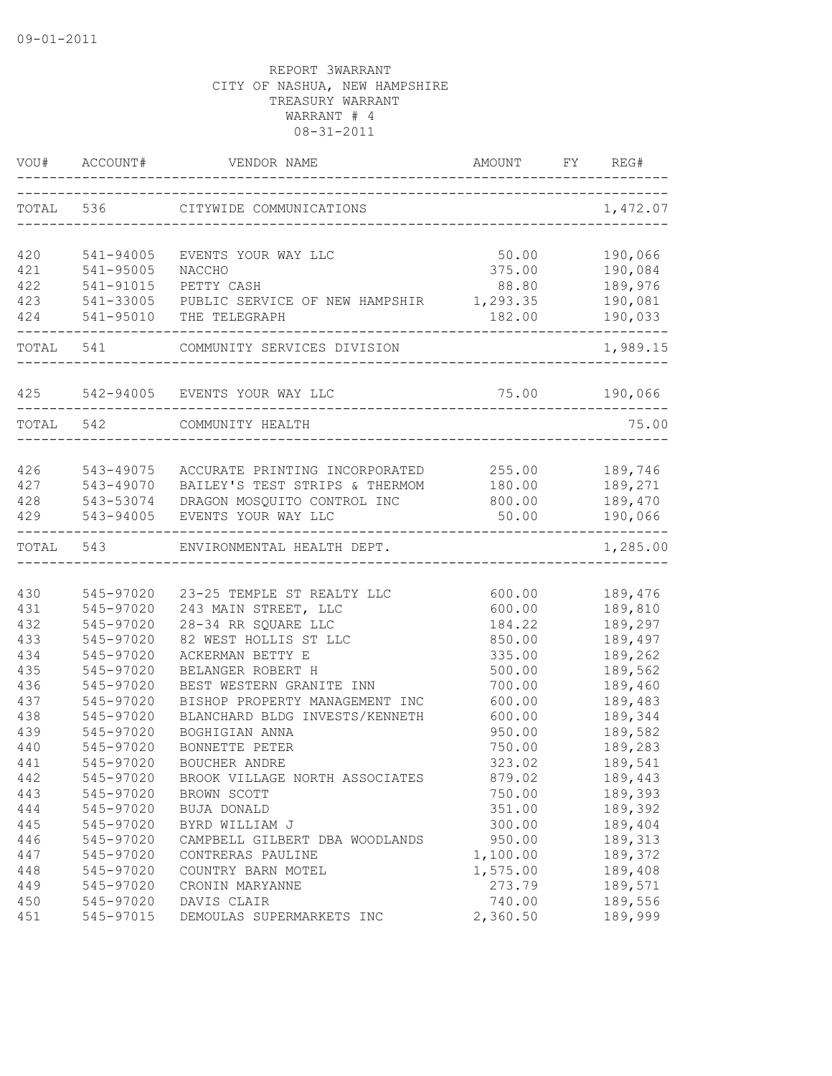|            | VOU# ACCOUNT# | VENDOR NAME<br>AMOUNT FT KE                      | AMOUNT FY REG# |                     |
|------------|---------------|--------------------------------------------------|----------------|---------------------|
|            | TOTAL 536     | CITYWIDE COMMUNICATIONS                          |                | 1,472.07            |
| 420        | 541-94005     | EVENTS YOUR WAY LLC                              | 50.00          | 190,066             |
| 421        | 541-95005     | NACCHO                                           | 375.00         | 190,084             |
| 422        | 541-91015     | PETTY CASH                                       | 88.80          | 189,976             |
| 423        | 541-33005     | PUBLIC SERVICE OF NEW HAMPSHIR 1,293.35          |                | 190,081             |
|            |               | 424 541-95010 THE TELEGRAPH                      | 182.00         | 190,033             |
|            |               | TOTAL 541 COMMUNITY SERVICES DIVISION            |                | 1,989.15            |
|            |               | 425 542-94005 EVENTS YOUR WAY LLC                |                | 75.00 190,066       |
|            | TOTAL 542     | COMMUNITY HEALTH                                 |                | 75.00               |
|            |               |                                                  |                |                     |
|            | 426 543-49075 | ACCURATE PRINTING INCORPORATED 255.00 189,746    |                |                     |
|            | 427 543-49070 | BAILEY'S TEST STRIPS & THERMOM                   |                | 180.00 189,271      |
|            |               | 428 543-53074 DRAGON MOSQUITO CONTROL INC        | 800.00 189,470 |                     |
| 429        | 543-94005     | EVENTS YOUR WAY LLC                              | 50.00          | 190,066<br>-------- |
|            | TOTAL 543     | ENVIRONMENTAL HEALTH DEPT.                       |                | 1,285.00            |
|            |               |                                                  |                |                     |
| 430        | 545-97020     | 23-25 TEMPLE ST REALTY LLC                       | 600.00         | 189,476             |
| 431        | 545-97020     | 243 MAIN STREET, LLC                             | 600.00         | 189,810             |
| 432        | 545-97020     | 28-34 RR SQUARE LLC                              | 184.22         | 189,297             |
| 433        | 545-97020     | 82 WEST HOLLIS ST LLC                            | 850.00         | 189,497             |
| 434        | 545-97020     | ACKERMAN BETTY E                                 | 335.00         | 189,262             |
| 435        | 545-97020     | BELANGER ROBERT H                                | 500.00         | 189,562             |
| 436        | 545-97020     | BEST WESTERN GRANITE INN                         | 700.00         | 189,460<br>189,483  |
| 437        | 545-97020     | BISHOP PROPERTY MANAGEMENT INC                   | 600.00         |                     |
| 438<br>439 | 545-97020     | BLANCHARD BLDG INVESTS/KENNETH<br>BOGHIGIAN ANNA | 600.00         | 189,344             |
|            | 545-97020     |                                                  | 950.00         | 189,582             |
| 440        | 545-97020     | BONNETTE PETER                                   | 750.00         | 189,283             |
| 441        | 545-97020     | BOUCHER ANDRE                                    | 323.02         | 189,541             |
| 442        | 545-97020     | BROOK VILLAGE NORTH ASSOCIATES                   | 879.02         | 189,443             |
| 443        | 545-97020     | BROWN SCOTT                                      | 750.00         | 189,393             |
| 444        | 545-97020     | BUJA DONALD                                      | 351.00         | 189,392             |
| 445        | 545-97020     | BYRD WILLIAM J                                   | 300.00         | 189,404             |
| 446        | 545-97020     | CAMPBELL GILBERT DBA WOODLANDS                   | 950.00         | 189,313             |
| 447        | 545-97020     | CONTRERAS PAULINE                                | 1,100.00       | 189,372             |
| 448        | 545-97020     | COUNTRY BARN MOTEL                               | 1,575.00       | 189,408             |
| 449        | 545-97020     | CRONIN MARYANNE                                  | 273.79         | 189,571             |
| 450        | 545-97020     | DAVIS CLAIR                                      | 740.00         | 189,556             |
| 451        | 545-97015     | DEMOULAS SUPERMARKETS INC                        | 2,360.50       | 189,999             |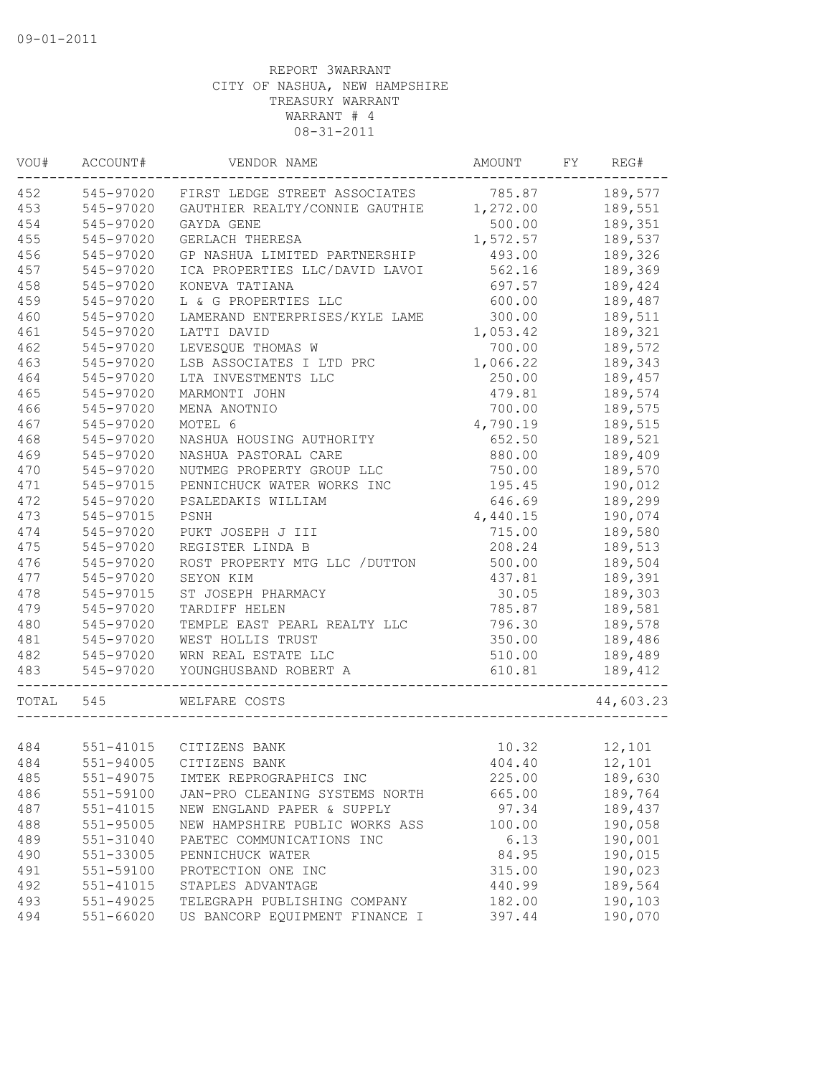| VOU#  | ACCOUNT#  | VENDOR NAME                             | AMOUNT   | FY | REG#      |
|-------|-----------|-----------------------------------------|----------|----|-----------|
| 452   | 545-97020 | FIRST LEDGE STREET ASSOCIATES           | 785.87   |    | 189,577   |
| 453   | 545-97020 | GAUTHIER REALTY/CONNIE GAUTHIE 1,272.00 |          |    | 189,551   |
| 454   | 545-97020 | GAYDA GENE                              | 500.00   |    | 189,351   |
| 455   | 545-97020 | GERLACH THERESA                         | 1,572.57 |    | 189,537   |
| 456   | 545-97020 | GP NASHUA LIMITED PARTNERSHIP           | 493.00   |    | 189,326   |
| 457   | 545-97020 | ICA PROPERTIES LLC/DAVID LAVOI          | 562.16   |    | 189,369   |
| 458   | 545-97020 | KONEVA TATIANA                          | 697.57   |    | 189,424   |
| 459   | 545-97020 | L & G PROPERTIES LLC                    | 600.00   |    | 189,487   |
| 460   | 545-97020 | LAMERAND ENTERPRISES/KYLE LAME          | 300.00   |    | 189,511   |
| 461   | 545-97020 | LATTI DAVID                             | 1,053.42 |    | 189,321   |
| 462   | 545-97020 | LEVESQUE THOMAS W                       | 700.00   |    | 189,572   |
| 463   | 545-97020 | LSB ASSOCIATES I LTD PRC                | 1,066.22 |    | 189,343   |
| 464   | 545-97020 | LTA INVESTMENTS LLC                     | 250.00   |    | 189,457   |
| 465   | 545-97020 | MARMONTI JOHN                           | 479.81   |    | 189,574   |
| 466   | 545-97020 | MENA ANOTNIO                            | 700.00   |    | 189,575   |
| 467   | 545-97020 | MOTEL 6                                 | 4,790.19 |    | 189,515   |
| 468   | 545-97020 | NASHUA HOUSING AUTHORITY                | 652.50   |    | 189,521   |
| 469   | 545-97020 | NASHUA PASTORAL CARE                    | 880.00   |    | 189,409   |
| 470   | 545-97020 | NUTMEG PROPERTY GROUP LLC               | 750.00   |    | 189,570   |
| 471   | 545-97015 | PENNICHUCK WATER WORKS INC              | 195.45   |    | 190,012   |
| 472   | 545-97020 | PSALEDAKIS WILLIAM                      | 646.69   |    | 189,299   |
| 473   | 545-97015 | PSNH                                    | 4,440.15 |    | 190,074   |
| 474   | 545-97020 | PUKT JOSEPH J III                       | 715.00   |    | 189,580   |
| 475   | 545-97020 | REGISTER LINDA B                        | 208.24   |    | 189,513   |
| 476   | 545-97020 | ROST PROPERTY MTG LLC / DUTTON          | 500.00   |    | 189,504   |
| 477   | 545-97020 | SEYON KIM                               | 437.81   |    | 189,391   |
| 478   | 545-97015 | ST JOSEPH PHARMACY                      | 30.05    |    | 189,303   |
| 479   | 545-97020 | TARDIFF HELEN                           | 785.87   |    | 189,581   |
| 480   | 545-97020 | TEMPLE EAST PEARL REALTY LLC            | 796.30   |    | 189,578   |
| 481   | 545-97020 | WEST HOLLIS TRUST                       | 350.00   |    | 189,486   |
| 482   | 545-97020 | WRN REAL ESTATE LLC                     | 510.00   |    | 189,489   |
| 483   | 545-97020 | YOUNGHUSBAND ROBERT A                   | 610.81   |    | 189,412   |
| TOTAL | 545       | WELFARE COSTS                           |          |    | 44,603.23 |
|       |           |                                         |          |    |           |
| 484   |           | 551-41015 CITIZENS BANK                 | 10.32    |    | 12,101    |
| 484   |           | 551-94005 CITIZENS BANK                 | 404.40   |    | 12,101    |
| 485   | 551-49075 | IMTEK REPROGRAPHICS INC                 | 225.00   |    | 189,630   |
| 486   | 551-59100 | JAN-PRO CLEANING SYSTEMS NORTH          | 665.00   |    | 189,764   |
| 487   | 551-41015 | NEW ENGLAND PAPER & SUPPLY              | 97.34    |    | 189,437   |
| 488   | 551-95005 | NEW HAMPSHIRE PUBLIC WORKS ASS          | 100.00   |    | 190,058   |
| 489   | 551-31040 | PAETEC COMMUNICATIONS INC               | 6.13     |    | 190,001   |
| 490   | 551-33005 | PENNICHUCK WATER                        | 84.95    |    | 190,015   |
| 491   | 551-59100 | PROTECTION ONE INC                      | 315.00   |    | 190,023   |
| 492   | 551-41015 | STAPLES ADVANTAGE                       | 440.99   |    | 189,564   |
| 493   | 551-49025 | TELEGRAPH PUBLISHING COMPANY            | 182.00   |    | 190,103   |
| 494   | 551-66020 | US BANCORP EQUIPMENT FINANCE I          | 397.44   |    | 190,070   |
|       |           |                                         |          |    |           |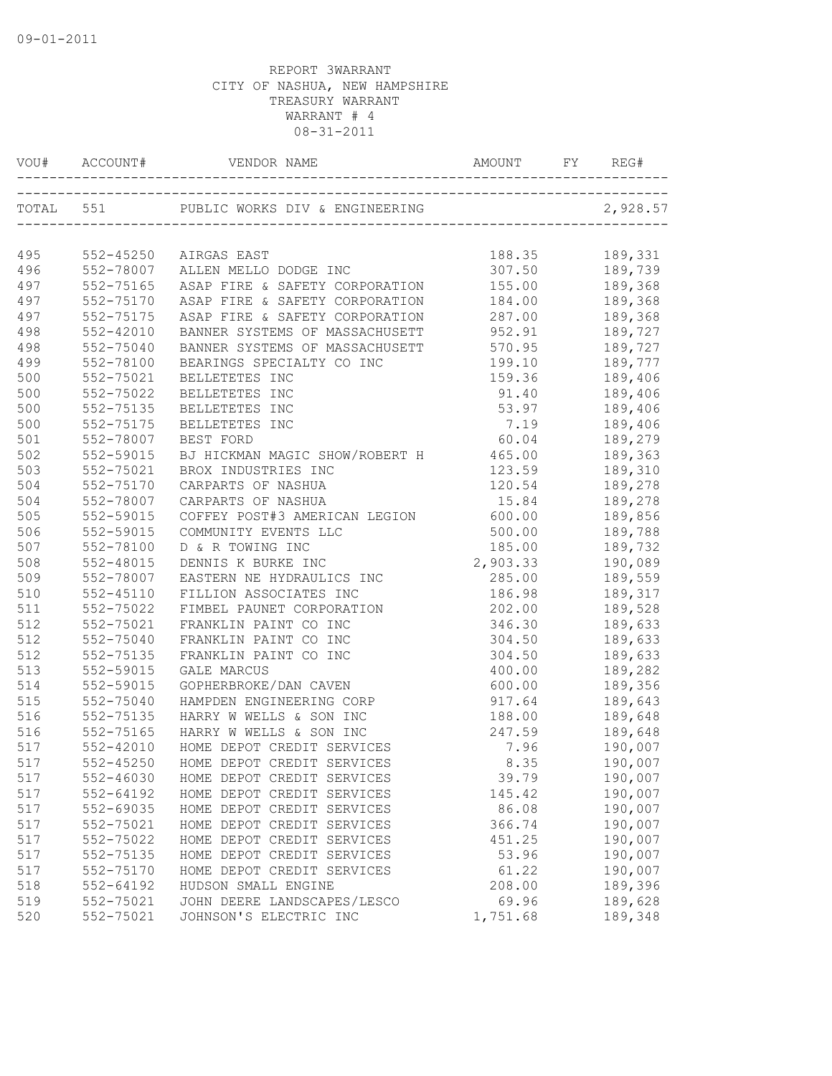| VOU# | ACCOUNT#      | VENDOR NAME                    | AMOUNT   |          |
|------|---------------|--------------------------------|----------|----------|
|      | TOTAL 551     |                                |          | 2,928.57 |
|      |               |                                |          |          |
| 495  | 552-45250     | AIRGAS EAST                    | 188.35   | 189,331  |
| 496  | 552-78007     | ALLEN MELLO DODGE INC          | 307.50   | 189,739  |
| 497  | 552-75165     | ASAP FIRE & SAFETY CORPORATION | 155.00   | 189,368  |
| 497  | 552-75170     | ASAP FIRE & SAFETY CORPORATION | 184.00   | 189,368  |
| 497  | 552-75175     | ASAP FIRE & SAFETY CORPORATION | 287.00   | 189,368  |
| 498  | 552-42010     | BANNER SYSTEMS OF MASSACHUSETT | 952.91   | 189,727  |
| 498  | 552-75040     | BANNER SYSTEMS OF MASSACHUSETT | 570.95   | 189,727  |
| 499  | 552-78100     | BEARINGS SPECIALTY CO INC      | 199.10   | 189,777  |
| 500  | 552-75021     | BELLETETES INC                 | 159.36   | 189,406  |
| 500  | 552-75022     | BELLETETES INC                 | 91.40    | 189,406  |
| 500  | 552-75135     | BELLETETES INC                 | 53.97    | 189,406  |
| 500  | 552-75175     | BELLETETES INC                 | 7.19     | 189,406  |
| 501  | 552-78007     | BEST FORD                      | 60.04    | 189,279  |
| 502  | 552-59015     | BJ HICKMAN MAGIC SHOW/ROBERT H | 465.00   | 189,363  |
| 503  | 552-75021     | BROX INDUSTRIES INC            | 123.59   | 189,310  |
| 504  | 552-75170     | CARPARTS OF NASHUA             | 120.54   | 189,278  |
| 504  | 552-78007     | CARPARTS OF NASHUA             | 15.84    | 189,278  |
| 505  | 552-59015     | COFFEY POST#3 AMERICAN LEGION  | 600.00   | 189,856  |
| 506  | 552-59015     | COMMUNITY EVENTS LLC           | 500.00   | 189,788  |
| 507  | 552-78100     | D & R TOWING INC               | 185.00   | 189,732  |
| 508  | 552-48015     | DENNIS K BURKE INC             | 2,903.33 | 190,089  |
| 509  | 552-78007     | EASTERN NE HYDRAULICS INC      | 285.00   | 189,559  |
| 510  | $552 - 45110$ | FILLION ASSOCIATES INC         | 186.98   | 189,317  |
| 511  | 552-75022     | FIMBEL PAUNET CORPORATION      | 202.00   | 189,528  |
| 512  | 552-75021     | FRANKLIN PAINT CO INC          | 346.30   | 189,633  |
| 512  | 552-75040     | FRANKLIN PAINT CO INC          | 304.50   | 189,633  |
| 512  | 552-75135     | FRANKLIN PAINT CO INC          | 304.50   | 189,633  |
| 513  | 552-59015     | <b>GALE MARCUS</b>             | 400.00   | 189,282  |
| 514  | 552-59015     | GOPHERBROKE/DAN CAVEN          | 600.00   | 189,356  |
| 515  | 552-75040     | HAMPDEN ENGINEERING CORP       | 917.64   | 189,643  |
| 516  | 552-75135     | HARRY W WELLS & SON INC        | 188.00   | 189,648  |
| 516  | 552-75165     | HARRY W WELLS & SON INC        | 247.59   | 189,648  |
| 517  | $552 - 42010$ | HOME DEPOT CREDIT SERVICES     | 7.96     | 190,007  |
| 517  | 552-45250     | HOME DEPOT CREDIT SERVICES     | 8.35     | 190,007  |
| 517  | 552-46030     | HOME DEPOT CREDIT SERVICES     | 39.79    | 190,007  |
| 517  | 552-64192     | HOME DEPOT CREDIT SERVICES     | 145.42   | 190,007  |
| 517  | 552-69035     | HOME DEPOT CREDIT SERVICES     | 86.08    | 190,007  |
| 517  | 552-75021     | HOME DEPOT CREDIT SERVICES     | 366.74   | 190,007  |
| 517  | 552-75022     | HOME DEPOT CREDIT SERVICES     | 451.25   | 190,007  |
| 517  | 552-75135     | HOME DEPOT CREDIT SERVICES     | 53.96    | 190,007  |
| 517  | 552-75170     | HOME DEPOT CREDIT SERVICES     | 61.22    | 190,007  |
| 518  | 552-64192     | HUDSON SMALL ENGINE            | 208.00   | 189,396  |
| 519  | 552-75021     | JOHN DEERE LANDSCAPES/LESCO    | 69.96    | 189,628  |
| 520  | 552-75021     | JOHNSON'S ELECTRIC INC         | 1,751.68 | 189,348  |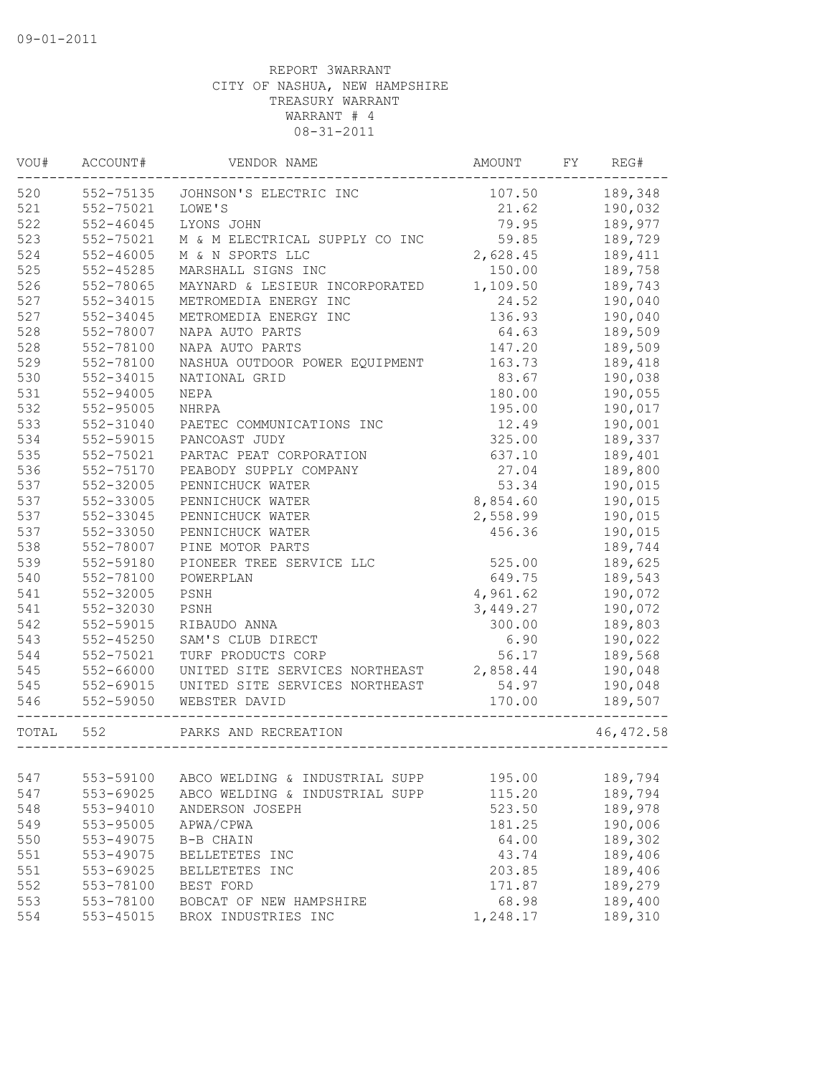| 189,348<br>552-75135<br>107.50<br>JOHNSON'S ELECTRIC INC<br>552-75021<br>190,032<br>LOWE'S<br>21.62<br>$552 - 46045$<br>79.95<br>189,977<br>LYONS JOHN<br>59.85<br>552-75021<br>M & M ELECTRICAL SUPPLY CO INC<br>189,729<br>$552 - 46005$<br>2,628.45<br>M & N SPORTS LLC<br>189,411<br>$552 - 45285$<br>MARSHALL SIGNS INC<br>150.00<br>189,758<br>1,109.50<br>552-78065<br>MAYNARD & LESIEUR INCORPORATED<br>189,743<br>24.52<br>190,040<br>552-34015<br>METROMEDIA ENERGY INC<br>190,040<br>552-34045<br>METROMEDIA ENERGY INC<br>136.93<br>552-78007<br>64.63<br>189,509<br>NAPA AUTO PARTS<br>552-78100<br>NAPA AUTO PARTS<br>147.20<br>189,509<br>529<br>552-78100<br>NASHUA OUTDOOR POWER EQUIPMENT<br>163.73<br>189,418<br>530<br>552-34015<br>83.67<br>190,038<br>NATIONAL GRID<br>531<br>$552 - 94005$<br>190,055<br>NEPA<br>180.00<br>532<br>190,017<br>552-95005<br>195.00<br>NHRPA<br>533<br>190,001<br>552-31040<br>12.49<br>PAETEC COMMUNICATIONS INC<br>534<br>325.00<br>189,337<br>552-59015<br>PANCOAST JUDY<br>535<br>189,401<br>552-75021<br>PARTAC PEAT CORPORATION<br>637.10<br>536<br>552-75170<br>PEABODY SUPPLY COMPANY<br>27.04<br>189,800<br>537<br>552-32005<br>PENNICHUCK WATER<br>53.34<br>190,015<br>537<br>552-33005<br>PENNICHUCK WATER<br>8,854.60<br>190,015<br>537<br>552-33045<br>PENNICHUCK WATER<br>2,558.99<br>190,015<br>537<br>552-33050<br>PENNICHUCK WATER<br>456.36<br>190,015<br>538<br>552-78007<br>PINE MOTOR PARTS<br>189,744<br>539<br>552-59180<br>PIONEER TREE SERVICE LLC<br>189,625<br>525.00<br>540<br>552-78100<br>649.75<br>189,543<br>POWERPLAN<br>541<br>552-32005<br>4,961.62<br>190,072<br>PSNH<br>541<br>552-32030<br>190,072<br>PSNH<br>3,449.27<br>542<br>552-59015<br>300.00<br>189,803<br>RIBAUDO ANNA<br>543<br>$552 - 45250$<br>190,022<br>SAM'S CLUB DIRECT<br>6.90<br>544<br>552-75021<br>TURF PRODUCTS CORP<br>56.17<br>189,568<br>545<br>552-66000<br>2,858.44<br>190,048<br>UNITED SITE SERVICES NORTHEAST<br>545<br>552-69015<br>UNITED SITE SERVICES NORTHEAST<br>54.97<br>190,048<br>546<br>552-59050<br>170.00<br>189,507<br>WEBSTER DAVID<br>TOTAL<br>552<br>PARKS AND RECREATION<br>553-59100<br>ABCO WELDING & INDUSTRIAL SUPP<br>195.00<br>189,794<br>553-69025<br>ABCO WELDING & INDUSTRIAL SUPP<br>115.20<br>189,794<br>553-94010<br>ANDERSON JOSEPH<br>523.50<br>189,978<br>553-95005<br>APWA/CPWA<br>181.25<br>190,006<br>189,302<br>553-49075<br>64.00<br>B-B CHAIN<br>43.74<br>189,406<br>553-49075<br>BELLETETES INC<br>189,406<br>553-69025<br>203.85<br>BELLETETES INC<br>553-78100<br>171.87<br>189,279<br>BEST FORD<br>553-78100<br>BOBCAT OF NEW HAMPSHIRE<br>68.98<br>189,400<br>553-45015<br>BROX INDUSTRIES INC<br>1,248.17<br>189,310 | VOU# | ACCOUNT# | VENDOR NAME | AMOUNT | FY | REG#       |
|-----------------------------------------------------------------------------------------------------------------------------------------------------------------------------------------------------------------------------------------------------------------------------------------------------------------------------------------------------------------------------------------------------------------------------------------------------------------------------------------------------------------------------------------------------------------------------------------------------------------------------------------------------------------------------------------------------------------------------------------------------------------------------------------------------------------------------------------------------------------------------------------------------------------------------------------------------------------------------------------------------------------------------------------------------------------------------------------------------------------------------------------------------------------------------------------------------------------------------------------------------------------------------------------------------------------------------------------------------------------------------------------------------------------------------------------------------------------------------------------------------------------------------------------------------------------------------------------------------------------------------------------------------------------------------------------------------------------------------------------------------------------------------------------------------------------------------------------------------------------------------------------------------------------------------------------------------------------------------------------------------------------------------------------------------------------------------------------------------------------------------------------------------------------------------------------------------------------------------------------------------------------------------------------------------------------------------------------------------------------------------------------------------------------------------------------------------------------------------------------------------------------------------------------------------------------------------------------------------------------------------------------------------------------------------------------------------------------------------------------|------|----------|-------------|--------|----|------------|
|                                                                                                                                                                                                                                                                                                                                                                                                                                                                                                                                                                                                                                                                                                                                                                                                                                                                                                                                                                                                                                                                                                                                                                                                                                                                                                                                                                                                                                                                                                                                                                                                                                                                                                                                                                                                                                                                                                                                                                                                                                                                                                                                                                                                                                                                                                                                                                                                                                                                                                                                                                                                                                                                                                                                         | 520  |          |             |        |    |            |
|                                                                                                                                                                                                                                                                                                                                                                                                                                                                                                                                                                                                                                                                                                                                                                                                                                                                                                                                                                                                                                                                                                                                                                                                                                                                                                                                                                                                                                                                                                                                                                                                                                                                                                                                                                                                                                                                                                                                                                                                                                                                                                                                                                                                                                                                                                                                                                                                                                                                                                                                                                                                                                                                                                                                         | 521  |          |             |        |    |            |
|                                                                                                                                                                                                                                                                                                                                                                                                                                                                                                                                                                                                                                                                                                                                                                                                                                                                                                                                                                                                                                                                                                                                                                                                                                                                                                                                                                                                                                                                                                                                                                                                                                                                                                                                                                                                                                                                                                                                                                                                                                                                                                                                                                                                                                                                                                                                                                                                                                                                                                                                                                                                                                                                                                                                         | 522  |          |             |        |    |            |
|                                                                                                                                                                                                                                                                                                                                                                                                                                                                                                                                                                                                                                                                                                                                                                                                                                                                                                                                                                                                                                                                                                                                                                                                                                                                                                                                                                                                                                                                                                                                                                                                                                                                                                                                                                                                                                                                                                                                                                                                                                                                                                                                                                                                                                                                                                                                                                                                                                                                                                                                                                                                                                                                                                                                         | 523  |          |             |        |    |            |
|                                                                                                                                                                                                                                                                                                                                                                                                                                                                                                                                                                                                                                                                                                                                                                                                                                                                                                                                                                                                                                                                                                                                                                                                                                                                                                                                                                                                                                                                                                                                                                                                                                                                                                                                                                                                                                                                                                                                                                                                                                                                                                                                                                                                                                                                                                                                                                                                                                                                                                                                                                                                                                                                                                                                         | 524  |          |             |        |    |            |
|                                                                                                                                                                                                                                                                                                                                                                                                                                                                                                                                                                                                                                                                                                                                                                                                                                                                                                                                                                                                                                                                                                                                                                                                                                                                                                                                                                                                                                                                                                                                                                                                                                                                                                                                                                                                                                                                                                                                                                                                                                                                                                                                                                                                                                                                                                                                                                                                                                                                                                                                                                                                                                                                                                                                         | 525  |          |             |        |    |            |
|                                                                                                                                                                                                                                                                                                                                                                                                                                                                                                                                                                                                                                                                                                                                                                                                                                                                                                                                                                                                                                                                                                                                                                                                                                                                                                                                                                                                                                                                                                                                                                                                                                                                                                                                                                                                                                                                                                                                                                                                                                                                                                                                                                                                                                                                                                                                                                                                                                                                                                                                                                                                                                                                                                                                         | 526  |          |             |        |    |            |
|                                                                                                                                                                                                                                                                                                                                                                                                                                                                                                                                                                                                                                                                                                                                                                                                                                                                                                                                                                                                                                                                                                                                                                                                                                                                                                                                                                                                                                                                                                                                                                                                                                                                                                                                                                                                                                                                                                                                                                                                                                                                                                                                                                                                                                                                                                                                                                                                                                                                                                                                                                                                                                                                                                                                         | 527  |          |             |        |    |            |
|                                                                                                                                                                                                                                                                                                                                                                                                                                                                                                                                                                                                                                                                                                                                                                                                                                                                                                                                                                                                                                                                                                                                                                                                                                                                                                                                                                                                                                                                                                                                                                                                                                                                                                                                                                                                                                                                                                                                                                                                                                                                                                                                                                                                                                                                                                                                                                                                                                                                                                                                                                                                                                                                                                                                         | 527  |          |             |        |    |            |
|                                                                                                                                                                                                                                                                                                                                                                                                                                                                                                                                                                                                                                                                                                                                                                                                                                                                                                                                                                                                                                                                                                                                                                                                                                                                                                                                                                                                                                                                                                                                                                                                                                                                                                                                                                                                                                                                                                                                                                                                                                                                                                                                                                                                                                                                                                                                                                                                                                                                                                                                                                                                                                                                                                                                         | 528  |          |             |        |    |            |
|                                                                                                                                                                                                                                                                                                                                                                                                                                                                                                                                                                                                                                                                                                                                                                                                                                                                                                                                                                                                                                                                                                                                                                                                                                                                                                                                                                                                                                                                                                                                                                                                                                                                                                                                                                                                                                                                                                                                                                                                                                                                                                                                                                                                                                                                                                                                                                                                                                                                                                                                                                                                                                                                                                                                         | 528  |          |             |        |    |            |
|                                                                                                                                                                                                                                                                                                                                                                                                                                                                                                                                                                                                                                                                                                                                                                                                                                                                                                                                                                                                                                                                                                                                                                                                                                                                                                                                                                                                                                                                                                                                                                                                                                                                                                                                                                                                                                                                                                                                                                                                                                                                                                                                                                                                                                                                                                                                                                                                                                                                                                                                                                                                                                                                                                                                         |      |          |             |        |    |            |
|                                                                                                                                                                                                                                                                                                                                                                                                                                                                                                                                                                                                                                                                                                                                                                                                                                                                                                                                                                                                                                                                                                                                                                                                                                                                                                                                                                                                                                                                                                                                                                                                                                                                                                                                                                                                                                                                                                                                                                                                                                                                                                                                                                                                                                                                                                                                                                                                                                                                                                                                                                                                                                                                                                                                         |      |          |             |        |    |            |
|                                                                                                                                                                                                                                                                                                                                                                                                                                                                                                                                                                                                                                                                                                                                                                                                                                                                                                                                                                                                                                                                                                                                                                                                                                                                                                                                                                                                                                                                                                                                                                                                                                                                                                                                                                                                                                                                                                                                                                                                                                                                                                                                                                                                                                                                                                                                                                                                                                                                                                                                                                                                                                                                                                                                         |      |          |             |        |    |            |
|                                                                                                                                                                                                                                                                                                                                                                                                                                                                                                                                                                                                                                                                                                                                                                                                                                                                                                                                                                                                                                                                                                                                                                                                                                                                                                                                                                                                                                                                                                                                                                                                                                                                                                                                                                                                                                                                                                                                                                                                                                                                                                                                                                                                                                                                                                                                                                                                                                                                                                                                                                                                                                                                                                                                         |      |          |             |        |    |            |
|                                                                                                                                                                                                                                                                                                                                                                                                                                                                                                                                                                                                                                                                                                                                                                                                                                                                                                                                                                                                                                                                                                                                                                                                                                                                                                                                                                                                                                                                                                                                                                                                                                                                                                                                                                                                                                                                                                                                                                                                                                                                                                                                                                                                                                                                                                                                                                                                                                                                                                                                                                                                                                                                                                                                         |      |          |             |        |    |            |
|                                                                                                                                                                                                                                                                                                                                                                                                                                                                                                                                                                                                                                                                                                                                                                                                                                                                                                                                                                                                                                                                                                                                                                                                                                                                                                                                                                                                                                                                                                                                                                                                                                                                                                                                                                                                                                                                                                                                                                                                                                                                                                                                                                                                                                                                                                                                                                                                                                                                                                                                                                                                                                                                                                                                         |      |          |             |        |    |            |
|                                                                                                                                                                                                                                                                                                                                                                                                                                                                                                                                                                                                                                                                                                                                                                                                                                                                                                                                                                                                                                                                                                                                                                                                                                                                                                                                                                                                                                                                                                                                                                                                                                                                                                                                                                                                                                                                                                                                                                                                                                                                                                                                                                                                                                                                                                                                                                                                                                                                                                                                                                                                                                                                                                                                         |      |          |             |        |    |            |
|                                                                                                                                                                                                                                                                                                                                                                                                                                                                                                                                                                                                                                                                                                                                                                                                                                                                                                                                                                                                                                                                                                                                                                                                                                                                                                                                                                                                                                                                                                                                                                                                                                                                                                                                                                                                                                                                                                                                                                                                                                                                                                                                                                                                                                                                                                                                                                                                                                                                                                                                                                                                                                                                                                                                         |      |          |             |        |    |            |
|                                                                                                                                                                                                                                                                                                                                                                                                                                                                                                                                                                                                                                                                                                                                                                                                                                                                                                                                                                                                                                                                                                                                                                                                                                                                                                                                                                                                                                                                                                                                                                                                                                                                                                                                                                                                                                                                                                                                                                                                                                                                                                                                                                                                                                                                                                                                                                                                                                                                                                                                                                                                                                                                                                                                         |      |          |             |        |    |            |
|                                                                                                                                                                                                                                                                                                                                                                                                                                                                                                                                                                                                                                                                                                                                                                                                                                                                                                                                                                                                                                                                                                                                                                                                                                                                                                                                                                                                                                                                                                                                                                                                                                                                                                                                                                                                                                                                                                                                                                                                                                                                                                                                                                                                                                                                                                                                                                                                                                                                                                                                                                                                                                                                                                                                         |      |          |             |        |    |            |
|                                                                                                                                                                                                                                                                                                                                                                                                                                                                                                                                                                                                                                                                                                                                                                                                                                                                                                                                                                                                                                                                                                                                                                                                                                                                                                                                                                                                                                                                                                                                                                                                                                                                                                                                                                                                                                                                                                                                                                                                                                                                                                                                                                                                                                                                                                                                                                                                                                                                                                                                                                                                                                                                                                                                         |      |          |             |        |    |            |
|                                                                                                                                                                                                                                                                                                                                                                                                                                                                                                                                                                                                                                                                                                                                                                                                                                                                                                                                                                                                                                                                                                                                                                                                                                                                                                                                                                                                                                                                                                                                                                                                                                                                                                                                                                                                                                                                                                                                                                                                                                                                                                                                                                                                                                                                                                                                                                                                                                                                                                                                                                                                                                                                                                                                         |      |          |             |        |    |            |
|                                                                                                                                                                                                                                                                                                                                                                                                                                                                                                                                                                                                                                                                                                                                                                                                                                                                                                                                                                                                                                                                                                                                                                                                                                                                                                                                                                                                                                                                                                                                                                                                                                                                                                                                                                                                                                                                                                                                                                                                                                                                                                                                                                                                                                                                                                                                                                                                                                                                                                                                                                                                                                                                                                                                         |      |          |             |        |    |            |
|                                                                                                                                                                                                                                                                                                                                                                                                                                                                                                                                                                                                                                                                                                                                                                                                                                                                                                                                                                                                                                                                                                                                                                                                                                                                                                                                                                                                                                                                                                                                                                                                                                                                                                                                                                                                                                                                                                                                                                                                                                                                                                                                                                                                                                                                                                                                                                                                                                                                                                                                                                                                                                                                                                                                         |      |          |             |        |    |            |
|                                                                                                                                                                                                                                                                                                                                                                                                                                                                                                                                                                                                                                                                                                                                                                                                                                                                                                                                                                                                                                                                                                                                                                                                                                                                                                                                                                                                                                                                                                                                                                                                                                                                                                                                                                                                                                                                                                                                                                                                                                                                                                                                                                                                                                                                                                                                                                                                                                                                                                                                                                                                                                                                                                                                         |      |          |             |        |    |            |
|                                                                                                                                                                                                                                                                                                                                                                                                                                                                                                                                                                                                                                                                                                                                                                                                                                                                                                                                                                                                                                                                                                                                                                                                                                                                                                                                                                                                                                                                                                                                                                                                                                                                                                                                                                                                                                                                                                                                                                                                                                                                                                                                                                                                                                                                                                                                                                                                                                                                                                                                                                                                                                                                                                                                         |      |          |             |        |    |            |
|                                                                                                                                                                                                                                                                                                                                                                                                                                                                                                                                                                                                                                                                                                                                                                                                                                                                                                                                                                                                                                                                                                                                                                                                                                                                                                                                                                                                                                                                                                                                                                                                                                                                                                                                                                                                                                                                                                                                                                                                                                                                                                                                                                                                                                                                                                                                                                                                                                                                                                                                                                                                                                                                                                                                         |      |          |             |        |    |            |
|                                                                                                                                                                                                                                                                                                                                                                                                                                                                                                                                                                                                                                                                                                                                                                                                                                                                                                                                                                                                                                                                                                                                                                                                                                                                                                                                                                                                                                                                                                                                                                                                                                                                                                                                                                                                                                                                                                                                                                                                                                                                                                                                                                                                                                                                                                                                                                                                                                                                                                                                                                                                                                                                                                                                         |      |          |             |        |    |            |
|                                                                                                                                                                                                                                                                                                                                                                                                                                                                                                                                                                                                                                                                                                                                                                                                                                                                                                                                                                                                                                                                                                                                                                                                                                                                                                                                                                                                                                                                                                                                                                                                                                                                                                                                                                                                                                                                                                                                                                                                                                                                                                                                                                                                                                                                                                                                                                                                                                                                                                                                                                                                                                                                                                                                         |      |          |             |        |    |            |
|                                                                                                                                                                                                                                                                                                                                                                                                                                                                                                                                                                                                                                                                                                                                                                                                                                                                                                                                                                                                                                                                                                                                                                                                                                                                                                                                                                                                                                                                                                                                                                                                                                                                                                                                                                                                                                                                                                                                                                                                                                                                                                                                                                                                                                                                                                                                                                                                                                                                                                                                                                                                                                                                                                                                         |      |          |             |        |    |            |
|                                                                                                                                                                                                                                                                                                                                                                                                                                                                                                                                                                                                                                                                                                                                                                                                                                                                                                                                                                                                                                                                                                                                                                                                                                                                                                                                                                                                                                                                                                                                                                                                                                                                                                                                                                                                                                                                                                                                                                                                                                                                                                                                                                                                                                                                                                                                                                                                                                                                                                                                                                                                                                                                                                                                         |      |          |             |        |    |            |
|                                                                                                                                                                                                                                                                                                                                                                                                                                                                                                                                                                                                                                                                                                                                                                                                                                                                                                                                                                                                                                                                                                                                                                                                                                                                                                                                                                                                                                                                                                                                                                                                                                                                                                                                                                                                                                                                                                                                                                                                                                                                                                                                                                                                                                                                                                                                                                                                                                                                                                                                                                                                                                                                                                                                         |      |          |             |        |    |            |
|                                                                                                                                                                                                                                                                                                                                                                                                                                                                                                                                                                                                                                                                                                                                                                                                                                                                                                                                                                                                                                                                                                                                                                                                                                                                                                                                                                                                                                                                                                                                                                                                                                                                                                                                                                                                                                                                                                                                                                                                                                                                                                                                                                                                                                                                                                                                                                                                                                                                                                                                                                                                                                                                                                                                         |      |          |             |        |    |            |
|                                                                                                                                                                                                                                                                                                                                                                                                                                                                                                                                                                                                                                                                                                                                                                                                                                                                                                                                                                                                                                                                                                                                                                                                                                                                                                                                                                                                                                                                                                                                                                                                                                                                                                                                                                                                                                                                                                                                                                                                                                                                                                                                                                                                                                                                                                                                                                                                                                                                                                                                                                                                                                                                                                                                         |      |          |             |        |    |            |
|                                                                                                                                                                                                                                                                                                                                                                                                                                                                                                                                                                                                                                                                                                                                                                                                                                                                                                                                                                                                                                                                                                                                                                                                                                                                                                                                                                                                                                                                                                                                                                                                                                                                                                                                                                                                                                                                                                                                                                                                                                                                                                                                                                                                                                                                                                                                                                                                                                                                                                                                                                                                                                                                                                                                         |      |          |             |        |    | 46, 472.58 |
|                                                                                                                                                                                                                                                                                                                                                                                                                                                                                                                                                                                                                                                                                                                                                                                                                                                                                                                                                                                                                                                                                                                                                                                                                                                                                                                                                                                                                                                                                                                                                                                                                                                                                                                                                                                                                                                                                                                                                                                                                                                                                                                                                                                                                                                                                                                                                                                                                                                                                                                                                                                                                                                                                                                                         |      |          |             |        |    |            |
|                                                                                                                                                                                                                                                                                                                                                                                                                                                                                                                                                                                                                                                                                                                                                                                                                                                                                                                                                                                                                                                                                                                                                                                                                                                                                                                                                                                                                                                                                                                                                                                                                                                                                                                                                                                                                                                                                                                                                                                                                                                                                                                                                                                                                                                                                                                                                                                                                                                                                                                                                                                                                                                                                                                                         | 547  |          |             |        |    |            |
|                                                                                                                                                                                                                                                                                                                                                                                                                                                                                                                                                                                                                                                                                                                                                                                                                                                                                                                                                                                                                                                                                                                                                                                                                                                                                                                                                                                                                                                                                                                                                                                                                                                                                                                                                                                                                                                                                                                                                                                                                                                                                                                                                                                                                                                                                                                                                                                                                                                                                                                                                                                                                                                                                                                                         | 547  |          |             |        |    |            |
|                                                                                                                                                                                                                                                                                                                                                                                                                                                                                                                                                                                                                                                                                                                                                                                                                                                                                                                                                                                                                                                                                                                                                                                                                                                                                                                                                                                                                                                                                                                                                                                                                                                                                                                                                                                                                                                                                                                                                                                                                                                                                                                                                                                                                                                                                                                                                                                                                                                                                                                                                                                                                                                                                                                                         | 548  |          |             |        |    |            |
|                                                                                                                                                                                                                                                                                                                                                                                                                                                                                                                                                                                                                                                                                                                                                                                                                                                                                                                                                                                                                                                                                                                                                                                                                                                                                                                                                                                                                                                                                                                                                                                                                                                                                                                                                                                                                                                                                                                                                                                                                                                                                                                                                                                                                                                                                                                                                                                                                                                                                                                                                                                                                                                                                                                                         | 549  |          |             |        |    |            |
|                                                                                                                                                                                                                                                                                                                                                                                                                                                                                                                                                                                                                                                                                                                                                                                                                                                                                                                                                                                                                                                                                                                                                                                                                                                                                                                                                                                                                                                                                                                                                                                                                                                                                                                                                                                                                                                                                                                                                                                                                                                                                                                                                                                                                                                                                                                                                                                                                                                                                                                                                                                                                                                                                                                                         | 550  |          |             |        |    |            |
|                                                                                                                                                                                                                                                                                                                                                                                                                                                                                                                                                                                                                                                                                                                                                                                                                                                                                                                                                                                                                                                                                                                                                                                                                                                                                                                                                                                                                                                                                                                                                                                                                                                                                                                                                                                                                                                                                                                                                                                                                                                                                                                                                                                                                                                                                                                                                                                                                                                                                                                                                                                                                                                                                                                                         | 551  |          |             |        |    |            |
|                                                                                                                                                                                                                                                                                                                                                                                                                                                                                                                                                                                                                                                                                                                                                                                                                                                                                                                                                                                                                                                                                                                                                                                                                                                                                                                                                                                                                                                                                                                                                                                                                                                                                                                                                                                                                                                                                                                                                                                                                                                                                                                                                                                                                                                                                                                                                                                                                                                                                                                                                                                                                                                                                                                                         | 551  |          |             |        |    |            |
|                                                                                                                                                                                                                                                                                                                                                                                                                                                                                                                                                                                                                                                                                                                                                                                                                                                                                                                                                                                                                                                                                                                                                                                                                                                                                                                                                                                                                                                                                                                                                                                                                                                                                                                                                                                                                                                                                                                                                                                                                                                                                                                                                                                                                                                                                                                                                                                                                                                                                                                                                                                                                                                                                                                                         | 552  |          |             |        |    |            |
|                                                                                                                                                                                                                                                                                                                                                                                                                                                                                                                                                                                                                                                                                                                                                                                                                                                                                                                                                                                                                                                                                                                                                                                                                                                                                                                                                                                                                                                                                                                                                                                                                                                                                                                                                                                                                                                                                                                                                                                                                                                                                                                                                                                                                                                                                                                                                                                                                                                                                                                                                                                                                                                                                                                                         | 553  |          |             |        |    |            |
|                                                                                                                                                                                                                                                                                                                                                                                                                                                                                                                                                                                                                                                                                                                                                                                                                                                                                                                                                                                                                                                                                                                                                                                                                                                                                                                                                                                                                                                                                                                                                                                                                                                                                                                                                                                                                                                                                                                                                                                                                                                                                                                                                                                                                                                                                                                                                                                                                                                                                                                                                                                                                                                                                                                                         | 554  |          |             |        |    |            |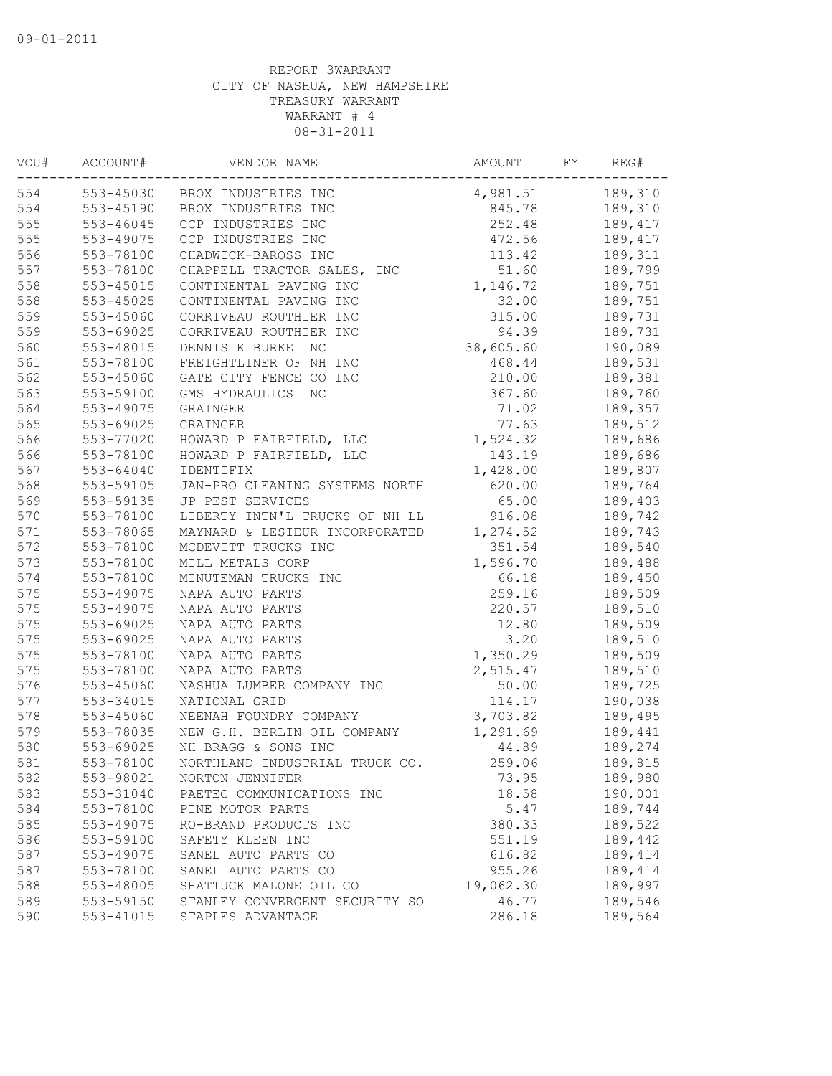| VOU# | ACCOUNT#      | VENDOR NAME                    | AMOUNT    | FY | REG#    |
|------|---------------|--------------------------------|-----------|----|---------|
| 554  | 553-45030     | BROX INDUSTRIES INC            | 4,981.51  |    | 189,310 |
| 554  | 553-45190     | BROX INDUSTRIES INC            | 845.78    |    | 189,310 |
| 555  | 553-46045     | CCP INDUSTRIES INC             | 252.48    |    | 189,417 |
| 555  | 553-49075     | CCP INDUSTRIES INC             | 472.56    |    | 189,417 |
| 556  | 553-78100     | CHADWICK-BAROSS INC            | 113.42    |    | 189,311 |
| 557  | 553-78100     | CHAPPELL TRACTOR SALES, INC    | 51.60     |    | 189,799 |
| 558  | $553 - 45015$ | CONTINENTAL PAVING INC         | 1,146.72  |    | 189,751 |
| 558  | $553 - 45025$ | CONTINENTAL PAVING INC         | 32.00     |    | 189,751 |
| 559  | 553-45060     | CORRIVEAU ROUTHIER INC         | 315.00    |    | 189,731 |
| 559  | 553-69025     | CORRIVEAU ROUTHIER INC         | 94.39     |    | 189,731 |
| 560  | 553-48015     | DENNIS K BURKE INC             | 38,605.60 |    | 190,089 |
| 561  | 553-78100     | FREIGHTLINER OF NH INC         | 468.44    |    | 189,531 |
| 562  | 553-45060     | GATE CITY FENCE CO INC         | 210.00    |    | 189,381 |
| 563  | 553-59100     | GMS HYDRAULICS INC             | 367.60    |    | 189,760 |
| 564  | 553-49075     | GRAINGER                       | 71.02     |    | 189,357 |
| 565  | 553-69025     | GRAINGER                       | 77.63     |    | 189,512 |
| 566  | 553-77020     | HOWARD P FAIRFIELD, LLC        | 1,524.32  |    | 189,686 |
| 566  | 553-78100     | HOWARD P FAIRFIELD, LLC        | 143.19    |    | 189,686 |
| 567  | 553-64040     | IDENTIFIX                      | 1,428.00  |    | 189,807 |
| 568  | 553-59105     | JAN-PRO CLEANING SYSTEMS NORTH | 620.00    |    | 189,764 |
| 569  | 553-59135     | JP PEST SERVICES               | 65.00     |    | 189,403 |
| 570  | 553-78100     | LIBERTY INTN'L TRUCKS OF NH LL | 916.08    |    | 189,742 |
| 571  | 553-78065     | MAYNARD & LESIEUR INCORPORATED | 1,274.52  |    | 189,743 |
| 572  | 553-78100     | MCDEVITT TRUCKS INC            | 351.54    |    | 189,540 |
| 573  | 553-78100     | MILL METALS CORP               | 1,596.70  |    | 189,488 |
| 574  | 553-78100     | MINUTEMAN TRUCKS INC           | 66.18     |    | 189,450 |
| 575  | 553-49075     | NAPA AUTO PARTS                | 259.16    |    | 189,509 |
| 575  | 553-49075     | NAPA AUTO PARTS                | 220.57    |    | 189,510 |
| 575  | 553-69025     | NAPA AUTO PARTS                | 12.80     |    | 189,509 |
| 575  | 553-69025     | NAPA AUTO PARTS                | 3.20      |    | 189,510 |
| 575  | 553-78100     | NAPA AUTO PARTS                | 1,350.29  |    | 189,509 |
| 575  | 553-78100     | NAPA AUTO PARTS                | 2,515.47  |    | 189,510 |
| 576  | 553-45060     | NASHUA LUMBER COMPANY INC      | 50.00     |    | 189,725 |
| 577  | 553-34015     | NATIONAL GRID                  | 114.17    |    | 190,038 |
| 578  | 553-45060     | NEENAH FOUNDRY COMPANY         | 3,703.82  |    | 189,495 |
| 579  | 553-78035     | NEW G.H. BERLIN OIL COMPANY    | 1,291.69  |    | 189,441 |
| 580  | 553-69025     | NH BRAGG & SONS INC            | 44.89     |    | 189,274 |
| 581  | 553-78100     | NORTHLAND INDUSTRIAL TRUCK CO. | 259.06    |    | 189,815 |
| 582  | 553-98021     | NORTON JENNIFER                | 73.95     |    | 189,980 |
| 583  | 553-31040     | PAETEC COMMUNICATIONS INC      | 18.58     |    | 190,001 |
| 584  | 553-78100     | PINE MOTOR PARTS               | 5.47      |    | 189,744 |
| 585  | 553-49075     | RO-BRAND PRODUCTS INC          | 380.33    |    | 189,522 |
| 586  | 553-59100     | SAFETY KLEEN INC               | 551.19    |    | 189,442 |
| 587  | 553-49075     | SANEL AUTO PARTS CO            | 616.82    |    | 189,414 |
| 587  | 553-78100     | SANEL AUTO PARTS CO            | 955.26    |    | 189,414 |
| 588  | 553-48005     | SHATTUCK MALONE OIL CO         | 19,062.30 |    | 189,997 |
| 589  | 553-59150     | STANLEY CONVERGENT SECURITY SO | 46.77     |    | 189,546 |
| 590  | 553-41015     | STAPLES ADVANTAGE              | 286.18    |    | 189,564 |
|      |               |                                |           |    |         |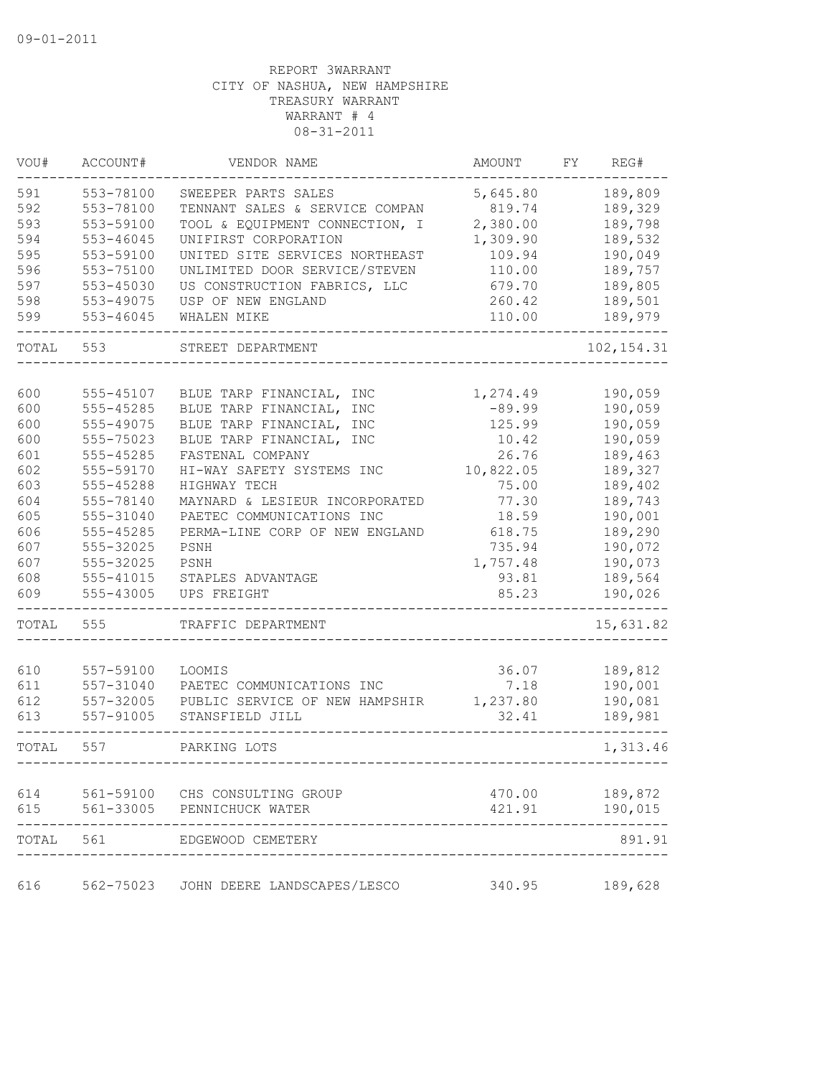| VOU#  | ACCOUNT#      | VENDOR NAME                        | AMOUNT    | FΥ | REG#        |
|-------|---------------|------------------------------------|-----------|----|-------------|
| 591   | 553-78100     | SWEEPER PARTS SALES                | 5,645.80  |    | 189,809     |
| 592   | 553-78100     | TENNANT SALES & SERVICE COMPAN     | 819.74    |    | 189,329     |
| 593   | 553-59100     | TOOL & EQUIPMENT CONNECTION, I     | 2,380.00  |    | 189,798     |
| 594   | $553 - 46045$ | UNIFIRST CORPORATION               | 1,309.90  |    | 189,532     |
| 595   | 553-59100     | UNITED SITE SERVICES NORTHEAST     | 109.94    |    | 190,049     |
| 596   | 553-75100     | UNLIMITED DOOR SERVICE/STEVEN      | 110.00    |    | 189,757     |
| 597   | 553-45030     | US CONSTRUCTION FABRICS, LLC       | 679.70    |    | 189,805     |
| 598   | 553-49075     | USP OF NEW ENGLAND                 | 260.42    |    | 189,501     |
| 599   | 553-46045     | WHALEN MIKE                        | 110.00    |    | 189,979     |
| TOTAL | 553           | STREET DEPARTMENT                  |           |    | 102, 154.31 |
|       |               |                                    |           |    |             |
| 600   | 555-45107     | BLUE TARP FINANCIAL, INC           | 1,274.49  |    | 190,059     |
| 600   | 555-45285     | BLUE TARP FINANCIAL,<br><b>INC</b> | $-89.99$  |    | 190,059     |
| 600   | 555-49075     | BLUE TARP FINANCIAL,<br>INC        | 125.99    |    | 190,059     |
| 600   | 555-75023     | BLUE TARP FINANCIAL, INC           | 10.42     |    | 190,059     |
| 601   | 555-45285     | FASTENAL COMPANY                   | 26.76     |    | 189,463     |
| 602   | 555-59170     | HI-WAY SAFETY SYSTEMS INC          | 10,822.05 |    | 189,327     |
| 603   | 555-45288     | HIGHWAY TECH                       | 75.00     |    | 189,402     |
| 604   | 555-78140     | MAYNARD & LESIEUR INCORPORATED     | 77.30     |    | 189,743     |
| 605   | 555-31040     | PAETEC COMMUNICATIONS INC          | 18.59     |    | 190,001     |
| 606   | 555-45285     | PERMA-LINE CORP OF NEW ENGLAND     | 618.75    |    | 189,290     |
| 607   | 555-32025     | PSNH                               | 735.94    |    | 190,072     |
| 607   | 555-32025     | PSNH                               | 1,757.48  |    | 190,073     |
| 608   | 555-41015     | STAPLES ADVANTAGE                  | 93.81     |    | 189,564     |
| 609   | 555-43005     | UPS FREIGHT                        | 85.23     |    | 190,026     |
| TOTAL | 555           | TRAFFIC DEPARTMENT                 |           |    | 15,631.82   |
|       |               |                                    |           |    |             |
| 610   | 557-59100     | LOOMIS                             | 36.07     |    | 189,812     |
| 611   | 557-31040     | PAETEC COMMUNICATIONS INC          | 7.18      |    | 190,001     |
| 612   | 557-32005     | PUBLIC SERVICE OF NEW HAMPSHIR     | 1,237.80  |    | 190,081     |
| 613   | 557-91005     | STANSFIELD JILL                    | 32.41     |    | 189,981     |
| TOTAL | 557           | PARKING LOTS                       |           |    | 1,313.46    |
| 614   |               | 561-59100 CHS CONSULTING GROUP     | 470.00    |    | 189,872     |
| 615   | 561-33005     | PENNICHUCK WATER                   | 421.91    |    | 190,015     |
| TOTAL | 561           | EDGEWOOD CEMETERY                  |           |    | 891.91      |
| 616   | 562-75023     | JOHN DEERE LANDSCAPES/LESCO        | 340.95    |    | 189,628     |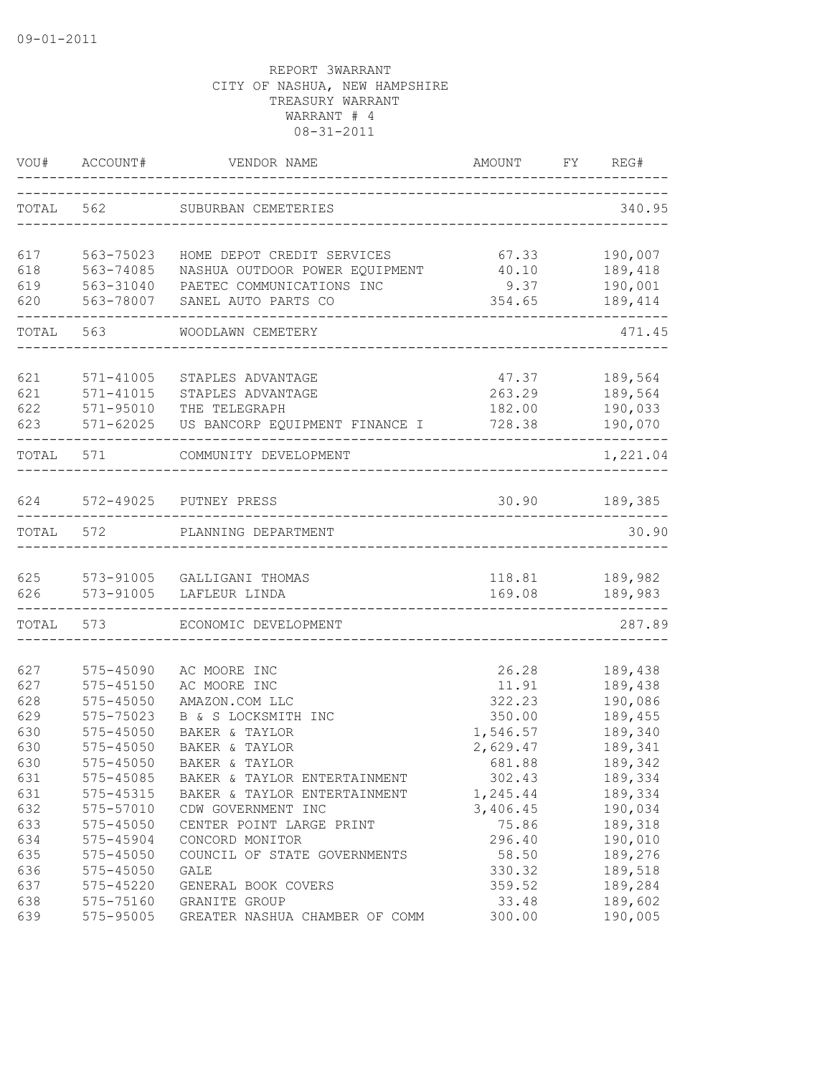|           | VOU# ACCOUNT# | VENDOR NAME                              | AMOUNT<br>------------------------ | FY | REG#               |
|-----------|---------------|------------------------------------------|------------------------------------|----|--------------------|
| TOTAL 562 |               | SUBURBAN CEMETERIES                      |                                    |    | 340.95             |
| 617       | 563-75023     | HOME DEPOT CREDIT SERVICES               | 67.33                              |    | 190,007            |
| 618       | 563-74085     | NASHUA OUTDOOR POWER EQUIPMENT           | 40.10                              |    | 189,418            |
| 619       | 563-31040     | PAETEC COMMUNICATIONS INC                | 9.37                               |    | 190,001            |
| 620       | 563-78007     | SANEL AUTO PARTS CO                      | 354.65                             |    | 189,414            |
|           | TOTAL 563     | WOODLAWN CEMETERY                        |                                    |    | 471.45             |
|           |               |                                          |                                    |    |                    |
| 621       | 571-41005     | STAPLES ADVANTAGE                        | 47.37                              |    | 189,564            |
| 621       | 571-41015     | STAPLES ADVANTAGE                        | 263.29                             |    | 189,564            |
| 622       | 571-95010     | THE TELEGRAPH                            | 182.00                             |    | 190,033            |
| 623       |               | 571-62025 US BANCORP EQUIPMENT FINANCE I | 728.38                             |    | 190,070<br>------- |
|           | TOTAL 571     | COMMUNITY DEVELOPMENT                    |                                    |    | 1,221.04           |
| 624       |               | 572-49025 PUTNEY PRESS                   | 30.90                              |    | 189,385            |
|           |               |                                          |                                    |    |                    |
| TOTAL 572 |               | PLANNING DEPARTMENT                      |                                    |    | 30.90              |
|           |               | 625 573-91005 GALLIGANI THOMAS           |                                    |    | 118.81 189,982     |
| 626       |               | 573-91005 LAFLEUR LINDA                  | 169.08                             |    | 189,983            |
|           | TOTAL 573     | ECONOMIC DEVELOPMENT                     |                                    |    | 287.89             |
| 627       | 575-45090     | AC MOORE INC                             | 26.28                              |    | 189,438            |
| 627       | $575 - 45150$ | AC MOORE INC                             | 11.91                              |    | 189,438            |
| 628       | $575 - 45050$ | AMAZON.COM LLC                           | 322.23                             |    | 190,086            |
| 629       | 575-75023     | B & S LOCKSMITH INC                      | 350.00                             |    | 189,455            |
| 630       | 575-45050     | BAKER & TAYLOR                           | 1,546.57                           |    | 189,340            |
| 630       | $575 - 45050$ | BAKER & TAYLOR                           | 2,629.47                           |    | 189,341            |
| 630       | 575-45050     | BAKER & TAYLOR                           | 681.88                             |    | 189,342            |
| 631       | 575-45085     | BAKER & TAYLOR ENTERTAINMENT             | 302.43                             |    | 189,334            |
| 631       | 575-45315     | BAKER & TAYLOR ENTERTAINMENT             | 1,245.44                           |    | 189,334            |
| 632       | 575-57010     | CDW GOVERNMENT INC                       | 3,406.45                           |    | 190,034            |
| 633       | 575-45050     | CENTER POINT LARGE PRINT                 | 75.86                              |    | 189,318            |
| 634       | 575-45904     | CONCORD MONITOR                          | 296.40                             |    | 190,010            |
| 635       | 575-45050     | COUNCIL OF STATE GOVERNMENTS             | 58.50                              |    | 189,276            |
| 636       | 575-45050     | GALE                                     | 330.32                             |    | 189,518            |
| 637       | 575-45220     | GENERAL BOOK COVERS                      | 359.52                             |    | 189,284            |
| 638       | 575-75160     | GRANITE GROUP                            | 33.48                              |    | 189,602            |
| 639       | 575-95005     | GREATER NASHUA CHAMBER OF COMM           | 300.00                             |    | 190,005            |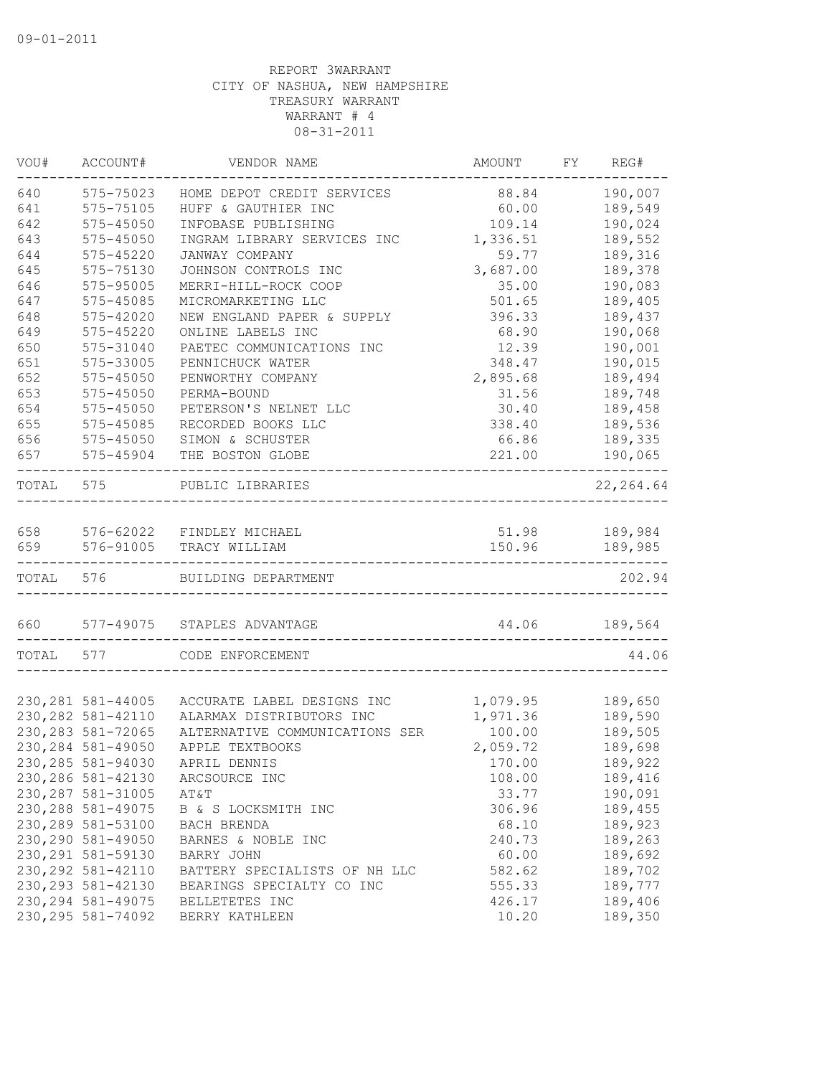| VOU#  | ACCOUNT#           | VENDOR NAME                    | AMOUNT   | FY | REG#       |
|-------|--------------------|--------------------------------|----------|----|------------|
| 640   | 575-75023          | HOME DEPOT CREDIT SERVICES     | 88.84    |    | 190,007    |
| 641   | 575-75105          | HUFF & GAUTHIER INC            | 60.00    |    | 189,549    |
| 642   | $575 - 45050$      | INFOBASE PUBLISHING            | 109.14   |    | 190,024    |
| 643   | $575 - 45050$      | INGRAM LIBRARY SERVICES INC    | 1,336.51 |    | 189,552    |
| 644   | 575-45220          | JANWAY COMPANY                 | 59.77    |    | 189,316    |
| 645   | 575-75130          | JOHNSON CONTROLS INC           | 3,687.00 |    | 189,378    |
| 646   | 575-95005          | MERRI-HILL-ROCK COOP           | 35.00    |    | 190,083    |
| 647   | 575-45085          | MICROMARKETING LLC             | 501.65   |    | 189,405    |
| 648   | 575-42020          | NEW ENGLAND PAPER & SUPPLY     | 396.33   |    | 189,437    |
| 649   | $575 - 45220$      | ONLINE LABELS INC              | 68.90    |    | 190,068    |
| 650   | 575-31040          | PAETEC COMMUNICATIONS INC      | 12.39    |    | 190,001    |
| 651   | 575-33005          | PENNICHUCK WATER               | 348.47   |    | 190,015    |
| 652   | 575-45050          | PENWORTHY COMPANY              | 2,895.68 |    | 189,494    |
| 653   | 575-45050          | PERMA-BOUND                    | 31.56    |    | 189,748    |
| 654   | 575-45050          | PETERSON'S NELNET LLC          | 30.40    |    | 189,458    |
| 655   | 575-45085          | RECORDED BOOKS LLC             | 338.40   |    | 189,536    |
| 656   | $575 - 45050$      | SIMON & SCHUSTER               | 66.86    |    | 189,335    |
| 657   | 575-45904          | THE BOSTON GLOBE               | 221.00   |    | 190,065    |
| TOTAL | 575                | PUBLIC LIBRARIES               |          |    | 22, 264.64 |
| 658   |                    | 576-62022 FINDLEY MICHAEL      | 51.98    |    | 189,984    |
| 659   | 576-91005          | TRACY WILLIAM                  | 150.96   |    | 189,985    |
| TOTAL | 576                | BUILDING DEPARTMENT            |          |    | 202.94     |
| 660   | 577-49075          | STAPLES ADVANTAGE              | 44.06    |    | 189,564    |
| TOTAL | 577                | CODE ENFORCEMENT               |          |    | 44.06      |
|       |                    |                                |          |    |            |
|       | 230, 281 581-44005 | ACCURATE LABEL DESIGNS INC     | 1,079.95 |    | 189,650    |
|       | 230, 282 581-42110 | ALARMAX DISTRIBUTORS INC       | 1,971.36 |    | 189,590    |
|       | 230, 283 581-72065 | ALTERNATIVE COMMUNICATIONS SER | 100.00   |    | 189,505    |
|       | 230, 284 581-49050 | APPLE TEXTBOOKS                | 2,059.72 |    | 189,698    |
|       | 230, 285 581-94030 | APRIL DENNIS                   | 170.00   |    | 189,922    |
|       | 230, 286 581-42130 | ARCSOURCE INC                  | 108.00   |    | 189,416    |
|       | 230, 287 581-31005 | AT&T                           | 33.77    |    | 190,091    |
|       | 230, 288 581-49075 | B & S LOCKSMITH INC            | 306.96   |    | 189,455    |
|       | 230, 289 581-53100 | BACH BRENDA                    | 68.10    |    | 189,923    |
|       | 230, 290 581-49050 | BARNES & NOBLE INC             | 240.73   |    | 189,263    |
|       | 230, 291 581-59130 | BARRY JOHN                     | 60.00    |    | 189,692    |
|       | 230, 292 581-42110 | BATTERY SPECIALISTS OF NH LLC  | 582.62   |    | 189,702    |
|       | 230, 293 581-42130 | BEARINGS SPECIALTY CO INC      | 555.33   |    | 189,777    |
|       | 230, 294 581-49075 | BELLETETES INC                 | 426.17   |    | 189,406    |
|       | 230, 295 581-74092 | BERRY KATHLEEN                 | 10.20    |    | 189,350    |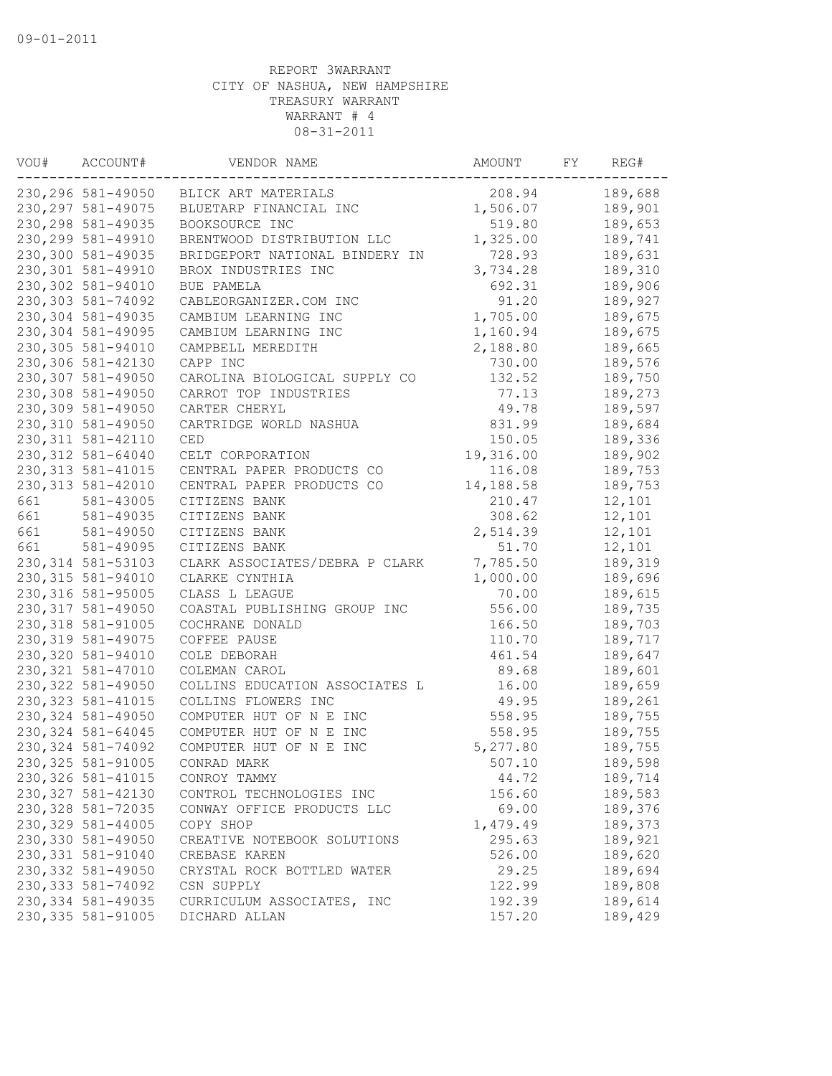| VOU# | ACCOUNT#           | VENDOR NAME                    | AMOUNT    | FY | REG#    |
|------|--------------------|--------------------------------|-----------|----|---------|
|      | 230, 296 581-49050 | BLICK ART MATERIALS            | 208.94    |    | 189,688 |
|      | 230, 297 581-49075 | BLUETARP FINANCIAL INC         | 1,506.07  |    | 189,901 |
|      | 230, 298 581-49035 | BOOKSOURCE INC                 | 519.80    |    | 189,653 |
|      | 230, 299 581-49910 | BRENTWOOD DISTRIBUTION LLC     | 1,325.00  |    | 189,741 |
|      | 230,300 581-49035  | BRIDGEPORT NATIONAL BINDERY IN | 728.93    |    | 189,631 |
|      | 230,301 581-49910  | BROX INDUSTRIES INC            | 3,734.28  |    | 189,310 |
|      | 230,302 581-94010  | BUE PAMELA                     | 692.31    |    | 189,906 |
|      | 230,303 581-74092  | CABLEORGANIZER.COM INC         | 91.20     |    | 189,927 |
|      | 230,304 581-49035  | CAMBIUM LEARNING INC           | 1,705.00  |    | 189,675 |
|      | 230,304 581-49095  | CAMBIUM LEARNING INC           | 1,160.94  |    | 189,675 |
|      | 230,305 581-94010  | CAMPBELL MEREDITH              | 2,188.80  |    | 189,665 |
|      | 230,306 581-42130  | CAPP INC                       | 730.00    |    | 189,576 |
|      | 230,307 581-49050  | CAROLINA BIOLOGICAL SUPPLY CO  | 132.52    |    | 189,750 |
|      | 230,308 581-49050  | CARROT TOP INDUSTRIES          | 77.13     |    | 189,273 |
|      | 230,309 581-49050  | CARTER CHERYL                  | 49.78     |    | 189,597 |
|      | 230,310 581-49050  | CARTRIDGE WORLD NASHUA         | 831.99    |    | 189,684 |
|      | 230, 311 581-42110 | CED                            | 150.05    |    | 189,336 |
|      | 230, 312 581-64040 | CELT CORPORATION               | 19,316.00 |    | 189,902 |
|      | 230, 313 581-41015 | CENTRAL PAPER PRODUCTS CO      | 116.08    |    | 189,753 |
|      | 230, 313 581-42010 | CENTRAL PAPER PRODUCTS CO      | 14,188.58 |    | 189,753 |
| 661  | 581-43005          | CITIZENS BANK                  | 210.47    |    | 12,101  |
| 661  | 581-49035          | CITIZENS BANK                  | 308.62    |    | 12,101  |
| 661  | 581-49050          | CITIZENS BANK                  | 2,514.39  |    | 12,101  |
| 661  | 581-49095          | CITIZENS BANK                  | 51.70     |    | 12,101  |
|      | 230, 314 581-53103 | CLARK ASSOCIATES/DEBRA P CLARK | 7,785.50  |    | 189,319 |
|      | 230, 315 581-94010 | CLARKE CYNTHIA                 | 1,000.00  |    | 189,696 |
|      | 230, 316 581-95005 | CLASS L LEAGUE                 | 70.00     |    | 189,615 |
|      | 230, 317 581-49050 | COASTAL PUBLISHING GROUP INC   | 556.00    |    | 189,735 |
|      | 230, 318 581-91005 | COCHRANE DONALD                | 166.50    |    | 189,703 |
|      | 230, 319 581-49075 | COFFEE PAUSE                   | 110.70    |    | 189,717 |
|      | 230,320 581-94010  | COLE DEBORAH                   | 461.54    |    | 189,647 |
|      | 230, 321 581-47010 | COLEMAN CAROL                  | 89.68     |    | 189,601 |
|      | 230, 322 581-49050 | COLLINS EDUCATION ASSOCIATES L | 16.00     |    | 189,659 |
|      |                    | COLLINS FLOWERS INC            | 49.95     |    |         |
|      | 230, 323 581-41015 |                                | 558.95    |    | 189,261 |
|      | 230, 324 581-49050 | COMPUTER HUT OF N E INC        | 558.95    |    | 189,755 |
|      | 230, 324 581-64045 | COMPUTER HUT OF N E INC        |           |    | 189,755 |
|      | 230, 324 581-74092 | COMPUTER HUT OF N E INC        | 5,277.80  |    | 189,755 |
|      | 230, 325 581-91005 | CONRAD MARK                    | 507.10    |    | 189,598 |
|      | 230, 326 581-41015 | CONROY TAMMY                   | 44.72     |    | 189,714 |
|      | 230, 327 581-42130 | CONTROL TECHNOLOGIES INC       | 156.60    |    | 189,583 |
|      | 230, 328 581-72035 | CONWAY OFFICE PRODUCTS LLC     | 69.00     |    | 189,376 |
|      | 230, 329 581-44005 | COPY SHOP                      | 1,479.49  |    | 189,373 |
|      | 230,330 581-49050  | CREATIVE NOTEBOOK SOLUTIONS    | 295.63    |    | 189,921 |
|      | 230, 331 581-91040 | CREBASE KAREN                  | 526.00    |    | 189,620 |
|      | 230, 332 581-49050 | CRYSTAL ROCK BOTTLED WATER     | 29.25     |    | 189,694 |
|      | 230, 333 581-74092 | CSN SUPPLY                     | 122.99    |    | 189,808 |
|      | 230, 334 581-49035 | CURRICULUM ASSOCIATES, INC     | 192.39    |    | 189,614 |
|      | 230, 335 581-91005 | DICHARD ALLAN                  | 157.20    |    | 189,429 |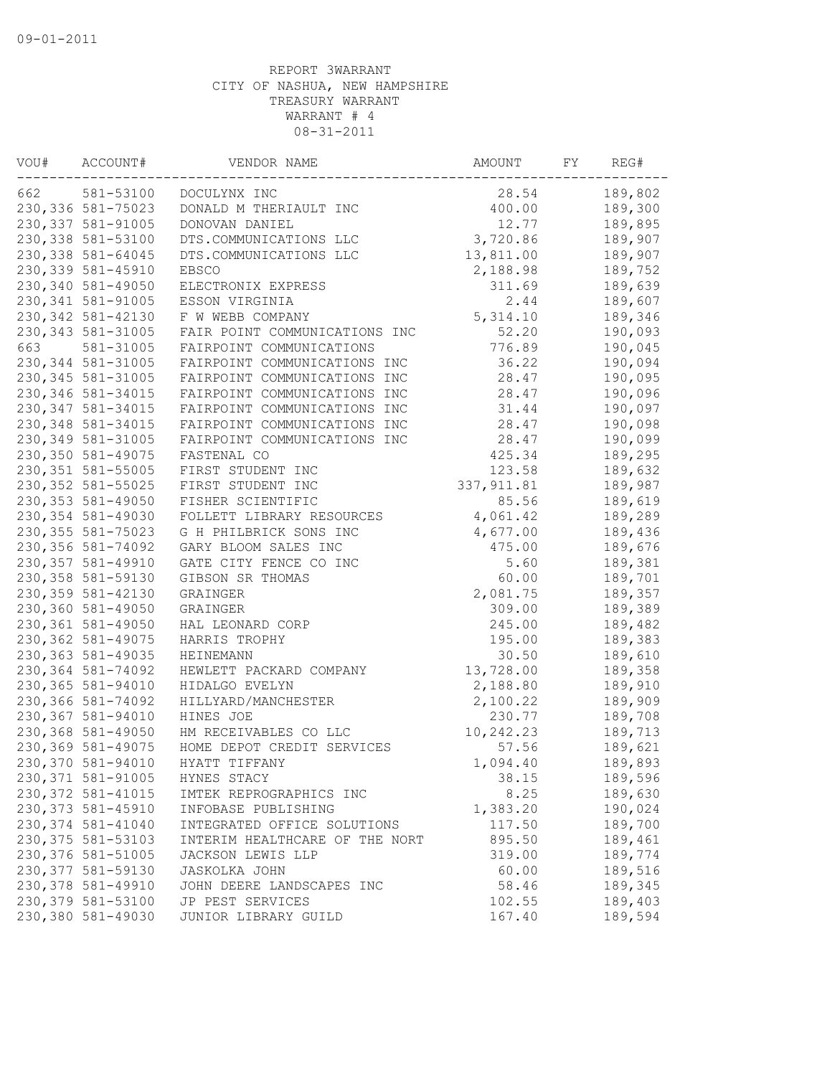| VOU# | ACCOUNT#           | VENDOR NAME                    | AMOUNT      | FY | REG#    |
|------|--------------------|--------------------------------|-------------|----|---------|
| 662  | 581-53100          | DOCULYNX INC                   | 28.54       |    | 189,802 |
|      | 230, 336 581-75023 | DONALD M THERIAULT INC         | 400.00      |    | 189,300 |
|      | 230, 337 581-91005 | DONOVAN DANIEL                 | 12.77       |    | 189,895 |
|      | 230, 338 581-53100 | DTS.COMMUNICATIONS LLC         | 3,720.86    |    | 189,907 |
|      | 230, 338 581-64045 | DTS.COMMUNICATIONS LLC         | 13,811.00   |    | 189,907 |
|      | 230, 339 581-45910 | <b>EBSCO</b>                   | 2,188.98    |    | 189,752 |
|      | 230,340 581-49050  | ELECTRONIX EXPRESS             | 311.69      |    | 189,639 |
|      | 230, 341 581-91005 | ESSON VIRGINIA                 | 2.44        |    | 189,607 |
|      | 230, 342 581-42130 | F W WEBB COMPANY               | 5, 314.10   |    | 189,346 |
|      | 230, 343 581-31005 | FAIR POINT COMMUNICATIONS INC  | 52.20       |    | 190,093 |
| 663  | 581-31005          | FAIRPOINT COMMUNICATIONS       | 776.89      |    | 190,045 |
|      | 230, 344 581-31005 | FAIRPOINT COMMUNICATIONS INC   | 36.22       |    | 190,094 |
|      | 230, 345 581-31005 | FAIRPOINT COMMUNICATIONS INC   | 28.47       |    | 190,095 |
|      | 230, 346 581-34015 | FAIRPOINT COMMUNICATIONS INC   | 28.47       |    | 190,096 |
|      | 230, 347 581-34015 | FAIRPOINT COMMUNICATIONS INC   | 31.44       |    | 190,097 |
|      | 230, 348 581-34015 | FAIRPOINT COMMUNICATIONS INC   | 28.47       |    | 190,098 |
|      | 230, 349 581-31005 | FAIRPOINT COMMUNICATIONS INC   | 28.47       |    | 190,099 |
|      | 230,350 581-49075  | FASTENAL CO                    | 425.34      |    | 189,295 |
|      | 230, 351 581-55005 | FIRST STUDENT INC              | 123.58      |    | 189,632 |
|      | 230, 352 581-55025 | FIRST STUDENT INC              | 337, 911.81 |    | 189,987 |
|      | 230, 353 581-49050 | FISHER SCIENTIFIC              | 85.56       |    | 189,619 |
|      | 230, 354 581-49030 | FOLLETT LIBRARY RESOURCES      | 4,061.42    |    | 189,289 |
|      | 230, 355 581-75023 | G H PHILBRICK SONS INC         | 4,677.00    |    | 189,436 |
|      | 230,356 581-74092  | GARY BLOOM SALES INC           | 475.00      |    | 189,676 |
|      | 230, 357 581-49910 | GATE CITY FENCE CO INC         | 5.60        |    | 189,381 |
|      | 230, 358 581-59130 | GIBSON SR THOMAS               | 60.00       |    | 189,701 |
|      | 230, 359 581-42130 | GRAINGER                       | 2,081.75    |    | 189,357 |
|      | 230,360 581-49050  | GRAINGER                       | 309.00      |    | 189,389 |
|      | 230,361 581-49050  | HAL LEONARD CORP               | 245.00      |    | 189,482 |
|      | 230, 362 581-49075 | HARRIS TROPHY                  | 195.00      |    | 189,383 |
|      | 230, 363 581-49035 | HEINEMANN                      | 30.50       |    | 189,610 |
|      | 230,364 581-74092  | HEWLETT PACKARD COMPANY        | 13,728.00   |    | 189,358 |
|      | 230,365 581-94010  | HIDALGO EVELYN                 | 2,188.80    |    | 189,910 |
|      | 230,366 581-74092  | HILLYARD/MANCHESTER            | 2,100.22    |    | 189,909 |
|      | 230,367 581-94010  | HINES JOE                      | 230.77      |    | 189,708 |
|      | 230,368 581-49050  | HM RECEIVABLES CO LLC          | 10,242.23   |    | 189,713 |
|      | 230,369 581-49075  | HOME DEPOT CREDIT SERVICES     | 57.56       |    | 189,621 |
|      | 230,370 581-94010  | HYATT TIFFANY                  | 1,094.40    |    | 189,893 |
|      | 230,371 581-91005  | HYNES STACY                    | 38.15       |    | 189,596 |
|      | 230, 372 581-41015 | IMTEK REPROGRAPHICS INC        | 8.25        |    | 189,630 |
|      | 230, 373 581-45910 | INFOBASE PUBLISHING            | 1,383.20    |    | 190,024 |
|      | 230, 374 581-41040 | INTEGRATED OFFICE SOLUTIONS    | 117.50      |    | 189,700 |
|      | 230, 375 581-53103 | INTERIM HEALTHCARE OF THE NORT | 895.50      |    | 189,461 |
|      | 230,376 581-51005  | JACKSON LEWIS LLP              | 319.00      |    | 189,774 |
|      | 230, 377 581-59130 | <b>JASKOLKA JOHN</b>           | 60.00       |    | 189,516 |
|      | 230,378 581-49910  | JOHN DEERE LANDSCAPES INC      | 58.46       |    | 189,345 |
|      | 230, 379 581-53100 | JP PEST SERVICES               | 102.55      |    | 189,403 |
|      | 230,380 581-49030  | JUNIOR LIBRARY GUILD           | 167.40      |    | 189,594 |
|      |                    |                                |             |    |         |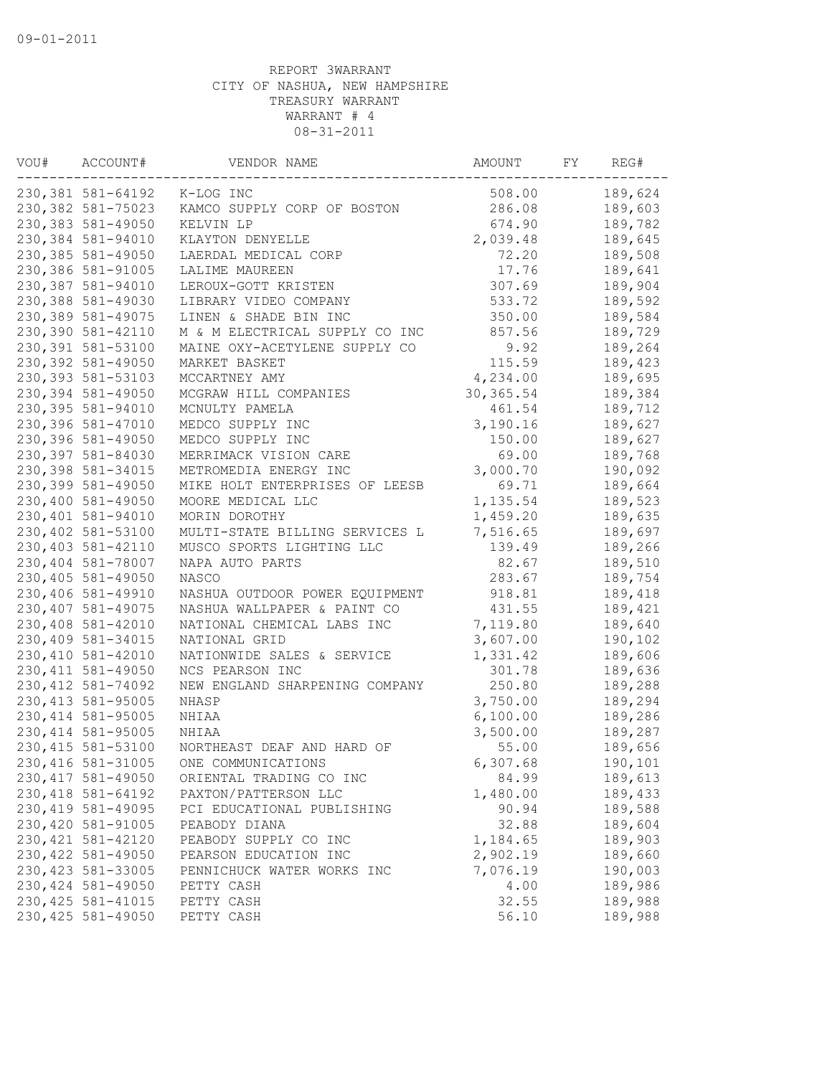| VOU# | ACCOUNT#           | VENDOR NAME                    | AMOUNT     | FY | REG#    |
|------|--------------------|--------------------------------|------------|----|---------|
|      | 230, 381 581-64192 | K-LOG INC                      | 508.00     |    | 189,624 |
|      | 230,382 581-75023  | KAMCO SUPPLY CORP OF BOSTON    | 286.08     |    | 189,603 |
|      | 230,383 581-49050  | KELVIN LP                      | 674.90     |    | 189,782 |
|      | 230,384 581-94010  | KLAYTON DENYELLE               | 2,039.48   |    | 189,645 |
|      | 230,385 581-49050  | LAERDAL MEDICAL CORP           | 72.20      |    | 189,508 |
|      | 230,386 581-91005  | LALIME MAUREEN                 | 17.76      |    | 189,641 |
|      | 230,387 581-94010  | LEROUX-GOTT KRISTEN            | 307.69     |    | 189,904 |
|      | 230,388 581-49030  | LIBRARY VIDEO COMPANY          | 533.72     |    | 189,592 |
|      | 230,389 581-49075  | LINEN & SHADE BIN INC          | 350.00     |    | 189,584 |
|      | 230,390 581-42110  | M & M ELECTRICAL SUPPLY CO INC | 857.56     |    | 189,729 |
|      | 230,391 581-53100  | MAINE OXY-ACETYLENE SUPPLY CO  | 9.92       |    | 189,264 |
|      | 230,392 581-49050  | MARKET BASKET                  | 115.59     |    | 189,423 |
|      | 230, 393 581-53103 | MCCARTNEY AMY                  | 4,234.00   |    | 189,695 |
|      | 230,394 581-49050  | MCGRAW HILL COMPANIES          | 30, 365.54 |    | 189,384 |
|      | 230,395 581-94010  | MCNULTY PAMELA                 | 461.54     |    | 189,712 |
|      | 230,396 581-47010  | MEDCO SUPPLY INC               | 3,190.16   |    | 189,627 |
|      | 230,396 581-49050  | MEDCO SUPPLY INC               | 150.00     |    | 189,627 |
|      | 230,397 581-84030  | MERRIMACK VISION CARE          | 69.00      |    | 189,768 |
|      | 230,398 581-34015  | METROMEDIA ENERGY INC          | 3,000.70   |    | 190,092 |
|      | 230,399 581-49050  | MIKE HOLT ENTERPRISES OF LEESB | 69.71      |    | 189,664 |
|      | 230,400 581-49050  | MOORE MEDICAL LLC              | 1,135.54   |    | 189,523 |
|      | 230,401 581-94010  | MORIN DOROTHY                  | 1,459.20   |    | 189,635 |
|      | 230,402 581-53100  | MULTI-STATE BILLING SERVICES L | 7,516.65   |    | 189,697 |
|      | 230,403 581-42110  | MUSCO SPORTS LIGHTING LLC      | 139.49     |    | 189,266 |
|      | 230,404 581-78007  | NAPA AUTO PARTS                | 82.67      |    | 189,510 |
|      | 230,405 581-49050  | NASCO                          | 283.67     |    | 189,754 |
|      | 230,406 581-49910  | NASHUA OUTDOOR POWER EQUIPMENT | 918.81     |    | 189,418 |
|      | 230,407 581-49075  | NASHUA WALLPAPER & PAINT CO    | 431.55     |    | 189,421 |
|      | 230,408 581-42010  | NATIONAL CHEMICAL LABS INC     | 7,119.80   |    | 189,640 |
|      | 230,409 581-34015  | NATIONAL GRID                  | 3,607.00   |    | 190,102 |
|      | 230,410 581-42010  | NATIONWIDE SALES & SERVICE     | 1,331.42   |    | 189,606 |
|      | 230, 411 581-49050 | NCS PEARSON INC                | 301.78     |    | 189,636 |
|      | 230, 412 581-74092 | NEW ENGLAND SHARPENING COMPANY | 250.80     |    | 189,288 |
|      | 230, 413 581-95005 | NHASP                          | 3,750.00   |    | 189,294 |
|      | 230, 414 581-95005 | NHIAA                          | 6,100.00   |    | 189,286 |
|      | 230, 414 581-95005 | NHIAA                          | 3,500.00   |    | 189,287 |
|      | 230, 415 581-53100 | NORTHEAST DEAF AND HARD OF     | 55.00      |    | 189,656 |
|      | 230, 416 581-31005 | ONE COMMUNICATIONS             | 6,307.68   |    | 190,101 |
|      | 230, 417 581-49050 | ORIENTAL TRADING CO INC        | 84.99      |    | 189,613 |
|      | 230, 418 581-64192 | PAXTON/PATTERSON LLC           | 1,480.00   |    | 189,433 |
|      | 230, 419 581-49095 | PCI EDUCATIONAL PUBLISHING     | 90.94      |    | 189,588 |
|      | 230,420 581-91005  | PEABODY DIANA                  | 32.88      |    | 189,604 |
|      | 230, 421 581-42120 | PEABODY SUPPLY CO INC          | 1,184.65   |    | 189,903 |
|      | 230, 422 581-49050 | PEARSON EDUCATION INC          | 2,902.19   |    | 189,660 |
|      | 230, 423 581-33005 | PENNICHUCK WATER WORKS INC     | 7,076.19   |    | 190,003 |
|      | 230, 424 581-49050 | PETTY CASH                     | 4.00       |    | 189,986 |
|      | 230, 425 581-41015 | PETTY CASH                     | 32.55      |    | 189,988 |
|      | 230, 425 581-49050 | PETTY CASH                     | 56.10      |    | 189,988 |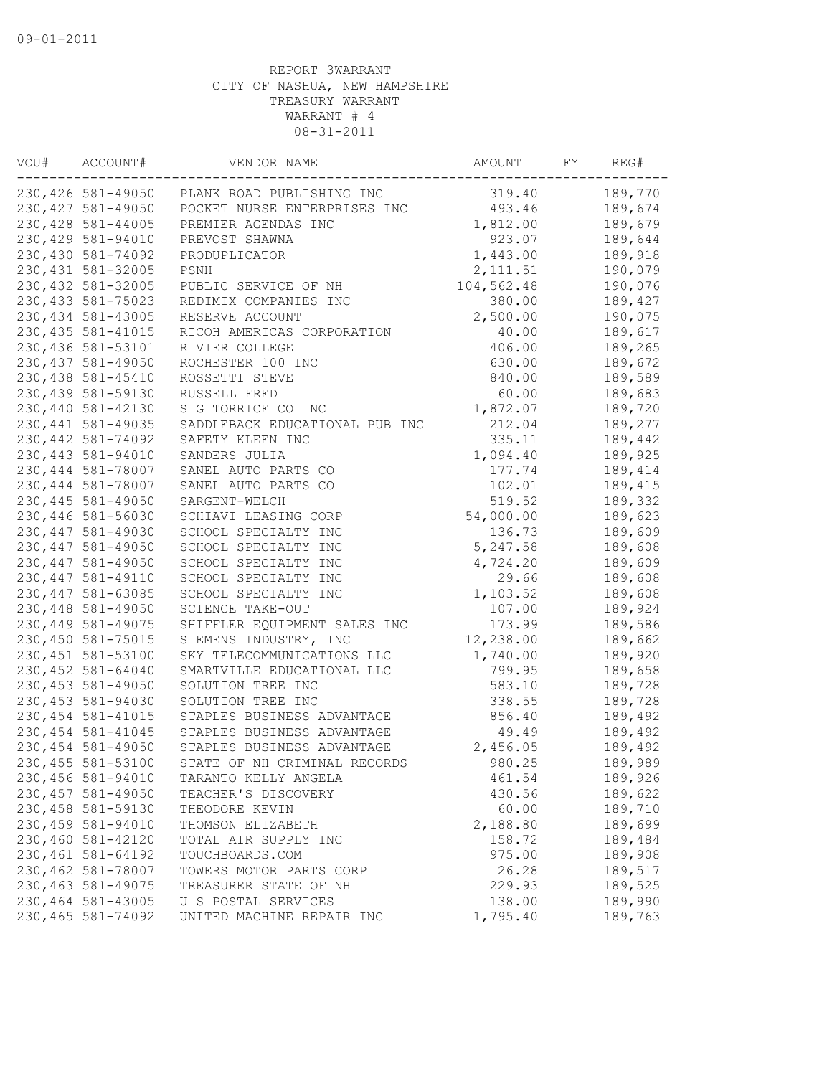| VOU# | ACCOUNT#           | VENDOR NAME                    | AMOUNT     | FY | REG#    |
|------|--------------------|--------------------------------|------------|----|---------|
|      | 230,426 581-49050  | PLANK ROAD PUBLISHING INC      | 319.40     |    | 189,770 |
|      | 230, 427 581-49050 | POCKET NURSE ENTERPRISES INC   | 493.46     |    | 189,674 |
|      | 230, 428 581-44005 | PREMIER AGENDAS INC            | 1,812.00   |    | 189,679 |
|      | 230,429 581-94010  | PREVOST SHAWNA                 | 923.07     |    | 189,644 |
|      | 230,430 581-74092  | PRODUPLICATOR                  | 1,443.00   |    | 189,918 |
|      | 230, 431 581-32005 | PSNH                           | 2, 111.51  |    | 190,079 |
|      | 230,432 581-32005  | PUBLIC SERVICE OF NH           | 104,562.48 |    | 190,076 |
|      | 230, 433 581-75023 | REDIMIX COMPANIES INC          | 380.00     |    | 189,427 |
|      | 230, 434 581-43005 | RESERVE ACCOUNT                | 2,500.00   |    | 190,075 |
|      | 230, 435 581-41015 | RICOH AMERICAS CORPORATION     | 40.00      |    | 189,617 |
|      | 230,436 581-53101  | RIVIER COLLEGE                 | 406.00     |    | 189,265 |
|      | 230, 437 581-49050 | ROCHESTER 100 INC              | 630.00     |    | 189,672 |
|      | 230, 438 581-45410 | ROSSETTI STEVE                 | 840.00     |    | 189,589 |
|      | 230,439 581-59130  | RUSSELL FRED                   | 60.00      |    | 189,683 |
|      | 230,440 581-42130  | S G TORRICE CO INC             | 1,872.07   |    | 189,720 |
|      | 230, 441 581-49035 | SADDLEBACK EDUCATIONAL PUB INC | 212.04     |    | 189,277 |
|      | 230, 442 581-74092 | SAFETY KLEEN INC               | 335.11     |    | 189,442 |
|      | 230,443 581-94010  | SANDERS JULIA                  | 1,094.40   |    | 189,925 |
|      | 230,444 581-78007  | SANEL AUTO PARTS CO            | 177.74     |    | 189,414 |
|      | 230,444 581-78007  | SANEL AUTO PARTS CO            | 102.01     |    | 189,415 |
|      | 230, 445 581-49050 | SARGENT-WELCH                  | 519.52     |    | 189,332 |
|      | 230,446 581-56030  | SCHIAVI LEASING CORP           | 54,000.00  |    | 189,623 |
|      | 230, 447 581-49030 | SCHOOL SPECIALTY INC           | 136.73     |    | 189,609 |
|      | 230, 447 581-49050 | SCHOOL SPECIALTY INC           | 5, 247.58  |    | 189,608 |
|      | 230, 447 581-49050 | SCHOOL SPECIALTY INC           | 4,724.20   |    | 189,609 |
|      | 230, 447 581-49110 | SCHOOL SPECIALTY INC           | 29.66      |    | 189,608 |
|      | 230, 447 581-63085 | SCHOOL SPECIALTY INC           | 1,103.52   |    | 189,608 |
|      | 230,448 581-49050  | SCIENCE TAKE-OUT               | 107.00     |    | 189,924 |
|      | 230,449 581-49075  | SHIFFLER EQUIPMENT SALES INC   | 173.99     |    | 189,586 |
|      | 230,450 581-75015  | SIEMENS INDUSTRY, INC          | 12,238.00  |    | 189,662 |
|      | 230, 451 581-53100 | SKY TELECOMMUNICATIONS LLC     | 1,740.00   |    | 189,920 |
|      | 230,452 581-64040  | SMARTVILLE EDUCATIONAL LLC     | 799.95     |    | 189,658 |
|      | 230, 453 581-49050 | SOLUTION TREE INC              | 583.10     |    | 189,728 |
|      | 230, 453 581-94030 | SOLUTION TREE INC              | 338.55     |    | 189,728 |
|      | 230, 454 581-41015 | STAPLES BUSINESS ADVANTAGE     | 856.40     |    | 189,492 |
|      | 230, 454 581-41045 | STAPLES BUSINESS ADVANTAGE     | 49.49      |    | 189,492 |
|      | 230,454 581-49050  | STAPLES BUSINESS ADVANTAGE     | 2,456.05   |    | 189,492 |
|      | 230,455 581-53100  | STATE OF NH CRIMINAL RECORDS   | 980.25     |    | 189,989 |
|      | 230,456 581-94010  | TARANTO KELLY ANGELA           | 461.54     |    | 189,926 |
|      | 230, 457 581-49050 | TEACHER'S DISCOVERY            | 430.56     |    | 189,622 |
|      | 230,458 581-59130  | THEODORE KEVIN                 | 60.00      |    | 189,710 |
|      | 230,459 581-94010  | THOMSON ELIZABETH              | 2,188.80   |    | 189,699 |
|      | 230,460 581-42120  | TOTAL AIR SUPPLY INC           | 158.72     |    | 189,484 |
|      | 230,461 581-64192  | TOUCHBOARDS.COM                | 975.00     |    | 189,908 |
|      | 230,462 581-78007  | TOWERS MOTOR PARTS CORP        | 26.28      |    | 189,517 |
|      | 230, 463 581-49075 | TREASURER STATE OF NH          | 229.93     |    | 189,525 |
|      | 230,464 581-43005  | U S POSTAL SERVICES            | 138.00     |    | 189,990 |
|      | 230,465 581-74092  | UNITED MACHINE REPAIR INC      | 1,795.40   |    | 189,763 |
|      |                    |                                |            |    |         |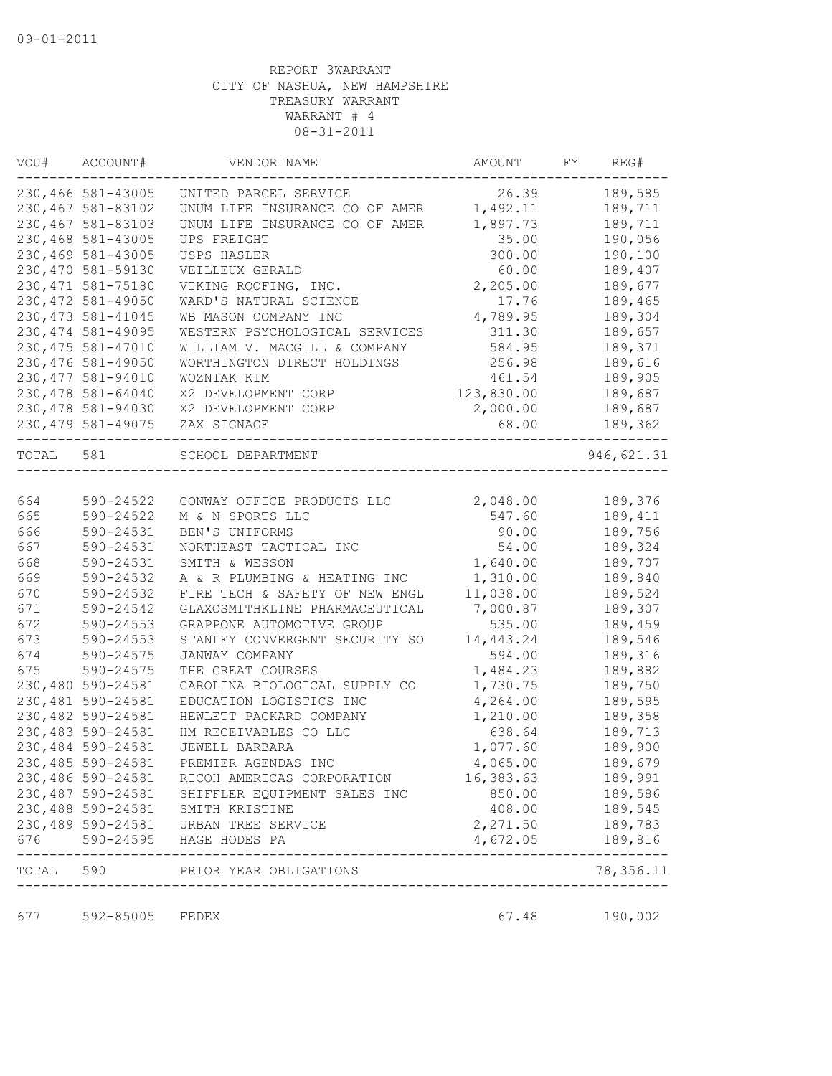| VOU#      | ACCOUNT#           | VENDOR NAME                                    | AMOUNT     | FY | REG#       |
|-----------|--------------------|------------------------------------------------|------------|----|------------|
|           | 230,466 581-43005  | UNITED PARCEL SERVICE                          | 26.39      |    | 189,585    |
|           | 230,467 581-83102  | UNUM LIFE INSURANCE CO OF AMER                 | 1,492.11   |    | 189,711    |
|           | 230,467 581-83103  | UNUM LIFE INSURANCE CO OF AMER                 | 1,897.73   |    | 189,711    |
|           | 230,468 581-43005  | UPS FREIGHT                                    | 35.00      |    | 190,056    |
|           | 230,469 581-43005  | USPS HASLER                                    | 300.00     |    | 190,100    |
|           | 230,470 581-59130  | VEILLEUX GERALD                                | 60.00      |    | 189,407    |
|           | 230, 471 581-75180 | VIKING ROOFING, INC.                           | 2,205.00   |    | 189,677    |
|           | 230, 472 581-49050 | WARD'S NATURAL SCIENCE                         | 17.76      |    | 189,465    |
|           | 230, 473 581-41045 | WB MASON COMPANY INC                           | 4,789.95   |    | 189,304    |
|           | 230, 474 581-49095 | WESTERN PSYCHOLOGICAL SERVICES                 | 311.30     |    | 189,657    |
|           | 230, 475 581-47010 | WILLIAM V. MACGILL & COMPANY                   | 584.95     |    | 189,371    |
|           | 230,476 581-49050  | WORTHINGTON DIRECT HOLDINGS                    | 256.98     |    | 189,616    |
|           | 230, 477 581-94010 | WOZNIAK KIM                                    | 461.54     |    | 189,905    |
|           | 230,478 581-64040  | X2 DEVELOPMENT CORP                            | 123,830.00 |    | 189,687    |
|           | 230, 478 581-94030 | X2 DEVELOPMENT CORP                            | 2,000.00   |    | 189,687    |
|           | 230, 479 581-49075 | ZAX SIGNAGE                                    | 68.00      |    | 189,362    |
| TOTAL 581 |                    | SCHOOL DEPARTMENT                              |            |    | 946,621.31 |
|           |                    |                                                |            |    |            |
| 664       | 590-24522          | CONWAY OFFICE PRODUCTS LLC                     | 2,048.00   |    | 189,376    |
| 665       | 590-24522          | M & N SPORTS LLC                               | 547.60     |    | 189,411    |
| 666       | 590-24531          | BEN'S UNIFORMS                                 | 90.00      |    | 189,756    |
| 667       | 590-24531          | NORTHEAST TACTICAL INC                         | 54.00      |    | 189,324    |
| 668       | 590-24531          | SMITH & WESSON                                 | 1,640.00   |    | 189,707    |
| 669       | 590-24532          | A & R PLUMBING & HEATING INC                   | 1,310.00   |    | 189,840    |
| 670       | 590-24532          | FIRE TECH & SAFETY OF NEW ENGL                 | 11,038.00  |    | 189,524    |
| 671       | 590-24542          | GLAXOSMITHKLINE PHARMACEUTICAL                 | 7,000.87   |    | 189,307    |
| 672       | $590 - 24553$      | GRAPPONE AUTOMOTIVE GROUP                      | 535.00     |    | 189,459    |
| 673       | $590 - 24553$      | STANLEY CONVERGENT SECURITY SO                 | 14,443.24  |    | 189,546    |
| 674       | 590-24575          | JANWAY COMPANY                                 | 594.00     |    | 189,316    |
| 675       | 590-24575          | THE GREAT COURSES                              | 1,484.23   |    | 189,882    |
|           | 230,480 590-24581  | CAROLINA BIOLOGICAL SUPPLY CO                  | 1,730.75   |    | 189,750    |
|           | 230,481 590-24581  | EDUCATION LOGISTICS INC                        | 4,264.00   |    | 189,595    |
|           | 230,482 590-24581  | HEWLETT PACKARD COMPANY                        | 1,210.00   |    | 189,358    |
|           | 230,483 590-24581  | HM RECEIVABLES CO LLC                          | 638.64     |    | 189,713    |
|           | 230,484 590-24581  | JEWELL BARBARA                                 | 1,077.60   |    | 189,900    |
|           | 230,485 590-24581  | PREMIER AGENDAS INC                            | 4,065.00   |    | 189,679    |
|           |                    | 230,486 590-24581 RICOH AMERICAS CORPORATION   | 16,383.63  |    | 189,991    |
|           |                    | 230,487 590-24581 SHIFFLER EQUIPMENT SALES INC | 850.00     |    | 189,586    |
|           | 230,488 590-24581  | SMITH KRISTINE                                 | 408.00     |    | 189,545    |
|           |                    | 230,489 590-24581 URBAN TREE SERVICE           | 2,271.50   |    | 189,783    |
|           |                    | 676 590-24595 HAGE HODES PA                    | 4,672.05   |    | 189,816    |
|           | ---------------    | TOTAL 590 PRIOR YEAR OBLIGATIONS               |            |    | 78,356.11  |
| 677       | 592-85005          | FEDEX                                          | 67.48      |    | 190,002    |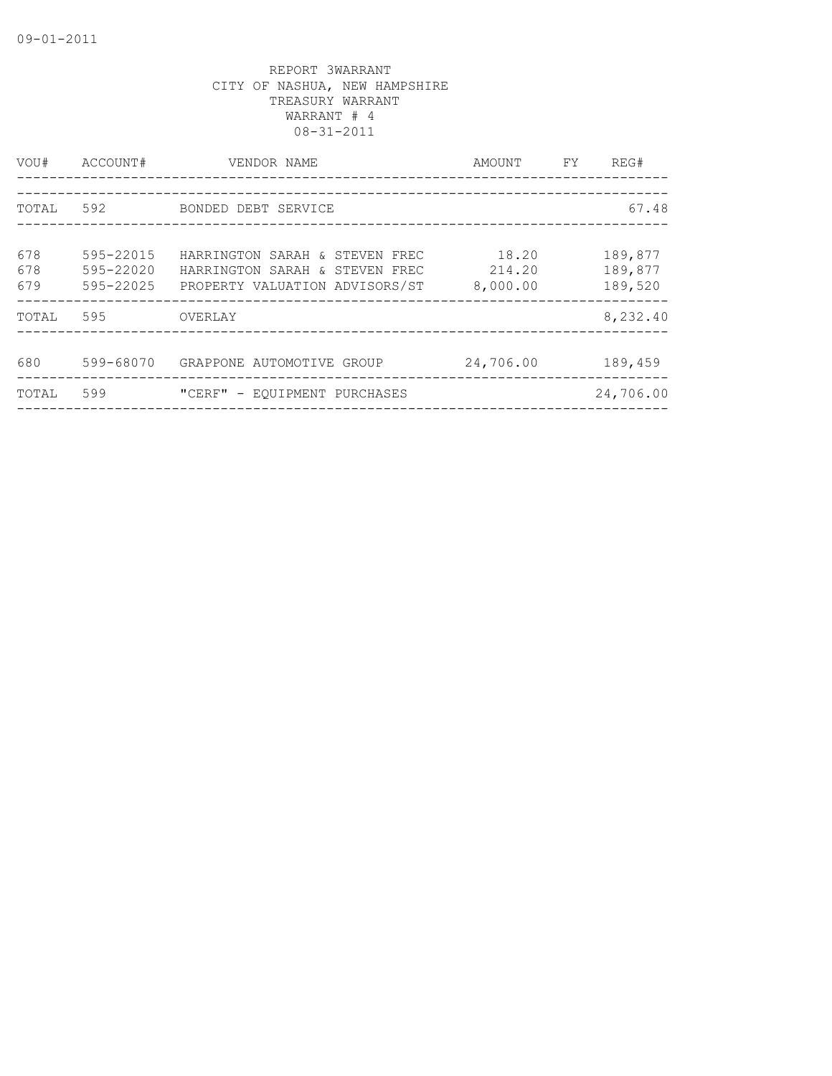| VOU#              | ACCOUNT#                            | VENDOR NAME<br>-----------------                                                                   | AMOUNT                      | FY. | REG#                          |
|-------------------|-------------------------------------|----------------------------------------------------------------------------------------------------|-----------------------------|-----|-------------------------------|
| TOTAL             | 592                                 | BONDED DEBT SERVICE                                                                                |                             |     | 67.48                         |
|                   |                                     |                                                                                                    |                             |     |                               |
| 678<br>678<br>679 | 595-22015<br>595-22020<br>595-22025 | HARRINGTON SARAH & STEVEN FREC<br>HARRINGTON SARAH & STEVEN FREC<br>PROPERTY VALUATION ADVISORS/ST | 18.20<br>214.20<br>8,000.00 |     | 189,877<br>189,877<br>189,520 |
| TOTAL             | 595                                 | OVERLAY                                                                                            |                             |     | 8,232.40                      |
| 680               | 599-68070                           | GRAPPONE AUTOMOTIVE GROUP                                                                          | 24,706.00                   |     | 189,459                       |
| TOTAL             | 599                                 | "CERF" - EQUIPMENT PURCHASES                                                                       |                             |     | 24,706.00                     |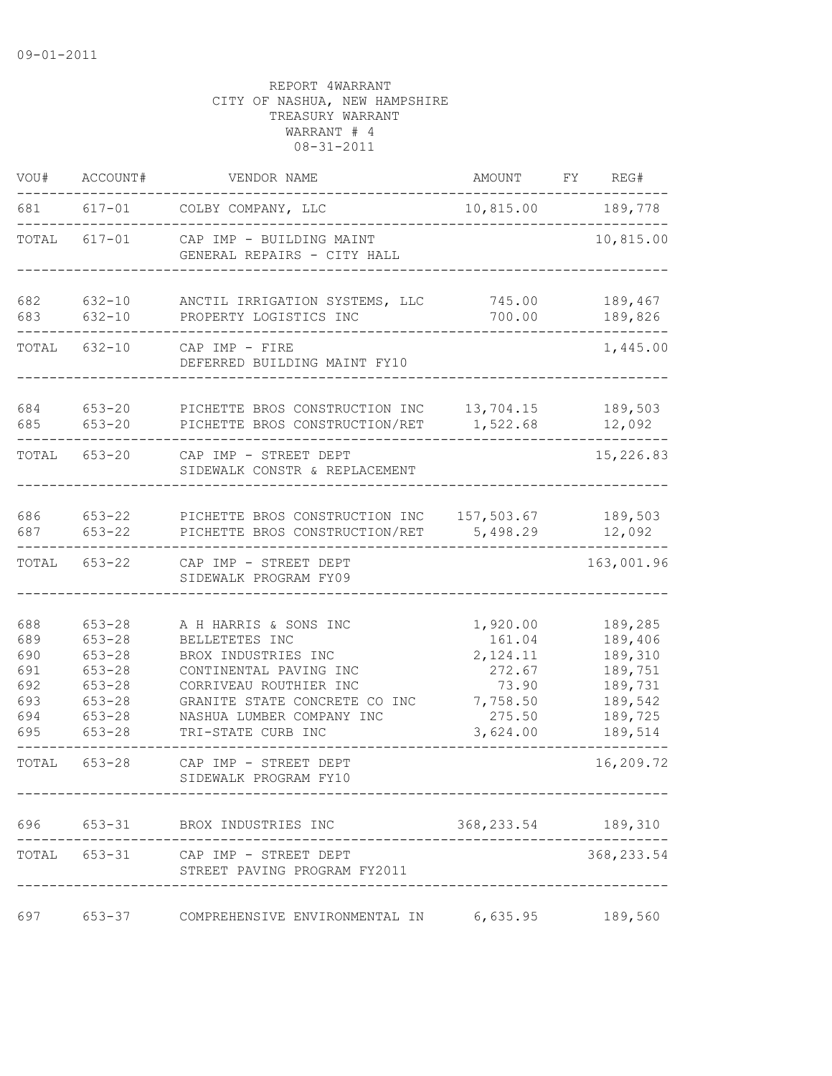| VOU#                                                 | ACCOUNT#                                                                                                     | VENDOR NAME                                                                                                                                                                                            | AMOUNT FY REG#                                                                      |                                                                                      |
|------------------------------------------------------|--------------------------------------------------------------------------------------------------------------|--------------------------------------------------------------------------------------------------------------------------------------------------------------------------------------------------------|-------------------------------------------------------------------------------------|--------------------------------------------------------------------------------------|
| 681                                                  | $617 - 01$                                                                                                   | COLBY COMPANY, LLC                                                                                                                                                                                     | 10,815.00 189,778                                                                   |                                                                                      |
| TOTAL                                                | $617 - 01$                                                                                                   | CAP IMP - BUILDING MAINT<br>GENERAL REPAIRS - CITY HALL                                                                                                                                                |                                                                                     | 10,815.00                                                                            |
| 682<br>683                                           | $632 - 10$<br>$632 - 10$                                                                                     | ANCTIL IRRIGATION SYSTEMS, LLC<br>PROPERTY LOGISTICS INC                                                                                                                                               | 745.00<br>700.00                                                                    | 189,467<br>189,826                                                                   |
| TOTAL                                                | $632 - 10$                                                                                                   | CAP IMP - FIRE<br>DEFERRED BUILDING MAINT FY10                                                                                                                                                         |                                                                                     | 1,445.00                                                                             |
| 684<br>685                                           | $653 - 20$<br>$653 - 20$                                                                                     | PICHETTE BROS CONSTRUCTION INC<br>PICHETTE BROS CONSTRUCTION/RET                                                                                                                                       | 13,704.15<br>1,522.68                                                               | 189,503<br>12,092                                                                    |
|                                                      | TOTAL 653-20                                                                                                 | CAP IMP - STREET DEPT<br>SIDEWALK CONSTR & REPLACEMENT                                                                                                                                                 |                                                                                     | 15,226.83                                                                            |
| 686<br>687                                           | $653 - 22$<br>$653 - 22$                                                                                     | PICHETTE BROS CONSTRUCTION INC<br>PICHETTE BROS CONSTRUCTION/RET                                                                                                                                       | 157,503.67<br>5,498.29                                                              | 189,503<br>12,092                                                                    |
| TOTAL                                                | $653 - 22$                                                                                                   | CAP IMP - STREET DEPT<br>SIDEWALK PROGRAM FY09                                                                                                                                                         |                                                                                     | 163,001.96                                                                           |
| 688<br>689<br>690<br>691<br>692<br>693<br>694<br>695 | $653 - 28$<br>$653 - 28$<br>$653 - 28$<br>$653 - 28$<br>$653 - 28$<br>$653 - 28$<br>$653 - 28$<br>$653 - 28$ | A H HARRIS & SONS INC<br>BELLETETES INC<br>BROX INDUSTRIES INC<br>CONTINENTAL PAVING INC<br>CORRIVEAU ROUTHIER INC<br>GRANITE STATE CONCRETE CO INC<br>NASHUA LUMBER COMPANY INC<br>TRI-STATE CURB INC | 1,920.00<br>161.04<br>2,124.11<br>272.67<br>73.90<br>7,758.50<br>275.50<br>3,624.00 | 189,285<br>189,406<br>189,310<br>189,751<br>189,731<br>189,542<br>189,725<br>189,514 |
| TOTAL                                                | $653 - 28$                                                                                                   | CAP IMP - STREET DEPT<br>SIDEWALK PROGRAM FY10                                                                                                                                                         |                                                                                     | 16,209.72                                                                            |
|                                                      |                                                                                                              | 696 653-31 BROX INDUSTRIES INC                                                                                                                                                                         | 368, 233.54 189, 310                                                                |                                                                                      |
|                                                      |                                                                                                              | TOTAL 653-31 CAP IMP - STREET DEPT<br>STREET PAVING PROGRAM FY2011                                                                                                                                     |                                                                                     | 368, 233.54                                                                          |
| 697                                                  | $653 - 37$                                                                                                   | COMPREHENSIVE ENVIRONMENTAL IN 6,635.95                                                                                                                                                                |                                                                                     | 189,560                                                                              |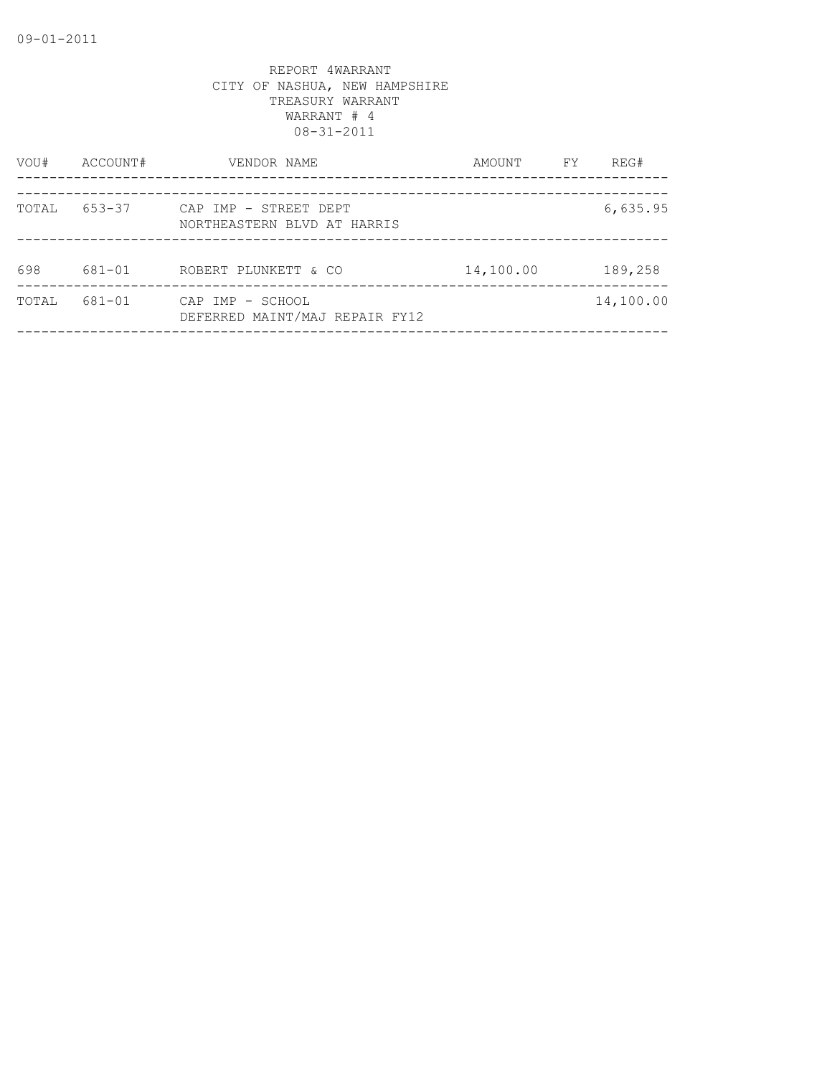| VOU#  | ACCOUNT# | VENDOR NAME                                          | AMOUNT    | FY | REG#      |
|-------|----------|------------------------------------------------------|-----------|----|-----------|
| TOTAL | 653-37   | CAP IMP - STREET DEPT<br>NORTHEASTERN BLVD AT HARRIS |           |    | 6,635.95  |
| 698   | 681-01   | ROBERT PLUNKETT & CO                                 | 14,100.00 |    | 189,258   |
| TOTAL | 681-01   | CAP IMP - SCHOOL<br>DEFERRED MAINT/MAJ REPAIR FY12   |           |    | 14,100.00 |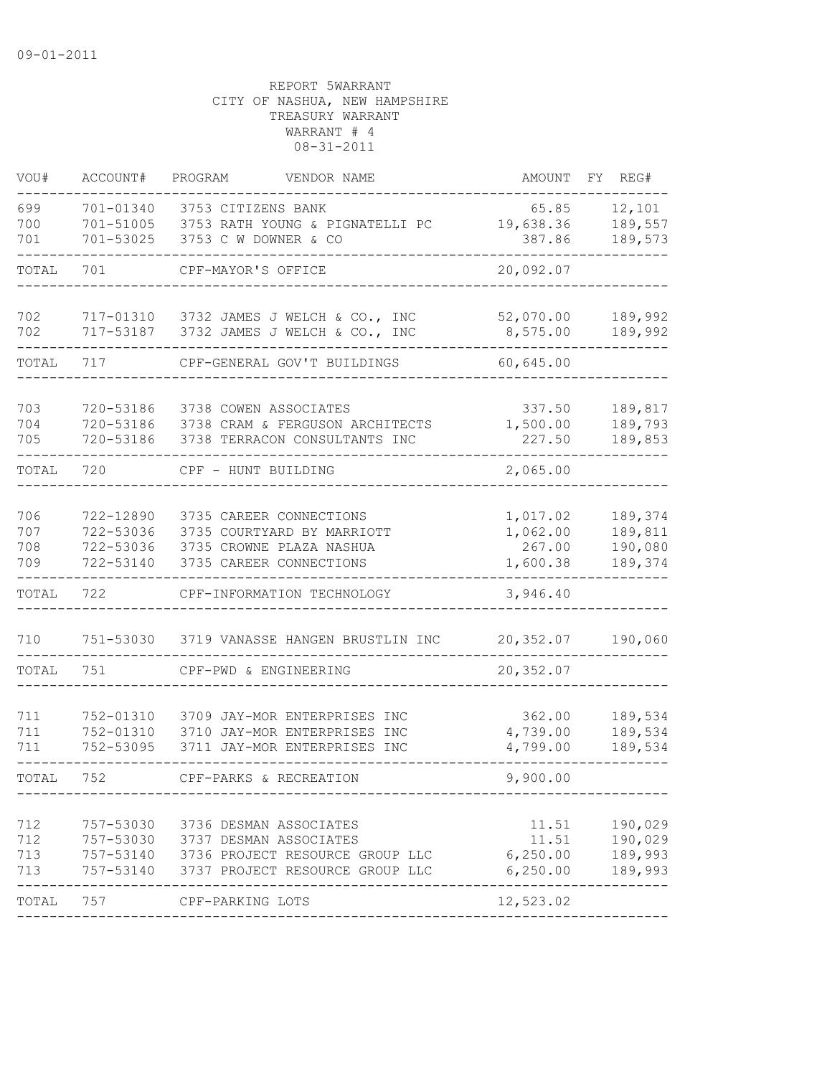| VOU#                     | ACCOUNT#                                         | PROGRAM<br>VENDOR NAME                                                                                                                               | AMOUNT                                                | REG#<br>FY.                              |
|--------------------------|--------------------------------------------------|------------------------------------------------------------------------------------------------------------------------------------------------------|-------------------------------------------------------|------------------------------------------|
| 699<br>700<br>701        | 701-01340<br>701-51005<br>701-53025              | 3753 CITIZENS BANK<br>3753 RATH YOUNG & PIGNATELLI PC<br>3753 C W DOWNER & CO                                                                        | 65.85<br>19,638.36<br>387.86                          | 12,101<br>189,557<br>189,573             |
| TOTAL                    | 701                                              | CPF-MAYOR'S OFFICE                                                                                                                                   | 20,092.07                                             |                                          |
| 702<br>702               | 717-01310<br>717-53187                           | 3732 JAMES J WELCH & CO., INC<br>3732 JAMES J WELCH & CO., INC                                                                                       | 52,070.00<br>8,575.00                                 | 189,992<br>189,992                       |
| TOTAL                    | 717                                              | CPF-GENERAL GOV'T BUILDINGS                                                                                                                          | 60,645.00                                             |                                          |
| 703<br>704<br>705        | 720-53186<br>720-53186<br>720-53186              | 3738 COWEN ASSOCIATES<br>3738 CRAM & FERGUSON ARCHITECTS<br>3738 TERRACON CONSULTANTS INC                                                            | 337.50<br>1,500.00<br>227.50                          | 189,817<br>189,793<br>189,853            |
| TOTAL                    | 720                                              | CPF - HUNT BUILDING                                                                                                                                  | 2,065.00                                              |                                          |
| 706<br>707<br>708<br>709 | 722-12890<br>722-53036<br>722-53036<br>722-53140 | 3735 CAREER CONNECTIONS<br>3735 COURTYARD BY MARRIOTT<br>3735 CROWNE PLAZA NASHUA<br>3735 CAREER CONNECTIONS                                         | 1,017.02<br>1,062.00<br>267.00<br>1,600.38            | 189,374<br>189,811<br>190,080<br>189,374 |
| TOTAL                    | 722                                              | CPF-INFORMATION TECHNOLOGY                                                                                                                           | 3,946.40                                              |                                          |
| 710                      | 751-53030                                        | 3719 VANASSE HANGEN BRUSTLIN INC                                                                                                                     | 20,352.07                                             | 190,060                                  |
| TOTAL                    | 751                                              | CPF-PWD & ENGINEERING                                                                                                                                | 20,352.07                                             |                                          |
| 711<br>711<br>711        | 752-01310<br>752-01310<br>752-53095              | 3709 JAY-MOR ENTERPRISES INC<br>3710 JAY-MOR ENTERPRISES INC<br>3711 JAY-MOR ENTERPRISES INC                                                         | 362.00<br>4,739.00<br>4,799.00                        | 189,534<br>189,534<br>189,534            |
| TOTAL                    | 752                                              | CPF-PARKS & RECREATION                                                                                                                               | 9,900.00                                              |                                          |
| 712<br>712<br>713<br>713 | 757-53030                                        | 3736 DESMAN ASSOCIATES<br>757-53030 3737 DESMAN ASSOCIATES<br>757-53140 3736 PROJECT RESOURCE GROUP LLC<br>757-53140 3737 PROJECT RESOURCE GROUP LLC | 11.51<br>11.51<br>6, 250.00<br>6,250.00<br>---------- | 190,029<br>190,029<br>189,993<br>189,993 |
| TOTAL                    | 757                                              | CPF-PARKING LOTS                                                                                                                                     | 12,523.02                                             |                                          |
|                          |                                                  |                                                                                                                                                      |                                                       |                                          |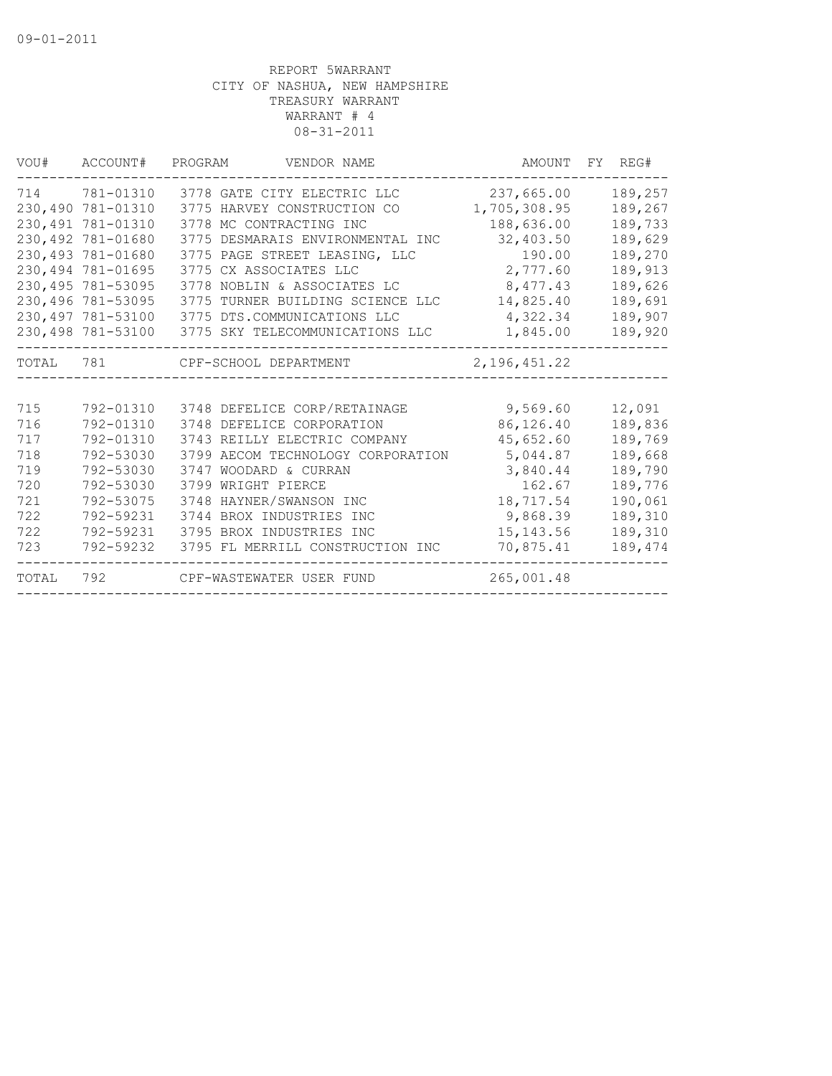| VOU#    | ACCOUNT#           | PROGRAM<br>VENDOR NAME            |                | AMOUNT FY REG# |
|---------|--------------------|-----------------------------------|----------------|----------------|
| 714     | 781-01310          | 3778 GATE CITY ELECTRIC LLC       | 237,665.00     | 189,257        |
|         | 230,490 781-01310  | 3775 HARVEY CONSTRUCTION CO       | 1,705,308.95   | 189,267        |
| 230,491 | 781-01310          | 3778 MC CONTRACTING INC           | 188,636.00     | 189,733        |
|         | 230,492 781-01680  | 3775 DESMARAIS ENVIRONMENTAL INC  | 32,403.50      | 189,629        |
|         | 230,493 781-01680  | 3775 PAGE STREET LEASING, LLC     | 190.00         | 189,270        |
|         | 230,494 781-01695  | 3775 CX ASSOCIATES LLC            | 2,777.60       | 189,913        |
|         | 230, 495 781-53095 | 3778 NOBLIN & ASSOCIATES LC       | 8,477.43       | 189,626        |
|         | 230,496 781-53095  | 3775 TURNER BUILDING SCIENCE LLC  | 14,825.40      | 189,691        |
|         | 230,497 781-53100  | 3775 DTS.COMMUNICATIONS LLC       | 4,322.34       | 189,907        |
|         | 230,498 781-53100  | 3775 SKY TELECOMMUNICATIONS LLC   | 1,845.00       | 189,920        |
|         |                    | TOTAL 781 CPF-SCHOOL DEPARTMENT   | 2, 196, 451.22 |                |
|         |                    |                                   |                |                |
| 715     | 792-01310          | 3748 DEFELICE CORP/RETAINAGE      | 9,569.60       | 12,091         |
| 716     | 792-01310          | 3748 DEFELICE CORPORATION         | 86,126.40      | 189,836        |
| 717     | 792-01310          | 3743 REILLY ELECTRIC COMPANY      | 45,652.60      | 189,769        |
| 718     | 792-53030          | 3799 AECOM TECHNOLOGY CORPORATION | 5,044.87       | 189,668        |
| 719     | 792-53030          | WOODARD & CURRAN<br>3747          | 3,840.44       | 189,790        |
| 720     | 792-53030          | 3799 WRIGHT PIERCE                | 162.67         | 189,776        |
| 721     | 792-53075          | 3748 HAYNER/SWANSON INC           | 18,717.54      | 190,061        |
| 722     | 792-59231          | 3744 BROX INDUSTRIES INC          | 9,868.39       | 189,310        |
| 722     | 792-59231          | 3795 BROX INDUSTRIES INC          | 15, 143.56     | 189,310        |
| 723     | 792-59232          | 3795 FL MERRILL CONSTRUCTION INC  | 70,875.41      | 189,474        |
| TOTAL   | 792                | CPF-WASTEWATER USER FUND          | 265,001.48     |                |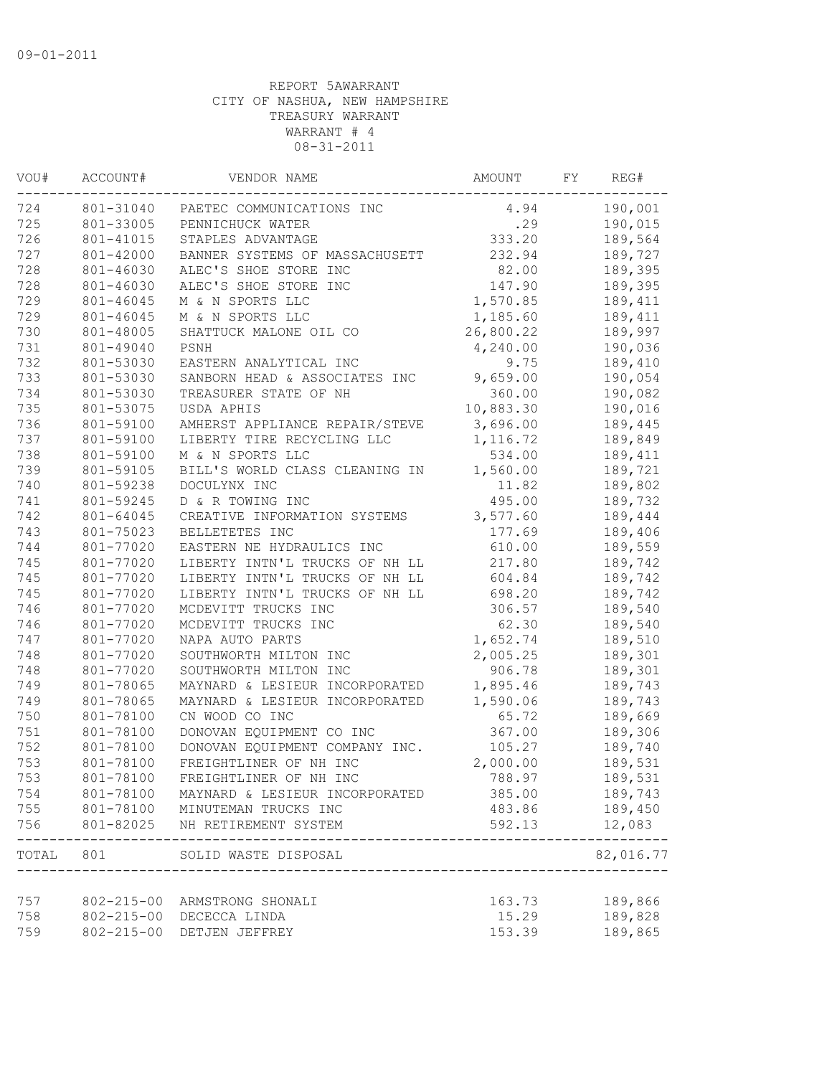| VOU#      | ACCOUNT#         | VENDOR NAME                                               |           | FY | REG#              |
|-----------|------------------|-----------------------------------------------------------|-----------|----|-------------------|
| 724       | 801-31040        | PAETEC COMMUNICATIONS INC                                 | 4.94      |    | 190,001           |
| 725       | 801-33005        | PENNICHUCK WATER                                          | .29       |    | 190,015           |
| 726       | 801-41015        | STAPLES ADVANTAGE                                         | 333.20    |    | 189,564           |
| 727       | 801-42000        | BANNER SYSTEMS OF MASSACHUSETT                            | 232.94    |    | 189,727           |
| 728       | 801-46030        | ALEC'S SHOE STORE INC                                     | 82.00     |    | 189,395           |
| 728       | 801-46030        | ALEC'S SHOE STORE INC                                     | 147.90    |    | 189,395           |
| 729       | 801-46045        | M & N SPORTS LLC                                          | 1,570.85  |    | 189,411           |
| 729       | 801-46045        | M & N SPORTS LLC                                          | 1,185.60  |    | 189,411           |
| 730       | 801-48005        | SHATTUCK MALONE OIL CO                                    | 26,800.22 |    | 189,997           |
| 731       | 801-49040        | PSNH                                                      | 4,240.00  |    | 190,036           |
| 732       | 801-53030        | EASTERN ANALYTICAL INC                                    | 9.75      |    | 189,410           |
| 733       | 801-53030        | SANBORN HEAD & ASSOCIATES INC                             | 9,659.00  |    | 190,054           |
| 734       | 801-53030        | TREASURER STATE OF NH                                     | 360.00    |    | 190,082           |
| 735       | 801-53075        | USDA APHIS                                                | 10,883.30 |    | 190,016           |
| 736       | 801-59100        | AMHERST APPLIANCE REPAIR/STEVE                            | 3,696.00  |    | 189,445           |
| 737       | 801-59100        | LIBERTY TIRE RECYCLING LLC                                | 1,116.72  |    | 189,849           |
| 738       | 801-59100        | M & N SPORTS LLC                                          | 534.00    |    | 189,411           |
| 739       | 801-59105        | BILL'S WORLD CLASS CLEANING IN                            | 1,560.00  |    | 189,721           |
| 740       | 801-59238        | DOCULYNX INC                                              | 11.82     |    | 189,802           |
| 741       | 801-59245        | D & R TOWING INC                                          | 495.00    |    | 189,732           |
| 742       | 801-64045        | CREATIVE INFORMATION SYSTEMS                              | 3,577.60  |    | 189,444           |
| 743       | 801-75023        | BELLETETES INC                                            | 177.69    |    | 189,406           |
| 744       | 801-77020        | EASTERN NE HYDRAULICS INC                                 | 610.00    |    | 189,559           |
| 745       | 801-77020        | LIBERTY INTN'L TRUCKS OF NH LL                            | 217.80    |    | 189,742           |
| 745       | 801-77020        | LIBERTY INTN'L TRUCKS OF NH LL                            | 604.84    |    | 189,742           |
| 745       | 801-77020        | LIBERTY INTN'L TRUCKS OF NH LL                            | 698.20    |    | 189,742           |
| 746       | 801-77020        | MCDEVITT TRUCKS INC                                       | 306.57    |    | 189,540           |
| 746       | 801-77020        | MCDEVITT TRUCKS INC                                       | 62.30     |    | 189,540           |
| 747       | 801-77020        | NAPA AUTO PARTS                                           | 1,652.74  |    | 189,510           |
| 748       | 801-77020        | SOUTHWORTH MILTON INC                                     | 2,005.25  |    | 189,301           |
| 748       | 801-77020        | SOUTHWORTH MILTON INC                                     | 906.78    |    | 189,301           |
| 749       | 801-78065        | MAYNARD & LESIEUR INCORPORATED                            | 1,895.46  |    | 189,743           |
| 749       | 801-78065        | MAYNARD & LESIEUR INCORPORATED                            | 1,590.06  |    | 189,743           |
| 750       | 801-78100        | CN WOOD CO INC                                            | 65.72     |    | 189,669           |
| 751       | 801-78100        | DONOVAN EQUIPMENT CO INC                                  | 367.00    |    | 189,306           |
| 752       | 801-78100        | DONOVAN EQUIPMENT COMPANY INC.                            | 105.27    |    | 189,740           |
| 753       | 801-78100        | FREIGHTLINER OF NH INC                                    | 2,000.00  |    | 189,531           |
| 753       | 801-78100        | FREIGHTLINER OF NH INC                                    | 788.97    |    | 189,531           |
| 754       | 801-78100        | MAYNARD & LESIEUR INCORPORATED                            | 385.00    |    | 189,743           |
| 755       | 801-78100        | MINUTEMAN TRUCKS INC                                      | 483.86    |    | 189,450           |
| 756       | 801-82025        | NH RETIREMENT SYSTEM                                      | 592.13    |    | 12,083<br>------- |
| TOTAL 801 |                  | SOLID WASTE DISPOSAL<br>_________________________________ |           |    | 82,016.77         |
| 757       | $802 - 215 - 00$ | ARMSTRONG SHONALI                                         | 163.73    |    | 189,866           |
| 758       | $802 - 215 - 00$ | DECECCA LINDA                                             | 15.29     |    | 189,828           |
| 759       | $802 - 215 - 00$ | DETJEN JEFFREY                                            | 153.39    |    | 189,865           |
|           |                  |                                                           |           |    |                   |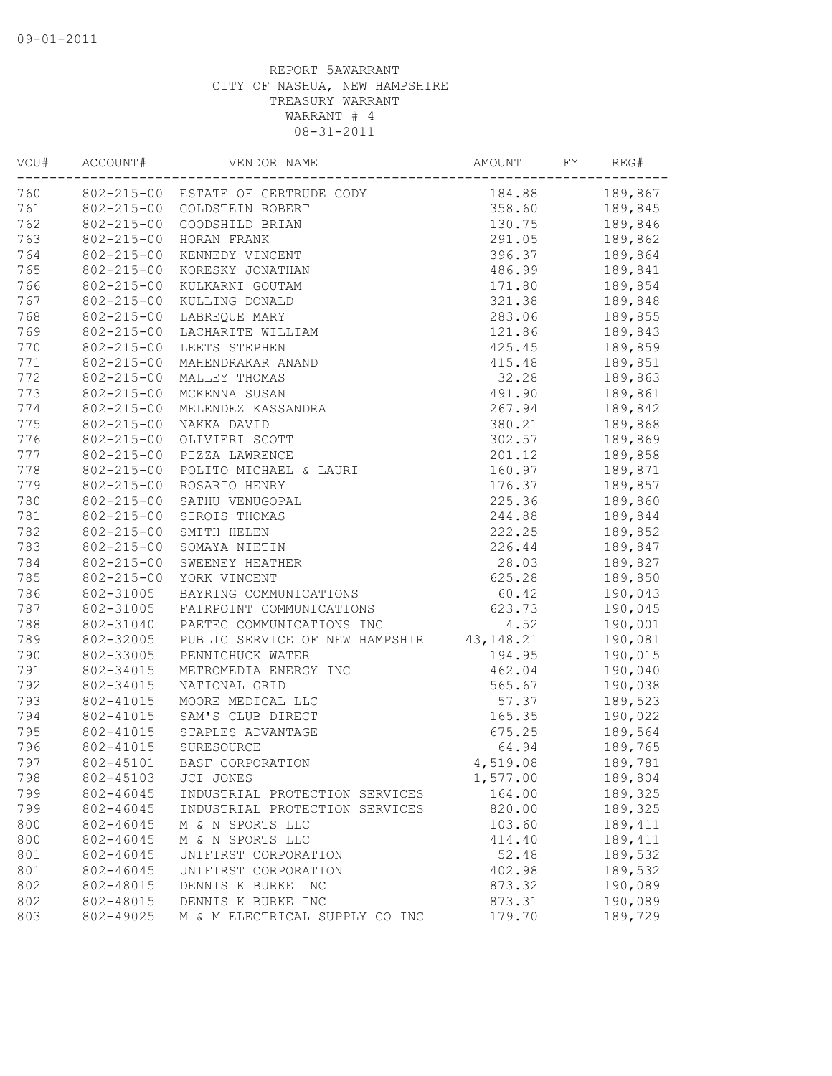| VOU# | ACCOUNT#         | VENDOR NAME                               |          | FY | REG#    |
|------|------------------|-------------------------------------------|----------|----|---------|
| 760  |                  | 802-215-00 ESTATE OF GERTRUDE CODY        | 184.88   |    | 189,867 |
| 761  | $802 - 215 - 00$ | GOLDSTEIN ROBERT                          | 358.60   |    | 189,845 |
| 762  | $802 - 215 - 00$ | GOODSHILD BRIAN                           | 130.75   |    | 189,846 |
| 763  | $802 - 215 - 00$ | HORAN FRANK                               | 291.05   |    | 189,862 |
| 764  | $802 - 215 - 00$ | KENNEDY VINCENT                           | 396.37   |    | 189,864 |
| 765  | $802 - 215 - 00$ | KORESKY JONATHAN                          | 486.99   |    | 189,841 |
| 766  | $802 - 215 - 00$ | KULKARNI GOUTAM                           | 171.80   |    | 189,854 |
| 767  | $802 - 215 - 00$ | KULLING DONALD                            | 321.38   |    | 189,848 |
| 768  | $802 - 215 - 00$ | LABREQUE MARY                             | 283.06   |    | 189,855 |
| 769  | $802 - 215 - 00$ | LACHARITE WILLIAM                         | 121.86   |    | 189,843 |
| 770  | $802 - 215 - 00$ | LEETS STEPHEN                             | 425.45   |    | 189,859 |
| 771  | $802 - 215 - 00$ | MAHENDRAKAR ANAND                         | 415.48   |    | 189,851 |
| 772  | $802 - 215 - 00$ | MALLEY THOMAS                             | 32.28    |    | 189,863 |
| 773  | $802 - 215 - 00$ | MCKENNA SUSAN                             | 491.90   |    | 189,861 |
| 774  | $802 - 215 - 00$ | MELENDEZ KASSANDRA                        | 267.94   |    | 189,842 |
| 775  | $802 - 215 - 00$ | NAKKA DAVID                               | 380.21   |    | 189,868 |
| 776  | $802 - 215 - 00$ | OLIVIERI SCOTT                            | 302.57   |    | 189,869 |
| 777  | $802 - 215 - 00$ | PIZZA LAWRENCE                            | 201.12   |    | 189,858 |
| 778  | $802 - 215 - 00$ | POLITO MICHAEL & LAURI                    | 160.97   |    | 189,871 |
| 779  | $802 - 215 - 00$ | ROSARIO HENRY                             | 176.37   |    | 189,857 |
| 780  | $802 - 215 - 00$ | SATHU VENUGOPAL                           | 225.36   |    | 189,860 |
| 781  | $802 - 215 - 00$ | SIROIS THOMAS                             | 244.88   |    | 189,844 |
| 782  | $802 - 215 - 00$ | SMITH HELEN                               | 222.25   |    | 189,852 |
| 783  | $802 - 215 - 00$ | SOMAYA NIETIN                             | 226.44   |    | 189,847 |
| 784  | $802 - 215 - 00$ | SWEENEY HEATHER                           | 28.03    |    | 189,827 |
| 785  | $802 - 215 - 00$ | YORK VINCENT                              | 625.28   |    | 189,850 |
| 786  | 802-31005        | BAYRING COMMUNICATIONS                    | 60.42    |    | 190,043 |
| 787  |                  | 802-31005 FAIRPOINT COMMUNICATIONS        | 623.73   |    | 190,045 |
| 788  |                  | 802-31040 PAETEC COMMUNICATIONS INC       | 4.52     |    | 190,001 |
| 789  | 802-32005        | PUBLIC SERVICE OF NEW HAMPSHIR 43, 148.21 |          |    | 190,081 |
| 790  | 802-33005        | PENNICHUCK WATER                          | 194.95   |    | 190,015 |
| 791  | 802-34015        | METROMEDIA ENERGY INC                     | 462.04   |    | 190,040 |
| 792  | 802-34015        | NATIONAL GRID                             | 565.67   |    | 190,038 |
| 793  | 802-41015        | MOORE MEDICAL LLC                         | 57.37    |    | 189,523 |
| 794  | 802-41015        | SAM'S CLUB DIRECT                         | 165.35   |    | 190,022 |
| 795  | 802-41015        | STAPLES ADVANTAGE                         | 675.25   |    | 189,564 |
| 796  | 802-41015        | SURESOURCE                                | 64.94    |    | 189,765 |
| 797  | 802-45101        | BASF CORPORATION                          | 4,519.08 |    | 189,781 |
| 798  | 802-45103        | JCI JONES                                 | 1,577.00 |    | 189,804 |
| 799  | 802-46045        | INDUSTRIAL PROTECTION SERVICES            | 164.00   |    | 189,325 |
| 799  | 802-46045        | INDUSTRIAL PROTECTION SERVICES            | 820.00   |    | 189,325 |
| 800  | 802-46045        | M & N SPORTS LLC                          | 103.60   |    | 189,411 |
| 800  | 802-46045        | M & N SPORTS LLC                          | 414.40   |    | 189,411 |
| 801  | 802-46045        | UNIFIRST CORPORATION                      | 52.48    |    | 189,532 |
| 801  | 802-46045        | UNIFIRST CORPORATION                      | 402.98   |    | 189,532 |
| 802  | 802-48015        | DENNIS K BURKE INC                        | 873.32   |    | 190,089 |
| 802  | 802-48015        | DENNIS K BURKE INC                        | 873.31   |    | 190,089 |
| 803  | 802-49025        | M & M ELECTRICAL SUPPLY CO INC            | 179.70   |    | 189,729 |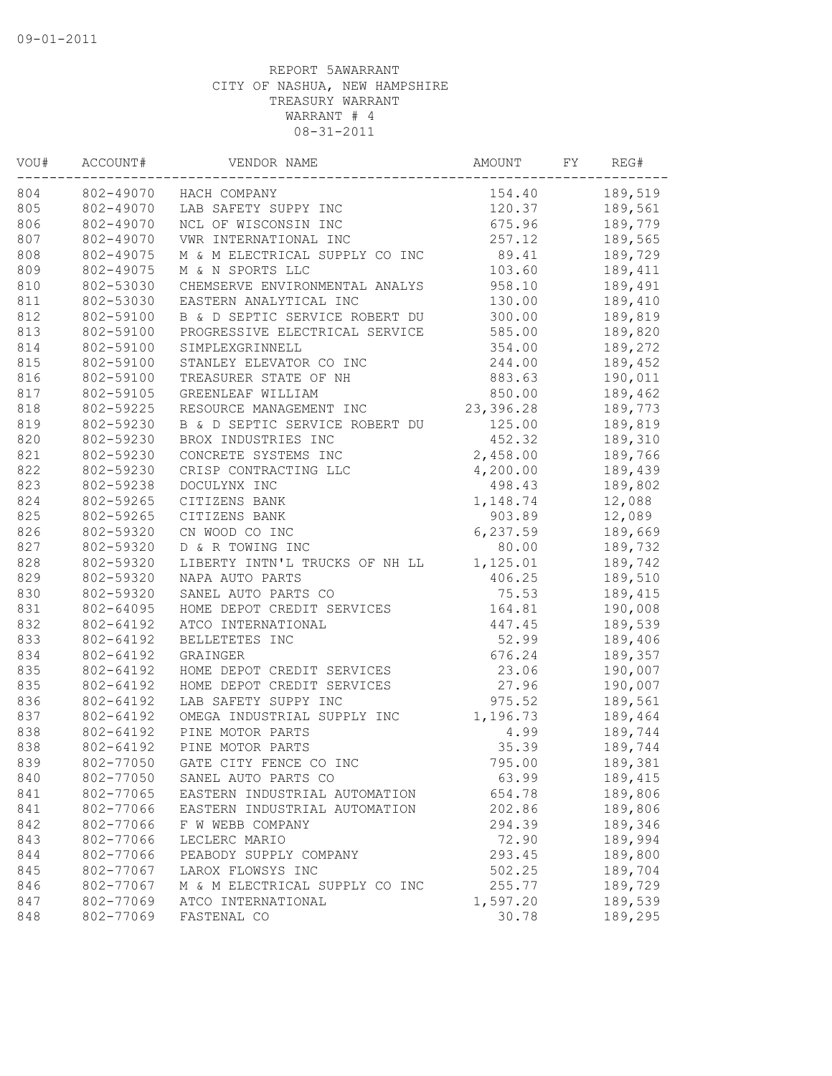| VOU#<br>ACCOUNT#<br>804 |           | VENDOR NAME                    |           | FY | REG#    |  |
|-------------------------|-----------|--------------------------------|-----------|----|---------|--|
|                         |           | 802-49070 HACH COMPANY         | 154.40    |    | 189,519 |  |
| 805                     | 802-49070 | LAB SAFETY SUPPY INC           | 120.37    |    | 189,561 |  |
| 806                     | 802-49070 | NCL OF WISCONSIN INC           | 675.96    |    | 189,779 |  |
| 807                     | 802-49070 | VWR INTERNATIONAL INC          | 257.12    |    | 189,565 |  |
| 808                     | 802-49075 | M & M ELECTRICAL SUPPLY CO INC | 89.41     |    | 189,729 |  |
| 809                     | 802-49075 | M & N SPORTS LLC               | 103.60    |    | 189,411 |  |
| 810                     | 802-53030 | CHEMSERVE ENVIRONMENTAL ANALYS | 958.10    |    | 189,491 |  |
| 811                     | 802-53030 | EASTERN ANALYTICAL INC         | 130.00    |    | 189,410 |  |
| 812                     | 802-59100 | B & D SEPTIC SERVICE ROBERT DU | 300.00    |    | 189,819 |  |
| 813                     | 802-59100 | PROGRESSIVE ELECTRICAL SERVICE | 585.00    |    | 189,820 |  |
| 814                     | 802-59100 | SIMPLEXGRINNELL                | 354.00    |    | 189,272 |  |
| 815                     | 802-59100 | STANLEY ELEVATOR CO INC        | 244.00    |    | 189,452 |  |
| 816                     | 802-59100 | TREASURER STATE OF NH          | 883.63    |    | 190,011 |  |
| 817                     | 802-59105 | GREENLEAF WILLIAM              | 850.00    |    | 189,462 |  |
| 818                     | 802-59225 | RESOURCE MANAGEMENT INC        | 23,396.28 |    | 189,773 |  |
| 819                     | 802-59230 | B & D SEPTIC SERVICE ROBERT DU | 125.00    |    | 189,819 |  |
| 820                     | 802-59230 | BROX INDUSTRIES INC            | 452.32    |    | 189,310 |  |
| 821                     | 802-59230 | CONCRETE SYSTEMS INC           | 2,458.00  |    | 189,766 |  |
| 822                     | 802-59230 | CRISP CONTRACTING LLC          | 4,200.00  |    | 189,439 |  |
| 823                     | 802-59238 | DOCULYNX INC                   | 498.43    |    | 189,802 |  |
| 824                     | 802-59265 | CITIZENS BANK                  | 1,148.74  |    | 12,088  |  |
| 825                     | 802-59265 | CITIZENS BANK                  | 903.89    |    | 12,089  |  |
| 826                     | 802-59320 | CN WOOD CO INC                 | 6,237.59  |    | 189,669 |  |
| 827                     | 802-59320 | D & R TOWING INC               | 80.00     |    | 189,732 |  |
| 828                     | 802-59320 | LIBERTY INTN'L TRUCKS OF NH LL | 1,125.01  |    | 189,742 |  |
| 829                     | 802-59320 | NAPA AUTO PARTS                | 406.25    |    | 189,510 |  |
| 830                     | 802-59320 | SANEL AUTO PARTS CO            | 75.53     |    | 189,415 |  |
| 831                     | 802-64095 | HOME DEPOT CREDIT SERVICES     | 164.81    |    | 190,008 |  |
| 832                     | 802-64192 | ATCO INTERNATIONAL             | 447.45    |    | 189,539 |  |
| 833                     | 802-64192 | BELLETETES INC                 | 52.99     |    | 189,406 |  |
| 834                     | 802-64192 | GRAINGER                       | 676.24    |    | 189,357 |  |
| 835                     | 802-64192 | HOME DEPOT CREDIT SERVICES     | 23.06     |    | 190,007 |  |
| 835                     | 802-64192 | HOME DEPOT CREDIT SERVICES     | 27.96     |    | 190,007 |  |
| 836                     | 802-64192 | LAB SAFETY SUPPY INC           | 975.52    |    | 189,561 |  |
| 837                     | 802-64192 | OMEGA INDUSTRIAL SUPPLY INC    | 1,196.73  |    | 189,464 |  |
| 838                     | 802-64192 | PINE MOTOR PARTS               | 4.99      |    | 189,744 |  |
| 838                     | 802-64192 | PINE MOTOR PARTS               | 35.39     |    | 189,744 |  |
| 839                     | 802-77050 | GATE CITY FENCE CO INC         | 795.00    |    | 189,381 |  |
| 840                     | 802-77050 | SANEL AUTO PARTS CO            | 63.99     |    | 189,415 |  |
| 841                     | 802-77065 | EASTERN INDUSTRIAL AUTOMATION  | 654.78    |    | 189,806 |  |
| 841                     | 802-77066 | EASTERN INDUSTRIAL AUTOMATION  | 202.86    |    | 189,806 |  |
| 842                     | 802-77066 | F W WEBB COMPANY               | 294.39    |    | 189,346 |  |
| 843                     | 802-77066 | LECLERC MARIO                  | 72.90     |    | 189,994 |  |
| 844                     | 802-77066 | PEABODY SUPPLY COMPANY         | 293.45    |    | 189,800 |  |
| 845                     | 802-77067 | LAROX FLOWSYS INC              | 502.25    |    | 189,704 |  |
| 846                     | 802-77067 | M & M ELECTRICAL SUPPLY CO INC | 255.77    |    | 189,729 |  |
| 847                     | 802-77069 | ATCO INTERNATIONAL             | 1,597.20  |    | 189,539 |  |
| 848                     | 802-77069 | FASTENAL CO                    | 30.78     |    | 189,295 |  |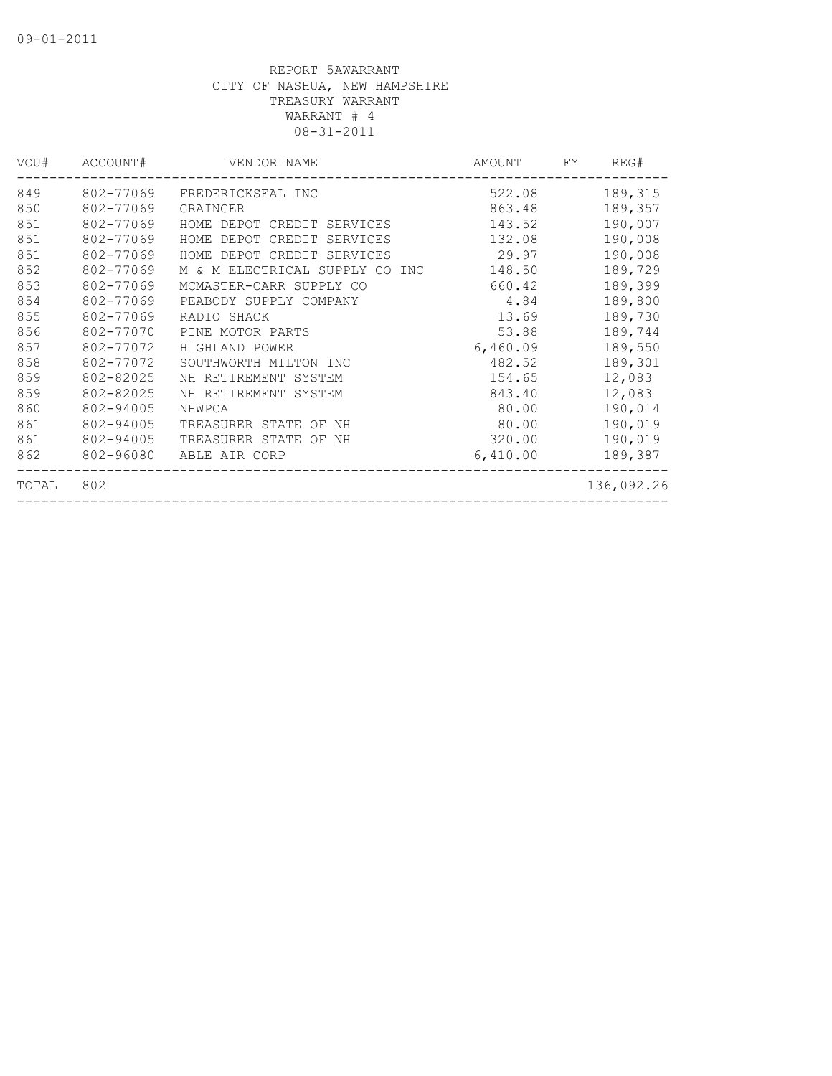| VOU#  | ACCOUNT#  | VENDOR NAME                    | AMOUNT   | FY | REG#       |
|-------|-----------|--------------------------------|----------|----|------------|
| 849   | 802-77069 | FREDERICKSEAL INC              | 522.08   |    | 189,315    |
| 850   | 802-77069 | GRAINGER                       | 863.48   |    | 189,357    |
| 851   | 802-77069 | HOME DEPOT CREDIT SERVICES     | 143.52   |    | 190,007    |
| 851   | 802-77069 | HOME DEPOT CREDIT SERVICES     | 132.08   |    | 190,008    |
| 851   | 802-77069 | HOME DEPOT CREDIT SERVICES     | 29.97    |    | 190,008    |
| 852   | 802-77069 | M & M ELECTRICAL SUPPLY CO INC | 148.50   |    | 189,729    |
| 853   | 802-77069 | MCMASTER-CARR SUPPLY CO        | 660.42   |    | 189,399    |
| 854   | 802-77069 | PEABODY SUPPLY COMPANY         | 4.84     |    | 189,800    |
| 855   | 802-77069 | RADIO SHACK                    | 13.69    |    | 189,730    |
| 856   | 802-77070 | PINE MOTOR PARTS               | 53.88    |    | 189,744    |
| 857   | 802-77072 | HIGHLAND POWER                 | 6,460.09 |    | 189,550    |
| 858   | 802-77072 | SOUTHWORTH MILTON INC          | 482.52   |    | 189,301    |
| 859   | 802-82025 | NH RETIREMENT SYSTEM           | 154.65   |    | 12,083     |
| 859   | 802-82025 | NH RETIREMENT SYSTEM           | 843.40   |    | 12,083     |
| 860   | 802-94005 | NHWPCA                         | 80.00    |    | 190,014    |
| 861   | 802-94005 | TREASURER STATE OF NH          | 80.00    |    | 190,019    |
| 861   | 802-94005 | TREASURER STATE OF NH          | 320.00   |    | 190,019    |
| 862   | 802-96080 | ABLE AIR CORP                  | 6,410.00 |    | 189,387    |
| TOTAL | 802       |                                |          |    | 136,092.26 |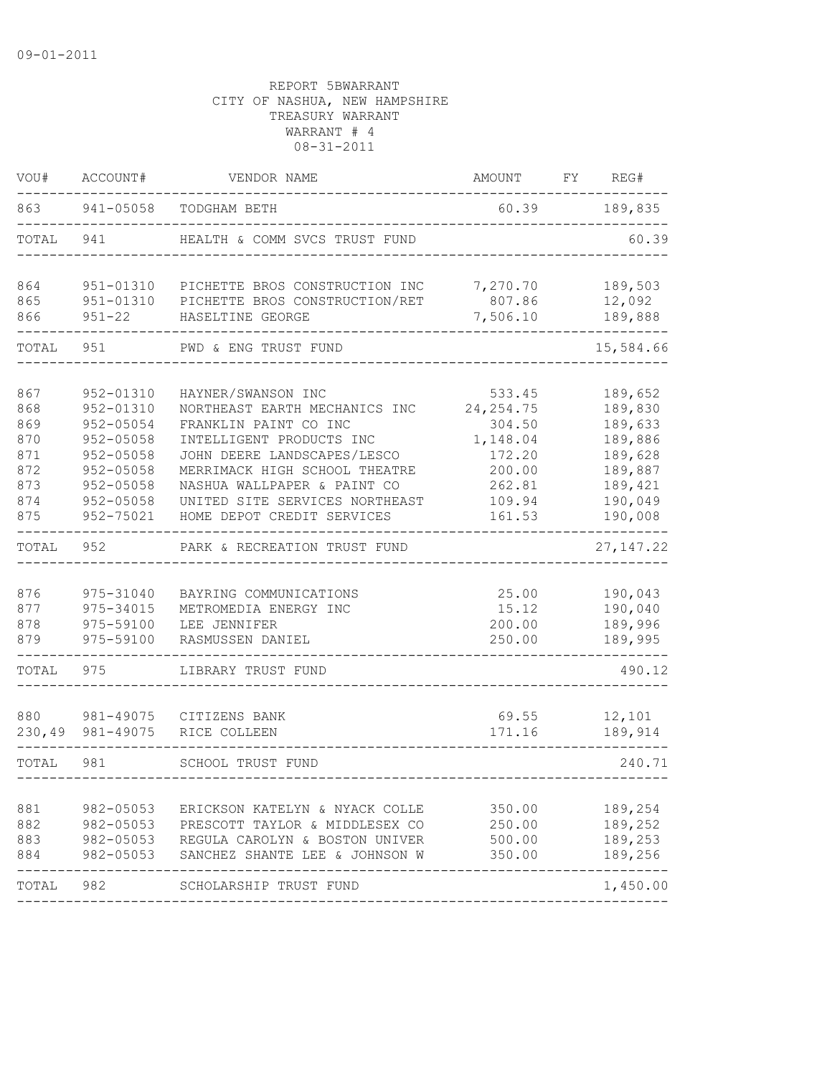| VOU#       | ACCOUNT#                | VENDOR NAME                                        | AMOUNT             | FY | REG#              |  |
|------------|-------------------------|----------------------------------------------------|--------------------|----|-------------------|--|
| 863        | 941-05058               | TODGHAM BETH                                       | 60.39              |    | 189,835           |  |
| TOTAL      | 941                     | HEALTH & COMM SVCS TRUST FUND                      |                    |    | 60.39             |  |
| 864        | 951-01310               | PICHETTE BROS CONSTRUCTION INC                     | 7,270.70           |    | 189,503           |  |
| 865<br>866 | 951-01310<br>$951 - 22$ | PICHETTE BROS CONSTRUCTION/RET<br>HASELTINE GEORGE | 807.86<br>7,506.10 |    | 12,092<br>189,888 |  |
| TOTAL      | 951                     | PWD & ENG TRUST FUND                               |                    |    | 15,584.66         |  |
| 867        | 952-01310               | HAYNER/SWANSON INC                                 | 533.45             |    | 189,652           |  |
| 868        | 952-01310               | NORTHEAST EARTH MECHANICS INC                      | 24, 254.75         |    | 189,830           |  |
| 869        | 952-05054               | FRANKLIN PAINT CO INC                              | 304.50             |    | 189,633           |  |
| 870        | $952 - 05058$           | INTELLIGENT PRODUCTS INC                           | 1,148.04           |    | 189,886           |  |
| 871        | $952 - 05058$           | JOHN DEERE LANDSCAPES/LESCO                        | 172.20             |    | 189,628           |  |
| 872        | 952-05058               | MERRIMACK HIGH SCHOOL THEATRE                      | 200.00             |    | 189,887           |  |
| 873        | 952-05058               | NASHUA WALLPAPER & PAINT CO                        | 262.81             |    | 189,421           |  |
| 874        | $952 - 05058$           | UNITED SITE SERVICES NORTHEAST                     | 109.94             |    | 190,049           |  |
| 875        | 952-75021               | HOME DEPOT CREDIT SERVICES                         | 161.53             |    | 190,008           |  |
| TOTAL      | 952                     | PARK & RECREATION TRUST FUND                       |                    |    | 27, 147.22        |  |
| 876        | 975-31040               | BAYRING COMMUNICATIONS                             | 25.00              |    | 190,043           |  |
| 877        | 975-34015               | METROMEDIA ENERGY INC                              | 15.12              |    | 190,040           |  |
| 878        | 975-59100               | LEE JENNIFER                                       |                    |    | 189,996           |  |
| 879        | 975-59100               | RASMUSSEN DANIEL                                   | 200.00<br>250.00   |    | 189,995           |  |
| TOTAL      | 975                     | LIBRARY TRUST FUND                                 |                    |    | 490.12            |  |
|            |                         |                                                    |                    |    |                   |  |
| 880        | 981-49075               | CITIZENS BANK                                      | 69.55              |    | 12,101            |  |
| 230,49     | 981-49075               | RICE COLLEEN                                       | 171.16             |    | 189,914           |  |
| TOTAL      | 981                     | <b>SCHOOL TRUST FUND</b>                           |                    |    | 240.71            |  |
| 881        | 982-05053               | ERICKSON KATELYN & NYACK COLLE                     | 350.00             |    | 189,254           |  |
| 882        | $982 - 05053$           | PRESCOTT TAYLOR & MIDDLESEX CO                     | 250.00             |    | 189,252           |  |
| 883        |                         | 982-05053 REGULA CAROLYN & BOSTON UNIVER           | 500.00             |    | 189,253           |  |
| 884        | 982-05053               | SANCHEZ SHANTE LEE & JOHNSON W                     | 350.00             |    | 189,256           |  |
| TOTAL 982  |                         | SCHOLARSHIP TRUST FUND                             |                    |    | 1,450.00          |  |
|            |                         |                                                    |                    |    |                   |  |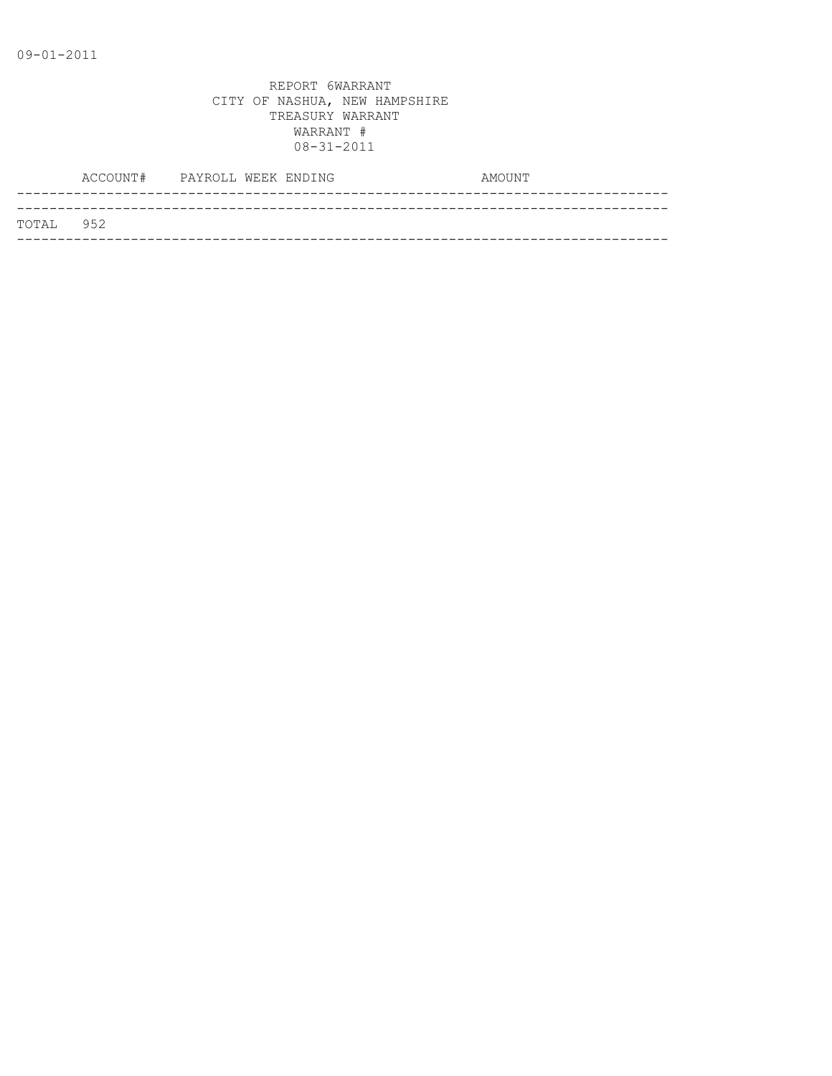|           | ACCOUNT# PAYROLL WEEK ENDING |  |  | AMOUNT |
|-----------|------------------------------|--|--|--------|
|           |                              |  |  |        |
| TOTAL 952 |                              |  |  |        |
|           |                              |  |  |        |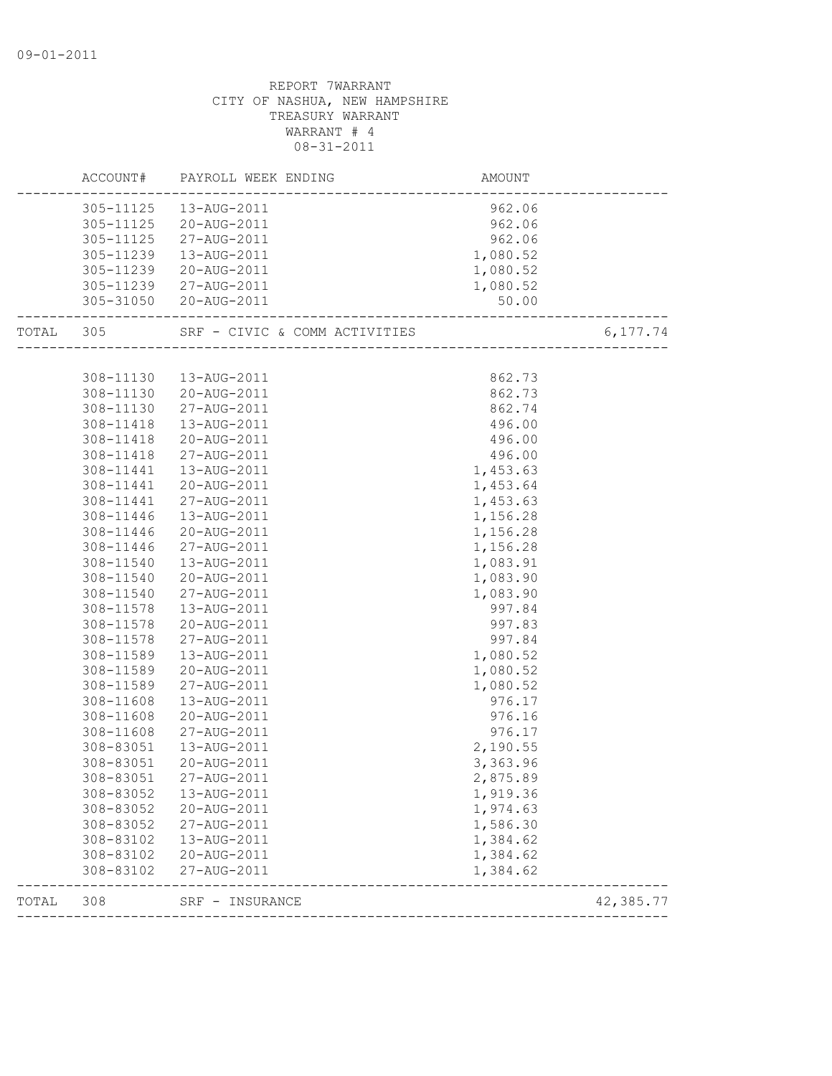| ACCOUNT#  | PAYROLL WEEK ENDING                                                                                                                                                                                                                                                                                                                                                                                | <b>AMOUNT</b>                                                                                                                                                                                                                                                                                                                                                                                                                                                                                                                                                                                                         |                                                                                                                                                                                                                                                                                                                                                                               |
|-----------|----------------------------------------------------------------------------------------------------------------------------------------------------------------------------------------------------------------------------------------------------------------------------------------------------------------------------------------------------------------------------------------------------|-----------------------------------------------------------------------------------------------------------------------------------------------------------------------------------------------------------------------------------------------------------------------------------------------------------------------------------------------------------------------------------------------------------------------------------------------------------------------------------------------------------------------------------------------------------------------------------------------------------------------|-------------------------------------------------------------------------------------------------------------------------------------------------------------------------------------------------------------------------------------------------------------------------------------------------------------------------------------------------------------------------------|
|           |                                                                                                                                                                                                                                                                                                                                                                                                    | 962.06                                                                                                                                                                                                                                                                                                                                                                                                                                                                                                                                                                                                                |                                                                                                                                                                                                                                                                                                                                                                               |
|           |                                                                                                                                                                                                                                                                                                                                                                                                    | 962.06                                                                                                                                                                                                                                                                                                                                                                                                                                                                                                                                                                                                                |                                                                                                                                                                                                                                                                                                                                                                               |
| 305-11125 | 27-AUG-2011                                                                                                                                                                                                                                                                                                                                                                                        | 962.06                                                                                                                                                                                                                                                                                                                                                                                                                                                                                                                                                                                                                |                                                                                                                                                                                                                                                                                                                                                                               |
| 305-11239 | 13-AUG-2011                                                                                                                                                                                                                                                                                                                                                                                        | 1,080.52                                                                                                                                                                                                                                                                                                                                                                                                                                                                                                                                                                                                              |                                                                                                                                                                                                                                                                                                                                                                               |
| 305-11239 | 20-AUG-2011                                                                                                                                                                                                                                                                                                                                                                                        | 1,080.52                                                                                                                                                                                                                                                                                                                                                                                                                                                                                                                                                                                                              |                                                                                                                                                                                                                                                                                                                                                                               |
|           |                                                                                                                                                                                                                                                                                                                                                                                                    | 1,080.52                                                                                                                                                                                                                                                                                                                                                                                                                                                                                                                                                                                                              |                                                                                                                                                                                                                                                                                                                                                                               |
|           |                                                                                                                                                                                                                                                                                                                                                                                                    |                                                                                                                                                                                                                                                                                                                                                                                                                                                                                                                                                                                                                       |                                                                                                                                                                                                                                                                                                                                                                               |
| TOTAL 305 |                                                                                                                                                                                                                                                                                                                                                                                                    |                                                                                                                                                                                                                                                                                                                                                                                                                                                                                                                                                                                                                       | 6,177.74                                                                                                                                                                                                                                                                                                                                                                      |
|           |                                                                                                                                                                                                                                                                                                                                                                                                    |                                                                                                                                                                                                                                                                                                                                                                                                                                                                                                                                                                                                                       |                                                                                                                                                                                                                                                                                                                                                                               |
|           |                                                                                                                                                                                                                                                                                                                                                                                                    |                                                                                                                                                                                                                                                                                                                                                                                                                                                                                                                                                                                                                       |                                                                                                                                                                                                                                                                                                                                                                               |
|           |                                                                                                                                                                                                                                                                                                                                                                                                    |                                                                                                                                                                                                                                                                                                                                                                                                                                                                                                                                                                                                                       |                                                                                                                                                                                                                                                                                                                                                                               |
|           |                                                                                                                                                                                                                                                                                                                                                                                                    |                                                                                                                                                                                                                                                                                                                                                                                                                                                                                                                                                                                                                       |                                                                                                                                                                                                                                                                                                                                                                               |
|           |                                                                                                                                                                                                                                                                                                                                                                                                    |                                                                                                                                                                                                                                                                                                                                                                                                                                                                                                                                                                                                                       |                                                                                                                                                                                                                                                                                                                                                                               |
|           |                                                                                                                                                                                                                                                                                                                                                                                                    |                                                                                                                                                                                                                                                                                                                                                                                                                                                                                                                                                                                                                       |                                                                                                                                                                                                                                                                                                                                                                               |
|           |                                                                                                                                                                                                                                                                                                                                                                                                    |                                                                                                                                                                                                                                                                                                                                                                                                                                                                                                                                                                                                                       |                                                                                                                                                                                                                                                                                                                                                                               |
|           |                                                                                                                                                                                                                                                                                                                                                                                                    |                                                                                                                                                                                                                                                                                                                                                                                                                                                                                                                                                                                                                       |                                                                                                                                                                                                                                                                                                                                                                               |
|           |                                                                                                                                                                                                                                                                                                                                                                                                    |                                                                                                                                                                                                                                                                                                                                                                                                                                                                                                                                                                                                                       |                                                                                                                                                                                                                                                                                                                                                                               |
|           |                                                                                                                                                                                                                                                                                                                                                                                                    |                                                                                                                                                                                                                                                                                                                                                                                                                                                                                                                                                                                                                       |                                                                                                                                                                                                                                                                                                                                                                               |
|           |                                                                                                                                                                                                                                                                                                                                                                                                    |                                                                                                                                                                                                                                                                                                                                                                                                                                                                                                                                                                                                                       |                                                                                                                                                                                                                                                                                                                                                                               |
|           |                                                                                                                                                                                                                                                                                                                                                                                                    |                                                                                                                                                                                                                                                                                                                                                                                                                                                                                                                                                                                                                       |                                                                                                                                                                                                                                                                                                                                                                               |
|           |                                                                                                                                                                                                                                                                                                                                                                                                    |                                                                                                                                                                                                                                                                                                                                                                                                                                                                                                                                                                                                                       |                                                                                                                                                                                                                                                                                                                                                                               |
|           |                                                                                                                                                                                                                                                                                                                                                                                                    |                                                                                                                                                                                                                                                                                                                                                                                                                                                                                                                                                                                                                       |                                                                                                                                                                                                                                                                                                                                                                               |
|           |                                                                                                                                                                                                                                                                                                                                                                                                    |                                                                                                                                                                                                                                                                                                                                                                                                                                                                                                                                                                                                                       |                                                                                                                                                                                                                                                                                                                                                                               |
|           |                                                                                                                                                                                                                                                                                                                                                                                                    |                                                                                                                                                                                                                                                                                                                                                                                                                                                                                                                                                                                                                       |                                                                                                                                                                                                                                                                                                                                                                               |
|           |                                                                                                                                                                                                                                                                                                                                                                                                    |                                                                                                                                                                                                                                                                                                                                                                                                                                                                                                                                                                                                                       |                                                                                                                                                                                                                                                                                                                                                                               |
|           |                                                                                                                                                                                                                                                                                                                                                                                                    |                                                                                                                                                                                                                                                                                                                                                                                                                                                                                                                                                                                                                       |                                                                                                                                                                                                                                                                                                                                                                               |
|           |                                                                                                                                                                                                                                                                                                                                                                                                    |                                                                                                                                                                                                                                                                                                                                                                                                                                                                                                                                                                                                                       |                                                                                                                                                                                                                                                                                                                                                                               |
|           |                                                                                                                                                                                                                                                                                                                                                                                                    |                                                                                                                                                                                                                                                                                                                                                                                                                                                                                                                                                                                                                       |                                                                                                                                                                                                                                                                                                                                                                               |
|           |                                                                                                                                                                                                                                                                                                                                                                                                    |                                                                                                                                                                                                                                                                                                                                                                                                                                                                                                                                                                                                                       |                                                                                                                                                                                                                                                                                                                                                                               |
|           |                                                                                                                                                                                                                                                                                                                                                                                                    |                                                                                                                                                                                                                                                                                                                                                                                                                                                                                                                                                                                                                       |                                                                                                                                                                                                                                                                                                                                                                               |
|           |                                                                                                                                                                                                                                                                                                                                                                                                    |                                                                                                                                                                                                                                                                                                                                                                                                                                                                                                                                                                                                                       |                                                                                                                                                                                                                                                                                                                                                                               |
|           |                                                                                                                                                                                                                                                                                                                                                                                                    |                                                                                                                                                                                                                                                                                                                                                                                                                                                                                                                                                                                                                       |                                                                                                                                                                                                                                                                                                                                                                               |
|           |                                                                                                                                                                                                                                                                                                                                                                                                    |                                                                                                                                                                                                                                                                                                                                                                                                                                                                                                                                                                                                                       |                                                                                                                                                                                                                                                                                                                                                                               |
|           |                                                                                                                                                                                                                                                                                                                                                                                                    |                                                                                                                                                                                                                                                                                                                                                                                                                                                                                                                                                                                                                       |                                                                                                                                                                                                                                                                                                                                                                               |
|           |                                                                                                                                                                                                                                                                                                                                                                                                    |                                                                                                                                                                                                                                                                                                                                                                                                                                                                                                                                                                                                                       |                                                                                                                                                                                                                                                                                                                                                                               |
|           |                                                                                                                                                                                                                                                                                                                                                                                                    |                                                                                                                                                                                                                                                                                                                                                                                                                                                                                                                                                                                                                       |                                                                                                                                                                                                                                                                                                                                                                               |
|           |                                                                                                                                                                                                                                                                                                                                                                                                    |                                                                                                                                                                                                                                                                                                                                                                                                                                                                                                                                                                                                                       |                                                                                                                                                                                                                                                                                                                                                                               |
|           |                                                                                                                                                                                                                                                                                                                                                                                                    |                                                                                                                                                                                                                                                                                                                                                                                                                                                                                                                                                                                                                       |                                                                                                                                                                                                                                                                                                                                                                               |
|           |                                                                                                                                                                                                                                                                                                                                                                                                    |                                                                                                                                                                                                                                                                                                                                                                                                                                                                                                                                                                                                                       |                                                                                                                                                                                                                                                                                                                                                                               |
|           |                                                                                                                                                                                                                                                                                                                                                                                                    |                                                                                                                                                                                                                                                                                                                                                                                                                                                                                                                                                                                                                       |                                                                                                                                                                                                                                                                                                                                                                               |
| 308-83102 | 27-AUG-2011                                                                                                                                                                                                                                                                                                                                                                                        | 1,384.62                                                                                                                                                                                                                                                                                                                                                                                                                                                                                                                                                                                                              |                                                                                                                                                                                                                                                                                                                                                                               |
| 308       | SRF - INSURANCE                                                                                                                                                                                                                                                                                                                                                                                    |                                                                                                                                                                                                                                                                                                                                                                                                                                                                                                                                                                                                                       | 42,385.77                                                                                                                                                                                                                                                                                                                                                                     |
|           | 308-11130<br>308-11130<br>308-11418<br>308-11418<br>308-11418<br>308-11441<br>308-11441<br>308-11441<br>308-11446<br>308-11446<br>308-11446<br>308-11540<br>308-11540<br>308-11540<br>308-11578<br>308-11578<br>308-11578<br>308-11589<br>308-11589<br>308-11589<br>308-11608<br>308-11608<br>308-11608<br>308-83051<br>308-83051<br>308-83052<br>308-83052<br>308-83052<br>308-83102<br>308-83102 | 305-11125  13-AUG-2011<br>305-11125 20-AUG-2011<br>305-11239 27-AUG-2011<br>305-31050 20-AUG-2011<br>13-AUG-2011<br>308-11130 20-AUG-2011<br>27-AUG-2011<br>13-AUG-2011<br>20-AUG-2011<br>27-AUG-2011<br>13-AUG-2011<br>20-AUG-2011<br>27-AUG-2011<br>13-AUG-2011<br>20-AUG-2011<br>27-AUG-2011<br>13-AUG-2011<br>20-AUG-2011<br>27-AUG-2011<br>13-AUG-2011<br>20-AUG-2011<br>27-AUG-2011<br>13-AUG-2011<br>20-AUG-2011<br>27-AUG-2011<br>13-AUG-2011<br>20-AUG-2011<br>27-AUG-2011<br>13-AUG-2011<br>20-AUG-2011<br>308-83051 27-AUG-2011<br>13-AUG-2011<br>20-AUG-2011<br>27-AUG-2011<br>13-AUG-2011<br>20-AUG-2011 | 50.00<br>862.73<br>862.73<br>862.74<br>496.00<br>496.00<br>496.00<br>1,453.63<br>1,453.64<br>1,453.63<br>1,156.28<br>1,156.28<br>1,156.28<br>1,083.91<br>1,083.90<br>1,083.90<br>997.84<br>997.83<br>997.84<br>1,080.52<br>1,080.52<br>1,080.52<br>976.17<br>976.16<br>976.17<br>2,190.55<br>3,363.96<br>2,875.89<br>1,919.36<br>1,974.63<br>1,586.30<br>1,384.62<br>1,384.62 |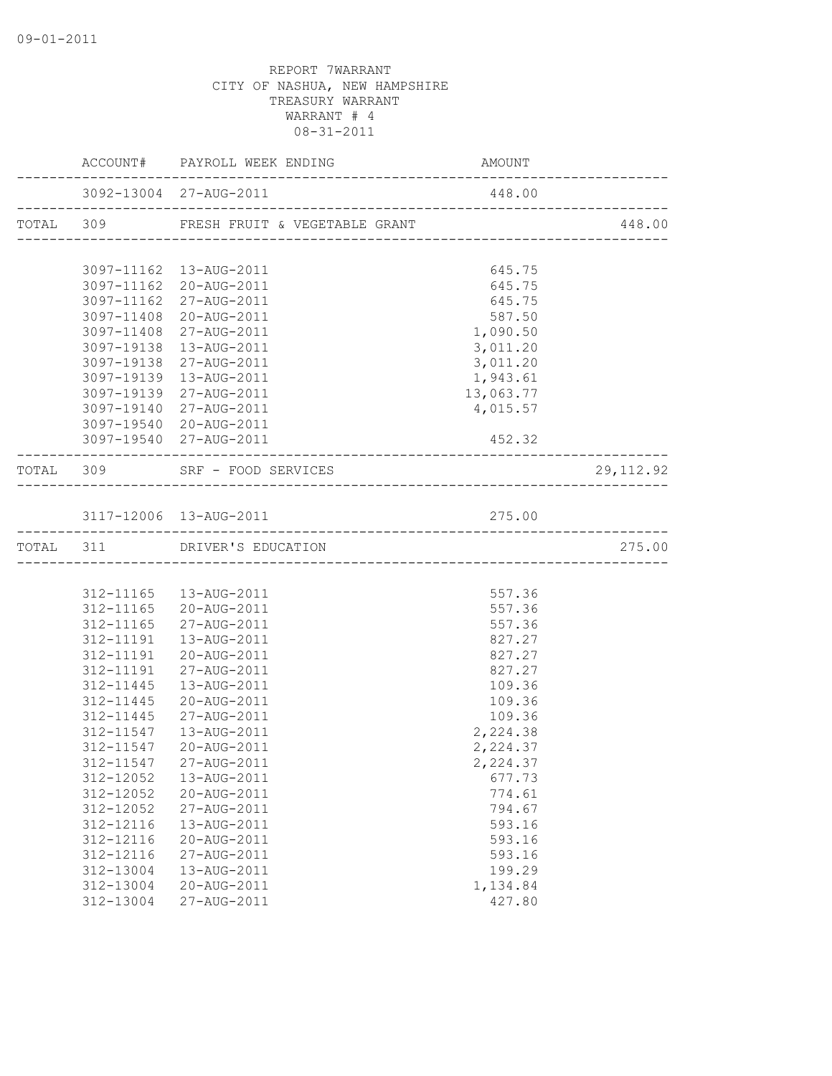|                        | ACCOUNT# PAYROLL WEEK ENDING                     | AMOUNT               |            |
|------------------------|--------------------------------------------------|----------------------|------------|
|                        | 3092-13004 27-AUG-2011                           | 448.00               |            |
|                        | TOTAL 309 FRESH FRUIT & VEGETABLE GRANT          |                      | 448.00     |
|                        |                                                  |                      |            |
|                        | 3097-11162  13-AUG-2011                          | 645.75               |            |
|                        | 3097-11162 20-AUG-2011                           | 645.75               |            |
|                        | 3097-11162 27-AUG-2011<br>3097-11408 20-AUG-2011 | 645.75<br>587.50     |            |
|                        | 3097-11408 27-AUG-2011                           | 1,090.50             |            |
|                        | 3097-19138 13-AUG-2011                           |                      |            |
| 3097-19138             | 27-AUG-2011                                      | 3,011.20<br>3,011.20 |            |
| 3097-19139             | 13-AUG-2011                                      | 1,943.61             |            |
|                        | 3097-19139 27-AUG-2011                           | 13,063.77            |            |
|                        | 3097-19140 27-AUG-2011                           | 4,015.57             |            |
|                        | 3097-19540 20-AUG-2011                           |                      |            |
|                        | 3097-19540 27-AUG-2011                           | 452.32               |            |
|                        | TOTAL 309 SRF - FOOD SERVICES                    |                      | 29, 112.92 |
|                        | _____________________________                    |                      |            |
|                        | 3117-12006 13-AUG-2011                           | 275.00               |            |
|                        | TOTAL 311 DRIVER'S EDUCATION                     |                      | 275.00     |
|                        |                                                  |                      |            |
|                        |                                                  |                      |            |
|                        | 312-11165   13-AUG-2011                          | 557.36               |            |
|                        | 312-11165 20-AUG-2011                            | 557.36               |            |
| 312-11165              | 27-AUG-2011                                      | 557.36               |            |
| 312-11191              | 13-AUG-2011                                      | 827.27               |            |
|                        | 312-11191  20-AUG-2011                           | 827.27               |            |
| 312-11191              | 27-AUG-2011                                      | 827.27               |            |
| 312-11445              | 13-AUG-2011                                      | 109.36               |            |
| 312-11445              | 20-AUG-2011                                      | 109.36               |            |
| 312-11445              | 27-AUG-2011                                      | 109.36               |            |
| 312-11547<br>312-11547 | 13-AUG-2011                                      | 2,224.38             |            |
|                        | 20-AUG-2011                                      | 2,224.37             |            |
|                        | 312-11547 27-AUG-2011                            | 2,224.37<br>677.73   |            |
| 312-12052              | 13-AUG-2011<br>20-AUG-2011                       |                      |            |
| 312-12052<br>312-12052 | 27-AUG-2011                                      | 774.61<br>794.67     |            |
| 312-12116              | 13-AUG-2011                                      | 593.16               |            |
| 312-12116              | 20-AUG-2011                                      | 593.16               |            |
| 312-12116              | 27-AUG-2011                                      | 593.16               |            |
| 312-13004              | 13-AUG-2011                                      | 199.29               |            |
| 312-13004              | 20-AUG-2011                                      | 1,134.84             |            |
| 312-13004              | 27-AUG-2011                                      | 427.80               |            |
|                        |                                                  |                      |            |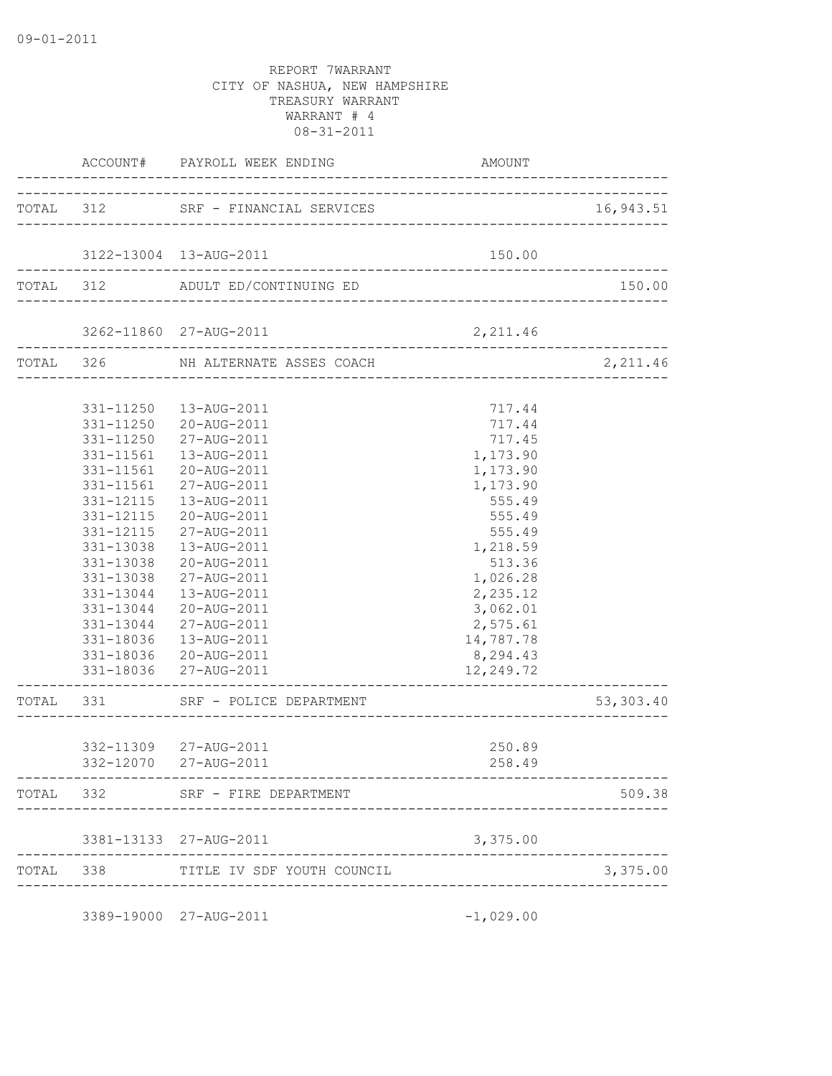|           | TOTAL 312 SRF - FINANCIAL SERVICES 16,943.51           |                                            |             |
|-----------|--------------------------------------------------------|--------------------------------------------|-------------|
|           | 3122-13004 13-AUG-2011                                 | 150.00                                     |             |
|           | TOTAL 312 ADULT ED/CONTINUING ED                       |                                            | 150.00      |
|           |                                                        |                                            |             |
|           | $3262-11860 \quad 27-{\text{AUG}-2011} \quad 2,211.46$ |                                            |             |
|           | TOTAL 326 NH ALTERNATE ASSES COACH                     |                                            | 2,211.46    |
|           |                                                        |                                            |             |
|           | 331-11250  13-AUG-2011                                 | 717.44                                     |             |
|           | 331-11250 20-AUG-2011                                  | 717.44                                     |             |
|           | 331-11250 27-AUG-2011                                  | 717.45                                     |             |
| 331-11561 | 13-AUG-2011                                            | 1,173.90                                   |             |
| 331-11561 | 20-AUG-2011                                            | 1,173.90                                   |             |
| 331-11561 | 27-AUG-2011                                            | 1,173.90                                   |             |
| 331-12115 | 13-AUG-2011                                            | 555.49                                     |             |
| 331-12115 | 20-AUG-2011                                            | 555.49                                     |             |
|           | 331-12115 27-AUG-2011                                  | 555.49                                     |             |
| 331-13038 | 13-AUG-2011                                            | 1,218.59                                   |             |
| 331-13038 | 20-AUG-2011                                            | 513.36                                     |             |
| 331-13038 | 27-AUG-2011                                            | 1,026.28                                   |             |
| 331-13044 | 13-AUG-2011                                            | 2,235.12                                   |             |
| 331-13044 | 20-AUG-2011                                            | 3,062.01                                   |             |
|           | 331-13044 27-AUG-2011                                  | 2,575.61                                   |             |
|           | 331-18036  13-AUG-2011                                 | 14,787.78                                  |             |
|           | 331-18036 20-AUG-2011                                  | 8,294.43                                   |             |
|           | 331-18036 27-AUG-2011                                  | 12,249.72<br>_____________________________ |             |
|           | TOTAL 331 SRF - POLICE DEPARTMENT                      |                                            | 53, 303. 40 |
|           |                                                        |                                            |             |
|           | 332-11309 27-AUG-2011                                  | 250.89                                     |             |
|           | 332-12070 27-AUG-2011                                  | 258.49                                     |             |
|           | TOTAL 332 SRF - FIRE DEPARTMENT                        |                                            | 509.38      |
|           | 3381-13133 27-AUG-2011                                 | 3,375.00                                   |             |
|           | TOTAL 338 TITLE IV SDF YOUTH COUNCIL                   |                                            | 3,375.00    |
|           |                                                        |                                            |             |
|           | 3389-19000 27-AUG-2011                                 | $-1,029.00$                                |             |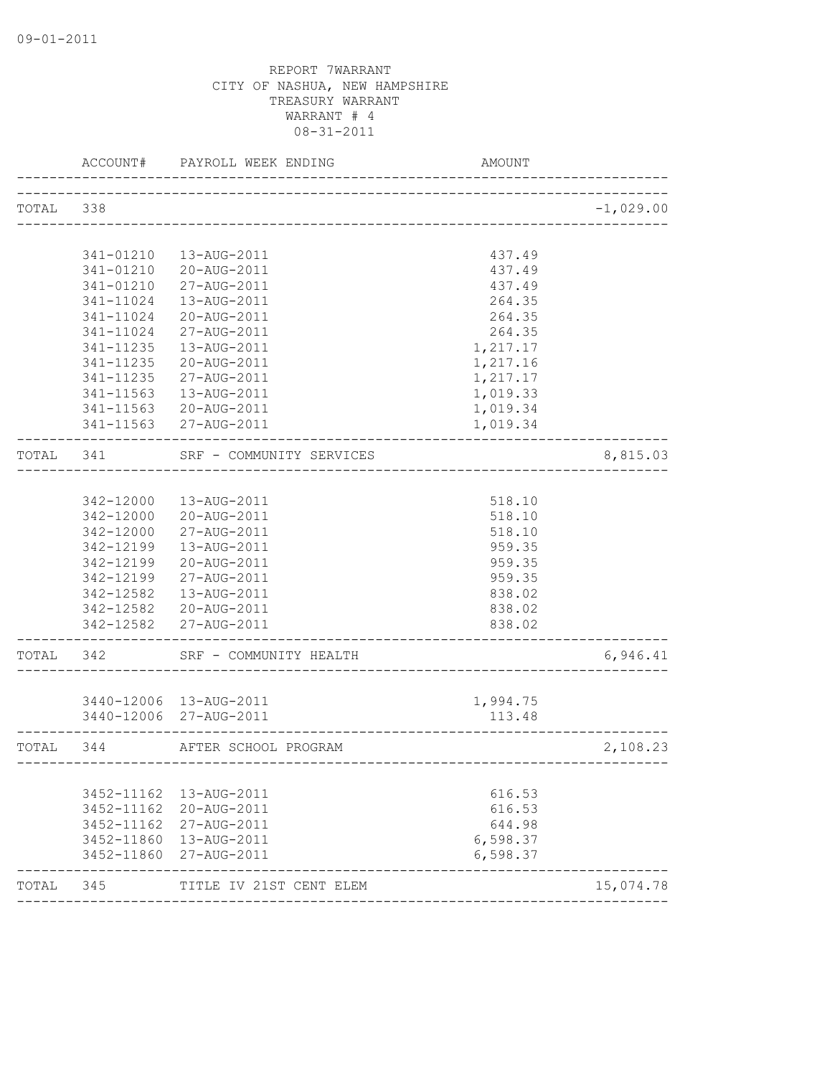|           | ACCOUNT#      | PAYROLL WEEK ENDING<br>___________________           | <b>AMOUNT</b>            |             |
|-----------|---------------|------------------------------------------------------|--------------------------|-------------|
| TOTAL 338 |               |                                                      |                          | $-1,029.00$ |
|           |               |                                                      |                          |             |
|           | 341-01210     | 13-AUG-2011                                          | 437.49                   |             |
|           | 341-01210     | 20-AUG-2011                                          | 437.49                   |             |
|           | 341-01210     | 27-AUG-2011                                          | 437.49                   |             |
|           | 341-11024     | 13-AUG-2011                                          | 264.35                   |             |
|           | 341-11024     | 20-AUG-2011                                          | 264.35                   |             |
|           | $341 - 11024$ | 27-AUG-2011                                          | 264.35                   |             |
|           | 341-11235     | 13-AUG-2011                                          | 1,217.17                 |             |
|           | 341-11235     | 20-AUG-2011                                          | 1,217.16                 |             |
|           | 341-11235     | 27-AUG-2011                                          | 1,217.17                 |             |
|           | 341-11563     | 13-AUG-2011                                          | 1,019.33                 |             |
|           | 341-11563     | 20-AUG-2011                                          | 1,019.34                 |             |
|           |               | 341-11563 27-AUG-2011                                | 1,019.34                 |             |
| TOTAL 341 |               | SRF - COMMUNITY SERVICES<br>------------------------ |                          | 8,815.03    |
|           |               |                                                      |                          |             |
|           | 342-12000     | 13-AUG-2011                                          | 518.10                   |             |
|           | 342-12000     | 20-AUG-2011                                          | 518.10                   |             |
|           | 342-12000     | 27-AUG-2011                                          | 518.10                   |             |
|           | 342-12199     | 13-AUG-2011                                          | 959.35                   |             |
|           | 342-12199     | 20-AUG-2011                                          | 959.35                   |             |
|           | 342-12199     | 27-AUG-2011                                          | 959.35                   |             |
|           | 342-12582     | 13-AUG-2011                                          | 838.02                   |             |
|           |               | 342-12582 20-AUG-2011                                | 838.02                   |             |
|           |               | 342-12582 27-AUG-2011                                | 838.02<br>______________ |             |
| TOTAL 342 |               | SRF - COMMUNITY HEALTH                               |                          | 6,946.41    |
|           |               |                                                      |                          |             |
|           |               | 3440-12006 13-AUG-2011                               | 1,994.75                 |             |
|           |               | 3440-12006 27-AUG-2011                               | 113.48                   |             |
| TOTAL 344 |               | AFTER SCHOOL PROGRAM                                 |                          | 2,108.23    |
|           |               |                                                      |                          |             |
|           | 3452-11162    | 13-AUG-2011                                          | 616.53                   |             |
|           | 3452-11162    | 20-AUG-2011                                          | 616.53                   |             |
|           | 3452-11162    | 27-AUG-2011                                          | 644.98                   |             |
|           | 3452-11860    | 13-AUG-2011                                          | 6,598.37                 |             |
|           | 3452-11860    | 27-AUG-2011                                          | 6,598.37                 |             |
| TOTAL     | 345           | TITLE IV 21ST CENT ELEM                              |                          | 15,074.78   |
|           |               |                                                      |                          |             |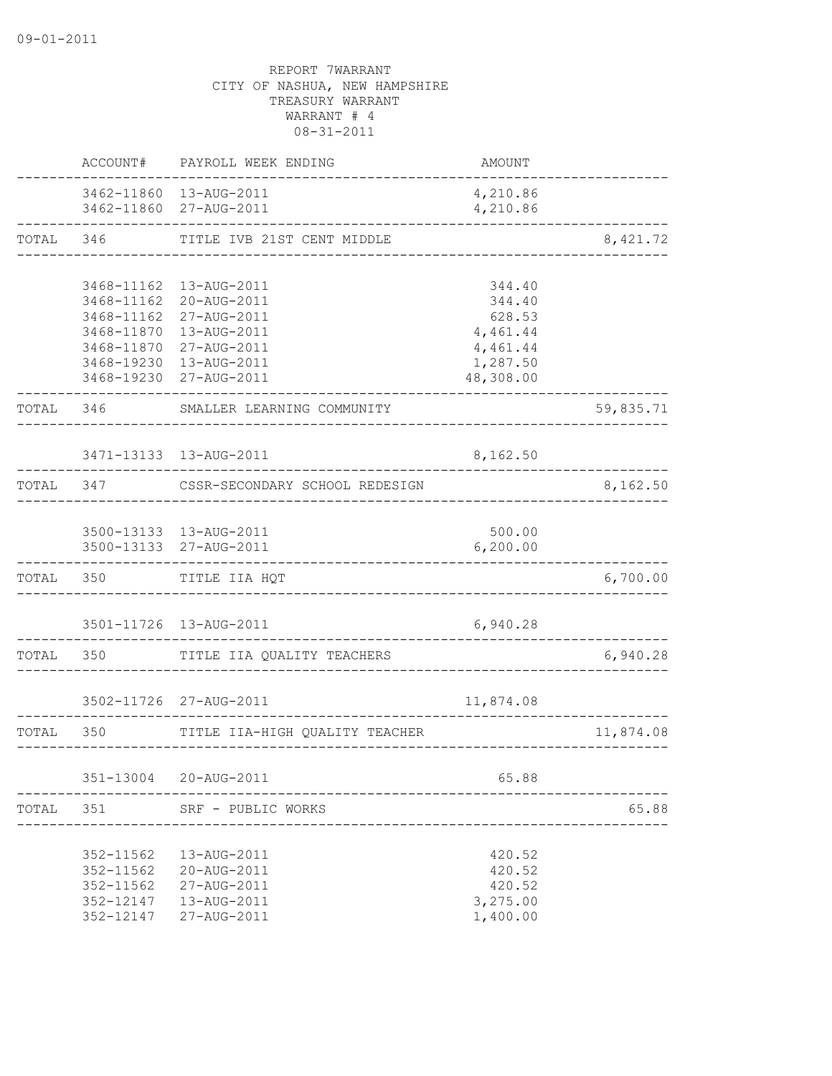|           | ACCOUNT#                                                          | PAYROLL WEEK ENDING                                                                                                                                                      | AMOUNT                                                                      |           |
|-----------|-------------------------------------------------------------------|--------------------------------------------------------------------------------------------------------------------------------------------------------------------------|-----------------------------------------------------------------------------|-----------|
|           |                                                                   | 3462-11860 13-AUG-2011<br>3462-11860 27-AUG-2011                                                                                                                         | 4,210.86<br>4,210.86                                                        |           |
| TOTAL     | 346                                                               | TITLE IVB 21ST CENT MIDDLE                                                                                                                                               |                                                                             | 8, 421.72 |
|           | 3468-11870                                                        | 3468-11162  13-AUG-2011<br>3468-11162 20-AUG-2011<br>3468-11162 27-AUG-2011<br>13-AUG-2011<br>3468-11870 27-AUG-2011<br>3468-19230 13-AUG-2011<br>3468-19230 27-AUG-2011 | 344.40<br>344.40<br>628.53<br>4,461.44<br>4,461.44<br>1,287.50<br>48,308.00 |           |
| TOTAL 346 |                                                                   | SMALLER LEARNING COMMUNITY                                                                                                                                               |                                                                             | 59,835.71 |
|           |                                                                   | 3471-13133  13-AUG-2011                                                                                                                                                  | 8,162.50                                                                    |           |
| TOTAL     | 347                                                               | CSSR-SECONDARY SCHOOL REDESIGN                                                                                                                                           |                                                                             | 8,162.50  |
|           |                                                                   | 3500-13133 13-AUG-2011<br>3500-13133 27-AUG-2011                                                                                                                         | 500.00<br>6, 200.00                                                         |           |
| TOTAL     | 350                                                               | TITLE IIA HQT                                                                                                                                                            |                                                                             | 6,700.00  |
|           |                                                                   | 3501-11726 13-AUG-2011                                                                                                                                                   | 6,940.28                                                                    |           |
| TOTAL     | 350                                                               | TITLE IIA QUALITY TEACHERS                                                                                                                                               |                                                                             | 6,940.28  |
|           |                                                                   | 3502-11726 27-AUG-2011                                                                                                                                                   | 11,874.08                                                                   |           |
| TOTAL     | 350                                                               | TITLE IIA-HIGH QUALITY TEACHER                                                                                                                                           |                                                                             | 11,874.08 |
|           |                                                                   | 351-13004 20-AUG-2011                                                                                                                                                    | 65.88                                                                       |           |
| TOTAL     | 351                                                               | SRF - PUBLIC WORKS                                                                                                                                                       |                                                                             | 65.88     |
|           | 352-11562<br>352-11562<br>$352 - 11562$<br>352-12147<br>352-12147 | 13-AUG-2011<br>20-AUG-2011<br>27-AUG-2011<br>13-AUG-2011<br>27-AUG-2011                                                                                                  | 420.52<br>420.52<br>420.52<br>3,275.00<br>1,400.00                          |           |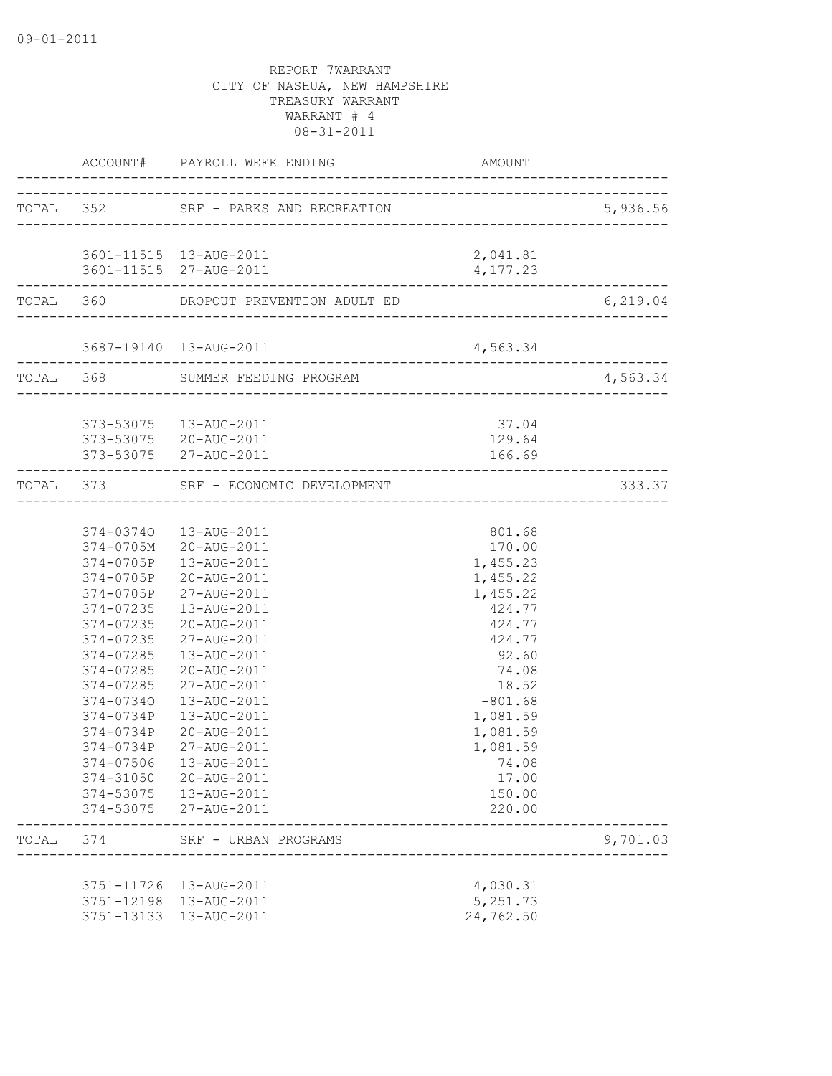|       |           |                                                  |                      | 5,936.56  |
|-------|-----------|--------------------------------------------------|----------------------|-----------|
|       |           |                                                  |                      |           |
|       |           | 3601-11515 13-AUG-2011<br>3601-11515 27-AUG-2011 | 2,041.81<br>4,177.23 |           |
|       |           | TOTAL 360 DROPOUT PREVENTION ADULT ED            |                      | 6, 219.04 |
|       |           | 3687-19140 13-AUG-2011                           | 4,563.34             |           |
|       |           | TOTAL 368 SUMMER FEEDING PROGRAM                 |                      | 4,563.34  |
|       |           | 373-53075  13-AUG-2011                           | 37.04                |           |
|       |           | 373-53075 20-AUG-2011<br>373-53075 27-AUG-2011   | 129.64<br>166.69     |           |
|       |           | TOTAL 373 SRF - ECONOMIC DEVELOPMENT             |                      | 333.37    |
|       |           |                                                  |                      |           |
|       |           | 374-03740  13-AUG-2011                           | 801.68               |           |
|       |           | 374-0705M 20-AUG-2011                            | 170.00               |           |
|       |           | 374-0705P  13-AUG-2011                           | 1,455.23             |           |
|       |           | 374-0705P 20-AUG-2011                            | 1,455.22             |           |
|       |           | 374-0705P 27-AUG-2011                            | 1,455.22             |           |
|       |           | 374-07235  13-AUG-2011                           | 424.77               |           |
|       |           | 374-07235 20-AUG-2011                            | 424.77               |           |
|       | 374-07235 | 27-AUG-2011                                      | 424.77               |           |
|       | 374-07285 | 13-AUG-2011                                      | 92.60                |           |
|       | 374-07285 | 20-AUG-2011                                      | 74.08                |           |
|       | 374-07285 | 27-AUG-2011                                      | 18.52                |           |
|       | 374-07340 | 13-AUG-2011                                      | $-801.68$            |           |
|       | 374-0734P | 13-AUG-2011                                      | 1,081.59             |           |
|       | 374-0734P | 20-AUG-2011                                      | 1,081.59             |           |
|       | 374-0734P | 27-AUG-2011                                      | 1,081.59             |           |
|       | 374-07506 | 13-AUG-2011                                      | 74.08                |           |
|       | 374-31050 | 20-AUG-2011<br>374-53075  13-AUG-2011            | 17.00<br>150.00      |           |
|       |           | 374-53075 27-AUG-2011                            | 220.00               |           |
| TOTAL | 374       | SRF - URBAN PROGRAMS                             |                      | 9,701.03  |
|       |           | 3751-11726  13-AUG-2011                          | 4,030.31             |           |
|       |           | 3751-12198  13-AUG-2011                          | 5,251.73             |           |
|       |           | 3751-13133  13-AUG-2011                          | 24,762.50            |           |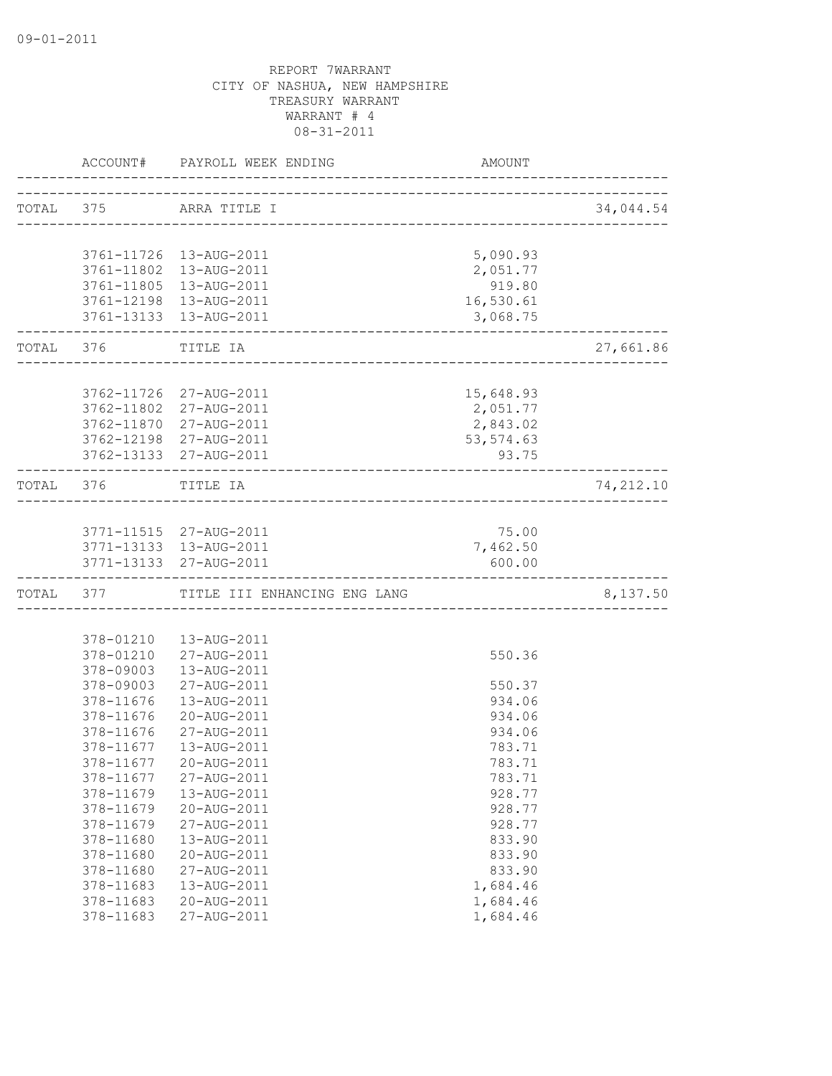|           | ACCOUNT#   | PAYROLL WEEK ENDING                              | AMOUNT     |            |
|-----------|------------|--------------------------------------------------|------------|------------|
| TOTAL 375 |            | ARRA TITLE I                                     |            | 34,044.54  |
|           |            | ______________________________________           |            |            |
|           |            | 3761-11726 13-AUG-2011                           | 5,090.93   |            |
|           |            | 3761-11802  13-AUG-2011                          | 2,051.77   |            |
|           |            | 3761-11805 13-AUG-2011                           | 919.80     |            |
|           |            | 3761-12198  13-AUG-2011                          | 16,530.61  |            |
|           |            | 3761-13133  13-AUG-2011                          | 3,068.75   |            |
| TOTAL 376 |            | TITLE IA<br>_____________________                |            | 27,661.86  |
|           |            |                                                  |            |            |
|           | 3762-11726 | 27-AUG-2011                                      | 15,648.93  |            |
|           | 3762-11802 | 27-AUG-2011                                      | 2,051.77   |            |
|           | 3762-11870 | 27-AUG-2011                                      | 2,843.02   |            |
|           |            | 3762-12198 27-AUG-2011                           | 53, 574.63 |            |
|           |            | 3762-13133 27-AUG-2011                           | 93.75      |            |
| TOTAL 376 |            | TITLE IA<br>____________________________________ |            | 74, 212.10 |
|           |            |                                                  |            |            |
|           |            | 3771-11515 27-AUG-2011                           | 75.00      |            |
|           |            | 3771-13133 13-AUG-2011                           | 7,462.50   |            |
|           |            | 3771-13133 27-AUG-2011                           | 600.00     |            |
|           | TOTAL 377  | TITLE III ENHANCING ENG LANG                     |            | 8,137.50   |
|           |            |                                                  |            |            |
|           | 378-01210  | 13-AUG-2011                                      |            |            |
|           | 378-01210  | 27-AUG-2011                                      | 550.36     |            |
|           | 378-09003  | 13-AUG-2011                                      |            |            |
|           | 378-09003  | 27-AUG-2011                                      | 550.37     |            |
|           | 378-11676  | 13-AUG-2011                                      | 934.06     |            |
|           | 378-11676  | 20-AUG-2011                                      | 934.06     |            |
|           | 378-11676  | 27-AUG-2011                                      | 934.06     |            |
|           | 378-11677  | 13-AUG-2011                                      | 783.71     |            |
|           | 378-11677  | 20-AUG-2011                                      | 783.71     |            |
|           | 378-11677  | 27-AUG-2011                                      | 783.71     |            |
|           | 378-11679  | 13-AUG-2011                                      | 928.77     |            |
|           | 378-11679  | 20-AUG-2011                                      | 928.77     |            |
|           | 378-11679  | 27-AUG-2011                                      | 928.77     |            |
|           | 378-11680  | 13-AUG-2011                                      | 833.90     |            |
|           | 378-11680  | 20-AUG-2011                                      | 833.90     |            |
|           | 378-11680  | 27-AUG-2011                                      | 833.90     |            |
|           | 378-11683  | 13-AUG-2011                                      | 1,684.46   |            |
|           | 378-11683  | 20-AUG-2011                                      | 1,684.46   |            |
|           | 378-11683  | 27-AUG-2011                                      | 1,684.46   |            |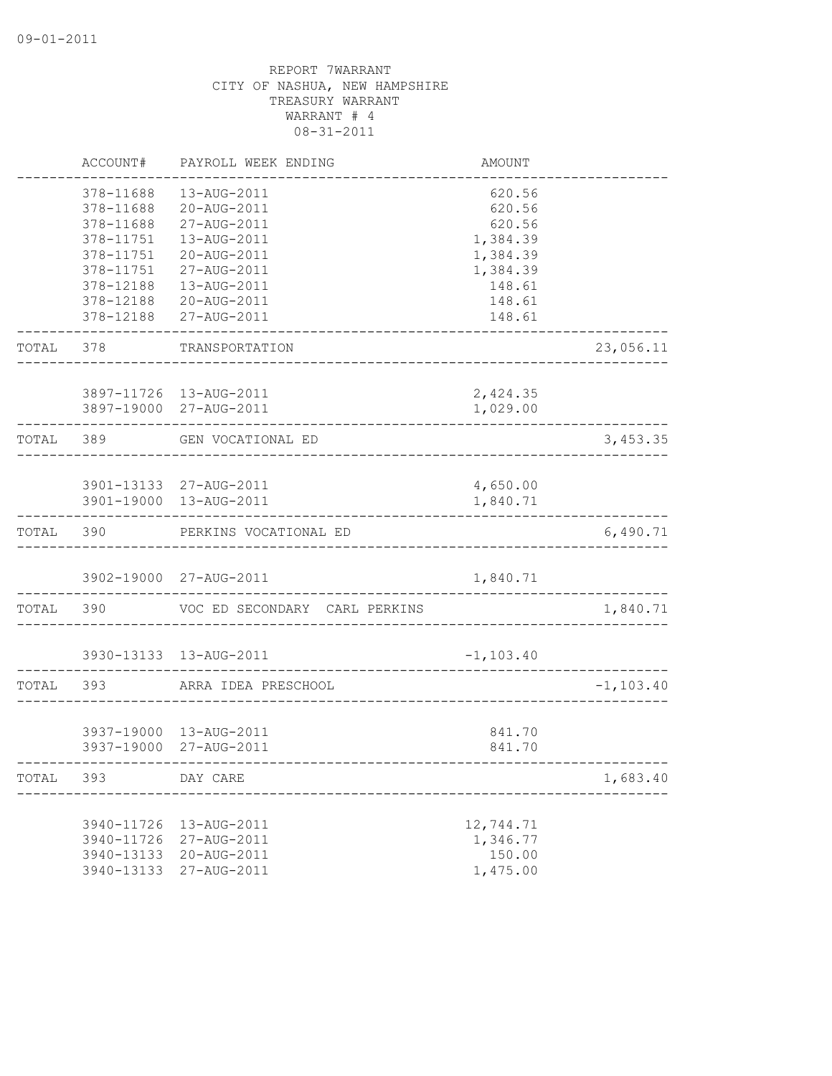|           | ACCOUNT#                 | PAYROLL WEEK ENDING                              | <b>AMOUNT</b>    |              |
|-----------|--------------------------|--------------------------------------------------|------------------|--------------|
|           | 378-11688                | 13-AUG-2011                                      | 620.56           |              |
|           | 378-11688                | 20-AUG-2011                                      | 620.56           |              |
|           | 378-11688                | 27-AUG-2011                                      | 620.56           |              |
|           | 378-11751                | 13-AUG-2011                                      | 1,384.39         |              |
|           | 378-11751                | 20-AUG-2011                                      | 1,384.39         |              |
|           | 378-11751                | 27-AUG-2011                                      | 1,384.39         |              |
|           | 378-12188                | 13-AUG-2011                                      | 148.61           |              |
|           | 378-12188                | 20-AUG-2011                                      | 148.61           |              |
|           | 378-12188                | 27-AUG-2011                                      | 148.61           |              |
| TOTAL     | 378                      | TRANSPORTATION                                   |                  | 23,056.11    |
|           |                          | 3897-11726 13-AUG-2011                           | 2,424.35         |              |
|           |                          | 3897-19000 27-AUG-2011                           | 1,029.00         |              |
| TOTAL 389 |                          | GEN VOCATIONAL ED<br>-----------------------     |                  | 3,453.35     |
|           |                          |                                                  |                  |              |
|           |                          | 3901-13133 27-AUG-2011                           | 4,650.00         |              |
|           |                          | 3901-19000 13-AUG-2011                           | 1,840.71         |              |
| TOTAL     | 390                      | PERKINS VOCATIONAL ED                            |                  | 6,490.71     |
|           |                          | 3902-19000 27-AUG-2011                           | 1,840.71         |              |
| TOTAL     | 390                      | VOC ED SECONDARY CARL PERKINS                    |                  | 1,840.71     |
|           |                          |                                                  |                  |              |
|           |                          | 3930-13133 13-AUG-2011                           | $-1, 103.40$     |              |
| TOTAL     | 393                      | ARRA IDEA PRESCHOOL                              |                  | $-1, 103.40$ |
|           |                          |                                                  |                  |              |
|           |                          | 3937-19000 13-AUG-2011<br>3937-19000 27-AUG-2011 | 841.70<br>841.70 |              |
|           |                          |                                                  |                  |              |
| TOTAL     | 393                      | DAY CARE                                         |                  | 1,683.40     |
|           |                          | 13-AUG-2011                                      | 12,744.71        |              |
|           | 3940-11726<br>3940-11726 | 27-AUG-2011                                      | 1,346.77         |              |
|           |                          |                                                  | 150.00           |              |
|           | 3940-13133<br>3940-13133 | 20-AUG-2011                                      |                  |              |
|           |                          | 27-AUG-2011                                      | 1,475.00         |              |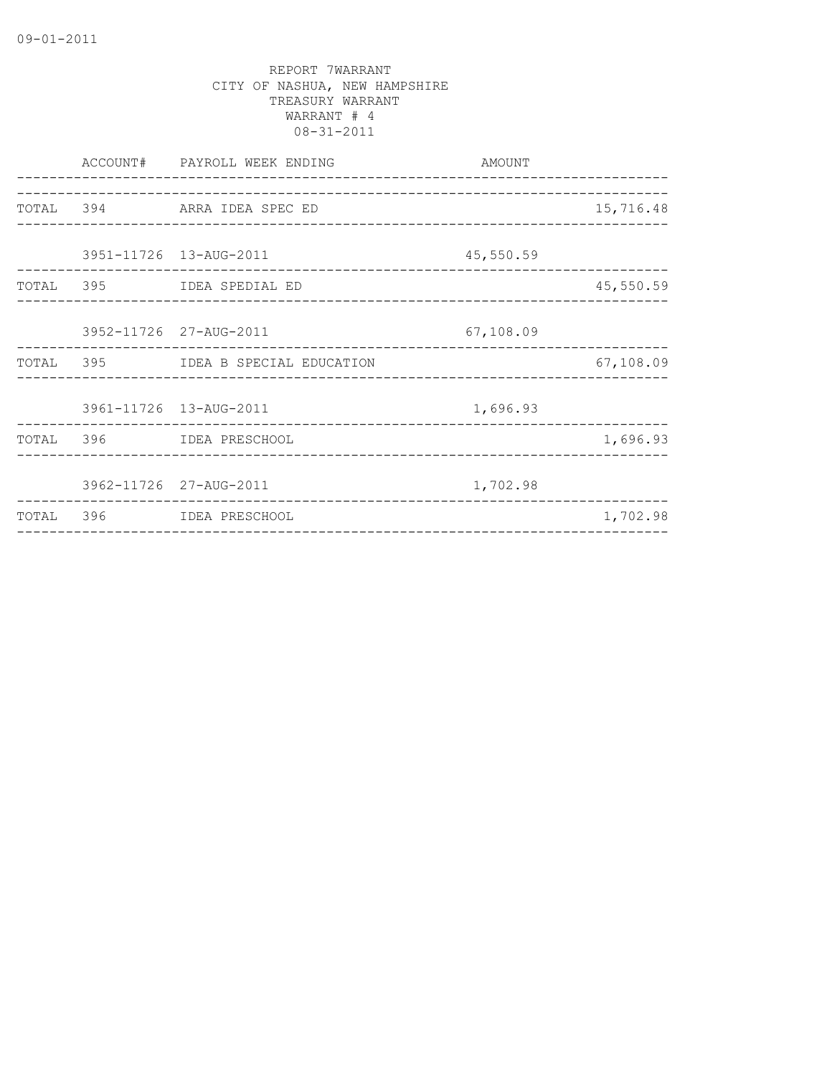|  | ACCOUNT# PAYROLL WEEK ENDING<br>_______________________ | AMOUNT    |           |
|--|---------------------------------------------------------|-----------|-----------|
|  | TOTAL 394 ARRA IDEA SPEC ED                             |           | 15,716.48 |
|  | 3951-11726 13-AUG-2011                                  | 45,550.59 |           |
|  | TOTAL 395 IDEA SPEDIAL ED                               |           | 45,550.59 |
|  | 3952-11726 27-AUG-2011                                  | 67,108.09 |           |
|  | TOTAL 395 IDEA B SPECIAL EDUCATION                      |           | 67,108.09 |
|  | 3961-11726 13-AUG-2011                                  | 1,696.93  |           |
|  | TOTAL 396 IDEA PRESCHOOL                                |           | 1,696.93  |
|  | 3962-11726 27-AUG-2011                                  | 1,702.98  |           |
|  | TOTAL 396 IDEA PRESCHOOL                                |           | 1,702.98  |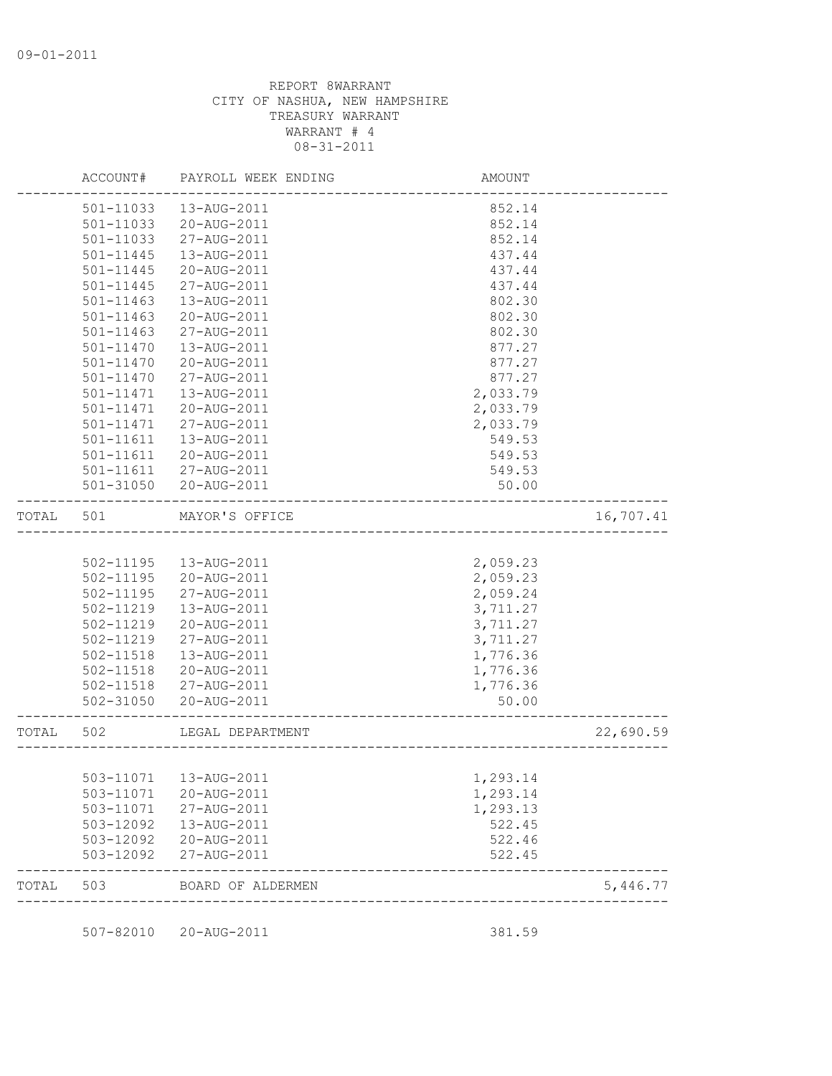|           | ACCOUNT#      | PAYROLL WEEK ENDING    | AMOUNT                    |           |
|-----------|---------------|------------------------|---------------------------|-----------|
|           | 501-11033     | 13-AUG-2011            | 852.14                    |           |
|           | 501-11033     | 20-AUG-2011            | 852.14                    |           |
|           | 501-11033     | 27-AUG-2011            | 852.14                    |           |
|           | 501-11445     | 13-AUG-2011            | 437.44                    |           |
|           | 501-11445     | 20-AUG-2011            | 437.44                    |           |
|           | 501-11445     | 27-AUG-2011            | 437.44                    |           |
|           | 501-11463     | 13-AUG-2011            | 802.30                    |           |
|           | $501 - 11463$ | 20-AUG-2011            | 802.30                    |           |
|           | $501 - 11463$ | 27-AUG-2011            | 802.30                    |           |
|           | 501-11470     | 13-AUG-2011            | 877.27                    |           |
|           | 501-11470     | 20-AUG-2011            | 877.27                    |           |
|           | 501-11470     | 27-AUG-2011            | 877.27                    |           |
|           | 501-11471     | 13-AUG-2011            | 2,033.79                  |           |
|           | 501-11471     | 20-AUG-2011            | 2,033.79                  |           |
|           | 501-11471     | 27-AUG-2011            | 2,033.79                  |           |
|           | 501-11611     | 13-AUG-2011            | 549.53                    |           |
|           | 501-11611     | 20-AUG-2011            | 549.53                    |           |
|           | $501 - 11611$ | 27-AUG-2011            | 549.53                    |           |
|           |               | 501-31050 20-AUG-2011  | 50.00                     |           |
| TOTAL     | 501           | MAYOR'S OFFICE         |                           | 16,707.41 |
|           |               |                        |                           |           |
|           | 502-11195     | 13-AUG-2011            | 2,059.23                  |           |
|           | 502-11195     | 20-AUG-2011            | 2,059.23                  |           |
|           | 502-11195     | 27-AUG-2011            | 2,059.24                  |           |
|           | 502-11219     | 13-AUG-2011            | 3,711.27                  |           |
|           | 502-11219     | 20-AUG-2011            | 3,711.27                  |           |
|           | 502-11219     | 27-AUG-2011            | 3,711.27                  |           |
|           | 502-11518     | 13-AUG-2011            | 1,776.36                  |           |
|           | 502-11518     | 20-AUG-2011            | 1,776.36                  |           |
|           | 502-11518     | 27-AUG-2011            | 1,776.36                  |           |
|           | 502-31050     | 20-AUG-2011            | 50.00                     |           |
| TOTAL 502 |               | LEGAL DEPARTMENT       | ____________________      | 22,690.59 |
|           |               |                        |                           |           |
|           |               | 503-11071  13-AUG-2011 | 1,293.14                  |           |
|           | 503-11071     | 20-AUG-2011            | 1,293.14                  |           |
|           |               | 503-11071 27-AUG-2011  | 1,293.13                  |           |
|           | 503-12092     | 13-AUG-2011            | 522.45                    |           |
|           | 503-12092     | 20-AUG-2011            | 522.46                    |           |
|           | 503-12092     | 27-AUG-2011            | 522.45                    |           |
| TOTAL     | 503           | BOARD OF ALDERMEN      |                           | 5,446.77  |
|           |               |                        | ------------------------- |           |

507-82010 20-AUG-2011 381.59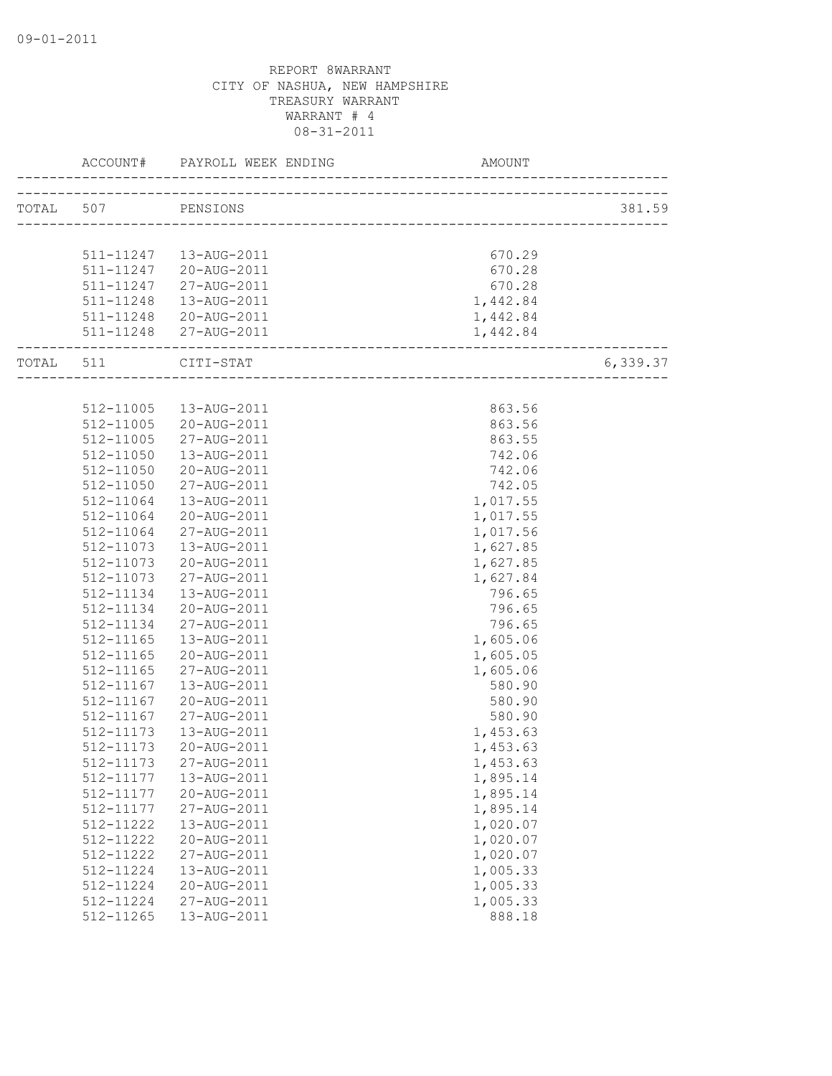| TOTAL 507<br>PENSIONS<br>670.29<br>511-11247   13-AUG-2011<br>511-11247 20-AUG-2011<br>670.28<br>511-11247 27-AUG-2011<br>670.28<br>511-11248  13-AUG-2011<br>1,442.84<br>1,442.84<br>511-11248 20-AUG-2011<br>511-11248 27-AUG-2011<br>1,442.84<br>----------------------<br>6,339.37<br>TOTAL 511 CITI-STAT<br>863.56<br>512-11005  13-AUG-2011<br>512-11005<br>20-AUG-2011<br>863.56<br>512-11005<br>27-AUG-2011<br>863.55<br>512-11050<br>742.06<br>13-AUG-2011<br>512-11050<br>20-AUG-2011<br>742.06<br>512-11050<br>742.05<br>27-AUG-2011<br>512-11064<br>1,017.55<br>13-AUG-2011<br>20-AUG-2011<br>512-11064<br>1,017.55<br>512-11064<br>27-AUG-2011<br>1,017.56<br>512-11073<br>1,627.85<br>13-AUG-2011<br>512-11073<br>1,627.85<br>20-AUG-2011<br>1,627.84<br>512-11073<br>27-AUG-2011<br>796.65<br>512-11134<br>13-AUG-2011<br>796.65<br>512-11134<br>20-AUG-2011<br>512-11134<br>27-AUG-2011<br>796.65<br>512-11165<br>1,605.06<br>13-AUG-2011<br>512-11165<br>20-AUG-2011<br>1,605.05<br>1,605.06<br>512-11165<br>27-AUG-2011<br>580.90<br>512-11167<br>13-AUG-2011<br>512-11167<br>580.90<br>20-AUG-2011<br>512-11167<br>27-AUG-2011<br>580.90<br>1,453.63<br>512-11173<br>13-AUG-2011<br>512-11173<br>20-AUG-2011<br>1,453.63<br>512-11173<br>1,453.63<br>27-AUG-2011<br>512-11177<br>13-AUG-2011<br>1,895.14<br>512-11177<br>20-AUG-2011<br>1,895.14<br>1,895.14<br>512-11177<br>27-AUG-2011<br>1,020.07<br>512-11222<br>13-AUG-2011<br>1,020.07<br>512-11222<br>20-AUG-2011<br>512-11222<br>1,020.07<br>27-AUG-2011<br>512-11224<br>1,005.33<br>13-AUG-2011<br>1,005.33<br>512-11224<br>20-AUG-2011<br>1,005.33<br>512-11224<br>27-AUG-2011 |           | ACCOUNT# PAYROLL WEEK ENDING AM AM | AMOUNT |        |
|-------------------------------------------------------------------------------------------------------------------------------------------------------------------------------------------------------------------------------------------------------------------------------------------------------------------------------------------------------------------------------------------------------------------------------------------------------------------------------------------------------------------------------------------------------------------------------------------------------------------------------------------------------------------------------------------------------------------------------------------------------------------------------------------------------------------------------------------------------------------------------------------------------------------------------------------------------------------------------------------------------------------------------------------------------------------------------------------------------------------------------------------------------------------------------------------------------------------------------------------------------------------------------------------------------------------------------------------------------------------------------------------------------------------------------------------------------------------------------------------------------------------------------------------------------------------------------------------------------------------------------------------------------------|-----------|------------------------------------|--------|--------|
|                                                                                                                                                                                                                                                                                                                                                                                                                                                                                                                                                                                                                                                                                                                                                                                                                                                                                                                                                                                                                                                                                                                                                                                                                                                                                                                                                                                                                                                                                                                                                                                                                                                             |           |                                    |        | 381.59 |
|                                                                                                                                                                                                                                                                                                                                                                                                                                                                                                                                                                                                                                                                                                                                                                                                                                                                                                                                                                                                                                                                                                                                                                                                                                                                                                                                                                                                                                                                                                                                                                                                                                                             |           |                                    |        |        |
|                                                                                                                                                                                                                                                                                                                                                                                                                                                                                                                                                                                                                                                                                                                                                                                                                                                                                                                                                                                                                                                                                                                                                                                                                                                                                                                                                                                                                                                                                                                                                                                                                                                             |           |                                    |        |        |
|                                                                                                                                                                                                                                                                                                                                                                                                                                                                                                                                                                                                                                                                                                                                                                                                                                                                                                                                                                                                                                                                                                                                                                                                                                                                                                                                                                                                                                                                                                                                                                                                                                                             |           |                                    |        |        |
|                                                                                                                                                                                                                                                                                                                                                                                                                                                                                                                                                                                                                                                                                                                                                                                                                                                                                                                                                                                                                                                                                                                                                                                                                                                                                                                                                                                                                                                                                                                                                                                                                                                             |           |                                    |        |        |
|                                                                                                                                                                                                                                                                                                                                                                                                                                                                                                                                                                                                                                                                                                                                                                                                                                                                                                                                                                                                                                                                                                                                                                                                                                                                                                                                                                                                                                                                                                                                                                                                                                                             |           |                                    |        |        |
|                                                                                                                                                                                                                                                                                                                                                                                                                                                                                                                                                                                                                                                                                                                                                                                                                                                                                                                                                                                                                                                                                                                                                                                                                                                                                                                                                                                                                                                                                                                                                                                                                                                             |           |                                    |        |        |
|                                                                                                                                                                                                                                                                                                                                                                                                                                                                                                                                                                                                                                                                                                                                                                                                                                                                                                                                                                                                                                                                                                                                                                                                                                                                                                                                                                                                                                                                                                                                                                                                                                                             |           |                                    |        |        |
|                                                                                                                                                                                                                                                                                                                                                                                                                                                                                                                                                                                                                                                                                                                                                                                                                                                                                                                                                                                                                                                                                                                                                                                                                                                                                                                                                                                                                                                                                                                                                                                                                                                             |           |                                    |        |        |
|                                                                                                                                                                                                                                                                                                                                                                                                                                                                                                                                                                                                                                                                                                                                                                                                                                                                                                                                                                                                                                                                                                                                                                                                                                                                                                                                                                                                                                                                                                                                                                                                                                                             |           |                                    |        |        |
|                                                                                                                                                                                                                                                                                                                                                                                                                                                                                                                                                                                                                                                                                                                                                                                                                                                                                                                                                                                                                                                                                                                                                                                                                                                                                                                                                                                                                                                                                                                                                                                                                                                             |           |                                    |        |        |
|                                                                                                                                                                                                                                                                                                                                                                                                                                                                                                                                                                                                                                                                                                                                                                                                                                                                                                                                                                                                                                                                                                                                                                                                                                                                                                                                                                                                                                                                                                                                                                                                                                                             |           |                                    |        |        |
|                                                                                                                                                                                                                                                                                                                                                                                                                                                                                                                                                                                                                                                                                                                                                                                                                                                                                                                                                                                                                                                                                                                                                                                                                                                                                                                                                                                                                                                                                                                                                                                                                                                             |           |                                    |        |        |
|                                                                                                                                                                                                                                                                                                                                                                                                                                                                                                                                                                                                                                                                                                                                                                                                                                                                                                                                                                                                                                                                                                                                                                                                                                                                                                                                                                                                                                                                                                                                                                                                                                                             |           |                                    |        |        |
|                                                                                                                                                                                                                                                                                                                                                                                                                                                                                                                                                                                                                                                                                                                                                                                                                                                                                                                                                                                                                                                                                                                                                                                                                                                                                                                                                                                                                                                                                                                                                                                                                                                             |           |                                    |        |        |
|                                                                                                                                                                                                                                                                                                                                                                                                                                                                                                                                                                                                                                                                                                                                                                                                                                                                                                                                                                                                                                                                                                                                                                                                                                                                                                                                                                                                                                                                                                                                                                                                                                                             |           |                                    |        |        |
|                                                                                                                                                                                                                                                                                                                                                                                                                                                                                                                                                                                                                                                                                                                                                                                                                                                                                                                                                                                                                                                                                                                                                                                                                                                                                                                                                                                                                                                                                                                                                                                                                                                             |           |                                    |        |        |
|                                                                                                                                                                                                                                                                                                                                                                                                                                                                                                                                                                                                                                                                                                                                                                                                                                                                                                                                                                                                                                                                                                                                                                                                                                                                                                                                                                                                                                                                                                                                                                                                                                                             |           |                                    |        |        |
|                                                                                                                                                                                                                                                                                                                                                                                                                                                                                                                                                                                                                                                                                                                                                                                                                                                                                                                                                                                                                                                                                                                                                                                                                                                                                                                                                                                                                                                                                                                                                                                                                                                             |           |                                    |        |        |
|                                                                                                                                                                                                                                                                                                                                                                                                                                                                                                                                                                                                                                                                                                                                                                                                                                                                                                                                                                                                                                                                                                                                                                                                                                                                                                                                                                                                                                                                                                                                                                                                                                                             |           |                                    |        |        |
|                                                                                                                                                                                                                                                                                                                                                                                                                                                                                                                                                                                                                                                                                                                                                                                                                                                                                                                                                                                                                                                                                                                                                                                                                                                                                                                                                                                                                                                                                                                                                                                                                                                             |           |                                    |        |        |
|                                                                                                                                                                                                                                                                                                                                                                                                                                                                                                                                                                                                                                                                                                                                                                                                                                                                                                                                                                                                                                                                                                                                                                                                                                                                                                                                                                                                                                                                                                                                                                                                                                                             |           |                                    |        |        |
|                                                                                                                                                                                                                                                                                                                                                                                                                                                                                                                                                                                                                                                                                                                                                                                                                                                                                                                                                                                                                                                                                                                                                                                                                                                                                                                                                                                                                                                                                                                                                                                                                                                             |           |                                    |        |        |
|                                                                                                                                                                                                                                                                                                                                                                                                                                                                                                                                                                                                                                                                                                                                                                                                                                                                                                                                                                                                                                                                                                                                                                                                                                                                                                                                                                                                                                                                                                                                                                                                                                                             |           |                                    |        |        |
|                                                                                                                                                                                                                                                                                                                                                                                                                                                                                                                                                                                                                                                                                                                                                                                                                                                                                                                                                                                                                                                                                                                                                                                                                                                                                                                                                                                                                                                                                                                                                                                                                                                             |           |                                    |        |        |
|                                                                                                                                                                                                                                                                                                                                                                                                                                                                                                                                                                                                                                                                                                                                                                                                                                                                                                                                                                                                                                                                                                                                                                                                                                                                                                                                                                                                                                                                                                                                                                                                                                                             |           |                                    |        |        |
|                                                                                                                                                                                                                                                                                                                                                                                                                                                                                                                                                                                                                                                                                                                                                                                                                                                                                                                                                                                                                                                                                                                                                                                                                                                                                                                                                                                                                                                                                                                                                                                                                                                             |           |                                    |        |        |
|                                                                                                                                                                                                                                                                                                                                                                                                                                                                                                                                                                                                                                                                                                                                                                                                                                                                                                                                                                                                                                                                                                                                                                                                                                                                                                                                                                                                                                                                                                                                                                                                                                                             |           |                                    |        |        |
|                                                                                                                                                                                                                                                                                                                                                                                                                                                                                                                                                                                                                                                                                                                                                                                                                                                                                                                                                                                                                                                                                                                                                                                                                                                                                                                                                                                                                                                                                                                                                                                                                                                             |           |                                    |        |        |
|                                                                                                                                                                                                                                                                                                                                                                                                                                                                                                                                                                                                                                                                                                                                                                                                                                                                                                                                                                                                                                                                                                                                                                                                                                                                                                                                                                                                                                                                                                                                                                                                                                                             |           |                                    |        |        |
|                                                                                                                                                                                                                                                                                                                                                                                                                                                                                                                                                                                                                                                                                                                                                                                                                                                                                                                                                                                                                                                                                                                                                                                                                                                                                                                                                                                                                                                                                                                                                                                                                                                             |           |                                    |        |        |
|                                                                                                                                                                                                                                                                                                                                                                                                                                                                                                                                                                                                                                                                                                                                                                                                                                                                                                                                                                                                                                                                                                                                                                                                                                                                                                                                                                                                                                                                                                                                                                                                                                                             |           |                                    |        |        |
|                                                                                                                                                                                                                                                                                                                                                                                                                                                                                                                                                                                                                                                                                                                                                                                                                                                                                                                                                                                                                                                                                                                                                                                                                                                                                                                                                                                                                                                                                                                                                                                                                                                             |           |                                    |        |        |
|                                                                                                                                                                                                                                                                                                                                                                                                                                                                                                                                                                                                                                                                                                                                                                                                                                                                                                                                                                                                                                                                                                                                                                                                                                                                                                                                                                                                                                                                                                                                                                                                                                                             |           |                                    |        |        |
|                                                                                                                                                                                                                                                                                                                                                                                                                                                                                                                                                                                                                                                                                                                                                                                                                                                                                                                                                                                                                                                                                                                                                                                                                                                                                                                                                                                                                                                                                                                                                                                                                                                             |           |                                    |        |        |
|                                                                                                                                                                                                                                                                                                                                                                                                                                                                                                                                                                                                                                                                                                                                                                                                                                                                                                                                                                                                                                                                                                                                                                                                                                                                                                                                                                                                                                                                                                                                                                                                                                                             |           |                                    |        |        |
|                                                                                                                                                                                                                                                                                                                                                                                                                                                                                                                                                                                                                                                                                                                                                                                                                                                                                                                                                                                                                                                                                                                                                                                                                                                                                                                                                                                                                                                                                                                                                                                                                                                             |           |                                    |        |        |
|                                                                                                                                                                                                                                                                                                                                                                                                                                                                                                                                                                                                                                                                                                                                                                                                                                                                                                                                                                                                                                                                                                                                                                                                                                                                                                                                                                                                                                                                                                                                                                                                                                                             |           |                                    |        |        |
|                                                                                                                                                                                                                                                                                                                                                                                                                                                                                                                                                                                                                                                                                                                                                                                                                                                                                                                                                                                                                                                                                                                                                                                                                                                                                                                                                                                                                                                                                                                                                                                                                                                             |           |                                    |        |        |
|                                                                                                                                                                                                                                                                                                                                                                                                                                                                                                                                                                                                                                                                                                                                                                                                                                                                                                                                                                                                                                                                                                                                                                                                                                                                                                                                                                                                                                                                                                                                                                                                                                                             |           |                                    |        |        |
|                                                                                                                                                                                                                                                                                                                                                                                                                                                                                                                                                                                                                                                                                                                                                                                                                                                                                                                                                                                                                                                                                                                                                                                                                                                                                                                                                                                                                                                                                                                                                                                                                                                             |           |                                    |        |        |
|                                                                                                                                                                                                                                                                                                                                                                                                                                                                                                                                                                                                                                                                                                                                                                                                                                                                                                                                                                                                                                                                                                                                                                                                                                                                                                                                                                                                                                                                                                                                                                                                                                                             |           |                                    |        |        |
|                                                                                                                                                                                                                                                                                                                                                                                                                                                                                                                                                                                                                                                                                                                                                                                                                                                                                                                                                                                                                                                                                                                                                                                                                                                                                                                                                                                                                                                                                                                                                                                                                                                             |           |                                    |        |        |
|                                                                                                                                                                                                                                                                                                                                                                                                                                                                                                                                                                                                                                                                                                                                                                                                                                                                                                                                                                                                                                                                                                                                                                                                                                                                                                                                                                                                                                                                                                                                                                                                                                                             |           |                                    |        |        |
|                                                                                                                                                                                                                                                                                                                                                                                                                                                                                                                                                                                                                                                                                                                                                                                                                                                                                                                                                                                                                                                                                                                                                                                                                                                                                                                                                                                                                                                                                                                                                                                                                                                             | 512-11265 | 13-AUG-2011                        | 888.18 |        |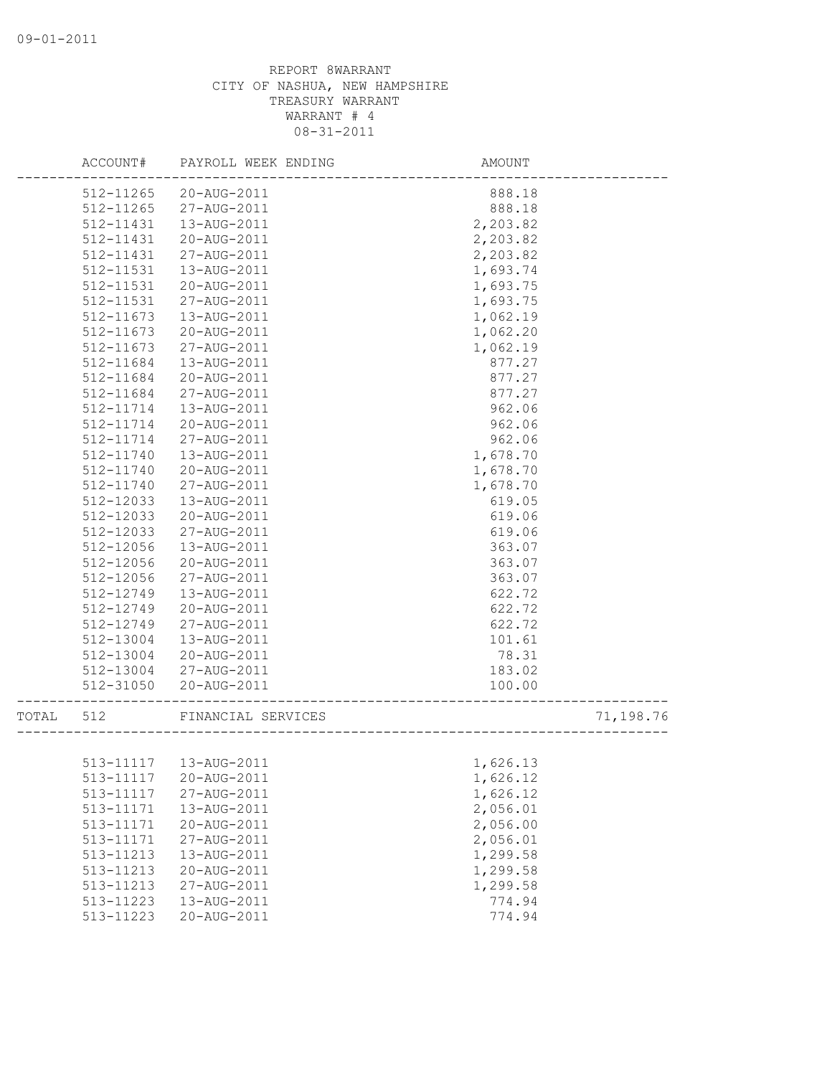|       | ACCOUNT#               | PAYROLL WEEK ENDING        | AMOUNT                              |           |
|-------|------------------------|----------------------------|-------------------------------------|-----------|
|       | 512-11265              | 20-AUG-2011                | 888.18                              |           |
|       | 512-11265              | 27-AUG-2011                | 888.18                              |           |
|       | 512-11431              | 13-AUG-2011                | 2,203.82                            |           |
|       | 512-11431              | 20-AUG-2011                | 2,203.82                            |           |
|       | 512-11431              | 27-AUG-2011                | 2,203.82                            |           |
|       | 512-11531              | 13-AUG-2011                | 1,693.74                            |           |
|       | 512-11531              | 20-AUG-2011                | 1,693.75                            |           |
|       | 512-11531              | 27-AUG-2011                | 1,693.75                            |           |
|       | 512-11673              | 13-AUG-2011                | 1,062.19                            |           |
|       | 512-11673              | 20-AUG-2011                | 1,062.20                            |           |
|       | $512 - 11673$          | 27-AUG-2011                | 1,062.19                            |           |
|       | 512-11684              | 13-AUG-2011                | 877.27                              |           |
|       | 512-11684              | 20-AUG-2011                | 877.27                              |           |
|       | 512-11684              | 27-AUG-2011                | 877.27                              |           |
|       | 512-11714              | 13-AUG-2011                | 962.06                              |           |
|       | 512-11714              | 20-AUG-2011                | 962.06                              |           |
|       | 512-11714              | 27-AUG-2011                | 962.06                              |           |
|       | 512-11740              | 13-AUG-2011                | 1,678.70                            |           |
|       | 512-11740              | 20-AUG-2011                | 1,678.70                            |           |
|       | 512-11740              | 27-AUG-2011                | 1,678.70                            |           |
|       | 512-12033              | 13-AUG-2011                | 619.05                              |           |
|       | 512-12033              | 20-AUG-2011                | 619.06                              |           |
|       | 512-12033              | 27-AUG-2011                | 619.06                              |           |
|       | 512-12056              | 13-AUG-2011                | 363.07                              |           |
|       | 512-12056              | 20-AUG-2011                | 363.07                              |           |
|       | 512-12056              | 27-AUG-2011                | 363.07                              |           |
|       | 512-12749              | 13-AUG-2011                | 622.72                              |           |
|       | 512-12749              | 20-AUG-2011                | 622.72                              |           |
|       | 512-12749              | 27-AUG-2011                | 622.72                              |           |
|       | 512-13004              | 13-AUG-2011                | 101.61                              |           |
|       | 512-13004              | 20-AUG-2011                | 78.31                               |           |
|       | 512-13004              | 27-AUG-2011                | 183.02                              |           |
|       | 512-31050              | 20-AUG-2011                | 100.00<br>------------------------- |           |
| TOTAL | 512                    | FINANCIAL SERVICES         | --------------------                | 71,198.76 |
|       |                        |                            |                                     |           |
|       | 513-11117              | 20-AUG-2011                | 1,626.13                            |           |
|       |                        |                            | 1,626.12                            |           |
|       | 513-11117<br>513-11171 | 27-AUG-2011<br>13-AUG-2011 | 1,626.12<br>2,056.01                |           |
|       |                        |                            |                                     |           |
|       | 513-11171<br>513-11171 | 20-AUG-2011<br>27-AUG-2011 | 2,056.00<br>2,056.01                |           |
|       |                        |                            | 1,299.58                            |           |
|       | 513-11213<br>513-11213 | 13-AUG-2011<br>20-AUG-2011 | 1,299.58                            |           |
|       | 513-11213              | 27-AUG-2011                | 1,299.58                            |           |
|       | 513-11223              | 13-AUG-2011                | 774.94                              |           |
|       | 513-11223              | 20-AUG-2011                | 774.94                              |           |
|       |                        |                            |                                     |           |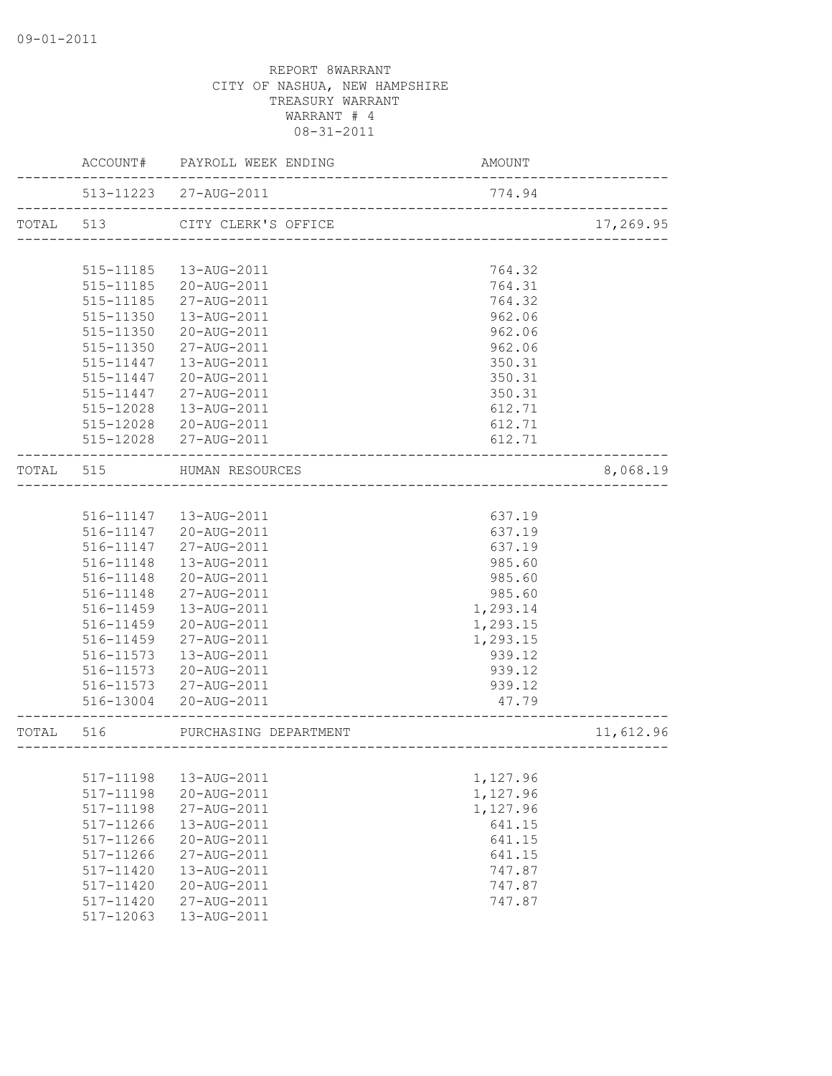|           | ACCOUNT#  | PAYROLL WEEK ENDING   | AMOUNT                            |           |
|-----------|-----------|-----------------------|-----------------------------------|-----------|
|           |           | 513-11223 27-AUG-2011 | 774.94                            |           |
| TOTAL 513 |           | CITY CLERK'S OFFICE   | .<br>============================ | 17,269.95 |
|           |           |                       |                                   |           |
|           | 515-11185 | 13-AUG-2011           | 764.32                            |           |
|           | 515-11185 | 20-AUG-2011           | 764.31                            |           |
|           | 515-11185 | 27-AUG-2011           | 764.32                            |           |
|           | 515-11350 | 13-AUG-2011           | 962.06                            |           |
|           | 515-11350 | 20-AUG-2011           | 962.06                            |           |
|           | 515-11350 | 27-AUG-2011           | 962.06                            |           |
|           | 515-11447 | 13-AUG-2011           | 350.31                            |           |
|           | 515-11447 | 20-AUG-2011           | 350.31                            |           |
|           | 515-11447 | 27-AUG-2011           | 350.31                            |           |
|           | 515-12028 | 13-AUG-2011           | 612.71                            |           |
|           | 515-12028 | 20-AUG-2011           | 612.71                            |           |
|           |           | 515-12028 27-AUG-2011 | 612.71                            |           |
| TOTAL 515 |           | HUMAN RESOURCES       |                                   | 8,068.19  |
|           |           |                       |                                   |           |
|           | 516-11147 | 13-AUG-2011           | 637.19                            |           |
|           | 516-11147 | 20-AUG-2011           | 637.19                            |           |
|           | 516-11147 | 27-AUG-2011           | 637.19                            |           |
|           | 516-11148 | 13-AUG-2011           | 985.60                            |           |
|           | 516-11148 | 20-AUG-2011           | 985.60                            |           |
|           | 516-11148 | 27-AUG-2011           | 985.60                            |           |
|           | 516-11459 | 13-AUG-2011           | 1,293.14                          |           |
|           | 516-11459 | 20-AUG-2011           | 1,293.15                          |           |
|           | 516-11459 | 27-AUG-2011           | 1,293.15                          |           |
|           | 516-11573 | 13-AUG-2011           | 939.12                            |           |
|           | 516-11573 | 20-AUG-2011           | 939.12                            |           |
|           | 516-11573 | 27-AUG-2011           | 939.12                            |           |
|           | 516-13004 | 20-AUG-2011           | 47.79                             |           |
| TOTAL     | 516       | PURCHASING DEPARTMENT | --------------------              | 11,612.96 |
|           |           |                       |                                   |           |
|           | 517-11198 | 13-AUG-2011           | 1,127.96                          |           |
|           | 517-11198 | 20-AUG-2011           | 1,127.96                          |           |
|           | 517-11198 | 27-AUG-2011           | 1,127.96                          |           |
|           | 517-11266 | 13-AUG-2011           | 641.15                            |           |
|           | 517-11266 | 20-AUG-2011           | 641.15                            |           |
|           | 517-11266 | 27-AUG-2011           | 641.15                            |           |
|           | 517-11420 | 13-AUG-2011           | 747.87                            |           |
|           | 517-11420 | 20-AUG-2011           | 747.87                            |           |
|           | 517-11420 | 27-AUG-2011           | 747.87                            |           |
|           | 517-12063 | 13-AUG-2011           |                                   |           |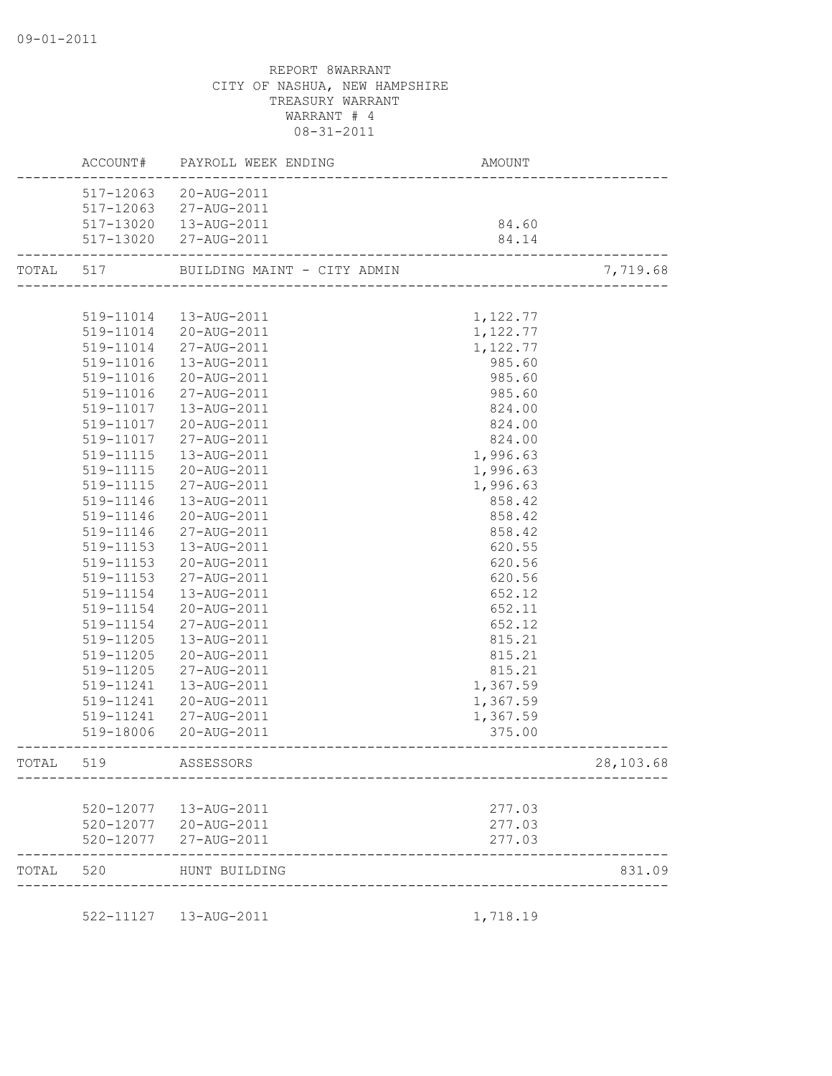|           | ACCOUNT#  | PAYROLL WEEK ENDING         | AMOUNT                                            |           |
|-----------|-----------|-----------------------------|---------------------------------------------------|-----------|
|           | 517-12063 | 20-AUG-2011                 |                                                   |           |
|           | 517-12063 | 27-AUG-2011                 |                                                   |           |
|           |           | 517-13020  13-AUG-2011      | 84.60                                             |           |
|           |           | 517-13020 27-AUG-2011       | 84.14                                             |           |
| TOTAL 517 |           | BUILDING MAINT - CITY ADMIN | CITY ADMIN<br>----------------------------------- | 7,719.68  |
|           |           |                             |                                                   |           |
|           |           | 519-11014  13-AUG-2011      | 1,122.77                                          |           |
|           |           | 519-11014 20-AUG-2011       | 1,122.77                                          |           |
|           | 519-11014 | 27-AUG-2011                 | 1,122.77                                          |           |
|           | 519-11016 | 13-AUG-2011                 | 985.60                                            |           |
|           | 519-11016 | 20-AUG-2011                 | 985.60                                            |           |
|           | 519-11016 | 27-AUG-2011                 | 985.60                                            |           |
|           | 519-11017 | 13-AUG-2011                 | 824.00                                            |           |
|           | 519-11017 | 20-AUG-2011                 | 824.00                                            |           |
|           | 519-11017 | 27-AUG-2011                 | 824.00                                            |           |
|           | 519-11115 | 13-AUG-2011                 | 1,996.63                                          |           |
|           | 519-11115 | 20-AUG-2011                 | 1,996.63                                          |           |
|           | 519-11115 | 27-AUG-2011                 | 1,996.63                                          |           |
|           | 519-11146 | 13-AUG-2011                 | 858.42                                            |           |
|           | 519-11146 | 20-AUG-2011                 | 858.42                                            |           |
|           | 519-11146 | 27-AUG-2011                 | 858.42                                            |           |
|           | 519-11153 | 13-AUG-2011                 | 620.55                                            |           |
|           | 519-11153 | 20-AUG-2011                 | 620.56                                            |           |
|           | 519-11153 | 27-AUG-2011                 | 620.56                                            |           |
|           | 519-11154 | 13-AUG-2011                 | 652.12                                            |           |
|           | 519-11154 | 20-AUG-2011                 | 652.11                                            |           |
|           | 519-11154 | 27-AUG-2011                 | 652.12                                            |           |
|           | 519-11205 | 13-AUG-2011                 | 815.21                                            |           |
|           | 519-11205 | 20-AUG-2011                 | 815.21                                            |           |
|           | 519-11205 | 27-AUG-2011                 | 815.21                                            |           |
|           | 519-11241 | 13-AUG-2011                 | 1,367.59                                          |           |
|           |           | 519-11241  20-AUG-2011      | 1,367.59                                          |           |
|           |           | 519-11241 27-AUG-2011       | 1,367.59                                          |           |
|           |           | 519-18006 20-AUG-2011       | 375.00                                            |           |
| TOTAL 519 |           | ASSESSORS                   |                                                   | 28,103.68 |
|           |           |                             |                                                   |           |
|           |           | 520-12077  13-AUG-2011      | 277.03                                            |           |
|           |           | 520-12077 20-AUG-2011       | 277.03                                            |           |
|           |           | 520-12077 27-AUG-2011       | 277.03                                            |           |
| TOTAL     | 520       | HUNT BUILDING               |                                                   | 831.09    |
|           |           | 522-11127  13-AUG-2011      | 1,718.19                                          |           |
|           |           |                             |                                                   |           |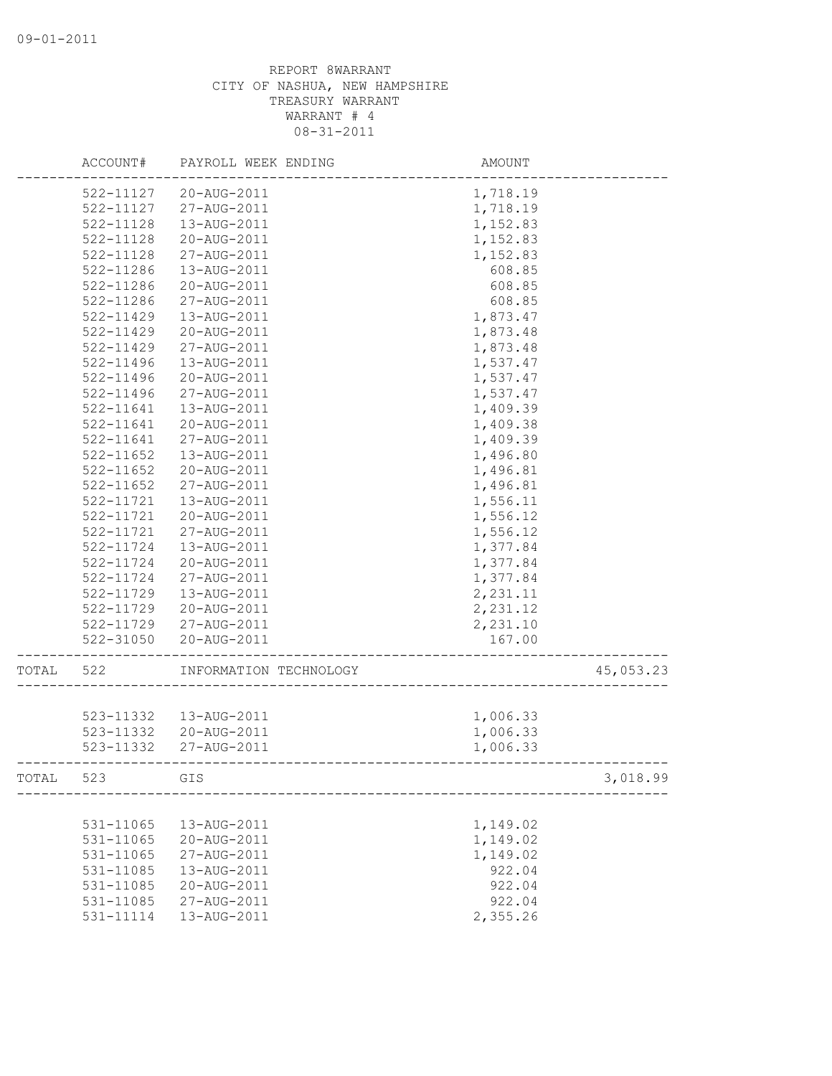|       | ACCOUNT#               | PAYROLL WEEK ENDING        | AMOUNT             |           |
|-------|------------------------|----------------------------|--------------------|-----------|
|       | 522-11127              | 20-AUG-2011                | 1,718.19           |           |
|       | 522-11127              | 27-AUG-2011                | 1,718.19           |           |
|       | 522-11128              | 13-AUG-2011                | 1,152.83           |           |
|       | 522-11128              | 20-AUG-2011                | 1,152.83           |           |
|       | 522-11128              | 27-AUG-2011                | 1,152.83           |           |
|       | 522-11286              | 13-AUG-2011                | 608.85             |           |
|       | 522-11286              | 20-AUG-2011                | 608.85             |           |
|       | 522-11286              | 27-AUG-2011                | 608.85             |           |
|       | 522-11429              | 13-AUG-2011                | 1,873.47           |           |
|       | 522-11429              | 20-AUG-2011                | 1,873.48           |           |
|       | $522 - 11429$          | 27-AUG-2011                | 1,873.48           |           |
|       | 522-11496              | 13-AUG-2011                | 1,537.47           |           |
|       | 522-11496              | 20-AUG-2011                | 1,537.47           |           |
|       | 522-11496              | 27-AUG-2011                | 1,537.47           |           |
|       | 522-11641              | 13-AUG-2011                | 1,409.39           |           |
|       | 522-11641              | 20-AUG-2011                | 1,409.38           |           |
|       | 522-11641              | 27-AUG-2011                | 1,409.39           |           |
|       | 522-11652              | 13-AUG-2011                | 1,496.80           |           |
|       | 522-11652              | 20-AUG-2011                | 1,496.81           |           |
|       | 522-11652              | 27-AUG-2011                | 1,496.81           |           |
|       | 522-11721              | 13-AUG-2011                | 1,556.11           |           |
|       | 522-11721              | 20-AUG-2011                | 1,556.12           |           |
|       | 522-11721              | 27-AUG-2011                | 1,556.12           |           |
|       | 522-11724              | 13-AUG-2011                | 1,377.84           |           |
|       | 522-11724              | 20-AUG-2011                | 1,377.84           |           |
|       | 522-11724              | 27-AUG-2011                | 1,377.84           |           |
|       | 522-11729              | 13-AUG-2011                | 2,231.11           |           |
|       | 522-11729              | 20-AUG-2011                | 2,231.12           |           |
|       | 522-11729              | 27-AUG-2011                | 2,231.10           |           |
|       | 522-31050              | 20-AUG-2011                | 167.00             |           |
| TOTAL | 522                    | INFORMATION TECHNOLOGY     |                    | 45,053.23 |
|       |                        |                            |                    |           |
|       | 523-11332              | 13-AUG-2011                | 1,006.33           |           |
|       | 523-11332              | 20-AUG-2011                | 1,006.33           |           |
|       | 523-11332              | 27-AUG-2011                | 1,006.33           |           |
| TOTAL | 523                    | GIS                        |                    | 3,018.99  |
|       |                        |                            |                    |           |
|       | 531-11065              | 13-AUG-2011<br>20-AUG-2011 | 1,149.02           |           |
|       | 531-11065              |                            | 1,149.02           |           |
|       | 531-11065              | 27-AUG-2011                | 1,149.02<br>922.04 |           |
|       | 531-11085              | 13-AUG-2011                |                    |           |
|       | 531-11085              | 20-AUG-2011<br>27-AUG-2011 | 922.04             |           |
|       | 531-11085<br>531-11114 | 13-AUG-2011                | 922.04<br>2,355.26 |           |
|       |                        |                            |                    |           |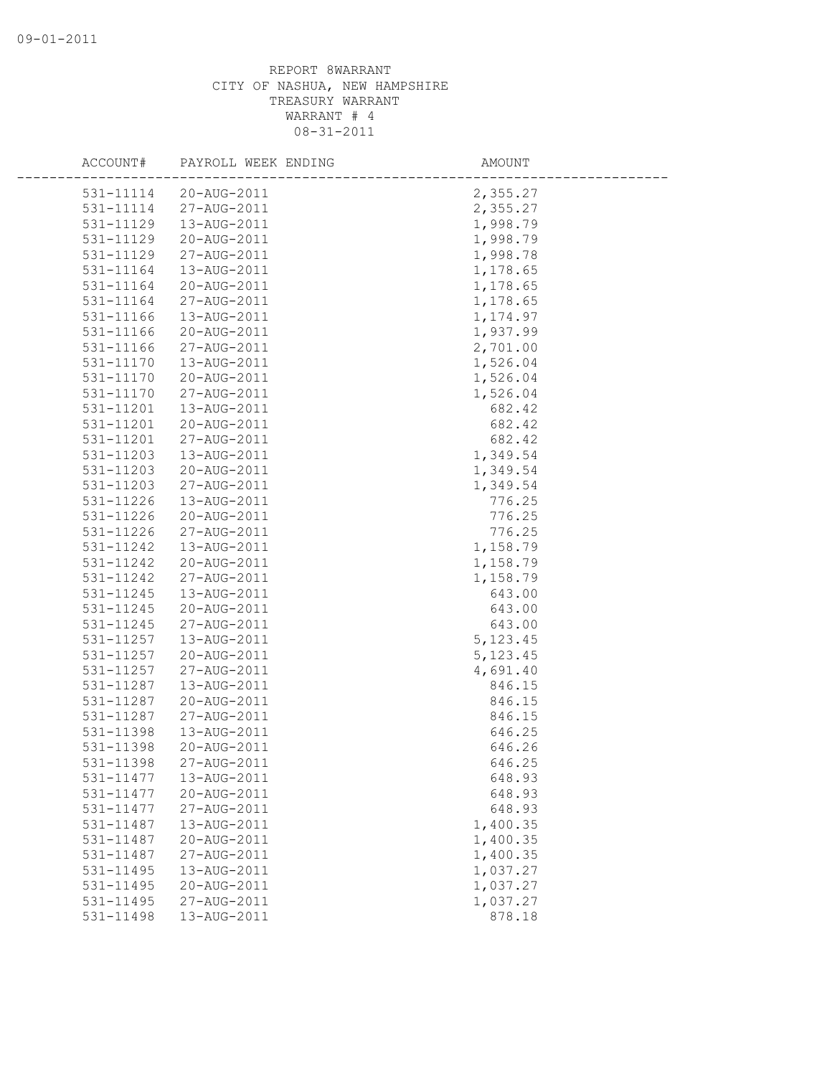| ACCOUNT#      | PAYROLL WEEK ENDING | AMOUNT    |
|---------------|---------------------|-----------|
| 531-11114     | 20-AUG-2011         | 2,355.27  |
| 531-11114     | 27-AUG-2011         | 2,355.27  |
| 531-11129     | 13-AUG-2011         | 1,998.79  |
| 531-11129     | 20-AUG-2011         | 1,998.79  |
| 531-11129     | 27-AUG-2011         | 1,998.78  |
| 531-11164     | 13-AUG-2011         | 1,178.65  |
| 531-11164     | 20-AUG-2011         | 1,178.65  |
| 531-11164     | 27-AUG-2011         | 1,178.65  |
| 531-11166     | 13-AUG-2011         | 1,174.97  |
| 531-11166     | 20-AUG-2011         | 1,937.99  |
| $531 - 11166$ | 27-AUG-2011         | 2,701.00  |
| 531-11170     | 13-AUG-2011         | 1,526.04  |
| 531-11170     | 20-AUG-2011         | 1,526.04  |
| 531-11170     | 27-AUG-2011         | 1,526.04  |
| 531-11201     | 13-AUG-2011         | 682.42    |
| 531-11201     | 20-AUG-2011         | 682.42    |
| 531-11201     | 27-AUG-2011         | 682.42    |
| 531-11203     | 13-AUG-2011         | 1,349.54  |
| 531-11203     | 20-AUG-2011         | 1,349.54  |
| 531-11203     | 27-AUG-2011         | 1,349.54  |
| 531-11226     | 13-AUG-2011         | 776.25    |
| 531-11226     | 20-AUG-2011         | 776.25    |
| 531-11226     | 27-AUG-2011         | 776.25    |
| 531-11242     | 13-AUG-2011         | 1,158.79  |
| 531-11242     | 20-AUG-2011         | 1,158.79  |
| 531-11242     | 27-AUG-2011         | 1,158.79  |
| 531-11245     | 13-AUG-2011         | 643.00    |
| 531-11245     | 20-AUG-2011         | 643.00    |
| 531-11245     | 27-AUG-2011         | 643.00    |
| 531-11257     | 13-AUG-2011         | 5, 123.45 |
| 531-11257     | 20-AUG-2011         | 5, 123.45 |
| 531-11257     | 27-AUG-2011         | 4,691.40  |
| 531-11287     | 13-AUG-2011         | 846.15    |
| 531-11287     | 20-AUG-2011         | 846.15    |
| 531-11287     | 27-AUG-2011         | 846.15    |
| 531-11398     | 13-AUG-2011         | 646.25    |
| 531-11398     | 20-AUG-2011         | 646.26    |
| 531-11398     | 27-AUG-2011         | 646.25    |
| 531-11477     | 13-AUG-2011         | 648.93    |
| 531-11477     | 20-AUG-2011         | 648.93    |
| 531-11477     | 27-AUG-2011         | 648.93    |
| 531-11487     | 13-AUG-2011         | 1,400.35  |
| 531-11487     | 20-AUG-2011         | 1,400.35  |
| 531-11487     | 27-AUG-2011         | 1,400.35  |
| 531-11495     | 13-AUG-2011         | 1,037.27  |
| 531-11495     | 20-AUG-2011         | 1,037.27  |
| 531-11495     | 27-AUG-2011         | 1,037.27  |
| 531-11498     | 13-AUG-2011         | 878.18    |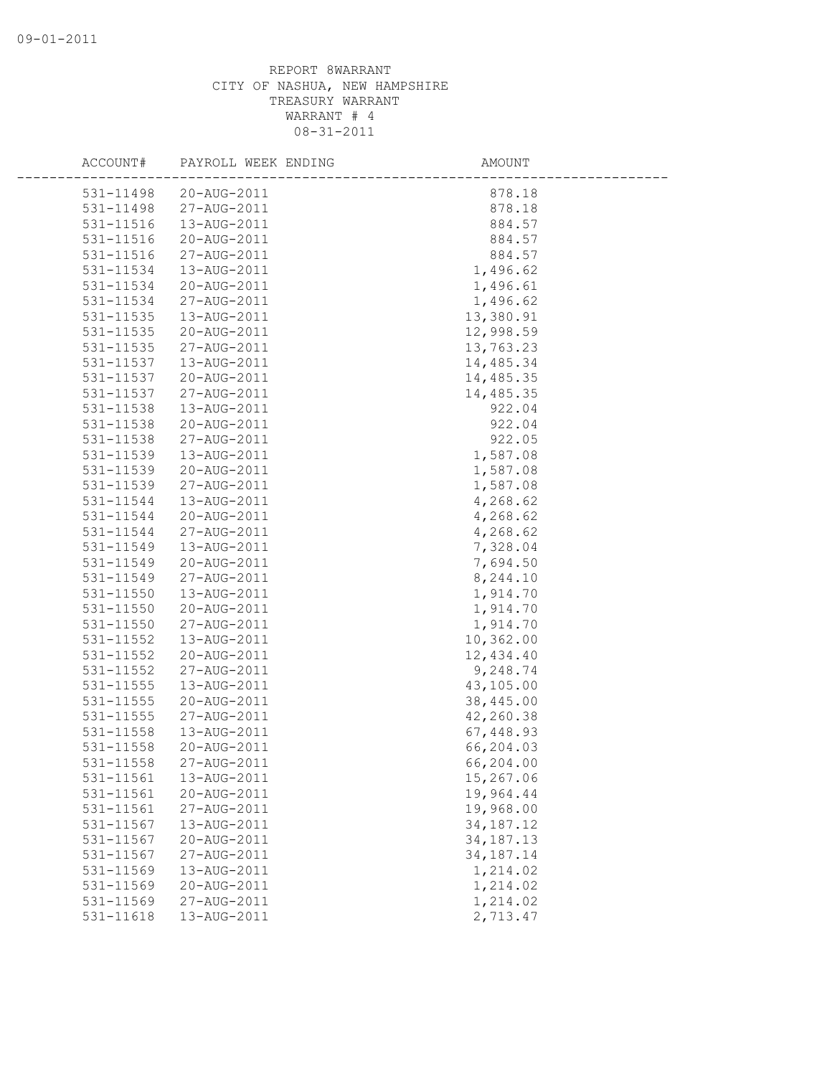| ACCOUNT#      | PAYROLL WEEK ENDING | AMOUNT      |
|---------------|---------------------|-------------|
| 531-11498     | 20-AUG-2011         | 878.18      |
| 531-11498     | 27-AUG-2011         | 878.18      |
| 531-11516     | 13-AUG-2011         | 884.57      |
| 531-11516     | 20-AUG-2011         | 884.57      |
| 531-11516     | 27-AUG-2011         | 884.57      |
| 531-11534     | 13-AUG-2011         | 1,496.62    |
| 531-11534     | 20-AUG-2011         | 1,496.61    |
| 531-11534     | 27-AUG-2011         | 1,496.62    |
| 531-11535     | 13-AUG-2011         | 13,380.91   |
| 531-11535     | 20-AUG-2011         | 12,998.59   |
| 531-11535     | 27-AUG-2011         | 13,763.23   |
| 531-11537     | 13-AUG-2011         | 14,485.34   |
| 531-11537     | 20-AUG-2011         | 14,485.35   |
| 531-11537     | 27-AUG-2011         | 14,485.35   |
| 531-11538     | 13-AUG-2011         | 922.04      |
| 531-11538     | 20-AUG-2011         | 922.04      |
| 531-11538     | 27-AUG-2011         | 922.05      |
| 531-11539     | 13-AUG-2011         | 1,587.08    |
| 531-11539     | 20-AUG-2011         | 1,587.08    |
| 531-11539     | 27-AUG-2011         | 1,587.08    |
| 531-11544     | 13-AUG-2011         | 4,268.62    |
| 531-11544     | 20-AUG-2011         | 4,268.62    |
| 531-11544     | 27-AUG-2011         | 4,268.62    |
| 531-11549     | 13-AUG-2011         | 7,328.04    |
| 531-11549     | 20-AUG-2011         | 7,694.50    |
| 531-11549     | 27-AUG-2011         | 8,244.10    |
| 531-11550     | 13-AUG-2011         | 1,914.70    |
| 531-11550     | 20-AUG-2011         | 1,914.70    |
| 531-11550     | 27-AUG-2011         | 1,914.70    |
| 531-11552     | 13-AUG-2011         | 10,362.00   |
| 531-11552     | 20-AUG-2011         | 12,434.40   |
| 531-11552     | 27-AUG-2011         | 9,248.74    |
| 531-11555     | 13-AUG-2011         | 43,105.00   |
| $531 - 11555$ | 20-AUG-2011         | 38,445.00   |
| 531-11555     | 27-AUG-2011         | 42,260.38   |
| $531 - 11558$ | 13-AUG-2011         | 67,448.93   |
| 531-11558     | 20-AUG-2011         | 66,204.03   |
| 531-11558     | 27-AUG-2011         | 66,204.00   |
| 531-11561     | 13-AUG-2011         | 15,267.06   |
| 531-11561     | 20-AUG-2011         | 19,964.44   |
| 531-11561     | 27-AUG-2011         | 19,968.00   |
| 531-11567     | 13-AUG-2011         | 34, 187. 12 |
| 531-11567     | 20-AUG-2011         | 34, 187. 13 |
| 531-11567     | 27-AUG-2011         | 34, 187. 14 |
| 531-11569     | 13-AUG-2011         | 1,214.02    |
| 531-11569     | 20-AUG-2011         | 1,214.02    |
| 531-11569     | 27-AUG-2011         | 1,214.02    |
| 531-11618     | 13-AUG-2011         | 2,713.47    |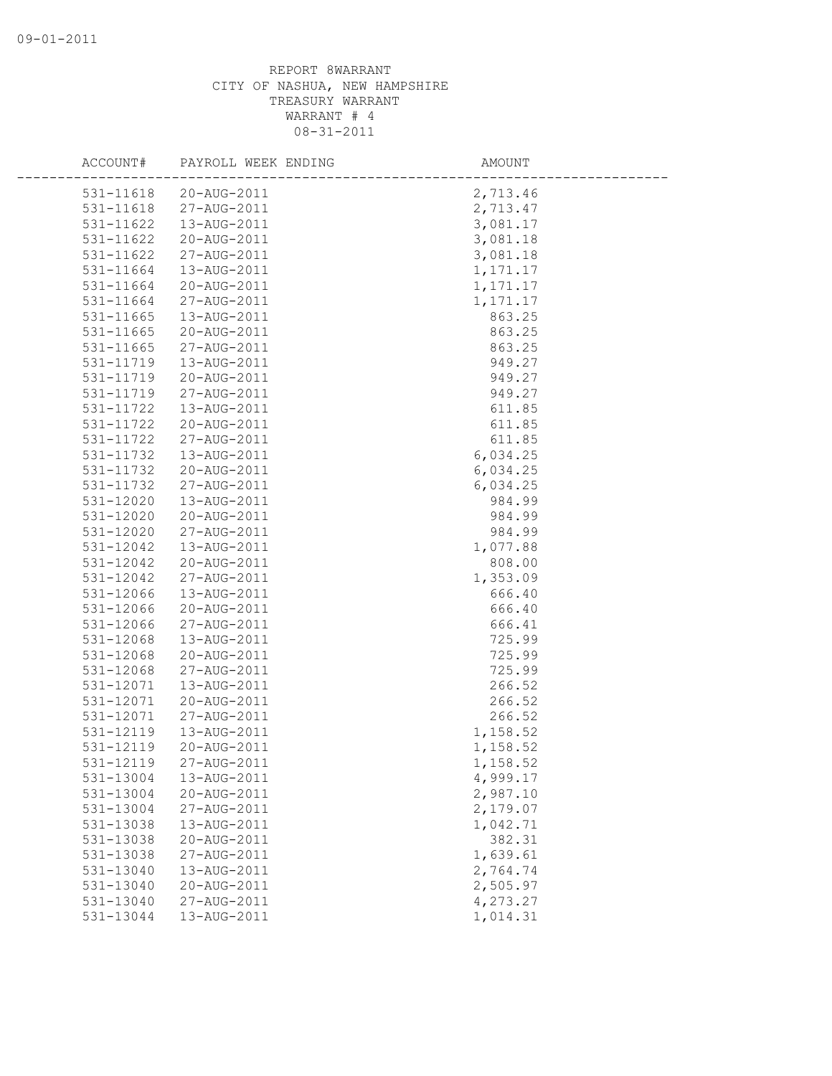| ACCOUNT#               | PAYROLL WEEK ENDING        | AMOUNT   |
|------------------------|----------------------------|----------|
| 531-11618              | 20-AUG-2011                | 2,713.46 |
| 531-11618              | 27-AUG-2011                | 2,713.47 |
| 531-11622              | 13-AUG-2011                | 3,081.17 |
| 531-11622              | 20-AUG-2011                | 3,081.18 |
| 531-11622              | 27-AUG-2011                | 3,081.18 |
| 531-11664              | 13-AUG-2011                | 1,171.17 |
| 531-11664              | 20-AUG-2011                | 1,171.17 |
| 531-11664              | 27-AUG-2011                | 1,171.17 |
| 531-11665              | 13-AUG-2011                | 863.25   |
| 531-11665              | 20-AUG-2011                | 863.25   |
| 531-11665              | 27-AUG-2011                | 863.25   |
| 531-11719              | 13-AUG-2011                | 949.27   |
| 531-11719              | 20-AUG-2011                | 949.27   |
| 531-11719              | 27-AUG-2011                | 949.27   |
| 531-11722              | 13-AUG-2011                | 611.85   |
| 531-11722              | 20-AUG-2011                | 611.85   |
| 531-11722              | 27-AUG-2011                | 611.85   |
| 531-11732              | 13-AUG-2011                | 6,034.25 |
| 531-11732              | 20-AUG-2011                | 6,034.25 |
| 531-11732              | 27-AUG-2011                | 6,034.25 |
| 531-12020              | 13-AUG-2011                | 984.99   |
| 531-12020              | 20-AUG-2011                | 984.99   |
| 531-12020              | 27-AUG-2011                | 984.99   |
| 531-12042              | 13-AUG-2011                | 1,077.88 |
| 531-12042              | 20-AUG-2011                | 808.00   |
| 531-12042              | 27-AUG-2011                | 1,353.09 |
| 531-12066              | 13-AUG-2011                | 666.40   |
| 531-12066              | 20-AUG-2011                | 666.40   |
| 531-12066              | 27-AUG-2011                | 666.41   |
| 531-12068              | 13-AUG-2011                | 725.99   |
| 531-12068              | 20-AUG-2011                | 725.99   |
| 531-12068              | 27-AUG-2011                | 725.99   |
| 531-12071              | 13-AUG-2011                | 266.52   |
| 531-12071              | 20-AUG-2011                | 266.52   |
| 531-12071              | 27-AUG-2011                | 266.52   |
| 531-12119              | 13-AUG-2011                | 1,158.52 |
| 531-12119              | 20-AUG-2011                | 1,158.52 |
| 531-12119              | 27-AUG-2011                | 1,158.52 |
| 531-13004              | 13-AUG-2011                | 4,999.17 |
| 531-13004              | 20-AUG-2011                | 2,987.10 |
| 531-13004              | 27-AUG-2011                | 2,179.07 |
| 531-13038              | 13-AUG-2011                | 1,042.71 |
| 531-13038              | 20-AUG-2011                | 382.31   |
| 531-13038              | 27-AUG-2011                | 1,639.61 |
| 531-13040<br>531-13040 | 13-AUG-2011<br>20-AUG-2011 | 2,764.74 |
| 531-13040              |                            | 2,505.97 |
|                        | 27-AUG-2011<br>13-AUG-2011 | 4,273.27 |
| 531-13044              |                            | 1,014.31 |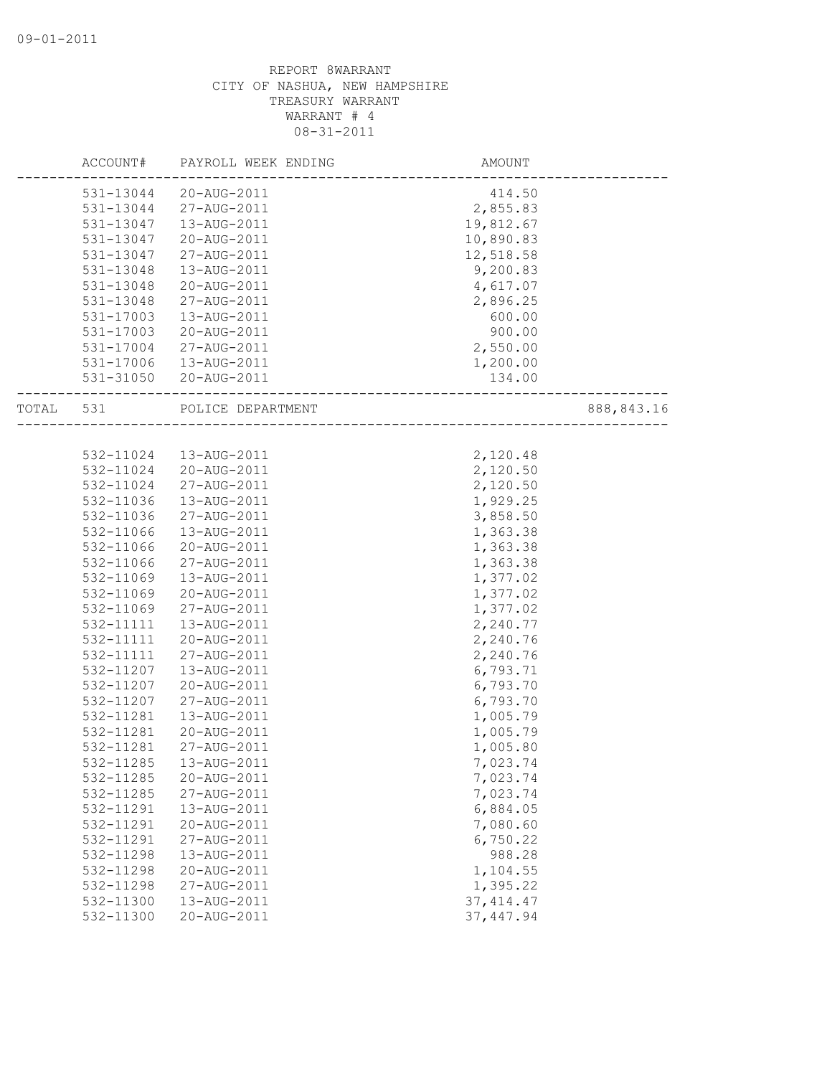|       | ACCOUNT#  | PAYROLL WEEK ENDING | AMOUNT     |            |
|-------|-----------|---------------------|------------|------------|
|       | 531-13044 | 20-AUG-2011         | 414.50     |            |
|       | 531-13044 | 27-AUG-2011         | 2,855.83   |            |
|       | 531-13047 | 13-AUG-2011         | 19,812.67  |            |
|       | 531-13047 | 20-AUG-2011         | 10,890.83  |            |
|       | 531-13047 | 27-AUG-2011         | 12,518.58  |            |
|       | 531-13048 | 13-AUG-2011         | 9,200.83   |            |
|       | 531-13048 | 20-AUG-2011         | 4,617.07   |            |
|       | 531-13048 | 27-AUG-2011         | 2,896.25   |            |
|       | 531-17003 | 13-AUG-2011         | 600.00     |            |
|       | 531-17003 | 20-AUG-2011         | 900.00     |            |
|       | 531-17004 | 27-AUG-2011         | 2,550.00   |            |
|       | 531-17006 | 13-AUG-2011         | 1,200.00   |            |
|       | 531-31050 | 20-AUG-2011         | 134.00     |            |
| TOTAL | 531       | POLICE DEPARTMENT   |            | 888,843.16 |
|       |           |                     |            |            |
|       | 532-11024 | 13-AUG-2011         | 2,120.48   |            |
|       | 532-11024 | 20-AUG-2011         | 2,120.50   |            |
|       | 532-11024 | 27-AUG-2011         | 2,120.50   |            |
|       | 532-11036 | 13-AUG-2011         | 1,929.25   |            |
|       | 532-11036 | 27-AUG-2011         | 3,858.50   |            |
|       | 532-11066 | 13-AUG-2011         | 1,363.38   |            |
|       | 532-11066 | 20-AUG-2011         | 1,363.38   |            |
|       | 532-11066 | 27-AUG-2011         | 1,363.38   |            |
|       | 532-11069 | 13-AUG-2011         | 1,377.02   |            |
|       | 532-11069 | 20-AUG-2011         | 1,377.02   |            |
|       | 532-11069 | 27-AUG-2011         | 1,377.02   |            |
|       | 532-11111 | 13-AUG-2011         | 2,240.77   |            |
|       | 532-11111 | 20-AUG-2011         | 2,240.76   |            |
|       | 532-11111 | 27-AUG-2011         | 2,240.76   |            |
|       | 532-11207 | 13-AUG-2011         | 6,793.71   |            |
|       | 532-11207 | 20-AUG-2011         | 6,793.70   |            |
|       | 532-11207 | 27-AUG-2011         | 6,793.70   |            |
|       | 532-11281 | 13-AUG-2011         | 1,005.79   |            |
|       | 532-11281 | 20-AUG-2011         | 1,005.79   |            |
|       | 532-11281 | 27-AUG-2011         | 1,005.80   |            |
|       | 532-11285 | 13-AUG-2011         | 7,023.74   |            |
|       | 532-11285 | 20-AUG-2011         | 7,023.74   |            |
|       | 532-11285 | 27-AUG-2011         | 7,023.74   |            |
|       | 532-11291 | 13-AUG-2011         | 6,884.05   |            |
|       | 532-11291 | 20-AUG-2011         | 7,080.60   |            |
|       | 532-11291 | 27-AUG-2011         | 6,750.22   |            |
|       | 532-11298 | 13-AUG-2011         | 988.28     |            |
|       | 532-11298 | 20-AUG-2011         | 1,104.55   |            |
|       | 532-11298 | 27-AUG-2011         | 1,395.22   |            |
|       | 532-11300 | 13-AUG-2011         | 37, 414.47 |            |
|       | 532-11300 | 20-AUG-2011         | 37, 447.94 |            |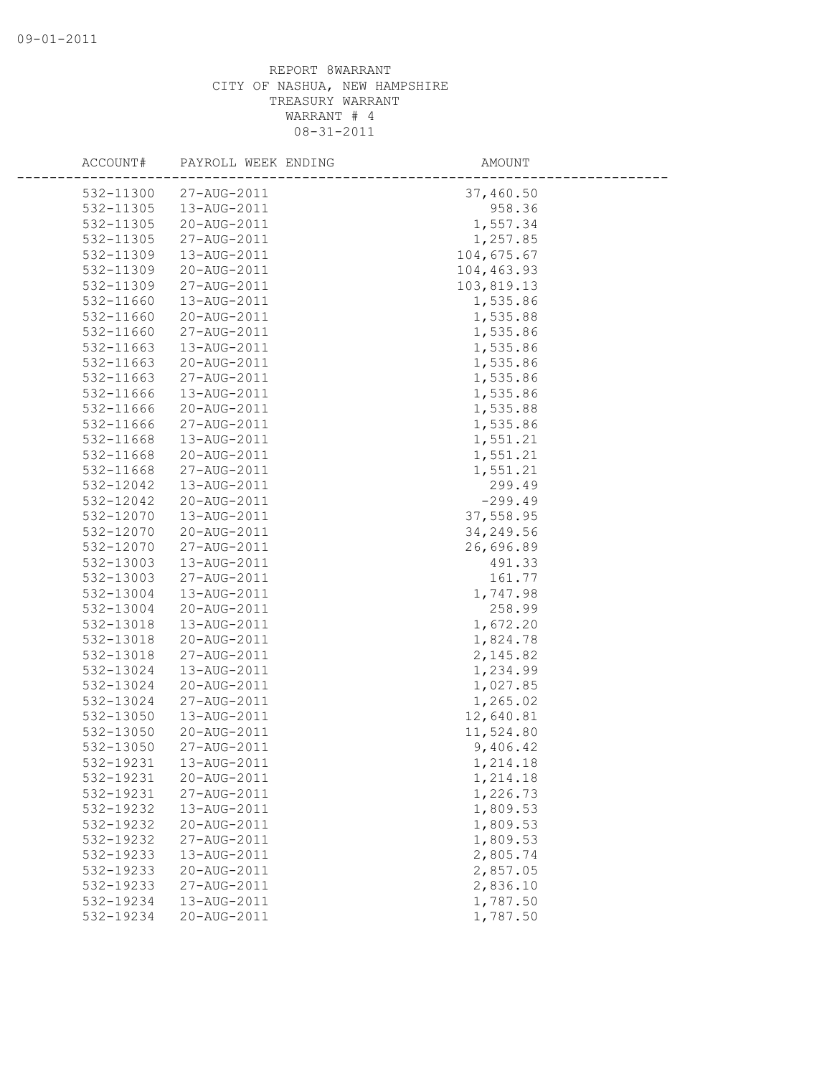| ACCOUNT#               | PAYROLL WEEK ENDING        | AMOUNT               |
|------------------------|----------------------------|----------------------|
| 532-11300              | 27-AUG-2011                | 37,460.50            |
| 532-11305              | 13-AUG-2011                | 958.36               |
| 532-11305              | 20-AUG-2011                | 1,557.34             |
| 532-11305              | 27-AUG-2011                | 1,257.85             |
| 532-11309              | 13-AUG-2011                | 104,675.67           |
| 532-11309              | 20-AUG-2011                | 104,463.93           |
| 532-11309              | 27-AUG-2011                | 103,819.13           |
| 532-11660              | 13-AUG-2011                | 1,535.86             |
| 532-11660              | 20-AUG-2011                | 1,535.88             |
| 532-11660              | 27-AUG-2011                | 1,535.86             |
| 532-11663              | 13-AUG-2011                | 1,535.86             |
| 532-11663              | 20-AUG-2011                | 1,535.86             |
| 532-11663              | 27-AUG-2011                | 1,535.86             |
| 532-11666              | 13-AUG-2011                | 1,535.86             |
| 532-11666              | 20-AUG-2011                | 1,535.88             |
| 532-11666              | 27-AUG-2011                | 1,535.86             |
| 532-11668              | 13-AUG-2011                | 1,551.21             |
| 532-11668              | 20-AUG-2011                | 1,551.21             |
| 532-11668              | 27-AUG-2011                | 1,551.21             |
| 532-12042              | 13-AUG-2011                | 299.49               |
| 532-12042              | 20-AUG-2011                | $-299.49$            |
| 532-12070              | 13-AUG-2011                | 37,558.95            |
| 532-12070              | 20-AUG-2011                | 34,249.56            |
| 532-12070              | 27-AUG-2011                | 26,696.89            |
| 532-13003              | 13-AUG-2011                | 491.33               |
| 532-13003              | 27-AUG-2011                | 161.77               |
| 532-13004              | 13-AUG-2011                | 1,747.98             |
| 532-13004              | 20-AUG-2011                | 258.99               |
| 532-13018              | 13-AUG-2011                | 1,672.20             |
| 532-13018              | 20-AUG-2011                | 1,824.78             |
| 532-13018              | 27-AUG-2011                | 2, 145.82            |
| 532-13024              | 13-AUG-2011                | 1,234.99             |
| 532-13024              | 20-AUG-2011                | 1,027.85             |
| 532-13024              | 27-AUG-2011                | 1,265.02             |
| 532-13050              | 13-AUG-2011                | 12,640.81            |
| 532-13050              | 20-AUG-2011                | 11,524.80            |
| 532-13050              | 27-AUG-2011                | 9,406.42             |
| 532-19231              | 13-AUG-2011                | 1,214.18             |
| 532-19231              | 20-AUG-2011                | 1,214.18             |
| 532-19231              | 27-AUG-2011                | 1,226.73             |
| 532-19232<br>532-19232 | 13-AUG-2011                | 1,809.53             |
|                        | 20-AUG-2011                | 1,809.53             |
| 532-19232<br>532-19233 | 27-AUG-2011<br>13-AUG-2011 | 1,809.53             |
|                        | 20-AUG-2011                | 2,805.74<br>2,857.05 |
| 532-19233<br>532-19233 | 27-AUG-2011                | 2,836.10             |
| 532-19234              | 13-AUG-2011                | 1,787.50             |
| 532-19234              | 20-AUG-2011                | 1,787.50             |
|                        |                            |                      |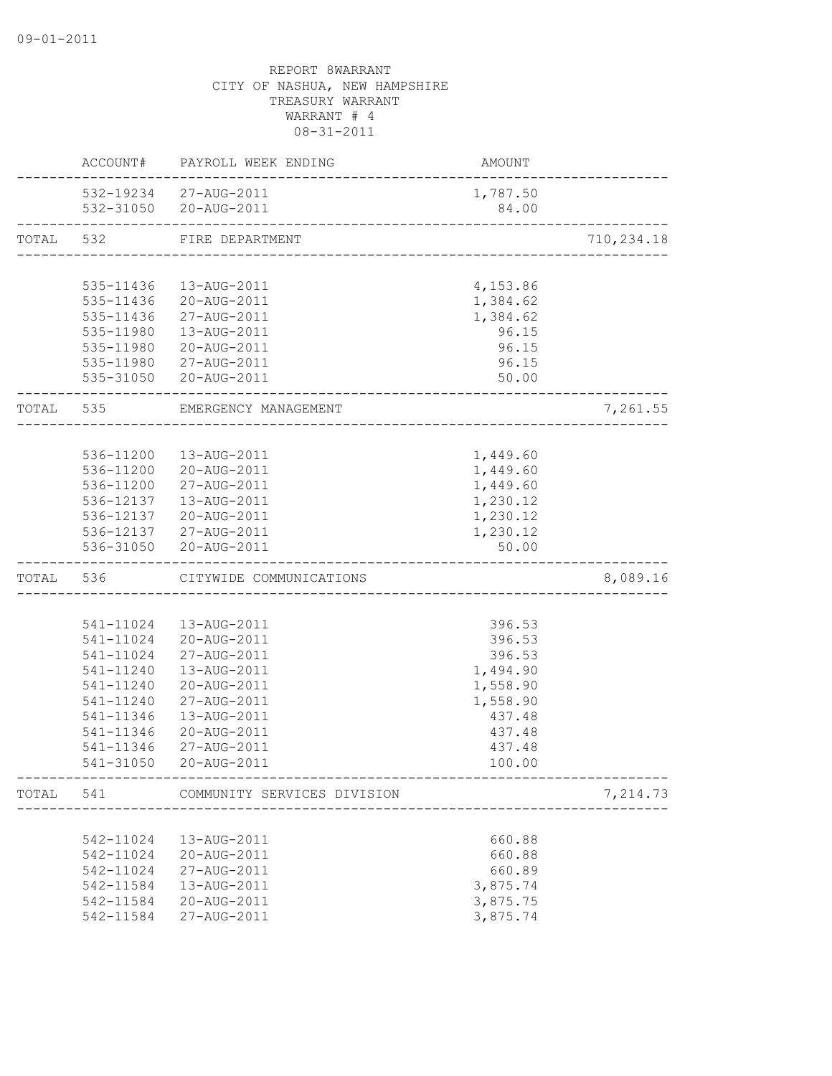|           |           | ACCOUNT# PAYROLL WEEK ENDING          | AMOUNT   |             |
|-----------|-----------|---------------------------------------|----------|-------------|
|           |           | 532-19234 27-AUG-2011                 | 1,787.50 |             |
|           |           | 532-31050 20-AUG-2011                 | 84.00    |             |
| TOTAL     | 532       | FIRE DEPARTMENT                       |          | 710, 234.18 |
|           |           |                                       |          |             |
|           | 535-11436 | 13-AUG-2011                           | 4,153.86 |             |
|           | 535-11436 | 20-AUG-2011                           | 1,384.62 |             |
|           |           | 535-11436 27-AUG-2011                 | 1,384.62 |             |
|           |           | 535-11980  13-AUG-2011                | 96.15    |             |
|           |           | 535-11980 20-AUG-2011                 | 96.15    |             |
|           |           | 535-11980 27-AUG-2011                 | 96.15    |             |
|           |           | 535-31050 20-AUG-2011                 | 50.00    |             |
| TOTAL 535 |           | EMERGENCY MANAGEMENT                  |          | 7,261.55    |
|           |           |                                       |          |             |
|           | 536-11200 | 13-AUG-2011                           | 1,449.60 |             |
|           | 536-11200 | 20-AUG-2011                           | 1,449.60 |             |
|           | 536-11200 | 27-AUG-2011                           | 1,449.60 |             |
|           |           | 536-12137  13-AUG-2011                | 1,230.12 |             |
|           |           | 536-12137 20-AUG-2011                 | 1,230.12 |             |
|           |           | 536-12137 27-AUG-2011                 | 1,230.12 |             |
|           |           | 536-31050 20-AUG-2011                 | 50.00    |             |
| TOTAL     | 536       | CITYWIDE COMMUNICATIONS               |          | 8,089.16    |
|           |           |                                       |          |             |
|           |           | 541-11024  13-AUG-2011                | 396.53   |             |
|           |           | 541-11024 20-AUG-2011                 | 396.53   |             |
|           | 541-11024 | 27-AUG-2011                           | 396.53   |             |
|           | 541-11240 | 13-AUG-2011                           | 1,494.90 |             |
|           | 541-11240 | 20-AUG-2011                           | 1,558.90 |             |
|           | 541-11240 | 27-AUG-2011                           | 1,558.90 |             |
|           | 541-11346 | 13-AUG-2011                           | 437.48   |             |
|           | 541-11346 | 20-AUG-2011                           | 437.48   |             |
|           | 541-11346 | 27-AUG-2011                           | 437.48   |             |
|           | 541-31050 | 20-AUG-2011                           | 100.00   |             |
|           |           | TOTAL 541 COMMUNITY SERVICES DIVISION |          | 7,214.73    |
|           |           |                                       |          |             |
|           | 542-11024 | 13-AUG-2011                           | 660.88   |             |
|           | 542-11024 | 20-AUG-2011                           | 660.88   |             |
|           | 542-11024 | 27-AUG-2011                           | 660.89   |             |
|           | 542-11584 | 13-AUG-2011                           | 3,875.74 |             |
|           | 542-11584 | 20-AUG-2011                           | 3,875.75 |             |
|           | 542-11584 | 27-AUG-2011                           | 3,875.74 |             |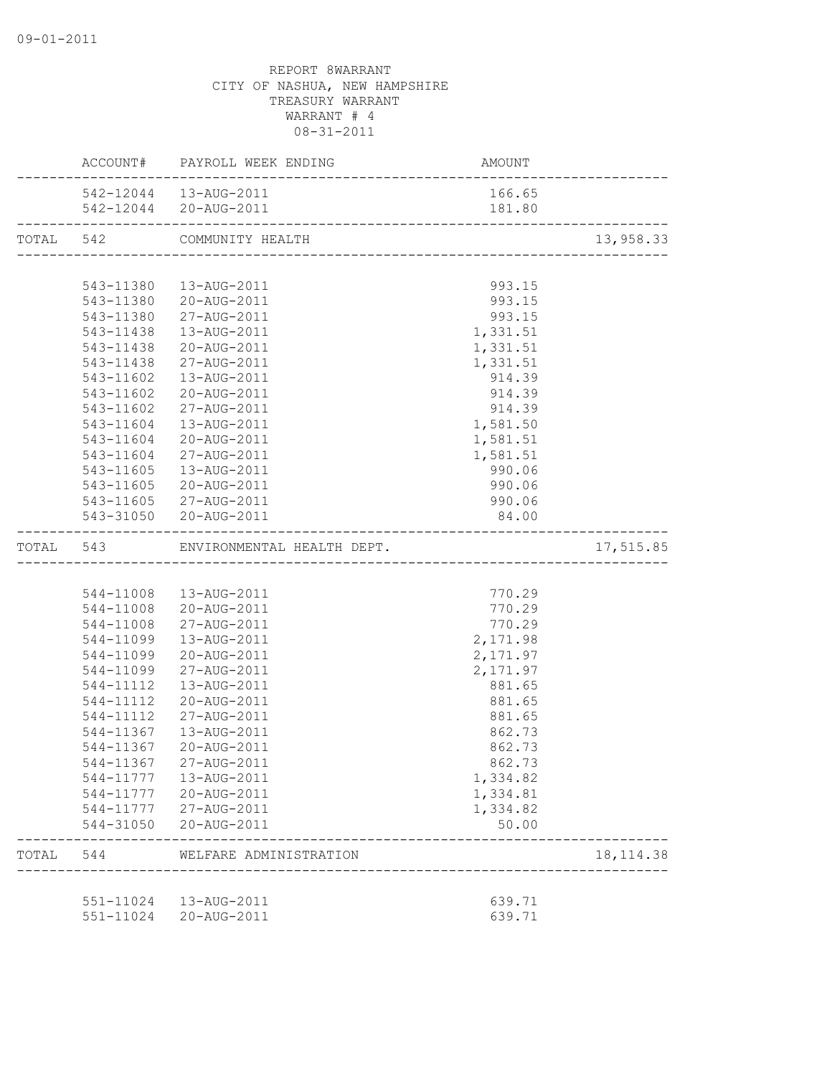|       |           | ACCOUNT# PAYROLL WEEK ENDING | AMOUNT   |            |
|-------|-----------|------------------------------|----------|------------|
|       |           | 542-12044  13-AUG-2011       | 166.65   |            |
|       |           | 542-12044 20-AUG-2011        |          |            |
|       |           | TOTAL 542 COMMUNITY HEALTH   |          | 13,958.33  |
|       |           |                              |          |            |
|       |           | 543-11380  13-AUG-2011       | 993.15   |            |
|       |           | 543-11380 20-AUG-2011        | 993.15   |            |
|       |           | 543-11380 27-AUG-2011        | 993.15   |            |
|       |           | 543-11438  13-AUG-2011       | 1,331.51 |            |
|       |           | 543-11438 20-AUG-2011        | 1,331.51 |            |
|       |           | 543-11438 27-AUG-2011        | 1,331.51 |            |
|       |           | 543-11602  13-AUG-2011       | 914.39   |            |
|       | 543-11602 | 20-AUG-2011                  | 914.39   |            |
|       | 543-11602 | 27-AUG-2011                  | 914.39   |            |
|       | 543-11604 | 13-AUG-2011                  | 1,581.50 |            |
|       | 543-11604 | 20-AUG-2011                  | 1,581.51 |            |
|       | 543-11604 | 27-AUG-2011                  | 1,581.51 |            |
|       | 543-11605 | 13-AUG-2011                  | 990.06   |            |
|       |           | 543-11605 20-AUG-2011        | 990.06   |            |
|       |           | 543-11605 27-AUG-2011        | 990.06   |            |
|       |           | 543-31050 20-AUG-2011        | 84.00    |            |
|       |           |                              |          | 17,515.85  |
|       |           |                              |          |            |
|       |           | 544-11008  13-AUG-2011       | 770.29   |            |
|       |           | 544-11008 20-AUG-2011        | 770.29   |            |
|       |           | 544-11008 27-AUG-2011        | 770.29   |            |
|       |           | 544-11099  13-AUG-2011       | 2,171.98 |            |
|       | 544-11099 | 20-AUG-2011                  | 2,171.97 |            |
|       | 544-11099 | 27-AUG-2011                  | 2,171.97 |            |
|       | 544-11112 | 13-AUG-2011                  | 881.65   |            |
|       | 544-11112 | 20-AUG-2011                  | 881.65   |            |
|       | 544-11112 | 27-AUG-2011                  | 881.65   |            |
|       | 544-11367 | 13-AUG-2011                  | 862.73   |            |
|       | 544-11367 | 20-AUG-2011                  | 862.73   |            |
|       |           | 544-11367 27-AUG-2011        | 862.73   |            |
|       |           | 544-11777  13-AUG-2011       | 1,334.82 |            |
|       |           | 544-11777 20-AUG-2011        | 1,334.81 |            |
|       |           | 544-11777 27-AUG-2011        | 1,334.82 |            |
|       |           | 544-31050 20-AUG-2011        | 50.00    |            |
| TOTAL | 544       | WELFARE ADMINISTRATION       |          | 18, 114.38 |
|       |           |                              |          |            |
|       |           | 551-11024  13-AUG-2011       | 639.71   |            |
|       |           | 551-11024 20-AUG-2011        | 639.71   |            |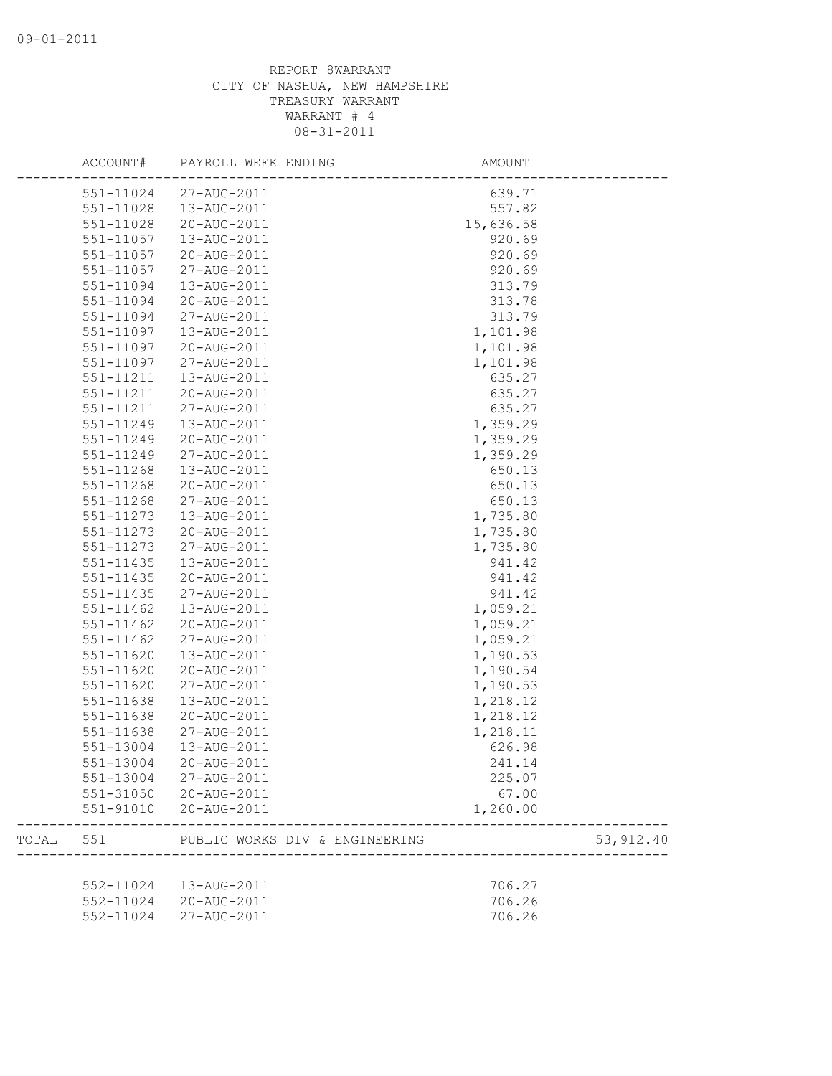|       | ACCOUNT#      | PAYROLL WEEK ENDING            | AMOUNT    |            |
|-------|---------------|--------------------------------|-----------|------------|
|       | 551-11024     | 27-AUG-2011                    | 639.71    |            |
|       | 551-11028     | 13-AUG-2011                    | 557.82    |            |
|       | 551-11028     | 20-AUG-2011                    | 15,636.58 |            |
|       | 551-11057     | 13-AUG-2011                    | 920.69    |            |
|       | 551-11057     | 20-AUG-2011                    | 920.69    |            |
|       | 551-11057     | 27-AUG-2011                    | 920.69    |            |
|       | 551-11094     | 13-AUG-2011                    | 313.79    |            |
|       | 551-11094     | 20-AUG-2011                    | 313.78    |            |
|       | 551-11094     | 27-AUG-2011                    | 313.79    |            |
|       | 551-11097     | 13-AUG-2011                    | 1,101.98  |            |
|       | 551-11097     | 20-AUG-2011                    | 1,101.98  |            |
|       | 551-11097     | 27-AUG-2011                    | 1,101.98  |            |
|       | 551-11211     | 13-AUG-2011                    | 635.27    |            |
|       | 551-11211     | 20-AUG-2011                    | 635.27    |            |
|       | 551-11211     | 27-AUG-2011                    | 635.27    |            |
|       | 551-11249     | 13-AUG-2011                    | 1,359.29  |            |
|       | 551-11249     | 20-AUG-2011                    | 1,359.29  |            |
|       | 551-11249     | 27-AUG-2011                    | 1,359.29  |            |
|       | 551-11268     | 13-AUG-2011                    | 650.13    |            |
|       | 551-11268     | 20-AUG-2011                    | 650.13    |            |
|       | 551-11268     | 27-AUG-2011                    | 650.13    |            |
|       | 551-11273     | 13-AUG-2011                    | 1,735.80  |            |
|       | 551-11273     | 20-AUG-2011                    | 1,735.80  |            |
|       | $551 - 11273$ | 27-AUG-2011                    | 1,735.80  |            |
|       | 551-11435     | 13-AUG-2011                    | 941.42    |            |
|       | 551-11435     | 20-AUG-2011                    | 941.42    |            |
|       | 551-11435     | 27-AUG-2011                    | 941.42    |            |
|       | 551-11462     | 13-AUG-2011                    | 1,059.21  |            |
|       | $551 - 11462$ | 20-AUG-2011                    | 1,059.21  |            |
|       | 551-11462     | 27-AUG-2011                    | 1,059.21  |            |
|       | 551-11620     | 13-AUG-2011                    | 1,190.53  |            |
|       | 551-11620     | 20-AUG-2011                    | 1,190.54  |            |
|       | 551-11620     | 27-AUG-2011                    | 1,190.53  |            |
|       | 551-11638     | 13-AUG-2011                    | 1,218.12  |            |
|       | 551-11638     | 20-AUG-2011                    | 1,218.12  |            |
|       | 551-11638     | 27-AUG-2011                    | 1,218.11  |            |
|       | 551-13004     | 13-AUG-2011                    | 626.98    |            |
|       | 551-13004     | 20-AUG-2011                    | 241.14    |            |
|       |               |                                |           |            |
|       | 551-13004     | 27-AUG-2011                    | 225.07    |            |
|       | 551-31050     | 20-AUG-2011                    | 67.00     |            |
|       | 551-91010     | 20-AUG-2011                    | 1,260.00  |            |
| TOTAL | 551           | PUBLIC WORKS DIV & ENGINEERING |           | 53, 912.40 |
|       |               |                                |           |            |
|       | 552-11024     | 13-AUG-2011                    | 706.27    |            |
|       | 552-11024     | 20-AUG-2011                    | 706.26    |            |
|       | 552-11024     | 27-AUG-2011                    | 706.26    |            |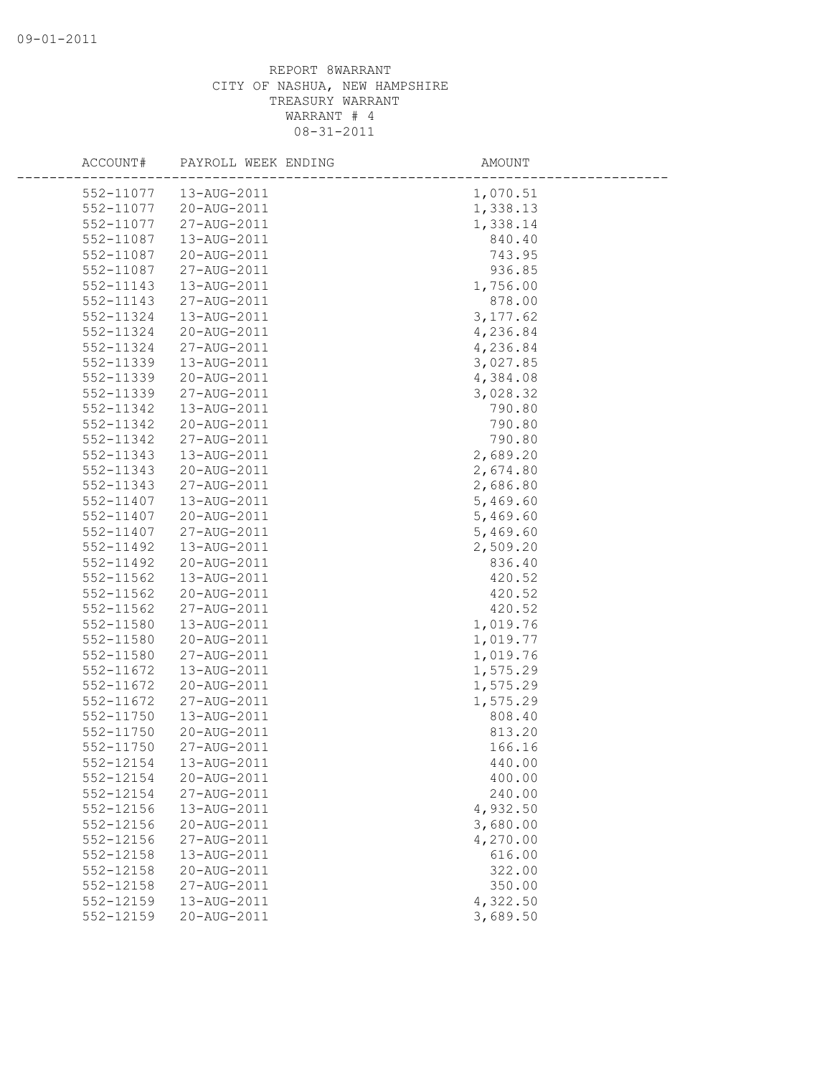| ACCOUNT#      | PAYROLL WEEK ENDING | AMOUNT   |
|---------------|---------------------|----------|
| 552-11077     | 13-AUG-2011         | 1,070.51 |
| 552-11077     | 20-AUG-2011         | 1,338.13 |
| 552-11077     | 27-AUG-2011         | 1,338.14 |
| 552-11087     | 13-AUG-2011         | 840.40   |
| 552-11087     | 20-AUG-2011         | 743.95   |
| 552-11087     | 27-AUG-2011         | 936.85   |
| 552-11143     | 13-AUG-2011         | 1,756.00 |
| 552-11143     | 27-AUG-2011         | 878.00   |
| 552-11324     | 13-AUG-2011         | 3,177.62 |
| $552 - 11324$ | 20-AUG-2011         | 4,236.84 |
| 552-11324     | 27-AUG-2011         | 4,236.84 |
| 552-11339     | 13-AUG-2011         | 3,027.85 |
| 552-11339     | 20-AUG-2011         | 4,384.08 |
| 552-11339     | 27-AUG-2011         | 3,028.32 |
| 552-11342     | 13-AUG-2011         | 790.80   |
| 552-11342     | 20-AUG-2011         | 790.80   |
| 552-11342     | 27-AUG-2011         | 790.80   |
| 552-11343     | 13-AUG-2011         | 2,689.20 |
| 552-11343     | 20-AUG-2011         | 2,674.80 |
| 552-11343     | 27-AUG-2011         | 2,686.80 |
| 552-11407     | 13-AUG-2011         | 5,469.60 |
| 552-11407     | 20-AUG-2011         | 5,469.60 |
| 552-11407     | 27-AUG-2011         | 5,469.60 |
| 552-11492     | 13-AUG-2011         | 2,509.20 |
| 552-11492     | 20-AUG-2011         | 836.40   |
| 552-11562     | 13-AUG-2011         | 420.52   |
| 552-11562     | 20-AUG-2011         | 420.52   |
| 552-11562     | 27-AUG-2011         | 420.52   |
| 552-11580     | 13-AUG-2011         | 1,019.76 |
| 552-11580     | 20-AUG-2011         | 1,019.77 |
| 552-11580     | 27-AUG-2011         | 1,019.76 |
| 552-11672     | 13-AUG-2011         | 1,575.29 |
| 552-11672     | 20-AUG-2011         | 1,575.29 |
| 552-11672     | 27-AUG-2011         | 1,575.29 |
| 552-11750     | 13-AUG-2011         | 808.40   |
| 552-11750     | 20-AUG-2011         | 813.20   |
| 552-11750     | 27-AUG-2011         | 166.16   |
| 552-12154     | 13-AUG-2011         | 440.00   |
| 552-12154     | 20-AUG-2011         | 400.00   |
| 552-12154     | 27-AUG-2011         | 240.00   |
| 552-12156     | 13-AUG-2011         | 4,932.50 |
| 552-12156     | 20-AUG-2011         | 3,680.00 |
| 552-12156     | 27-AUG-2011         | 4,270.00 |
| 552-12158     | 13-AUG-2011         | 616.00   |
| 552-12158     | 20-AUG-2011         | 322.00   |
| 552-12158     | 27-AUG-2011         | 350.00   |
| 552-12159     | 13-AUG-2011         | 4,322.50 |
| 552-12159     | 20-AUG-2011         | 3,689.50 |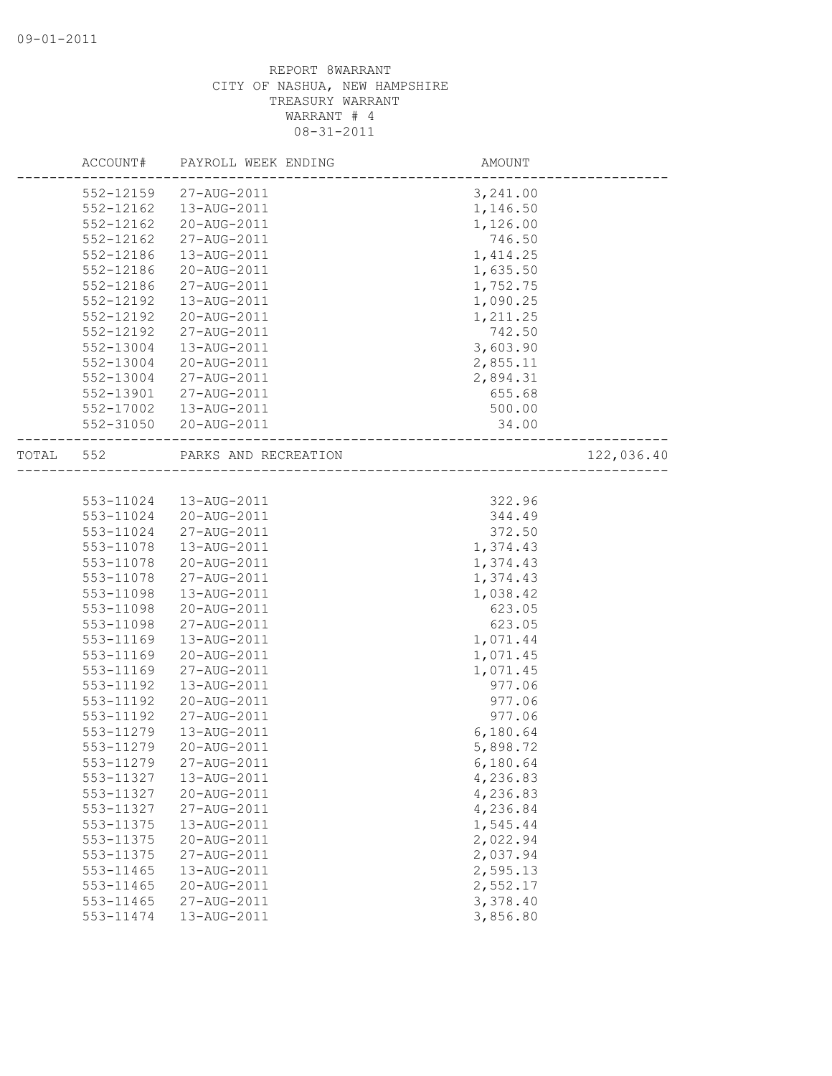|       | ACCOUNT#  | PAYROLL WEEK ENDING  | AMOUNT                 |            |
|-------|-----------|----------------------|------------------------|------------|
|       | 552-12159 | 27-AUG-2011          | 3,241.00               |            |
|       | 552-12162 | 13-AUG-2011          | 1,146.50               |            |
|       | 552-12162 | 20-AUG-2011          | 1,126.00               |            |
|       | 552-12162 | 27-AUG-2011          | 746.50                 |            |
|       | 552-12186 | 13-AUG-2011          | 1,414.25               |            |
|       | 552-12186 | 20-AUG-2011          | 1,635.50               |            |
|       | 552-12186 | 27-AUG-2011          | 1,752.75               |            |
|       | 552-12192 | 13-AUG-2011          | 1,090.25               |            |
|       | 552-12192 | 20-AUG-2011          | 1,211.25               |            |
|       | 552-12192 | 27-AUG-2011          | 742.50                 |            |
|       | 552-13004 | 13-AUG-2011          | 3,603.90               |            |
|       | 552-13004 | 20-AUG-2011          | 2,855.11               |            |
|       | 552-13004 | 27-AUG-2011          | 2,894.31               |            |
|       | 552-13901 | 27-AUG-2011          | 655.68                 |            |
|       | 552-17002 | 13-AUG-2011          | 500.00                 |            |
|       | 552-31050 | 20-AUG-2011          | 34.00                  |            |
| TOTAL | 552       | PARKS AND RECREATION | ---------------------- | 122,036.40 |
|       |           |                      |                        |            |
|       | 553-11024 | 13-AUG-2011          | 322.96                 |            |
|       | 553-11024 | 20-AUG-2011          | 344.49                 |            |
|       | 553-11024 | 27-AUG-2011          | 372.50                 |            |
|       | 553-11078 | 13-AUG-2011          | 1,374.43               |            |
|       | 553-11078 | 20-AUG-2011          | 1,374.43               |            |
|       | 553-11078 | 27-AUG-2011          | 1,374.43               |            |
|       | 553-11098 | 13-AUG-2011          | 1,038.42               |            |
|       | 553-11098 | 20-AUG-2011          | 623.05                 |            |
|       | 553-11098 | 27-AUG-2011          | 623.05                 |            |
|       | 553-11169 | 13-AUG-2011          | 1,071.44               |            |
|       | 553-11169 | 20-AUG-2011          | 1,071.45               |            |
|       | 553-11169 | 27-AUG-2011          | 1,071.45               |            |
|       | 553-11192 | 13-AUG-2011          | 977.06                 |            |
|       | 553-11192 | 20-AUG-2011          | 977.06                 |            |
|       | 553-11192 | 27-AUG-2011          | 977.06                 |            |
|       | 553-11279 | 13-AUG-2011          | 6,180.64               |            |
|       | 553-11279 | 20-AUG-2011          | 5,898.72               |            |
|       | 553-11279 | 27-AUG-2011          | 6,180.64               |            |
|       | 553-11327 | 13-AUG-2011          | 4,236.83               |            |
|       | 553-11327 | 20-AUG-2011          | 4,236.83               |            |
|       | 553-11327 | 27-AUG-2011          | 4,236.84               |            |
|       | 553-11375 | 13-AUG-2011          | 1,545.44               |            |
|       | 553-11375 | 20-AUG-2011          | 2,022.94               |            |
|       | 553-11375 | 27-AUG-2011          | 2,037.94               |            |
|       | 553-11465 | 13-AUG-2011          | 2,595.13               |            |
|       | 553-11465 | 20-AUG-2011          | 2,552.17               |            |
|       | 553-11465 | 27-AUG-2011          | 3,378.40               |            |
|       | 553-11474 | 13-AUG-2011          | 3,856.80               |            |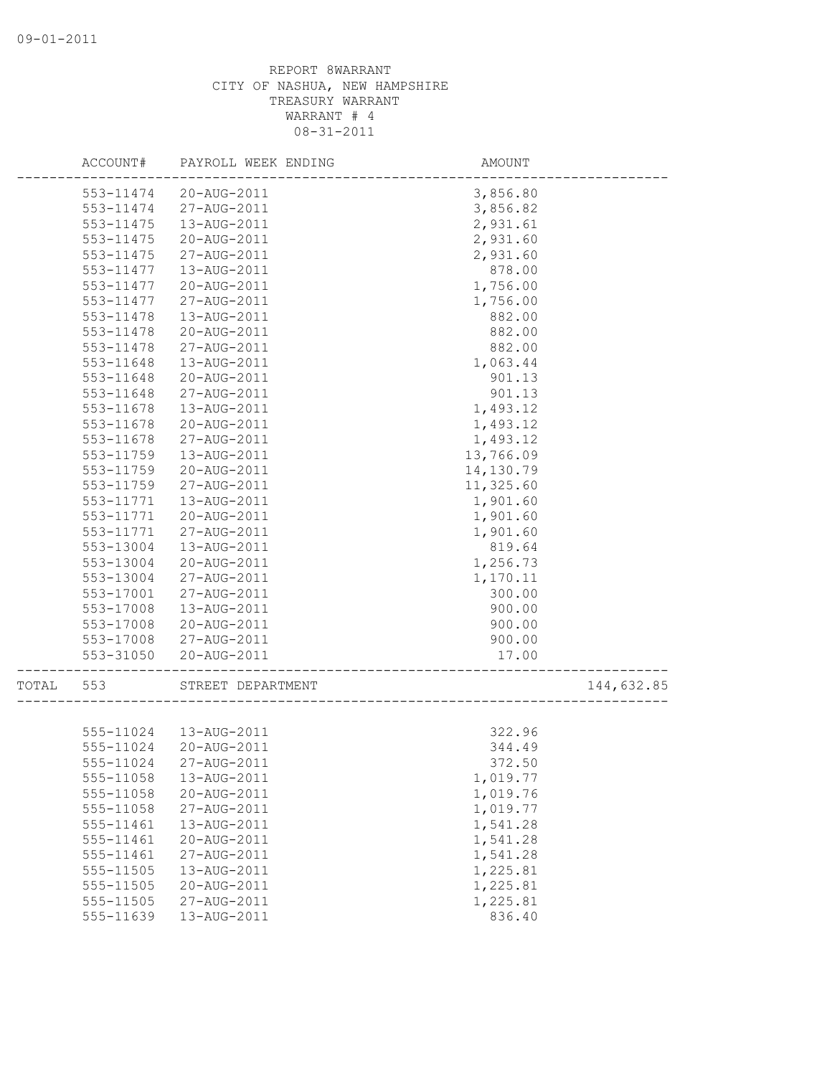|       | ACCOUNT#  | PAYROLL WEEK ENDING    | <b>AMOUNT</b> |            |
|-------|-----------|------------------------|---------------|------------|
|       | 553-11474 | 20-AUG-2011            | 3,856.80      |            |
|       | 553-11474 | 27-AUG-2011            | 3,856.82      |            |
|       | 553-11475 | 13-AUG-2011            | 2,931.61      |            |
|       | 553-11475 | 20-AUG-2011            | 2,931.60      |            |
|       | 553-11475 | 27-AUG-2011            | 2,931.60      |            |
|       | 553-11477 | 13-AUG-2011            | 878.00        |            |
|       | 553-11477 | 20-AUG-2011            | 1,756.00      |            |
|       | 553-11477 | 27-AUG-2011            | 1,756.00      |            |
|       | 553-11478 | 13-AUG-2011            | 882.00        |            |
|       | 553-11478 | 20-AUG-2011            | 882.00        |            |
|       | 553-11478 | 27-AUG-2011            | 882.00        |            |
|       | 553-11648 | 13-AUG-2011            | 1,063.44      |            |
|       | 553-11648 | 20-AUG-2011            | 901.13        |            |
|       | 553-11648 | 27-AUG-2011            | 901.13        |            |
|       | 553-11678 | 13-AUG-2011            | 1,493.12      |            |
|       | 553-11678 | 20-AUG-2011            | 1,493.12      |            |
|       | 553-11678 | 27-AUG-2011            | 1,493.12      |            |
|       | 553-11759 | 13-AUG-2011            | 13,766.09     |            |
|       | 553-11759 | 20-AUG-2011            | 14,130.79     |            |
|       | 553-11759 | 27-AUG-2011            | 11,325.60     |            |
|       | 553-11771 | 13-AUG-2011            | 1,901.60      |            |
|       | 553-11771 | 20-AUG-2011            | 1,901.60      |            |
|       | 553-11771 | 27-AUG-2011            | 1,901.60      |            |
|       | 553-13004 | 13-AUG-2011            | 819.64        |            |
|       | 553-13004 | 20-AUG-2011            | 1,256.73      |            |
|       | 553-13004 | 27-AUG-2011            | 1,170.11      |            |
|       | 553-17001 | 27-AUG-2011            | 300.00        |            |
|       | 553-17008 | 13-AUG-2011            | 900.00        |            |
|       | 553-17008 | 20-AUG-2011            | 900.00        |            |
|       | 553-17008 | 27-AUG-2011            | 900.00        |            |
|       | 553-31050 | 20-AUG-2011            | 17.00         |            |
| TOTAL | 553       | STREET DEPARTMENT      |               | 144,632.85 |
|       |           |                        |               |            |
|       |           | 555-11024  13-AUG-2011 | 322.96        |            |
|       | 555-11024 | 20-AUG-2011            | 344.49        |            |
|       | 555-11024 | 27-AUG-2011            | 372.50        |            |
|       | 555-11058 | 13-AUG-2011            | 1,019.77      |            |
|       | 555-11058 | 20-AUG-2011            | 1,019.76      |            |
|       | 555-11058 | 27-AUG-2011            | 1,019.77      |            |
|       | 555-11461 | 13-AUG-2011            | 1,541.28      |            |
|       | 555-11461 | 20-AUG-2011            | 1,541.28      |            |
|       | 555-11461 | 27-AUG-2011            | 1,541.28      |            |
|       | 555-11505 | 13-AUG-2011            | 1,225.81      |            |
|       | 555-11505 | 20-AUG-2011            | 1,225.81      |            |
|       | 555-11505 | 27-AUG-2011            | 1,225.81      |            |
|       | 555-11639 | 13-AUG-2011            | 836.40        |            |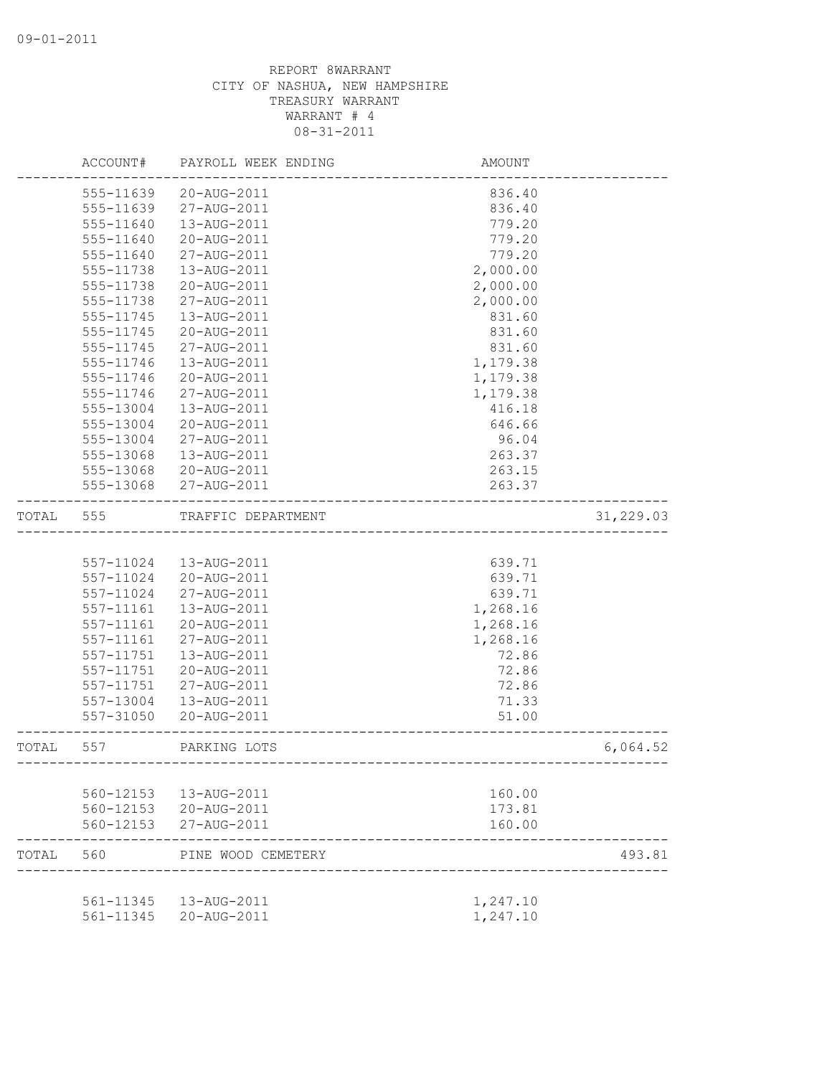|       | ACCOUNT#  | PAYROLL WEEK ENDING    | AMOUNT                             |           |
|-------|-----------|------------------------|------------------------------------|-----------|
|       | 555-11639 | 20-AUG-2011            | 836.40                             |           |
|       | 555-11639 | 27-AUG-2011            | 836.40                             |           |
|       | 555-11640 | 13-AUG-2011            | 779.20                             |           |
|       | 555-11640 | 20-AUG-2011            | 779.20                             |           |
|       | 555-11640 | 27-AUG-2011            | 779.20                             |           |
|       | 555-11738 | 13-AUG-2011            | 2,000.00                           |           |
|       | 555-11738 | 20-AUG-2011            | 2,000.00                           |           |
|       | 555-11738 | 27-AUG-2011            | 2,000.00                           |           |
|       | 555-11745 | 13-AUG-2011            | 831.60                             |           |
|       | 555-11745 | 20-AUG-2011            | 831.60                             |           |
|       | 555-11745 | 27-AUG-2011            | 831.60                             |           |
|       | 555-11746 | 13-AUG-2011            | 1,179.38                           |           |
|       | 555-11746 | 20-AUG-2011            | 1,179.38                           |           |
|       | 555-11746 | 27-AUG-2011            | 1,179.38                           |           |
|       | 555-13004 | 13-AUG-2011            | 416.18                             |           |
|       | 555-13004 | 20-AUG-2011            | 646.66                             |           |
|       | 555-13004 | 27-AUG-2011            | 96.04                              |           |
|       | 555-13068 | 13-AUG-2011            | 263.37                             |           |
|       | 555-13068 | 20-AUG-2011            | 263.15                             |           |
|       | 555-13068 | 27-AUG-2011            | 263.37                             |           |
| TOTAL | 555       | TRAFFIC DEPARTMENT     |                                    | 31,229.03 |
|       |           |                        |                                    |           |
|       | 557-11024 | 13-AUG-2011            | 639.71                             |           |
|       | 557-11024 | 20-AUG-2011            | 639.71                             |           |
|       | 557-11024 | 27-AUG-2011            | 639.71                             |           |
|       | 557-11161 | 13-AUG-2011            | 1,268.16                           |           |
|       | 557-11161 | 20-AUG-2011            | 1,268.16                           |           |
|       | 557-11161 | 27-AUG-2011            | 1,268.16                           |           |
|       | 557-11751 | 13-AUG-2011            | 72.86                              |           |
|       | 557-11751 | 20-AUG-2011            | 72.86                              |           |
|       | 557-11751 | 27-AUG-2011            | 72.86                              |           |
|       | 557-13004 | 13-AUG-2011            | 71.33                              |           |
|       | 557-31050 | 20-AUG-2011            | 51.00                              |           |
| TOTAL | 557       | PARKING LOTS           | ---------------------------------- | 6,064.52  |
|       |           |                        |                                    |           |
|       | 560-12153 | 13-AUG-2011            | 160.00                             |           |
|       | 560-12153 | 20-AUG-2011            | 173.81                             |           |
|       | 560-12153 | 27-AUG-2011            | 160.00                             |           |
| TOTAL | 560       | PINE WOOD CEMETERY     |                                    | 493.81    |
|       |           | 561-11345  13-AUG-2011 |                                    |           |
|       | 561-11345 | 20-AUG-2011            | 1,247.10<br>1,247.10               |           |
|       |           |                        |                                    |           |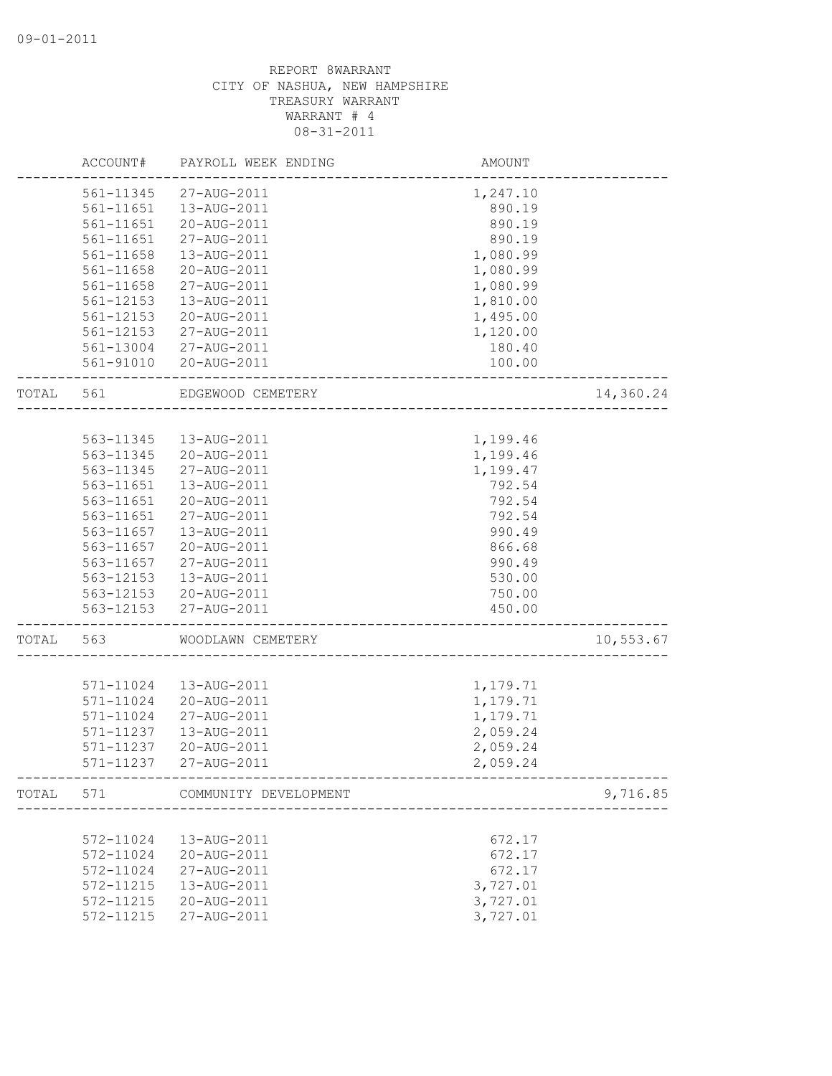|       | ACCOUNT#  | PAYROLL WEEK ENDING   | AMOUNT                |           |
|-------|-----------|-----------------------|-----------------------|-----------|
|       | 561-11345 | 27-AUG-2011           | 1,247.10              |           |
|       | 561-11651 | 13-AUG-2011           | 890.19                |           |
|       | 561-11651 | 20-AUG-2011           | 890.19                |           |
|       | 561-11651 | 27-AUG-2011           | 890.19                |           |
|       | 561-11658 | 13-AUG-2011           | 1,080.99              |           |
|       | 561-11658 | 20-AUG-2011           | 1,080.99              |           |
|       | 561-11658 | 27-AUG-2011           | 1,080.99              |           |
|       | 561-12153 | 13-AUG-2011           | 1,810.00              |           |
|       | 561-12153 | 20-AUG-2011           | 1,495.00              |           |
|       | 561-12153 | 27-AUG-2011           | 1,120.00              |           |
|       | 561-13004 | 27-AUG-2011           | 180.40                |           |
|       | 561-91010 | 20-AUG-2011           | 100.00                |           |
| TOTAL | 561       | EDGEWOOD CEMETERY     |                       | 14,360.24 |
|       |           |                       |                       |           |
|       | 563-11345 | 13-AUG-2011           | 1,199.46              |           |
|       | 563-11345 | 20-AUG-2011           | 1,199.46              |           |
|       | 563-11345 | 27-AUG-2011           | 1,199.47              |           |
|       | 563-11651 | 13-AUG-2011           | 792.54                |           |
|       | 563-11651 | 20-AUG-2011           | 792.54                |           |
|       | 563-11651 | 27-AUG-2011           | 792.54                |           |
|       | 563-11657 | 13-AUG-2011           | 990.49                |           |
|       | 563-11657 | 20-AUG-2011           | 866.68                |           |
|       | 563-11657 | 27-AUG-2011           | 990.49                |           |
|       | 563-12153 | 13-AUG-2011           | 530.00                |           |
|       | 563-12153 | 20-AUG-2011           | 750.00                |           |
|       | 563-12153 | 27-AUG-2011           | 450.00                |           |
| TOTAL | 563       | WOODLAWN CEMETERY     |                       | 10,553.67 |
|       |           |                       |                       |           |
|       | 571-11024 | 13-AUG-2011           | 1,179.71              |           |
|       | 571-11024 | 20-AUG-2011           | 1,179.71              |           |
|       | 571-11024 | 27-AUG-2011           | 1,179.71              |           |
|       | 571-11237 | 13-AUG-2011           | 2,059.24              |           |
|       | 571-11237 | 20-AUG-2011           | 2,059.24              |           |
|       | 571-11237 | 27-AUG-2011           | 2,059.24              |           |
| TOTAL | 571       | COMMUNITY DEVELOPMENT | _____________________ | 9,716.85  |
|       |           |                       |                       |           |
|       | 572-11024 | 13-AUG-2011           | 672.17                |           |
|       | 572-11024 | 20-AUG-2011           | 672.17                |           |
|       | 572-11024 | 27-AUG-2011           | 672.17                |           |
|       | 572-11215 | 13-AUG-2011           | 3,727.01              |           |
|       | 572-11215 | 20-AUG-2011           | 3,727.01              |           |
|       | 572-11215 | 27-AUG-2011           | 3,727.01              |           |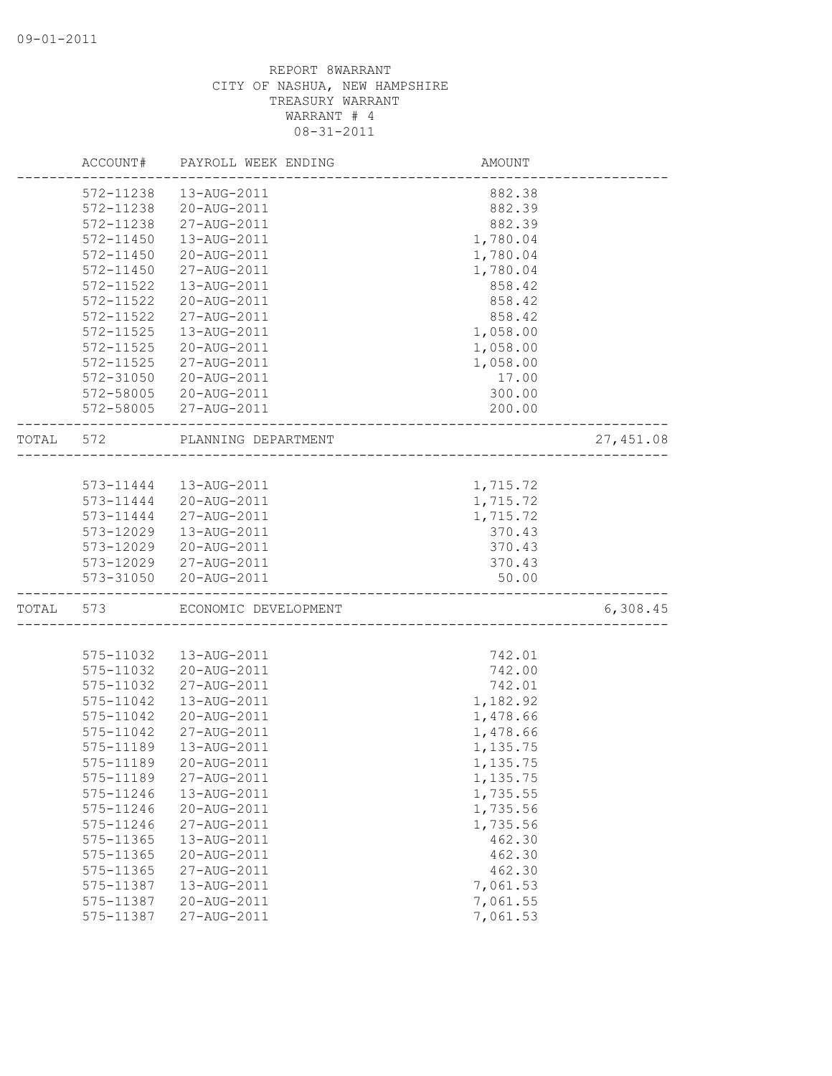|       | ACCOUNT#      | PAYROLL WEEK ENDING  | <b>AMOUNT</b>            |           |
|-------|---------------|----------------------|--------------------------|-----------|
|       | 572-11238     | 13-AUG-2011          | 882.38                   |           |
|       | 572-11238     | 20-AUG-2011          | 882.39                   |           |
|       | 572-11238     | 27-AUG-2011          | 882.39                   |           |
|       | 572-11450     | 13-AUG-2011          | 1,780.04                 |           |
|       | 572-11450     | 20-AUG-2011          | 1,780.04                 |           |
|       | 572-11450     | 27-AUG-2011          | 1,780.04                 |           |
|       | 572-11522     | 13-AUG-2011          | 858.42                   |           |
|       | 572-11522     | 20-AUG-2011          | 858.42                   |           |
|       | 572-11522     | 27-AUG-2011          | 858.42                   |           |
|       | 572-11525     | 13-AUG-2011          | 1,058.00                 |           |
|       | $572 - 11525$ | 20-AUG-2011          | 1,058.00                 |           |
|       | 572-11525     | 27-AUG-2011          | 1,058.00                 |           |
|       | 572-31050     | 20-AUG-2011          | 17.00                    |           |
|       | 572-58005     | 20-AUG-2011          | 300.00                   |           |
|       | 572-58005     | 27-AUG-2011          | 200.00                   |           |
| TOTAL | 572           | PLANNING DEPARTMENT  |                          | 27,451.08 |
|       |               |                      | ------------------------ |           |
|       | 573-11444     | 13-AUG-2011          | 1,715.72                 |           |
|       | 573-11444     | 20-AUG-2011          | 1,715.72                 |           |
|       | 573-11444     | 27-AUG-2011          | 1,715.72                 |           |
|       | 573-12029     | 13-AUG-2011          | 370.43                   |           |
|       | 573-12029     | 20-AUG-2011          | 370.43                   |           |
|       | 573-12029     | 27-AUG-2011          | 370.43                   |           |
|       | 573-31050     | 20-AUG-2011          | 50.00                    |           |
| TOTAL | 573           | ECONOMIC DEVELOPMENT |                          | 6,308.45  |
|       |               |                      |                          |           |
|       | 575-11032     | 13-AUG-2011          | 742.01                   |           |
|       | 575-11032     | 20-AUG-2011          | 742.00                   |           |
|       | 575-11032     | 27-AUG-2011          | 742.01                   |           |
|       | 575-11042     | 13-AUG-2011          | 1,182.92                 |           |
|       | 575-11042     | 20-AUG-2011          | 1,478.66                 |           |
|       | 575-11042     | 27-AUG-2011          | 1,478.66                 |           |
|       | 575-11189     | 13-AUG-2011          | 1,135.75                 |           |
|       | 575-11189     | 20-AUG-2011          | 1,135.75                 |           |
|       | 575-11189     | 27-AUG-2011          | 1,135.75                 |           |
|       | 575-11246     | 13-AUG-2011          | 1,735.55                 |           |
|       | 575-11246     | 20-AUG-2011          | 1,735.56                 |           |
|       | 575-11246     | 27-AUG-2011          | 1,735.56                 |           |
|       | 575-11365     | 13-AUG-2011          | 462.30                   |           |
|       | 575-11365     | 20-AUG-2011          | 462.30                   |           |
|       | 575-11365     | 27-AUG-2011          | 462.30                   |           |
|       | 575-11387     | 13-AUG-2011          | 7,061.53                 |           |
|       | 575-11387     | 20-AUG-2011          | 7,061.55                 |           |
|       | 575-11387     | 27-AUG-2011          | 7,061.53                 |           |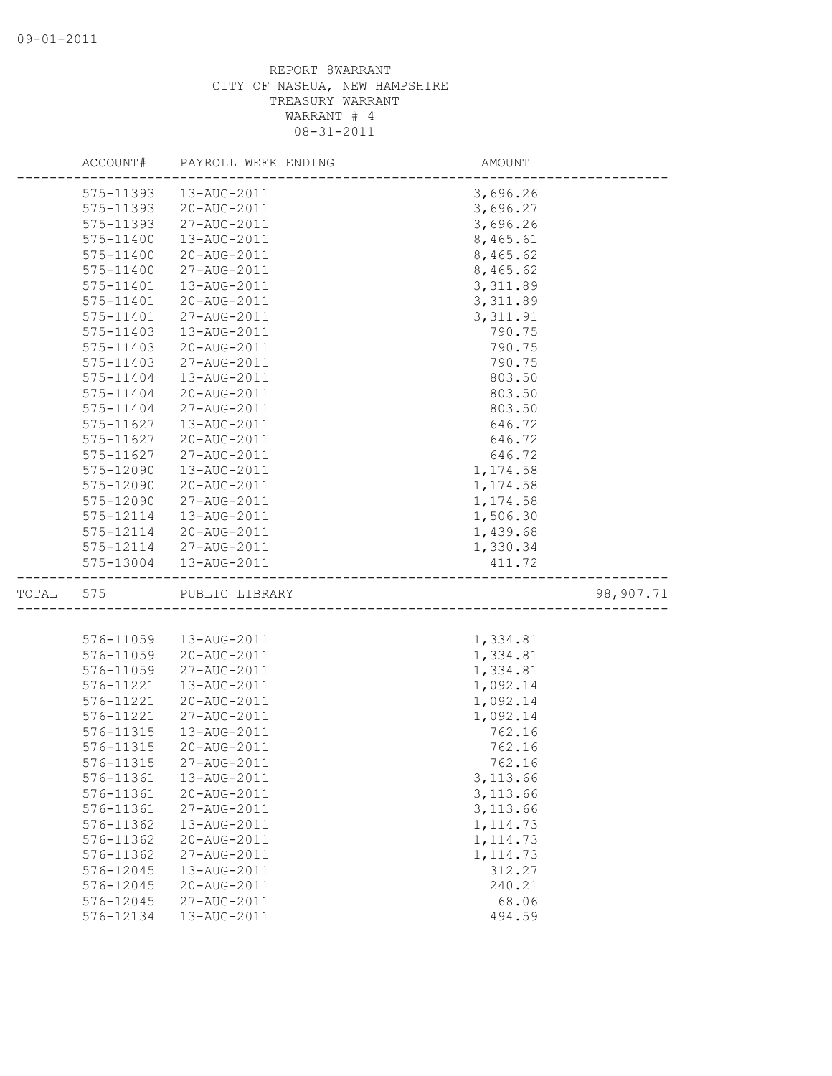|       | ACCOUNT#      | PAYROLL WEEK ENDING   | AMOUNT                |           |
|-------|---------------|-----------------------|-----------------------|-----------|
|       | 575-11393     | 13-AUG-2011           | 3,696.26              |           |
|       | 575-11393     | 20-AUG-2011           | 3,696.27              |           |
|       | 575-11393     | 27-AUG-2011           | 3,696.26              |           |
|       | 575-11400     | 13-AUG-2011           | 8,465.61              |           |
|       | 575-11400     | 20-AUG-2011           | 8,465.62              |           |
|       | 575-11400     | 27-AUG-2011           | 8,465.62              |           |
|       | 575-11401     | 13-AUG-2011           | 3,311.89              |           |
|       | 575-11401     | 20-AUG-2011           | 3,311.89              |           |
|       | 575-11401     | 27-AUG-2011           | 3, 311.91             |           |
|       | 575-11403     | 13-AUG-2011           | 790.75                |           |
|       | 575-11403     | 20-AUG-2011           | 790.75                |           |
|       | 575-11403     | 27-AUG-2011           | 790.75                |           |
|       | 575-11404     | 13-AUG-2011           | 803.50                |           |
|       | 575-11404     | 20-AUG-2011           | 803.50                |           |
|       | 575-11404     | 27-AUG-2011           | 803.50                |           |
|       | $575 - 11627$ | 13-AUG-2011           | 646.72                |           |
|       | 575-11627     | 20-AUG-2011           | 646.72                |           |
|       | 575-11627     | 27-AUG-2011           | 646.72                |           |
|       | 575-12090     | 13-AUG-2011           | 1,174.58              |           |
|       | 575-12090     | 20-AUG-2011           | 1,174.58              |           |
|       | 575-12090     | 27-AUG-2011           | 1,174.58              |           |
|       | 575-12114     | 13-AUG-2011           | 1,506.30              |           |
|       | 575-12114     | 20-AUG-2011           | 1,439.68              |           |
|       |               | 575-12114 27-AUG-2011 |                       |           |
|       | 575-13004     | 13-AUG-2011           | 1,330.34<br>411.72    |           |
|       |               |                       |                       |           |
| TOTAL | 575           | PUBLIC LIBRARY        | _____________________ | 98,907.71 |
|       |               |                       |                       |           |
|       | 576-11059     | 13-AUG-2011           | 1,334.81              |           |
|       | 576-11059     | 20-AUG-2011           | 1,334.81              |           |
|       | 576-11059     | 27-AUG-2011           | 1,334.81              |           |
|       | 576-11221     | 13-AUG-2011           | 1,092.14              |           |
|       | 576-11221     | 20-AUG-2011           | 1,092.14              |           |
|       | 576-11221     | 27-AUG-2011           | 1,092.14              |           |
|       | 576-11315     | 13-AUG-2011           | 762.16                |           |
|       | 576-11315     | 20-AUG-2011           | 762.16                |           |
|       | 576-11315     | 27-AUG-2011           | 762.16                |           |
|       | 576-11361     | 13-AUG-2011           | 3,113.66              |           |
|       | 576-11361     | 20-AUG-2011           | 3, 113.66             |           |
|       | 576-11361     | 27-AUG-2011           | 3, 113.66             |           |
|       | 576-11362     | 13-AUG-2011           | 1, 114.73             |           |
|       | 576-11362     | 20-AUG-2011           | 1, 114.73             |           |
|       | 576-11362     | 27-AUG-2011           | 1, 114.73             |           |
|       | 576-12045     | 13-AUG-2011           | 312.27                |           |
|       | 576-12045     | 20-AUG-2011           | 240.21                |           |
|       | 576-12045     | 27-AUG-2011           | 68.06                 |           |
|       | 576-12134     | 13-AUG-2011           | 494.59                |           |
|       |               |                       |                       |           |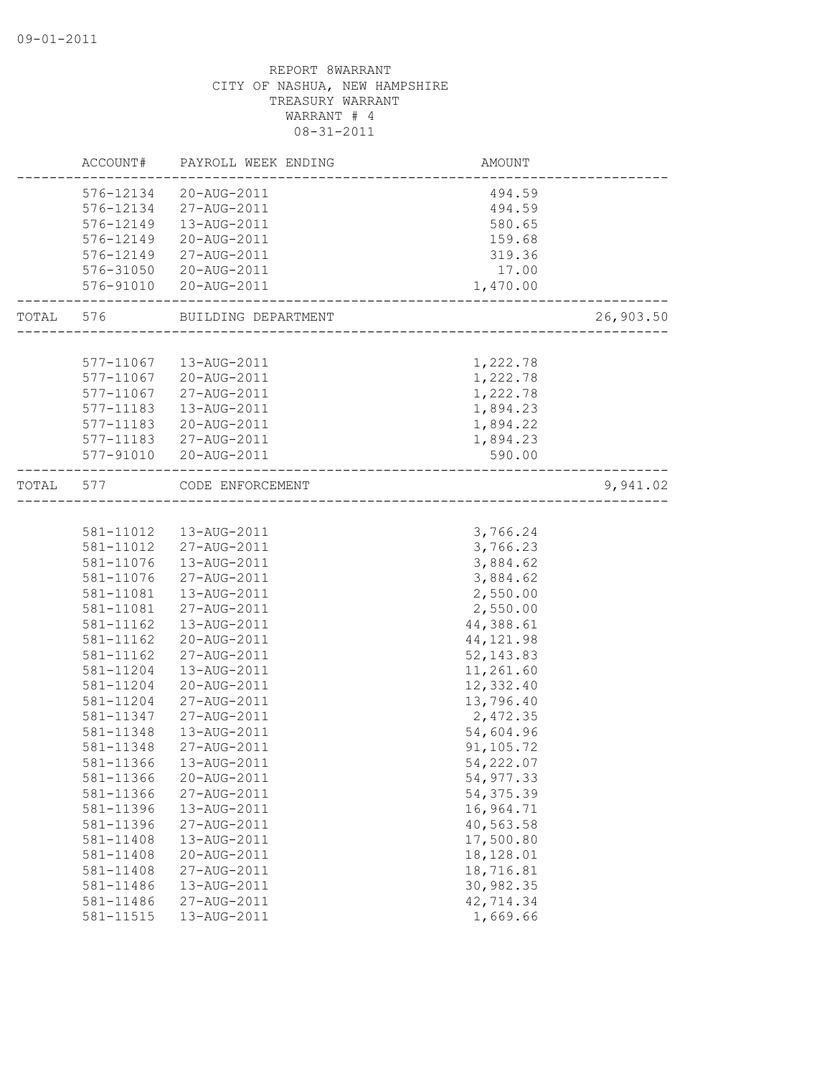|       | ACCOUNT#  | PAYROLL WEEK ENDING | AMOUNT                             |           |
|-------|-----------|---------------------|------------------------------------|-----------|
|       | 576-12134 | 20-AUG-2011         | 494.59                             |           |
|       | 576-12134 | 27-AUG-2011         | 494.59                             |           |
|       | 576-12149 | 13-AUG-2011         | 580.65                             |           |
|       | 576-12149 | 20-AUG-2011         | 159.68                             |           |
|       | 576-12149 | 27-AUG-2011         | 319.36                             |           |
|       | 576-31050 | 20-AUG-2011         | 17.00                              |           |
|       | 576-91010 | 20-AUG-2011         | 1,470.00                           |           |
|       |           |                     |                                    |           |
| TOTAL | 576       | BUILDING DEPARTMENT | _________________________          | 26,903.50 |
|       |           |                     |                                    |           |
|       | 577-11067 | 13-AUG-2011         | 1,222.78                           |           |
|       | 577-11067 | 20-AUG-2011         | 1,222.78                           |           |
|       | 577-11067 | 27-AUG-2011         | 1,222.78                           |           |
|       | 577-11183 | 13-AUG-2011         | 1,894.23                           |           |
|       | 577-11183 | 20-AUG-2011         | 1,894.22                           |           |
|       | 577-11183 | 27-AUG-2011         | 1,894.23                           |           |
|       | 577-91010 | 20-AUG-2011         | 590.00                             |           |
| TOTAL | 577       | CODE ENFORCEMENT    | ---------------------------------- | 9,941.02  |
|       |           |                     |                                    |           |
|       | 581-11012 | 13-AUG-2011         | 3,766.24                           |           |
|       | 581-11012 | 27-AUG-2011         | 3,766.23                           |           |
|       | 581-11076 | 13-AUG-2011         | 3,884.62                           |           |
|       | 581-11076 | 27-AUG-2011         | 3,884.62                           |           |
|       | 581-11081 | 13-AUG-2011         | 2,550.00                           |           |
|       | 581-11081 | 27-AUG-2011         | 2,550.00                           |           |
|       | 581-11162 | 13-AUG-2011         | 44,388.61                          |           |
|       | 581-11162 | 20-AUG-2011         | 44, 121.98                         |           |
|       | 581-11162 | 27-AUG-2011         | 52, 143.83                         |           |
|       | 581-11204 | 13-AUG-2011         | 11,261.60                          |           |
|       | 581-11204 | 20-AUG-2011         | 12,332.40                          |           |
|       | 581-11204 | 27-AUG-2011         | 13,796.40                          |           |
|       | 581-11347 | 27-AUG-2011         | 2,472.35                           |           |
|       | 581-11348 | 13-AUG-2011         | 54,604.96                          |           |
|       | 581-11348 | 27-AUG-2011         | 91,105.72                          |           |
|       | 581-11366 | 13-AUG-2011         | 54,222.07                          |           |
|       | 581-11366 | 20-AUG-2011         | 54,977.33                          |           |
|       | 581-11366 | 27-AUG-2011         | 54, 375.39                         |           |
|       | 581-11396 | 13-AUG-2011         | 16,964.71                          |           |
|       | 581-11396 | 27-AUG-2011         | 40,563.58                          |           |
|       | 581-11408 | 13-AUG-2011         | 17,500.80                          |           |
|       | 581-11408 | 20-AUG-2011         | 18,128.01                          |           |
|       | 581-11408 | 27-AUG-2011         | 18,716.81                          |           |
|       | 581-11486 | 13-AUG-2011         | 30,982.35                          |           |
|       | 581-11486 | 27-AUG-2011         | 42,714.34                          |           |
|       | 581-11515 | 13-AUG-2011         | 1,669.66                           |           |
|       |           |                     |                                    |           |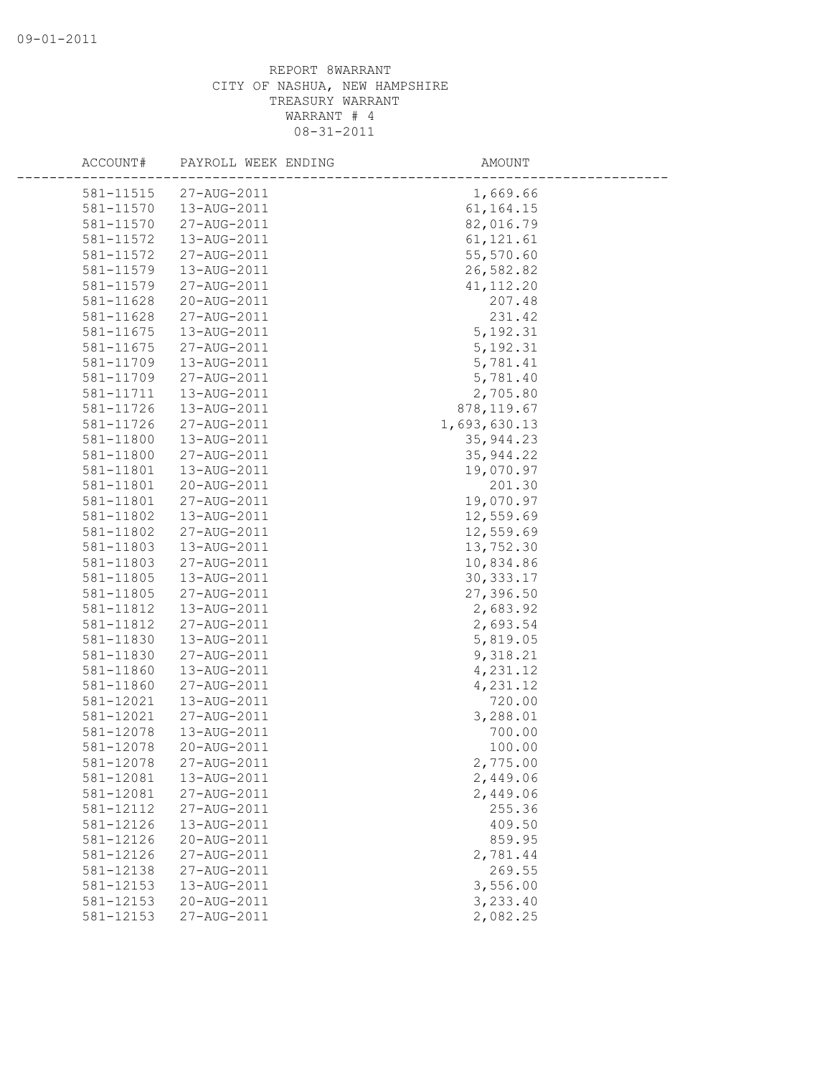| ACCOUNT#  | PAYROLL WEEK ENDING        | AMOUNT       |
|-----------|----------------------------|--------------|
| 581-11515 | 27-AUG-2011                | 1,669.66     |
| 581-11570 | 13-AUG-2011                | 61, 164. 15  |
| 581-11570 | 27-AUG-2011                | 82,016.79    |
| 581-11572 | 13-AUG-2011                | 61, 121.61   |
| 581-11572 | 27-AUG-2011                | 55,570.60    |
| 581-11579 | 13-AUG-2011                | 26,582.82    |
| 581-11579 | 27-AUG-2011                | 41, 112.20   |
| 581-11628 | 20-AUG-2011                | 207.48       |
| 581-11628 | 27-AUG-2011                | 231.42       |
| 581-11675 | 13-AUG-2011                | 5, 192.31    |
| 581-11675 | 27-AUG-2011                | 5, 192.31    |
| 581-11709 | 13-AUG-2011                | 5,781.41     |
| 581-11709 | 27-AUG-2011                | 5,781.40     |
| 581-11711 | 13-AUG-2011                | 2,705.80     |
| 581-11726 | 13-AUG-2011                | 878, 119.67  |
| 581-11726 | 27-AUG-2011                | 1,693,630.13 |
| 581-11800 | 13-AUG-2011                | 35, 944.23   |
| 581-11800 | 27-AUG-2011                | 35, 944.22   |
| 581-11801 | 13-AUG-2011                | 19,070.97    |
| 581-11801 | 20-AUG-2011                | 201.30       |
| 581-11801 | 27-AUG-2011                | 19,070.97    |
| 581-11802 | 13-AUG-2011                | 12,559.69    |
| 581-11802 | 27-AUG-2011                | 12,559.69    |
| 581-11803 | 13-AUG-2011                | 13,752.30    |
| 581-11803 | 27-AUG-2011                | 10,834.86    |
| 581-11805 | 13-AUG-2011                | 30, 333.17   |
| 581-11805 | 27-AUG-2011                | 27,396.50    |
| 581-11812 | 13-AUG-2011                | 2,683.92     |
| 581-11812 | 27-AUG-2011                | 2,693.54     |
| 581-11830 | 13-AUG-2011                | 5,819.05     |
| 581-11830 | 27-AUG-2011                | 9,318.21     |
| 581-11860 | 13-AUG-2011                | 4,231.12     |
| 581-11860 | 27-AUG-2011                | 4,231.12     |
| 581-12021 | 13-AUG-2011                | 720.00       |
| 581-12021 | 27-AUG-2011                | 3,288.01     |
| 581-12078 | 13-AUG-2011                | 700.00       |
| 581-12078 | 20-AUG-2011                | 100.00       |
| 581-12078 | 27-AUG-2011                | 2,775.00     |
| 581-12081 | 13-AUG-2011                | 2,449.06     |
| 581-12081 | 27-AUG-2011                | 2,449.06     |
| 581-12112 | 27-AUG-2011                | 255.36       |
| 581-12126 | 13-AUG-2011                | 409.50       |
| 581-12126 | 20-AUG-2011                | 859.95       |
| 581-12126 | 27-AUG-2011                | 2,781.44     |
| 581-12138 | 27-AUG-2011                | 269.55       |
| 581-12153 | 13-AUG-2011<br>20-AUG-2011 | 3,556.00     |
| 581-12153 |                            | 3,233.40     |
| 581-12153 | 27-AUG-2011                | 2,082.25     |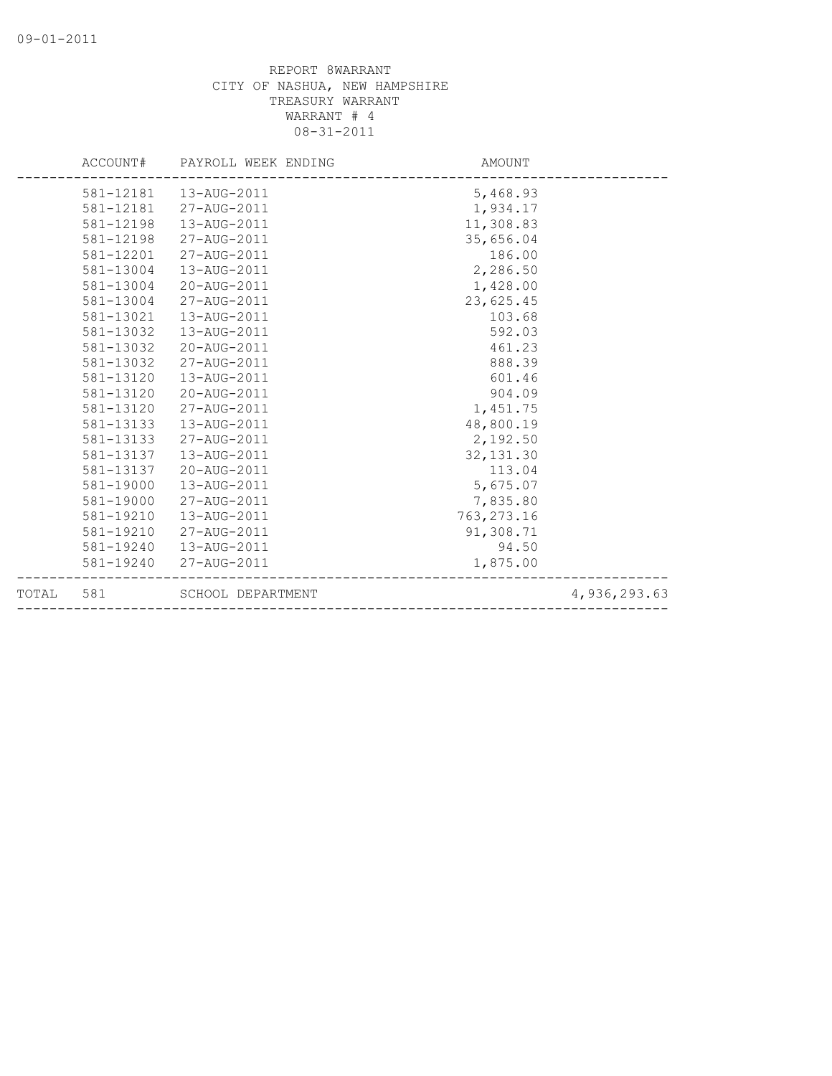|       |           | ACCOUNT# PAYROLL WEEK ENDING | AMOUNT      |              |
|-------|-----------|------------------------------|-------------|--------------|
|       |           | 581-12181  13-AUG-2011       | 5,468.93    |              |
|       | 581-12181 | 27-AUG-2011                  | 1,934.17    |              |
|       | 581-12198 | 13-AUG-2011                  | 11,308.83   |              |
|       | 581-12198 | 27-AUG-2011                  | 35,656.04   |              |
|       | 581-12201 | 27-AUG-2011                  | 186.00      |              |
|       | 581-13004 | 13-AUG-2011                  | 2,286.50    |              |
|       | 581-13004 | 20-AUG-2011                  | 1,428.00    |              |
|       | 581-13004 | 27-AUG-2011                  | 23,625.45   |              |
|       | 581-13021 | 13-AUG-2011                  | 103.68      |              |
|       | 581-13032 | 13-AUG-2011                  | 592.03      |              |
|       | 581-13032 | 20-AUG-2011                  | 461.23      |              |
|       | 581-13032 | 27-AUG-2011                  | 888.39      |              |
|       | 581-13120 | 13-AUG-2011                  | 601.46      |              |
|       | 581-13120 | 20-AUG-2011                  | 904.09      |              |
|       | 581-13120 | 27-AUG-2011                  | 1,451.75    |              |
|       | 581-13133 | 13-AUG-2011                  | 48,800.19   |              |
|       | 581-13133 | 27-AUG-2011                  | 2,192.50    |              |
|       | 581-13137 | 13-AUG-2011                  | 32, 131.30  |              |
|       | 581-13137 | 20-AUG-2011                  | 113.04      |              |
|       | 581-19000 | 13-AUG-2011                  | 5,675.07    |              |
|       | 581-19000 | 27-AUG-2011                  | 7,835.80    |              |
|       | 581-19210 | 13-AUG-2011                  | 763, 273.16 |              |
|       | 581-19210 | 27-AUG-2011                  | 91,308.71   |              |
|       |           | 581-19240  13-AUG-2011       | 94.50       |              |
|       |           | 581-19240 27-AUG-2011        | 1,875.00    |              |
| TOTAL | 581       | SCHOOL DEPARTMENT            |             | 4,936,293.63 |
|       |           |                              |             |              |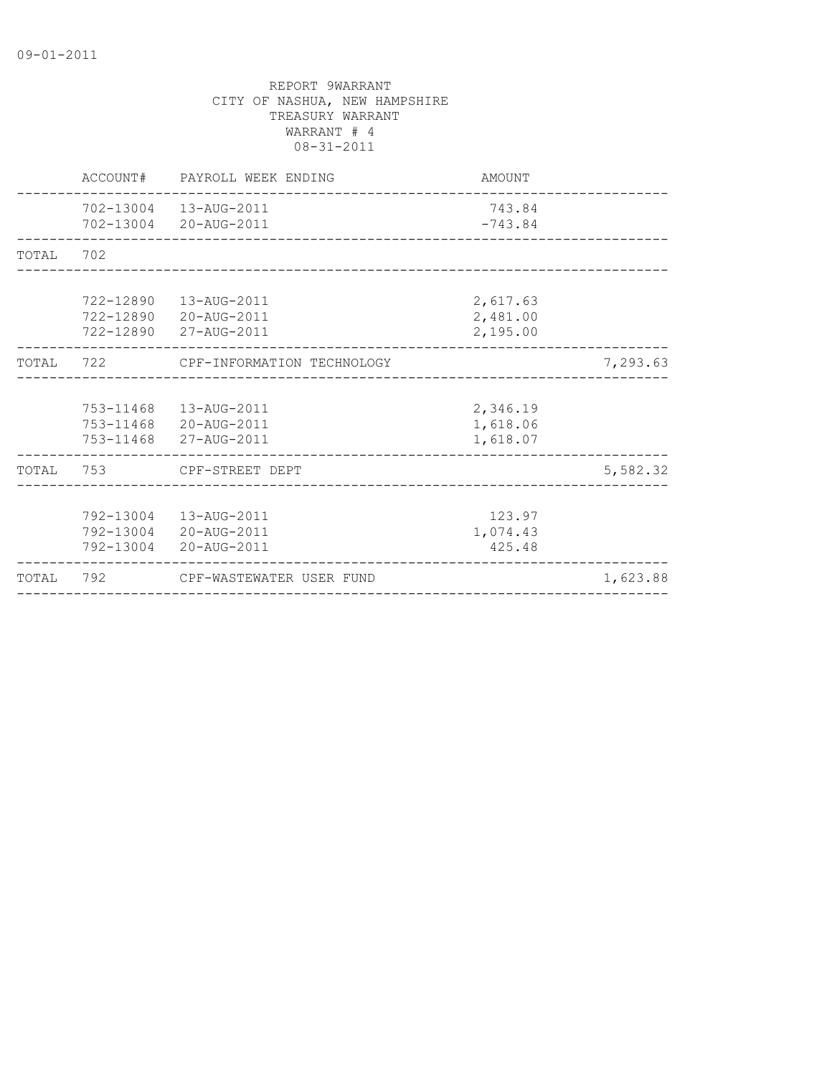|           | ACCOUNT#  | PAYROLL WEEK ENDING                                                      | AMOUNT                           |          |
|-----------|-----------|--------------------------------------------------------------------------|----------------------------------|----------|
|           |           | 702-13004  13-AUG-2011<br>702-13004 20-AUG-2011                          | 743.84<br>$-743.84$              |          |
| TOTAL     | 702       |                                                                          |                                  |          |
|           | 722-12890 | 13-AUG-2011<br>722-12890 20-AUG-2011<br>722-12890 27-AUG-2011            | 2,617.63<br>2,481.00<br>2,195.00 |          |
| TOTAL 722 |           | CPF-INFORMATION TECHNOLOGY                                               |                                  | 7,293.63 |
|           |           | 753-11468  13-AUG-2011<br>753-11468 20-AUG-2011<br>753-11468 27-AUG-2011 | 2,346.19<br>1,618.06<br>1,618.07 |          |
| TOTAL     | 753       | CPF-STREET DEPT                                                          |                                  | 5,582.32 |
|           |           | 792-13004  13-AUG-2011<br>792-13004 20-AUG-2011<br>792-13004 20-AUG-2011 | 123.97<br>1,074.43<br>425.48     |          |
| TOTAL     | 792       | CPF-WASTEWATER USER FUND                                                 |                                  | 1,623.88 |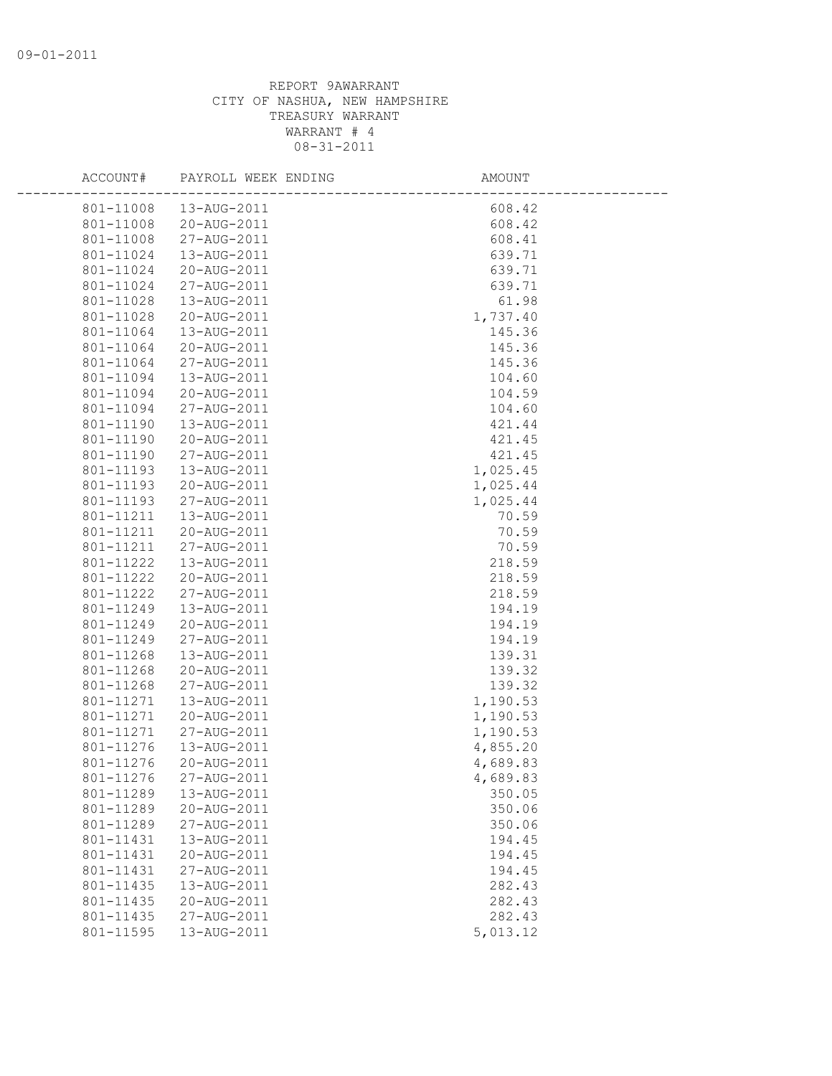| ACCOUNT#               | PAYROLL WEEK ENDING        | AMOUNT               |
|------------------------|----------------------------|----------------------|
| 801-11008              | 13-AUG-2011                | 608.42               |
| 801-11008              | 20-AUG-2011                | 608.42               |
| 801-11008              | 27-AUG-2011                | 608.41               |
| 801-11024              | 13-AUG-2011                | 639.71               |
| 801-11024              | 20-AUG-2011                | 639.71               |
| 801-11024              | 27-AUG-2011                | 639.71               |
| 801-11028              | 13-AUG-2011                | 61.98                |
| 801-11028              | 20-AUG-2011                | 1,737.40             |
| 801-11064              | 13-AUG-2011                | 145.36               |
| 801-11064              | 20-AUG-2011                | 145.36               |
| 801-11064              | 27-AUG-2011                | 145.36               |
| 801-11094              | 13-AUG-2011                | 104.60               |
| 801-11094              | 20-AUG-2011                | 104.59               |
| 801-11094              | 27-AUG-2011                | 104.60               |
| 801-11190              | 13-AUG-2011                | 421.44               |
| 801-11190              | 20-AUG-2011                | 421.45               |
| 801-11190              | 27-AUG-2011                | 421.45               |
| 801-11193              | 13-AUG-2011                | 1,025.45             |
| 801-11193              | 20-AUG-2011                | 1,025.44             |
| 801-11193              | 27-AUG-2011                | 1,025.44             |
| 801-11211              | 13-AUG-2011                | 70.59                |
| 801-11211              | 20-AUG-2011                | 70.59                |
| 801-11211              | 27-AUG-2011                | 70.59                |
| 801-11222              | 13-AUG-2011                | 218.59               |
| 801-11222              | 20-AUG-2011                | 218.59               |
| 801-11222              | 27-AUG-2011                | 218.59               |
| 801-11249              | 13-AUG-2011                | 194.19               |
| 801-11249              | 20-AUG-2011                | 194.19               |
| 801-11249              | 27-AUG-2011                | 194.19               |
| 801-11268              | 13-AUG-2011                | 139.31               |
| 801-11268              | 20-AUG-2011                | 139.32               |
| 801-11268              | 27-AUG-2011                | 139.32               |
| 801-11271<br>801-11271 | 13-AUG-2011                | 1,190.53<br>1,190.53 |
| 801-11271              | 20-AUG-2011<br>27-AUG-2011 | 1,190.53             |
| 801-11276              | 13-AUG-2011                | 4,855.20             |
| 801-11276              | 20-AUG-2011                | 4,689.83             |
|                        | 801-11276 27-AUG-2011      | 4,689.83             |
| 801-11289              | 13-AUG-2011                | 350.05               |
| 801-11289              | 20-AUG-2011                | 350.06               |
| 801-11289              | 27-AUG-2011                | 350.06               |
| 801-11431              | 13-AUG-2011                | 194.45               |
| 801-11431              | 20-AUG-2011                | 194.45               |
| 801-11431              | 27-AUG-2011                | 194.45               |
| 801-11435              | 13-AUG-2011                | 282.43               |
| 801-11435              | 20-AUG-2011                | 282.43               |
| 801-11435              | 27-AUG-2011                | 282.43               |
| 801-11595              | 13-AUG-2011                | 5,013.12             |
|                        |                            |                      |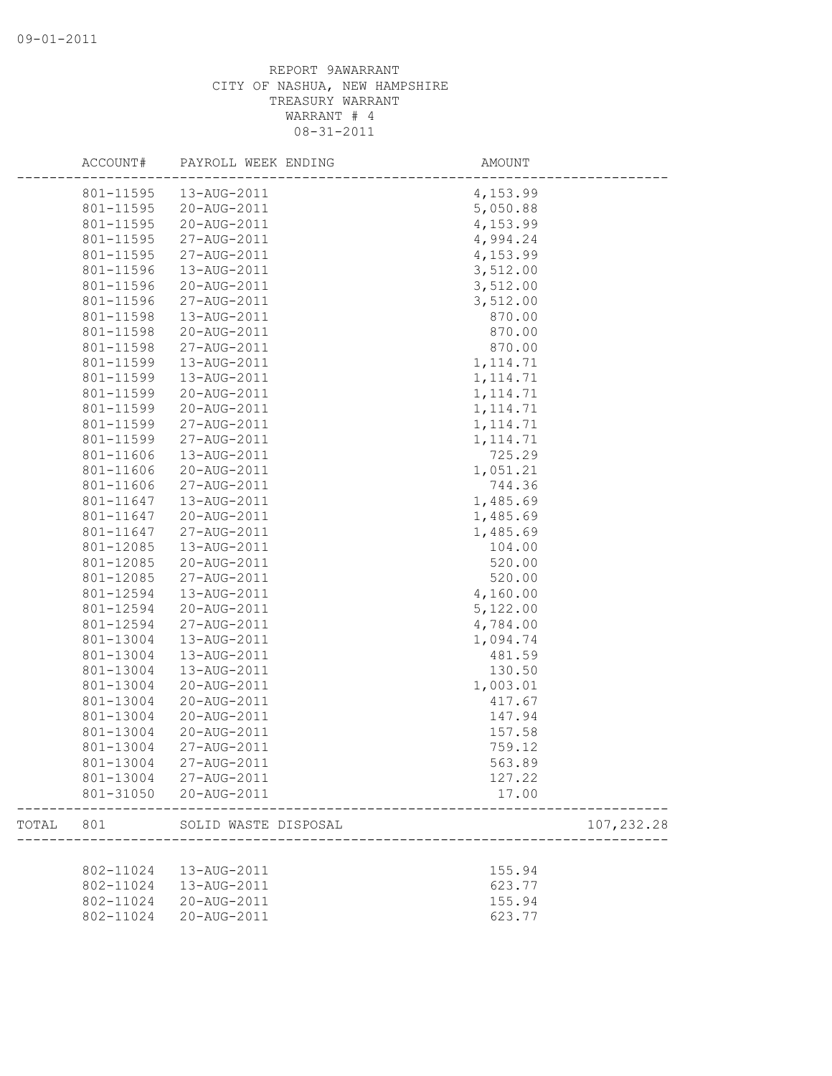|       | ACCOUNT#  | PAYROLL WEEK ENDING  | AMOUNT    |             |
|-------|-----------|----------------------|-----------|-------------|
|       | 801-11595 | 13-AUG-2011          | 4,153.99  |             |
|       | 801-11595 | 20-AUG-2011          | 5,050.88  |             |
|       | 801-11595 | 20-AUG-2011          | 4,153.99  |             |
|       | 801-11595 | 27-AUG-2011          | 4,994.24  |             |
|       | 801-11595 | 27-AUG-2011          | 4,153.99  |             |
|       | 801-11596 | 13-AUG-2011          | 3,512.00  |             |
|       | 801-11596 | 20-AUG-2011          | 3,512.00  |             |
|       | 801-11596 | 27-AUG-2011          | 3,512.00  |             |
|       | 801-11598 | 13-AUG-2011          | 870.00    |             |
|       | 801-11598 | 20-AUG-2011          | 870.00    |             |
|       | 801-11598 | 27-AUG-2011          | 870.00    |             |
|       | 801-11599 | 13-AUG-2011          | 1, 114.71 |             |
|       | 801-11599 | 13-AUG-2011          | 1, 114.71 |             |
|       | 801-11599 | 20-AUG-2011          | 1, 114.71 |             |
|       | 801-11599 | 20-AUG-2011          | 1, 114.71 |             |
|       | 801-11599 | 27-AUG-2011          | 1, 114.71 |             |
|       | 801-11599 | 27-AUG-2011          | 1, 114.71 |             |
|       | 801-11606 | 13-AUG-2011          | 725.29    |             |
|       | 801-11606 | 20-AUG-2011          | 1,051.21  |             |
|       | 801-11606 | 27-AUG-2011          | 744.36    |             |
|       | 801-11647 | 13-AUG-2011          | 1,485.69  |             |
|       | 801-11647 | 20-AUG-2011          | 1,485.69  |             |
|       | 801-11647 | 27-AUG-2011          | 1,485.69  |             |
|       | 801-12085 | 13-AUG-2011          | 104.00    |             |
|       | 801-12085 | 20-AUG-2011          | 520.00    |             |
|       | 801-12085 | 27-AUG-2011          | 520.00    |             |
|       | 801-12594 | 13-AUG-2011          | 4,160.00  |             |
|       | 801-12594 | 20-AUG-2011          | 5,122.00  |             |
|       | 801-12594 | 27-AUG-2011          | 4,784.00  |             |
|       | 801-13004 | 13-AUG-2011          | 1,094.74  |             |
|       | 801-13004 | 13-AUG-2011          | 481.59    |             |
|       | 801-13004 | 13-AUG-2011          | 130.50    |             |
|       | 801-13004 | 20-AUG-2011          | 1,003.01  |             |
|       | 801-13004 | 20-AUG-2011          | 417.67    |             |
|       | 801-13004 | 20-AUG-2011          | 147.94    |             |
|       | 801-13004 | 20-AUG-2011          | 157.58    |             |
|       | 801-13004 | 27-AUG-2011          | 759.12    |             |
|       | 801-13004 | 27-AUG-2011          | 563.89    |             |
|       | 801-13004 | 27-AUG-2011          | 127.22    |             |
|       | 801-31050 | 20-AUG-2011          | 17.00     |             |
| TOTAL | 801       | SOLID WASTE DISPOSAL |           | 107, 232.28 |
|       |           |                      |           |             |
|       | 802-11024 | 13-AUG-2011          | 155.94    |             |
|       | 802-11024 | 13-AUG-2011          | 623.77    |             |
|       | 802-11024 | 20-AUG-2011          | 155.94    |             |
|       | 802-11024 | 20-AUG-2011          | 623.77    |             |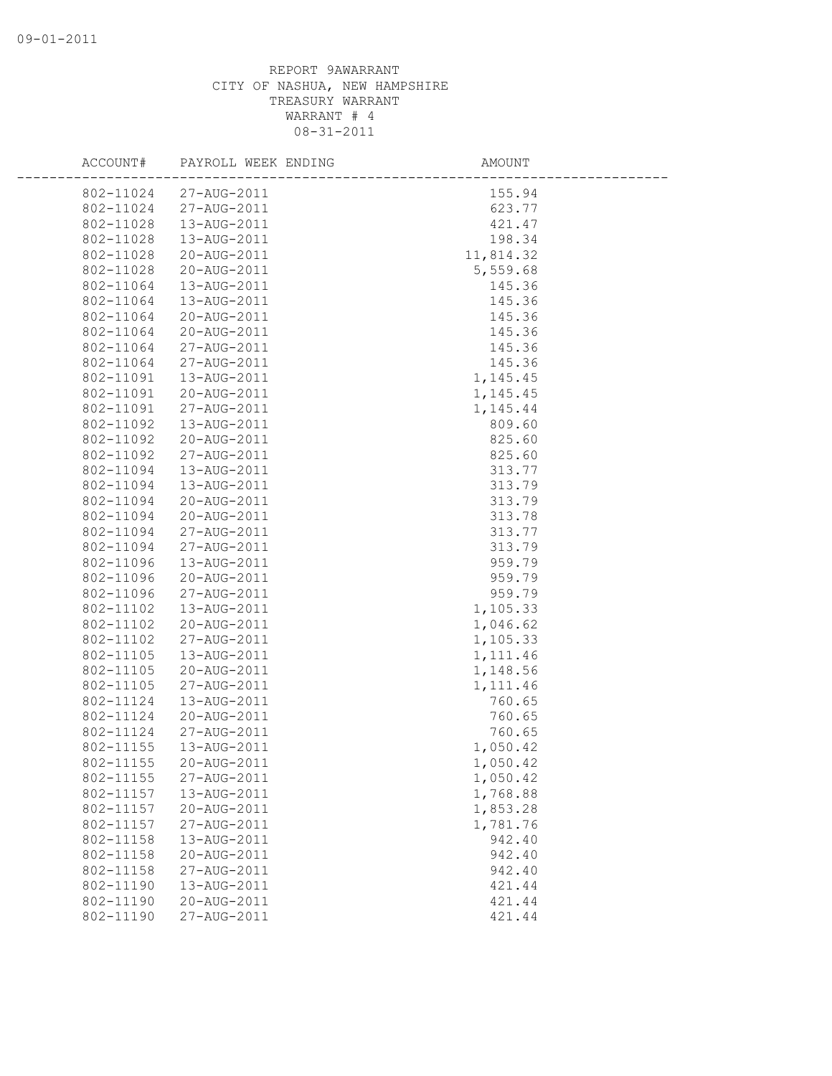| ACCOUNT#  | PAYROLL WEEK ENDING | AMOUNT    |  |
|-----------|---------------------|-----------|--|
| 802-11024 | 27-AUG-2011         | 155.94    |  |
| 802-11024 | 27-AUG-2011         | 623.77    |  |
| 802-11028 | 13-AUG-2011         | 421.47    |  |
| 802-11028 | 13-AUG-2011         | 198.34    |  |
| 802-11028 | 20-AUG-2011         | 11,814.32 |  |
| 802-11028 | 20-AUG-2011         | 5,559.68  |  |
| 802-11064 | 13-AUG-2011         | 145.36    |  |
| 802-11064 | 13-AUG-2011         | 145.36    |  |
| 802-11064 | 20-AUG-2011         | 145.36    |  |
| 802-11064 | 20-AUG-2011         | 145.36    |  |
| 802-11064 | 27-AUG-2011         | 145.36    |  |
| 802-11064 | 27-AUG-2011         | 145.36    |  |
| 802-11091 | 13-AUG-2011         | 1,145.45  |  |
| 802-11091 | 20-AUG-2011         | 1,145.45  |  |
| 802-11091 | 27-AUG-2011         | 1,145.44  |  |
| 802-11092 | 13-AUG-2011         | 809.60    |  |
| 802-11092 | 20-AUG-2011         | 825.60    |  |
| 802-11092 | 27-AUG-2011         | 825.60    |  |
| 802-11094 | 13-AUG-2011         | 313.77    |  |
| 802-11094 | 13-AUG-2011         | 313.79    |  |
| 802-11094 | 20-AUG-2011         | 313.79    |  |
| 802-11094 | 20-AUG-2011         | 313.78    |  |
| 802-11094 | 27-AUG-2011         | 313.77    |  |
| 802-11094 | 27-AUG-2011         | 313.79    |  |
| 802-11096 | 13-AUG-2011         | 959.79    |  |
| 802-11096 | 20-AUG-2011         | 959.79    |  |
| 802-11096 | 27-AUG-2011         | 959.79    |  |
| 802-11102 | 13-AUG-2011         | 1,105.33  |  |
| 802-11102 | 20-AUG-2011         | 1,046.62  |  |
| 802-11102 | 27-AUG-2011         | 1,105.33  |  |
| 802-11105 | 13-AUG-2011         | 1, 111.46 |  |
| 802-11105 | 20-AUG-2011         | 1,148.56  |  |
| 802-11105 | 27-AUG-2011         | 1,111.46  |  |
| 802-11124 | 13-AUG-2011         | 760.65    |  |
| 802-11124 | 20-AUG-2011         | 760.65    |  |
| 802-11124 | 27-AUG-2011         | 760.65    |  |
| 802-11155 | 13-AUG-2011         | 1,050.42  |  |
| 802-11155 | 20-AUG-2011         | 1,050.42  |  |
| 802-11155 | 27-AUG-2011         | 1,050.42  |  |
| 802-11157 | 13-AUG-2011         | 1,768.88  |  |
| 802-11157 | 20-AUG-2011         | 1,853.28  |  |
| 802-11157 | 27-AUG-2011         | 1,781.76  |  |
| 802-11158 | 13-AUG-2011         | 942.40    |  |
| 802-11158 | 20-AUG-2011         | 942.40    |  |
| 802-11158 | 27-AUG-2011         | 942.40    |  |
| 802-11190 | 13-AUG-2011         | 421.44    |  |
| 802-11190 | 20-AUG-2011         | 421.44    |  |
| 802-11190 | 27-AUG-2011         | 421.44    |  |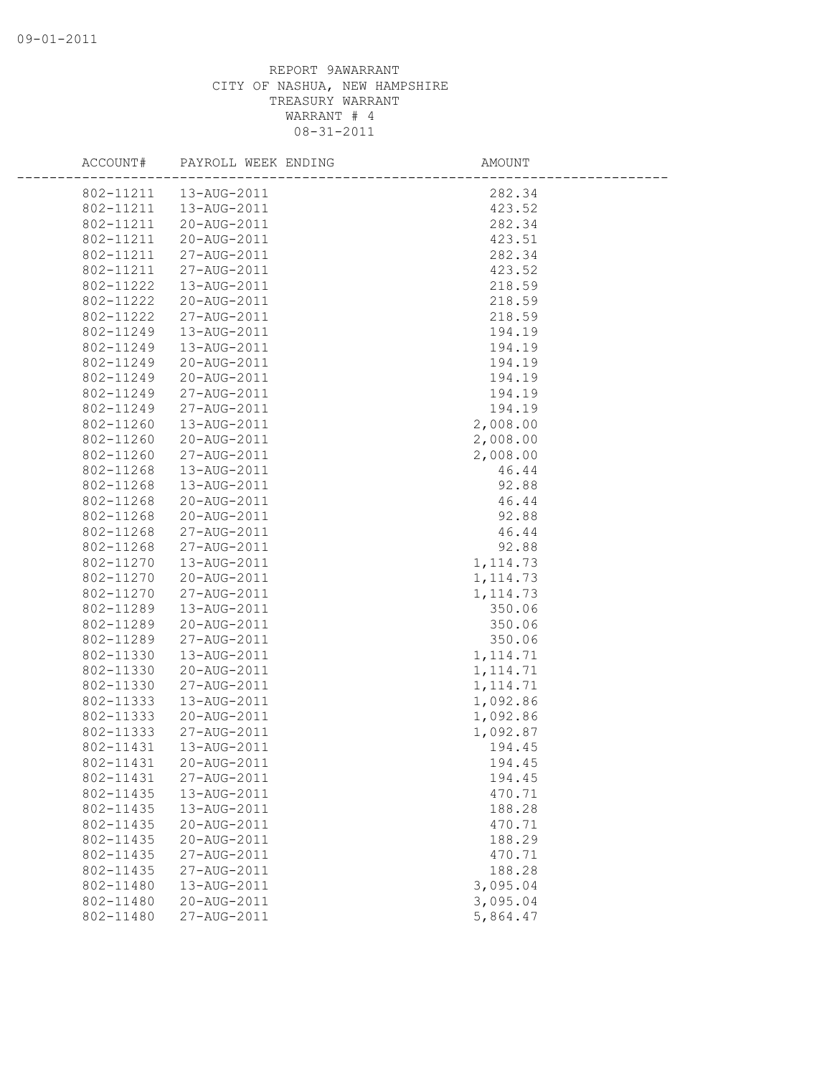| ACCOUNT#  | PAYROLL WEEK ENDING | AMOUNT    |  |
|-----------|---------------------|-----------|--|
| 802-11211 | 13-AUG-2011         | 282.34    |  |
| 802-11211 | 13-AUG-2011         | 423.52    |  |
| 802-11211 | 20-AUG-2011         | 282.34    |  |
| 802-11211 | 20-AUG-2011         | 423.51    |  |
| 802-11211 | 27-AUG-2011         | 282.34    |  |
| 802-11211 | 27-AUG-2011         | 423.52    |  |
| 802-11222 | 13-AUG-2011         | 218.59    |  |
| 802-11222 | 20-AUG-2011         | 218.59    |  |
| 802-11222 | 27-AUG-2011         | 218.59    |  |
| 802-11249 | 13-AUG-2011         | 194.19    |  |
| 802-11249 | 13-AUG-2011         | 194.19    |  |
| 802-11249 | 20-AUG-2011         | 194.19    |  |
| 802-11249 | 20-AUG-2011         | 194.19    |  |
| 802-11249 | 27-AUG-2011         | 194.19    |  |
| 802-11249 | 27-AUG-2011         | 194.19    |  |
| 802-11260 | 13-AUG-2011         | 2,008.00  |  |
| 802-11260 | 20-AUG-2011         | 2,008.00  |  |
| 802-11260 | 27-AUG-2011         | 2,008.00  |  |
| 802-11268 | 13-AUG-2011         | 46.44     |  |
| 802-11268 | 13-AUG-2011         | 92.88     |  |
| 802-11268 | 20-AUG-2011         | 46.44     |  |
| 802-11268 | 20-AUG-2011         | 92.88     |  |
| 802-11268 | 27-AUG-2011         | 46.44     |  |
| 802-11268 | 27-AUG-2011         | 92.88     |  |
| 802-11270 | 13-AUG-2011         | 1, 114.73 |  |
| 802-11270 | 20-AUG-2011         | 1, 114.73 |  |
| 802-11270 | 27-AUG-2011         | 1, 114.73 |  |
| 802-11289 | 13-AUG-2011         | 350.06    |  |
| 802-11289 | 20-AUG-2011         | 350.06    |  |
| 802-11289 | 27-AUG-2011         | 350.06    |  |
| 802-11330 | 13-AUG-2011         | 1, 114.71 |  |
| 802-11330 | 20-AUG-2011         | 1, 114.71 |  |
| 802-11330 | 27-AUG-2011         | 1, 114.71 |  |
| 802-11333 | 13-AUG-2011         | 1,092.86  |  |
| 802-11333 | 20-AUG-2011         | 1,092.86  |  |
| 802-11333 | 27-AUG-2011         | 1,092.87  |  |
| 802-11431 | 13-AUG-2011         | 194.45    |  |
| 802-11431 | 20-AUG-2011         | 194.45    |  |
| 802-11431 | 27-AUG-2011         | 194.45    |  |
| 802-11435 | 13-AUG-2011         | 470.71    |  |
| 802-11435 | 13-AUG-2011         | 188.28    |  |
| 802-11435 | 20-AUG-2011         | 470.71    |  |
| 802-11435 | 20-AUG-2011         | 188.29    |  |
| 802-11435 | 27-AUG-2011         | 470.71    |  |
| 802-11435 | 27-AUG-2011         | 188.28    |  |
| 802-11480 | 13-AUG-2011         | 3,095.04  |  |
| 802-11480 | 20-AUG-2011         | 3,095.04  |  |
| 802-11480 | 27-AUG-2011         | 5,864.47  |  |
|           |                     |           |  |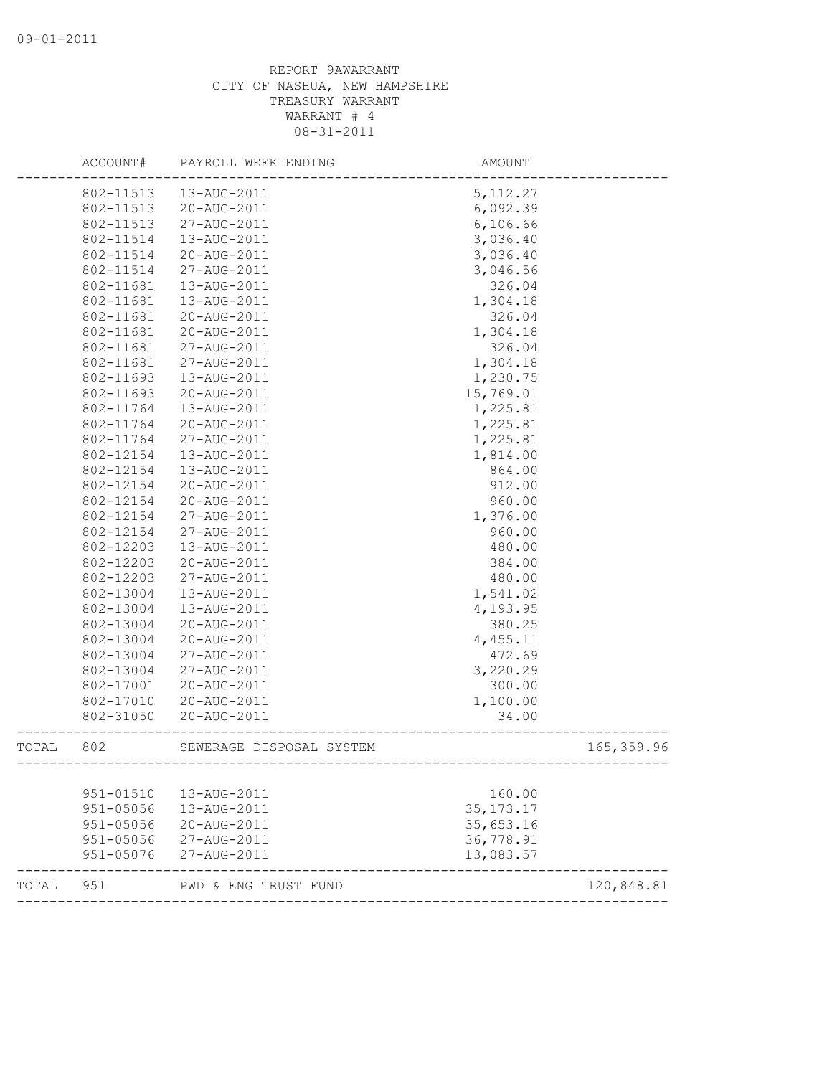|       | ACCOUNT#  | PAYROLL WEEK ENDING      | AMOUNT      |             |
|-------|-----------|--------------------------|-------------|-------------|
|       | 802-11513 | 13-AUG-2011              | 5, 112.27   |             |
|       | 802-11513 | 20-AUG-2011              | 6,092.39    |             |
|       | 802-11513 | 27-AUG-2011              | 6,106.66    |             |
|       | 802-11514 | 13-AUG-2011              | 3,036.40    |             |
|       | 802-11514 | 20-AUG-2011              | 3,036.40    |             |
|       | 802-11514 | 27-AUG-2011              | 3,046.56    |             |
|       | 802-11681 | 13-AUG-2011              | 326.04      |             |
|       | 802-11681 | 13-AUG-2011              | 1,304.18    |             |
|       | 802-11681 | 20-AUG-2011              | 326.04      |             |
|       | 802-11681 | 20-AUG-2011              | 1,304.18    |             |
|       | 802-11681 | 27-AUG-2011              | 326.04      |             |
|       | 802-11681 | 27-AUG-2011              | 1,304.18    |             |
|       | 802-11693 | 13-AUG-2011              | 1,230.75    |             |
|       | 802-11693 | 20-AUG-2011              | 15,769.01   |             |
|       | 802-11764 | 13-AUG-2011              | 1,225.81    |             |
|       | 802-11764 | 20-AUG-2011              | 1,225.81    |             |
|       | 802-11764 | 27-AUG-2011              | 1,225.81    |             |
|       | 802-12154 | 13-AUG-2011              | 1,814.00    |             |
|       | 802-12154 | 13-AUG-2011              | 864.00      |             |
|       | 802-12154 | 20-AUG-2011              | 912.00      |             |
|       | 802-12154 | 20-AUG-2011              | 960.00      |             |
|       | 802-12154 | 27-AUG-2011              | 1,376.00    |             |
|       | 802-12154 | 27-AUG-2011              | 960.00      |             |
|       | 802-12203 | 13-AUG-2011              | 480.00      |             |
|       | 802-12203 | 20-AUG-2011              | 384.00      |             |
|       | 802-12203 | 27-AUG-2011              | 480.00      |             |
|       | 802-13004 | 13-AUG-2011              | 1,541.02    |             |
|       | 802-13004 | 13-AUG-2011              | 4,193.95    |             |
|       | 802-13004 | 20-AUG-2011              | 380.25      |             |
|       | 802-13004 | 20-AUG-2011              | 4,455.11    |             |
|       | 802-13004 | 27-AUG-2011              | 472.69      |             |
|       | 802-13004 | 27-AUG-2011              | 3,220.29    |             |
|       | 802-17001 | 20-AUG-2011              | 300.00      |             |
|       | 802-17010 | 20-AUG-2011              | 1,100.00    |             |
|       | 802-31050 | 20-AUG-2011              | 34.00       |             |
| TOTAL | 802       | SEWERAGE DISPOSAL SYSTEM |             | 165, 359.96 |
|       |           |                          |             |             |
|       | 951-01510 | 13-AUG-2011              | 160.00      |             |
|       | 951-05056 | 13-AUG-2011              | 35, 173. 17 |             |
|       | 951-05056 | 20-AUG-2011              | 35,653.16   |             |
|       | 951-05056 | 27-AUG-2011              | 36,778.91   |             |
|       | 951-05076 | 27-AUG-2011              | 13,083.57   |             |
| TOTAL | 951       | PWD & ENG TRUST FUND     |             | 120,848.81  |
|       |           |                          |             |             |